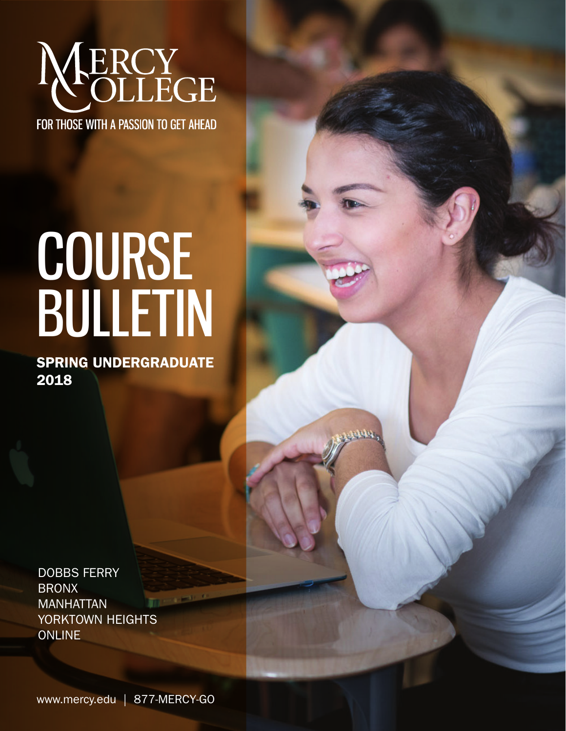

# COURSE BULLETIN

SPRING UNDERGRADUATE 2018

DOBBS FERRY BRONX **MANHATTAN** YORKTOWN HEIGHTS ONLINE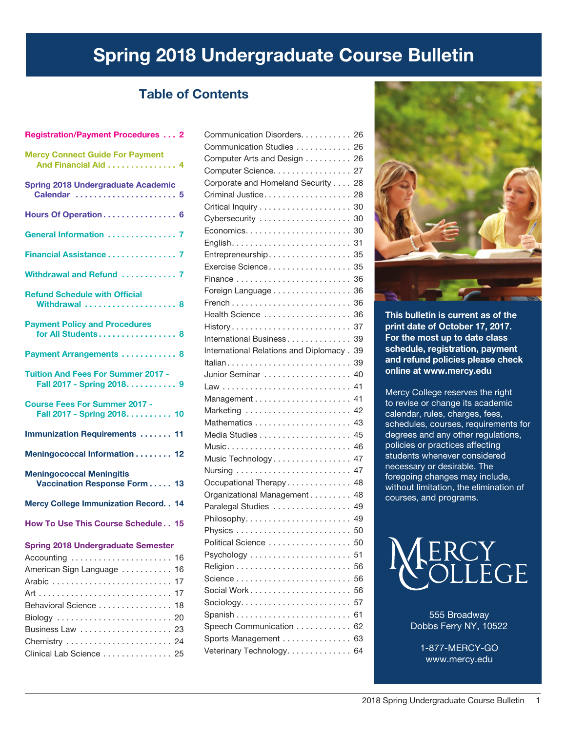# Spring 2018 Undergraduate Course Bulletin

# Table of Contents

| <b>Registration/Payment Procedures  2</b>                               |
|-------------------------------------------------------------------------|
| <b>Mercy Connect Guide For Payment</b><br>And Financial Aid 4           |
| <b>Spring 2018 Undergraduate Academic</b><br>Calendar  5                |
| Hours Of Operation 6                                                    |
| General Information  7                                                  |
| Financial Assistance 7                                                  |
| Withdrawal and Refund  7                                                |
| <b>Refund Schedule with Official</b><br>Withdrawal  8                   |
| <b>Payment Policy and Procedures</b><br>for All Students 8              |
| Payment Arrangements  8                                                 |
| <b>Tuition And Fees For Summer 2017 -</b><br>Fall 2017 - Spring 2018. 9 |
| <b>Course Fees For Summer 2017 -</b><br>Fall 2017 - Spring 2018. 10     |
| <b>Immunization Requirements  11</b>                                    |
| Meningococcal Information 12                                            |
| <b>Meningococcal Meningitis</b><br>Vaccination Response Form 13         |
| <b>Mercy College Immunization Record. . 14</b>                          |
| How To Use This Course Schedule 15                                      |
| <b>Spring 2018 Undergraduate Semester</b>                               |
| 16                                                                      |
| American Sign Language<br>16                                            |
| 17                                                                      |
| 17                                                                      |
| Behavioral Science<br>18                                                |
| 20                                                                      |
| 23                                                                      |
| 24                                                                      |
| Clinical Lab Science 25                                                 |

| Communication Disorders. 26            |    |
|----------------------------------------|----|
| Communication Studies                  | 26 |
| Computer Arts and Design               | 26 |
| Computer Science.                      | 27 |
| Corporate and Homeland Security        | 28 |
| Criminal Justice                       | 28 |
|                                        | 30 |
| Cybersecurity                          | 30 |
|                                        |    |
|                                        |    |
| Entrepreneurship 35                    |    |
| Exercise Science 35                    |    |
|                                        | 36 |
| Foreign Language                       | 36 |
|                                        | 36 |
| Health Science                         | 36 |
|                                        | 37 |
| International Business                 | 39 |
| International Relations and Diplomacy. | 39 |
| Italian                                | 39 |
| Junior Seminar                         | 40 |
|                                        | 41 |
|                                        | 41 |
| Marketing                              | 42 |
|                                        | 43 |
|                                        | 45 |
|                                        | 46 |
| Music Technology                       | 47 |
|                                        | 47 |
| Occupational Therapy                   | 48 |
| Organizational Management              | 48 |
| Paralegal Studies                      | 49 |
|                                        |    |
|                                        |    |
| Political Science  50                  |    |
|                                        | 51 |
|                                        | 56 |
|                                        | 56 |
| Social Work                            | 56 |
| Sociology.                             | 57 |
|                                        | 61 |
| Speech Communication                   | 62 |
| Sports Management                      | 63 |
| Veterinary Technology.                 | 64 |
|                                        |    |



This bulletin is current as of the print date of October 17, 2017. For the most up to date class schedule, registration, payment and refund policies please check online at www.mercy.edu

Mercy College reserves the right to revise or change its academic calendar, rules, charges, fees, schedules, courses, requirements for degrees and any other regulations, policies or practices affecting students whenever considered necessary or desirable. The foregoing changes may include, without limitation, the elimination of courses, and programs.



555 Broadway Dobbs Ferry NY, 10522

1-877-MERCY-GO www.mercy.edu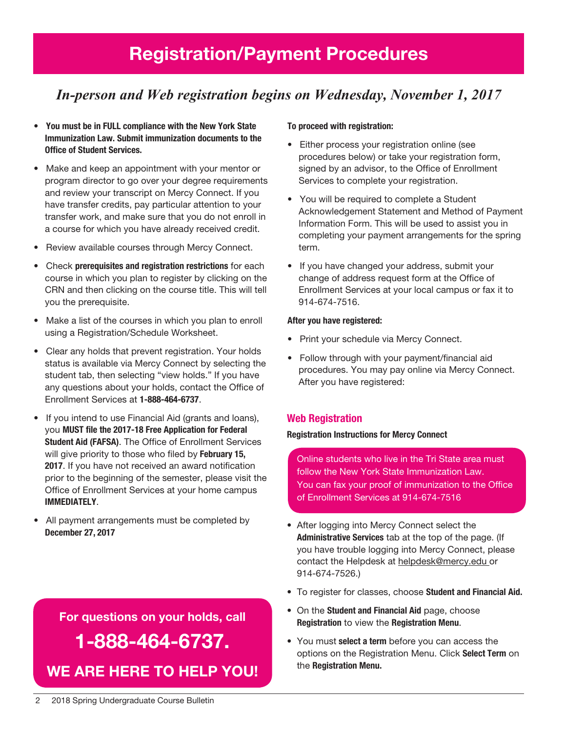# Registration/Payment Procedures

# *In-person and Web registration begins on Wednesday, November 1, 2017*

- You must be in FULL compliance with the New York State Immunization Law. Submit immunization documents to the Office of Student Services.
- Make and keep an appointment with your mentor or program director to go over your degree requirements and review your transcript on Mercy Connect. If you have transfer credits, pay particular attention to your transfer work, and make sure that you do not enroll in a course for which you have already received credit.
- Review available courses through Mercy Connect.
- Check prerequisites and registration restrictions for each course in which you plan to register by clicking on the CRN and then clicking on the course title. This will tell you the prerequisite.
- Make a list of the courses in which you plan to enroll using a Registration/Schedule Worksheet.
- Clear any holds that prevent registration. Your holds status is available via Mercy Connect by selecting the student tab, then selecting "view holds." If you have any questions about your holds, contact the Office of Enrollment Services at 1-888-464-6737.
- If you intend to use Financial Aid (grants and loans), you MUST file the 2017-18 Free Application for Federal Student Aid (FAFSA). The Office of Enrollment Services will give priority to those who filed by February 15, 2017. If you have not received an award notification prior to the beginning of the semester, please visit the Office of Enrollment Services at your home campus IMMEDIATELY.
- All payment arrangements must be completed by December 27, 2017

# For questions on your holds, call 1-888-464-6737. We are here to help You!

## To proceed with registration:

- Either process your registration online (see procedures below) or take your registration form, signed by an advisor, to the Office of Enrollment Services to complete your registration.
- You will be required to complete a Student Acknowledgement Statement and Method of Payment Information Form. This will be used to assist you in completing your payment arrangements for the spring term.
- If you have changed your address, submit your change of address request form at the Office of Enrollment Services at your local campus or fax it to 914-674-7516.

#### After you have registered:

- Print your schedule via Mercy Connect.
- Follow through with your payment/financial aid procedures. You may pay online via Mercy Connect. After you have registered:

## Web Registration

#### Registration Instructions for Mercy Connect

Online students who live in the Tri State area must follow the New York State Immunization Law. You can fax your proof of immunization to the Office of Enrollment Services at 914-674-7516

- After logging into Mercy Connect select the Administrative Services tab at the top of the page. (If you have trouble logging into Mercy Connect, please contact the Helpdesk at helpdesk@mercy.edu or 914-674-7526.)
- To register for classes, choose Student and Financial Aid.
- On the Student and Financial Aid page, choose Registration to view the Registration Menu.
- You must select a term before you can access the options on the Registration Menu. Click Select Term on the Registration Menu.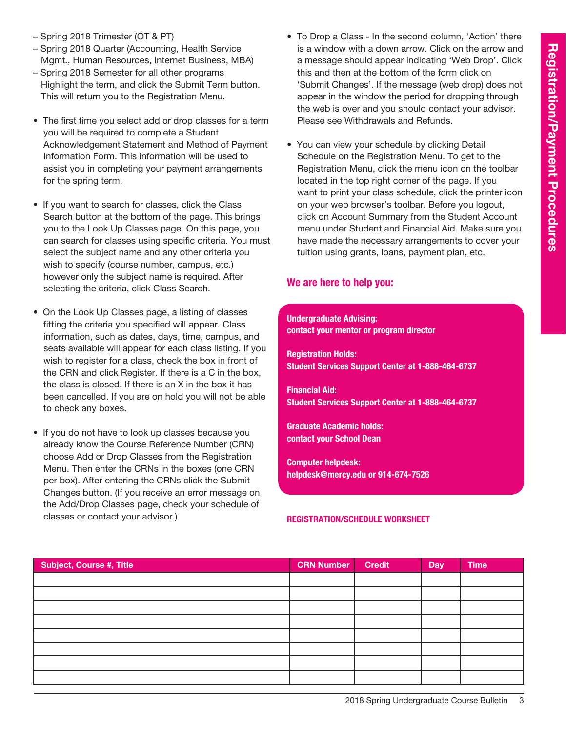- Spring 2018 Trimester (OT & PT)
- Spring 2018 Quarter (Accounting, Health Service Mgmt., Human Resources, Internet Business, MBA)
- Spring 2018 Semester for all other programs Highlight the term, and click the Submit Term button. This will return you to the Registration Menu.
- The first time you select add or drop classes for a term you will be required to complete a Student Acknowledgement Statement and Method of Payment Information Form. This information will be used to assist you in completing your payment arrangements for the spring term.
- If you want to search for classes, click the Class Search button at the bottom of the page. This brings you to the Look Up Classes page. On this page, you can search for classes using specific criteria. You must select the subject name and any other criteria you wish to specify (course number, campus, etc.) however only the subject name is required. After selecting the criteria, click Class Search.
- On the Look Up Classes page, a listing of classes fitting the criteria you specified will appear. Class information, such as dates, days, time, campus, and seats available will appear for each class listing. If you wish to register for a class, check the box in front of the CRN and click Register. If there is a C in the box, the class is closed. If there is an X in the box it has been cancelled. If you are on hold you will not be able to check any boxes.
- If you do not have to look up classes because you already know the Course Reference Number (CRN) choose Add or Drop Classes from the Registration Menu. Then enter the CRNs in the boxes (one CRN per box). After entering the CRNs click the Submit Changes button. (If you receive an error message on the Add/Drop Classes page, check your schedule of classes or contact your advisor.)
- To Drop a Class In the second column, 'Action' there is a window with a down arrow. Click on the arrow and a message should appear indicating 'Web Drop'. Click this and then at the bottom of the form click on 'Submit Changes'. If the message (web drop) does not appear in the window the period for dropping through the web is over and you should contact your advisor. Please see Withdrawals and Refunds.
- You can view your schedule by clicking Detail Schedule on the Registration Menu. To get to the Registration Menu, click the menu icon on the toolbar located in the top right corner of the page. If you want to print your class schedule, click the printer icon on your web browser's toolbar. Before you logout, click on Account Summary from the Student Account menu under Student and Financial Aid. Make sure you have made the necessary arrangements to cover your tuition using grants, loans, payment plan, etc.

## We are here to help you:

## Undergraduate Advising: contact your mentor or program director

Registration Holds: Student Services Support Center at 1-888-464-6737

Financial Aid: Student Services Support Center at 1-888-464-6737

Graduate Academic holds: contact your School Dean

Computer helpdesk: helpdesk@mercy.edu or 914-674-7526

## Registration/Schedule Worksheet

| Subject, Course #, Title | <b>CRN Number</b> | <b>Credit</b> | Day | <b>Time</b> |
|--------------------------|-------------------|---------------|-----|-------------|
|                          |                   |               |     |             |
|                          |                   |               |     |             |
|                          |                   |               |     |             |
|                          |                   |               |     |             |
|                          |                   |               |     |             |
|                          |                   |               |     |             |
|                          |                   |               |     |             |
|                          |                   |               |     |             |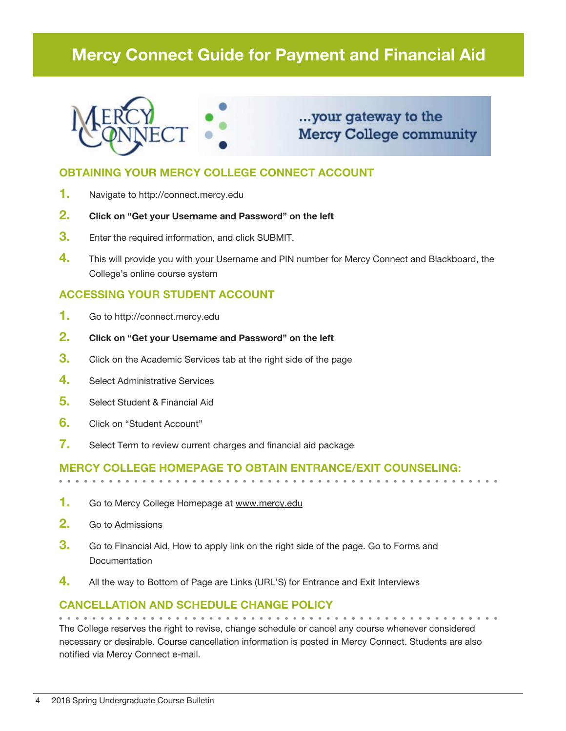# Mercy Connect Guide for Payment and Financial Aid



# ...your gateway to the **Mercy College community**

# OBTAINING YOUR MERCY COLLEGE CONNECT ACCOUNT

- 1. Navigate to http://connect.mercy.edu
- 2. Click on "Get your Username and Password" on the left
- **3.** Enter the required information, and click SUBMIT.
- 4. This will provide you with your Username and PIN number for Mercy Connect and Blackboard, the College's online course system

# ACCESSING YOUR STUDENT ACCOUNT

- 1. Go to http://connect.mercy.edu
- 2. Click on "Get your Username and Password" on the left
- **3.** Click on the Academic Services tab at the right side of the page
- 4. Select Administrative Services
- 5. Select Student & Financial Aid
- 6. Click on "Student Account"
- 7. Select Term to review current charges and financial aid package

# Mercy College homepage to obtain entrance/exit counseling:

- 1. Go to Mercy College Homepage at www.mercy.edu
- 2. Go to Admissions
- **3.** Go to Financial Aid, How to apply link on the right side of the page. Go to Forms and **Documentation**
- 4. All the way to Bottom of Page are Links (URL'S) for Entrance and Exit Interviews

# Cancellation and Schedule Change Policy

The College reserves the right to revise, change schedule or cancel any course whenever considered necessary or desirable. Course cancellation information is posted in Mercy Connect. Students are also notified via Mercy Connect e-mail.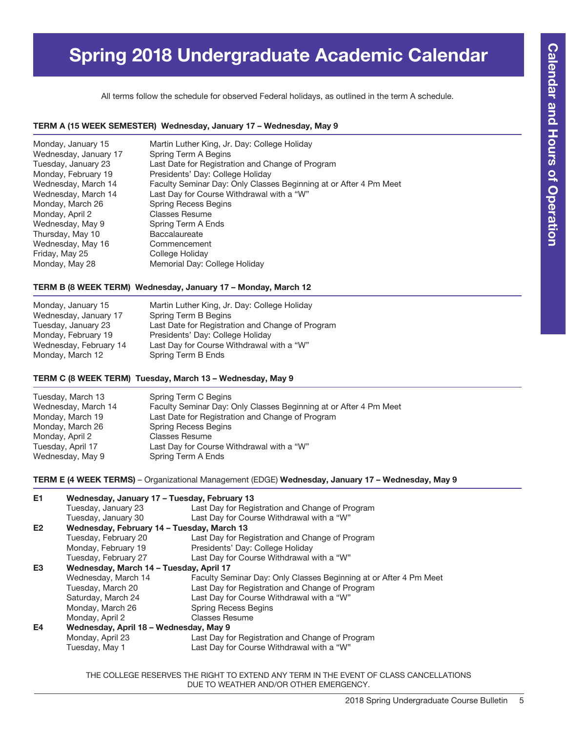# Spring 2018 Undergraduate Academic Calendar

All terms follow the schedule for observed Federal holidays, as outlined in the term A schedule.

#### TERM A (15 WEEK SEMESTER) Wednesday, January 17 – Wednesday, May 9

| Monday, January 15    | Martin Luther King, Jr. Day: College Holiday                      |
|-----------------------|-------------------------------------------------------------------|
| Wednesday, January 17 | Spring Term A Begins                                              |
| Tuesday, January 23   | Last Date for Registration and Change of Program                  |
| Monday, February 19   | Presidents' Day: College Holiday                                  |
| Wednesday, March 14   | Faculty Seminar Day: Only Classes Beginning at or After 4 Pm Meet |
| Wednesday, March 14   | Last Day for Course Withdrawal with a "W"                         |
| Monday, March 26      | <b>Spring Recess Begins</b>                                       |
| Monday, April 2       | <b>Classes Resume</b>                                             |
| Wednesday, May 9      | Spring Term A Ends                                                |
| Thursday, May 10      | <b>Baccalaureate</b>                                              |
| Wednesday, May 16     | Commencement                                                      |
| Friday, May 25        | College Holiday                                                   |
| Monday, May 28        | Memorial Day: College Holiday                                     |

#### TERM B (8 WEEK TERM) Wednesday, January 17 – Monday, March 12

| Monday, January 15     | Martin Luther King, Jr. Day: College Holiday     |
|------------------------|--------------------------------------------------|
| Wednesday, January 17  | Spring Term B Begins                             |
| Tuesday, January 23    | Last Date for Registration and Change of Program |
| Monday, February 19    | Presidents' Day: College Holiday                 |
| Wednesday, February 14 | Last Day for Course Withdrawal with a "W"        |
| Monday, March 12       | Spring Term B Ends                               |

#### TERM C (8 WEEK TERM) Tuesday, March 13 – Wednesday, May 9

| Tuesday, March 13   | Spring Term C Begins                                              |
|---------------------|-------------------------------------------------------------------|
| Wednesday, March 14 | Faculty Seminar Day: Only Classes Beginning at or After 4 Pm Meet |
| Monday, March 19    | Last Date for Registration and Change of Program                  |
| Monday, March 26    | <b>Spring Recess Begins</b>                                       |
| Monday, April 2     | Classes Resume                                                    |
| Tuesday, April 17   | Last Day for Course Withdrawal with a "W"                         |
| Wednesday, May 9    | Spring Term A Ends                                                |

TERM E (4 WEEK TERMS) – Organizational Management (EDGE) Wednesday, January 17 – Wednesday, May 9

| E <sub>1</sub> | Wednesday, January 17 - Tuesday, February 13 |                                                                   |  |
|----------------|----------------------------------------------|-------------------------------------------------------------------|--|
|                | Tuesday, January 23                          | Last Day for Registration and Change of Program                   |  |
|                | Tuesday, January 30                          | Last Day for Course Withdrawal with a "W"                         |  |
| E <sub>2</sub> | Wednesday, February 14 - Tuesday, March 13   |                                                                   |  |
|                | Tuesday, February 20                         | Last Day for Registration and Change of Program                   |  |
|                | Monday, February 19                          | Presidents' Day: College Holiday                                  |  |
|                | Tuesday, February 27                         | Last Day for Course Withdrawal with a "W"                         |  |
| E3             | Wednesday, March 14 - Tuesday, April 17      |                                                                   |  |
|                | Wednesday, March 14                          | Faculty Seminar Day: Only Classes Beginning at or After 4 Pm Meet |  |
|                | Tuesday, March 20                            | Last Day for Registration and Change of Program                   |  |
|                | Saturday, March 24                           | Last Day for Course Withdrawal with a "W"                         |  |
|                | Monday, March 26                             | <b>Spring Recess Begins</b>                                       |  |
|                | Monday, April 2                              | <b>Classes Resume</b>                                             |  |
| E4             | Wednesday, April 18 - Wednesday, May 9       |                                                                   |  |
|                | Monday, April 23                             | Last Day for Registration and Change of Program                   |  |
|                | Tuesday, May 1                               | Last Day for Course Withdrawal with a "W"                         |  |

THE COLLEGE RESERVES THE RIGHT TO EXTEND ANY TERM IN THE EVENT OF CLASS CANCELLATIONS DUE TO WEATHER AND/OR OTHER EMERGENCY.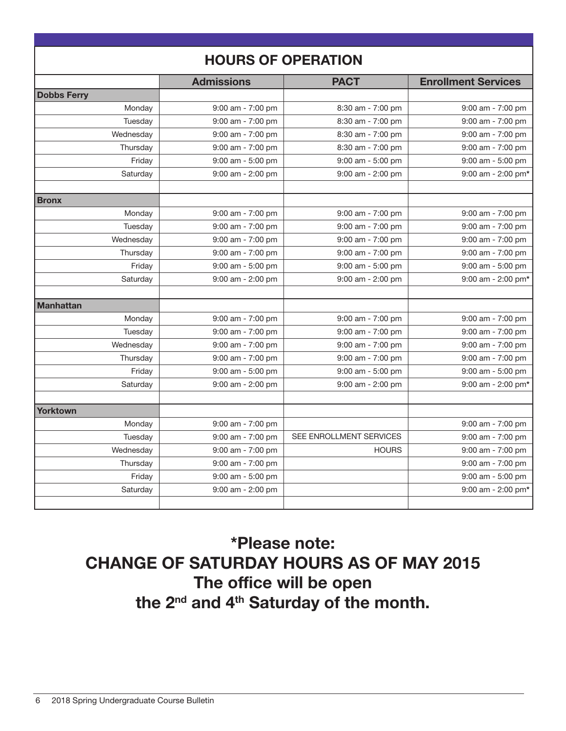| <b>HOURS OF OPERATION</b> |                       |                         |                            |
|---------------------------|-----------------------|-------------------------|----------------------------|
|                           | <b>Admissions</b>     | <b>PACT</b>             | <b>Enrollment Services</b> |
| <b>Dobbs Ferry</b>        |                       |                         |                            |
| Monday                    | $9:00$ am - $7:00$ pm | 8:30 am - 7:00 pm       | $9:00$ am - $7:00$ pm      |
| Tuesday                   | $9:00$ am - $7:00$ pm | 8:30 am - 7:00 pm       | $9:00$ am - $7:00$ pm      |
| Wednesday                 | 9:00 am - 7:00 pm     | 8:30 am - 7:00 pm       | $9:00$ am - $7:00$ pm      |
| Thursday                  | $9:00$ am - $7:00$ pm | 8:30 am - 7:00 pm       | $9:00$ am - $7:00$ pm      |
| Friday                    | 9:00 am - 5:00 pm     | 9:00 am - 5:00 pm       | 9:00 am - 5:00 pm          |
| Saturday                  | 9:00 am - 2:00 pm     | 9:00 am - 2:00 pm       | $9:00$ am - 2:00 pm*       |
| <b>Bronx</b>              |                       |                         |                            |
| Monday                    | $9:00$ am - 7:00 pm   | $9:00$ am - $7:00$ pm   | $9:00$ am - $7:00$ pm      |
| Tuesday                   | $9:00$ am - $7:00$ pm | $9:00$ am - $7:00$ pm   | $9:00$ am - $7:00$ pm      |
| Wednesday                 | $9:00$ am - $7:00$ pm | $9:00$ am - $7:00$ pm   | $9:00$ am - $7:00$ pm      |
| Thursday                  | $9:00$ am - $7:00$ pm | 9:00 am - 7:00 pm       | 9:00 am - 7:00 pm          |
| Friday                    | $9:00$ am - 5:00 pm   | $9:00$ am - $5:00$ pm   | $9:00$ am - $5:00$ pm      |
| Saturday                  | $9:00$ am - 2:00 pm   | $9:00$ am - 2:00 pm     | 9:00 am - 2:00 pm*         |
| <b>Manhattan</b>          |                       |                         |                            |
| Monday                    | $9:00$ am - $7:00$ pm | 9:00 am - 7:00 pm       | $9:00$ am - $7:00$ pm      |
| Tuesday                   | $9:00$ am - $7:00$ pm | $9:00$ am - $7:00$ pm   | $9:00$ am - $7:00$ pm      |
| Wednesday                 | $9:00$ am - $7:00$ pm | $9:00$ am - $7:00$ pm   | $9:00$ am - $7:00$ pm      |
| Thursday                  | $9:00$ am - $7:00$ pm | $9:00$ am - $7:00$ pm   | $9:00$ am - $7:00$ pm      |
| Friday                    | $9:00$ am - 5:00 pm   | 9:00 am - 5:00 pm       | $9:00$ am - $5:00$ pm      |
| Saturday                  | $9:00$ am - 2:00 pm   | $9:00$ am - 2:00 pm     | $9:00$ am - 2:00 pm*       |
| <b>Yorktown</b>           |                       |                         |                            |
| Monday                    | $9:00$ am - $7:00$ pm |                         | 9:00 am - 7:00 pm          |
| Tuesday                   | $9:00$ am - $7:00$ pm | SEE ENROLLMENT SERVICES | $9:00$ am - $7:00$ pm      |
| Wednesday                 | 9:00 am - 7:00 pm     | <b>HOURS</b>            | 9:00 am - 7:00 pm          |
| Thursday                  | $9:00$ am - $7:00$ pm |                         | 9:00 am - 7:00 pm          |
| Friday                    | 9:00 am - 5:00 pm     |                         | 9:00 am - 5:00 pm          |
| Saturday                  | $9:00$ am - 2:00 pm   |                         | 9:00 am - 2:00 pm*         |
|                           |                       |                         |                            |

# \*Please note: CHANGE OF SATURDAY HOURS as of May 2015 The office will be open the 2<sup>nd</sup> and 4<sup>th</sup> Saturday of the month.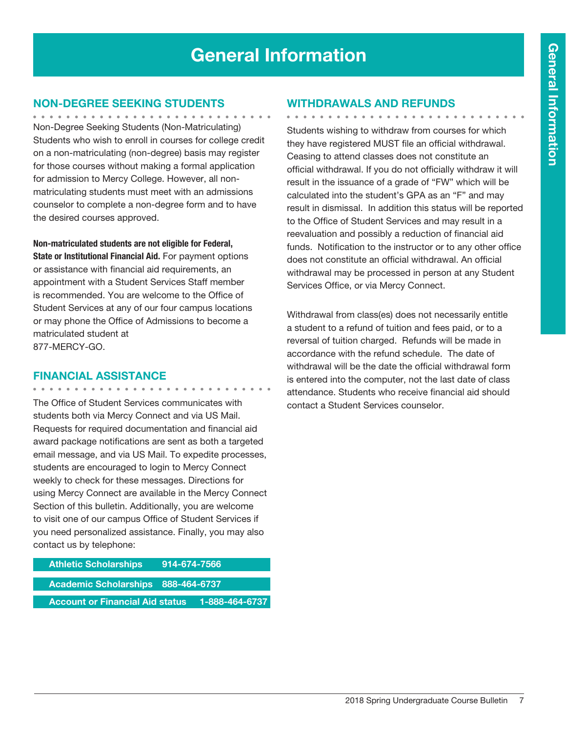# General Information

# Non-Degree Seeking Students

Non-Degree Seeking Students (Non-Matriculating) Students who wish to enroll in courses for college credit on a non-matriculating (non-degree) basis may register for those courses without making a formal application for admission to Mercy College. However, all nonmatriculating students must meet with an admissions counselor to complete a non-degree form and to have the desired courses approved.

Non-matriculated students are not eligible for Federal, State or Institutional Financial Aid. For payment options or assistance with financial aid requirements, an appointment with a Student Services Staff member is recommended. You are welcome to the Office of Student Services at any of our four campus locations or may phone the Office of Admissions to become a matriculated student at 877-MERCY-GO.

## Financial Assistance

. . . . . . . . . . . . . . .

The Office of Student Services communicates with students both via Mercy Connect and via US Mail. Requests for required documentation and financial aid award package notifications are sent as both a targeted email message, and via US Mail. To expedite processes, students are encouraged to login to Mercy Connect weekly to check for these messages. Directions for using Mercy Connect are available in the Mercy Connect Section of this bulletin. Additionally, you are welcome to visit one of our campus Office of Student Services if you need personalized assistance. Finally, you may also contact us by telephone:

| <b>Athletic Scholarships</b>           | <u>914-674-7566 [</u> |  |
|----------------------------------------|-----------------------|--|
| Academic Scholarships 888-464-6737     |                       |  |
| <b>Account or Financial Aid status</b> | 1-888-464-6737        |  |

## Withdrawals and Refunds

. . . . . . . . . . . . . . . . . . Students wishing to withdraw from courses for which they have registered MUST file an official withdrawal. Ceasing to attend classes does not constitute an official withdrawal. If you do not officially withdraw it will result in the issuance of a grade of "FW" which will be calculated into the student's GPA as an "F" and may result in dismissal. In addition this status will be reported to the Office of Student Services and may result in a reevaluation and possibly a reduction of financial aid funds. Notification to the instructor or to any other office does not constitute an official withdrawal. An official withdrawal may be processed in person at any Student Services Office, or via Mercy Connect.

Withdrawal from class(es) does not necessarily entitle a student to a refund of tuition and fees paid, or to a reversal of tuition charged. Refunds will be made in accordance with the refund schedule. The date of withdrawal will be the date the official withdrawal form is entered into the computer, not the last date of class attendance. Students who receive financial aid should contact a Student Services counselor.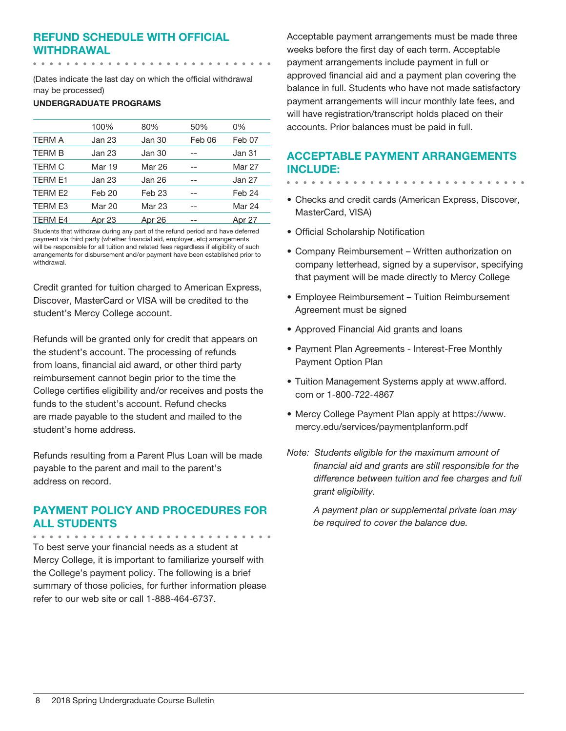# Refund Schedule with Official Withdrawal

(Dates indicate the last day on which the official withdrawal may be processed)

#### UNDERGRADUATE PROGRAMS

|                | 100%   | 80%               | 50%    | 0%            |
|----------------|--------|-------------------|--------|---------------|
| <b>TERM A</b>  | Jan 23 | Jan 30            | Feb 06 | Feb 07        |
| <b>TERM B</b>  | Jan 23 | Jan 30            |        | Jan 31        |
| <b>TERM C</b>  | Mar 19 | Mar 26            |        | <b>Mar 27</b> |
| <b>TERM E1</b> | Jan 23 | Jan 26            |        | Jan 27        |
| TERM E2        | Feb 20 | Feb <sub>23</sub> |        | Feb 24        |
| <b>TERM E3</b> | Mar 20 | Mar 23            |        | Mar 24        |
| <b>TERM E4</b> | Apr 23 | Apr 26            |        | Apr 27        |

Students that withdraw during any part of the refund period and have deferred payment via third party (whether financial aid, employer, etc) arrangements will be responsible for all tuition and related fees regardless if eligibility of such arrangements for disbursement and/or payment have been established prior to withdrawal.

Credit granted for tuition charged to American Express, Discover, MasterCard or VISA will be credited to the student's Mercy College account.

Refunds will be granted only for credit that appears on the student's account. The processing of refunds from loans, financial aid award, or other third party reimbursement cannot begin prior to the time the College certifies eligibility and/or receives and posts the funds to the student's account. Refund checks are made payable to the student and mailed to the student's home address.

Refunds resulting from a Parent Plus Loan will be made payable to the parent and mail to the parent's address on record.

# Payment Policy and Procedures for all Students

To best serve your financial needs as a student at Mercy College, it is important to familiarize yourself with the College's payment policy. The following is a brief summary of those policies, for further information please refer to our web site or call 1-888-464-6737.

Acceptable payment arrangements must be made three weeks before the first day of each term. Acceptable payment arrangements include payment in full or approved financial aid and a payment plan covering the balance in full. Students who have not made satisfactory payment arrangements will incur monthly late fees, and will have registration/transcript holds placed on their accounts. Prior balances must be paid in full.

# Acceptable Payment Arrangements include:

- 
- Checks and credit cards (American Express, Discover, MasterCard, VISA)
- Official Scholarship Notification
- Company Reimbursement Written authorization on company letterhead, signed by a supervisor, specifying that payment will be made directly to Mercy College
- Employee Reimbursement Tuition Reimbursement Agreement must be signed
- Approved Financial Aid grants and loans
- Payment Plan Agreements Interest-Free Monthly Payment Option Plan
- Tuition Management Systems apply at www.afford. com or 1-800-722-4867
- Mercy College Payment Plan apply at https://www. mercy.edu/services/paymentplanform.pdf
- *Note: Students eligible for the maximum amount of financial aid and grants are still responsible for the difference between tuition and fee charges and full grant eligibility.*

*A payment plan or supplemental private loan may be required to cover the balance due.*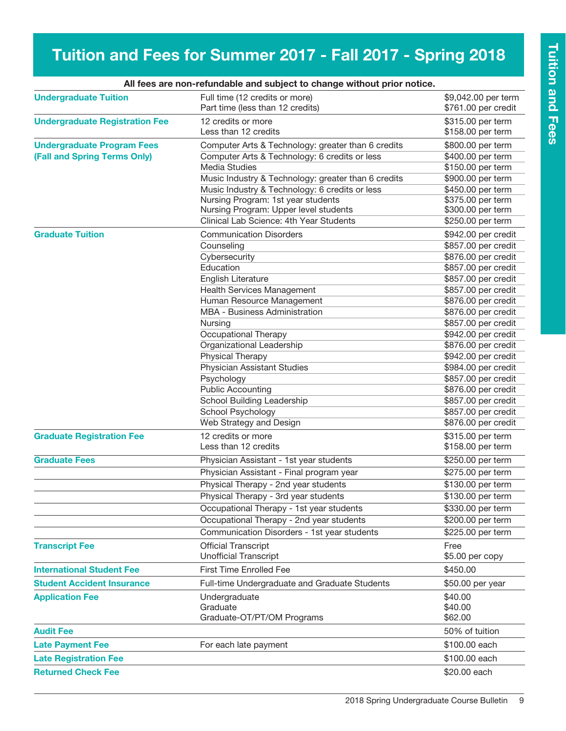# Tuition and Fees for Summer 2017 - Fall 2017 - Spring 2018

| <b>Undergraduate Tuition</b>          | Full time (12 credits or more)<br>Part time (less than 12 credits) | \$9,042.00 per term<br>\$761.00 per credit |
|---------------------------------------|--------------------------------------------------------------------|--------------------------------------------|
| <b>Undergraduate Registration Fee</b> | 12 credits or more<br>Less than 12 credits                         | \$315.00 per term<br>\$158.00 per term     |
| <b>Undergraduate Program Fees</b>     | Computer Arts & Technology: greater than 6 credits                 | \$800.00 per term                          |
| (Fall and Spring Terms Only)          | Computer Arts & Technology: 6 credits or less                      | \$400.00 per term                          |
|                                       | <b>Media Studies</b>                                               | \$150.00 per term                          |
|                                       | Music Industry & Technology: greater than 6 credits                | \$900.00 per term                          |
|                                       | Music Industry & Technology: 6 credits or less                     | \$450.00 per term                          |
|                                       | Nursing Program: 1st year students                                 | \$375.00 per term                          |
|                                       | Nursing Program: Upper level students                              | \$300.00 per term                          |
|                                       | Clinical Lab Science: 4th Year Students                            | \$250.00 per term                          |
| <b>Graduate Tuition</b>               | <b>Communication Disorders</b>                                     | \$942.00 per credit                        |
|                                       | Counseling                                                         | \$857.00 per credit                        |
|                                       | Cybersecurity                                                      | \$876.00 per credit                        |
|                                       | Education                                                          | \$857.00 per credit                        |
|                                       | English Literature                                                 | \$857.00 per credit                        |
|                                       | <b>Health Services Management</b>                                  | \$857.00 per credit                        |
|                                       | Human Resource Management                                          | \$876.00 per credit                        |
|                                       | <b>MBA - Business Administration</b>                               | \$876.00 per credit                        |
|                                       | Nursing                                                            | \$857.00 per credit                        |
|                                       | Occupational Therapy                                               | \$942.00 per credit                        |
|                                       | Organizational Leadership                                          | \$876.00 per credit                        |
|                                       | Physical Therapy                                                   | \$942.00 per credit                        |
|                                       | <b>Physician Assistant Studies</b>                                 | \$984.00 per credit                        |
|                                       | Psychology                                                         | \$857.00 per credit                        |
|                                       | <b>Public Accounting</b>                                           | \$876.00 per credit                        |
|                                       | School Building Leadership                                         | \$857.00 per credit                        |
|                                       | School Psychology                                                  | \$857.00 per credit                        |
|                                       | Web Strategy and Design                                            | \$876.00 per credit                        |
| <b>Graduate Registration Fee</b>      | 12 credits or more<br>Less than 12 credits                         | \$315.00 per term<br>\$158.00 per term     |
| <b>Graduate Fees</b>                  | Physician Assistant - 1st year students                            | \$250.00 per term                          |
|                                       | Physician Assistant - Final program year                           | \$275.00 per term                          |
|                                       | Physical Therapy - 2nd year students                               | \$130.00 per term                          |
|                                       | Physical Therapy - 3rd year students                               | \$130.00 per term                          |
|                                       | Occupational Therapy - 1st year students                           | \$330.00 per term                          |
|                                       | Occupational Therapy - 2nd year students                           | \$200.00 per term                          |
|                                       | Communication Disorders - 1st year students                        | \$225.00 per term                          |
| <b>Transcript Fee</b>                 | <b>Official Transcript</b>                                         | Free                                       |
|                                       | <b>Unofficial Transcript</b>                                       | \$5.00 per copy                            |
| <b>International Student Fee</b>      | <b>First Time Enrolled Fee</b>                                     | \$450.00                                   |
| <b>Student Accident Insurance</b>     | Full-time Undergraduate and Graduate Students                      | \$50.00 per year                           |
| <b>Application Fee</b>                | Undergraduate                                                      | \$40.00                                    |
|                                       | Graduate                                                           | \$40.00                                    |
|                                       | Graduate-OT/PT/OM Programs                                         | \$62.00                                    |
| <b>Audit Fee</b>                      |                                                                    | 50% of tuition                             |
| <b>Late Payment Fee</b>               | For each late payment                                              | \$100.00 each                              |
| <b>Late Registration Fee</b>          |                                                                    | \$100.00 each                              |
| <b>Returned Check Fee</b>             |                                                                    | \$20.00 each                               |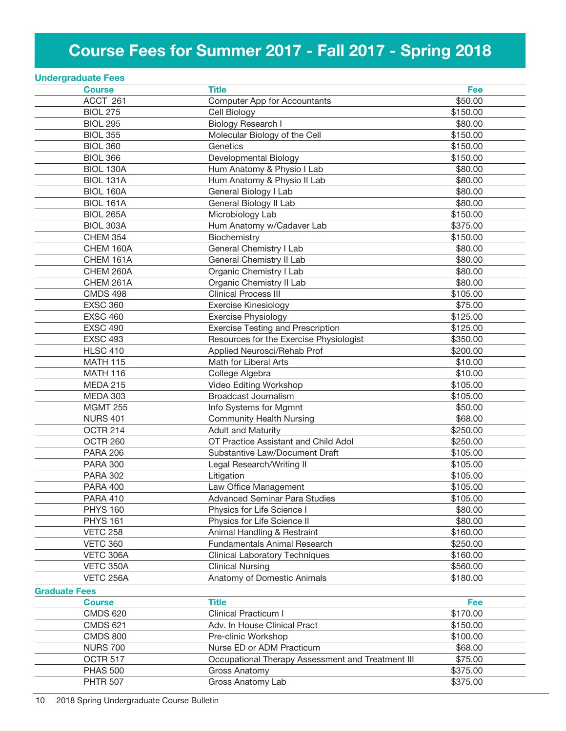# Course Fees for Summer 2017 - Fall 2017 - Spring 2018

| <b>Undergraduate Fees</b> |                                                   |          |
|---------------------------|---------------------------------------------------|----------|
| <b>Course</b>             | <b>Title</b>                                      | Fee      |
| ACCT 261                  | <b>Computer App for Accountants</b>               | \$50.00  |
| <b>BIOL 275</b>           | Cell Biology                                      | \$150.00 |
| <b>BIOL 295</b>           | <b>Biology Research I</b>                         | \$80.00  |
| <b>BIOL 355</b>           | Molecular Biology of the Cell                     | \$150.00 |
| <b>BIOL 360</b>           | Genetics                                          | \$150.00 |
| <b>BIOL 366</b>           | Developmental Biology                             | \$150.00 |
| BIOL 130A                 | Hum Anatomy & Physio I Lab                        | \$80.00  |
| BIOL 131A                 | Hum Anatomy & Physio II Lab                       | \$80.00  |
| <b>BIOL 160A</b>          | General Biology I Lab                             | \$80.00  |
| <b>BIOL 161A</b>          | General Biology II Lab                            | \$80.00  |
| <b>BIOL 265A</b>          | Microbiology Lab                                  | \$150.00 |
| BIOL 303A                 | Hum Anatomy w/Cadaver Lab                         | \$375.00 |
| <b>CHEM 354</b>           | Biochemistry                                      | \$150.00 |
| CHEM 160A                 | General Chemistry I Lab                           | \$80.00  |
| CHEM 161A                 | General Chemistry II Lab                          | \$80.00  |
| CHEM 260A                 | Organic Chemistry I Lab                           | \$80.00  |
| CHEM 261A                 | Organic Chemistry II Lab                          | \$80.00  |
| <b>CMDS 498</b>           | <b>Clinical Process III</b>                       | \$105.00 |
| <b>EXSC 360</b>           | <b>Exercise Kinesiology</b>                       | \$75.00  |
| <b>EXSC 460</b>           | <b>Exercise Physiology</b>                        | \$125.00 |
| <b>EXSC 490</b>           | <b>Exercise Testing and Prescription</b>          | \$125.00 |
| <b>EXSC 493</b>           | Resources for the Exercise Physiologist           | \$350.00 |
| <b>HLSC 410</b>           | Applied Neurosci/Rehab Prof                       | \$200.00 |
| <b>MATH 115</b>           | Math for Liberal Arts                             | \$10.00  |
|                           |                                                   | \$10.00  |
| <b>MATH 116</b>           | College Algebra                                   |          |
| <b>MEDA 215</b>           | Video Editing Workshop                            | \$105.00 |
| <b>MEDA 303</b>           | Broadcast Journalism                              | \$105.00 |
| <b>MGMT 255</b>           | Info Systems for Mgmnt                            | \$50.00  |
| <b>NURS 401</b>           | <b>Community Health Nursing</b>                   | \$68.00  |
| OCTR 214                  | <b>Adult and Maturity</b>                         | \$250.00 |
| OCTR <sub>260</sub>       | OT Practice Assistant and Child Adol              | \$250.00 |
| <b>PARA 206</b>           | Substantive Law/Document Draft                    | \$105.00 |
| <b>PARA 300</b>           | Legal Research/Writing II                         | \$105.00 |
| <b>PARA 302</b>           | Litigation                                        | \$105.00 |
| <b>PARA 400</b>           | Law Office Management                             | \$105.00 |
| <b>PARA 410</b>           | <b>Advanced Seminar Para Studies</b>              | \$105.00 |
| <b>PHYS 160</b>           | Physics for Life Science I                        | \$80.00  |
| <b>PHYS 161</b>           | Physics for Life Science II                       | \$80.00  |
| <b>VETC 258</b>           | Animal Handling & Restraint                       | \$160.00 |
| <b>VETC 360</b>           | Fundamentals Animal Research                      | \$250.00 |
| VETC 306A                 | <b>Clinical Laboratory Techniques</b>             | \$160.00 |
| VETC 350A                 | <b>Clinical Nursing</b>                           | \$560.00 |
| <b>VETC 256A</b>          | Anatomy of Domestic Animals                       | \$180.00 |
| <b>Graduate Fees</b>      |                                                   |          |
| <b>Course</b>             | <b>Title</b>                                      | Fee      |
| <b>CMDS 620</b>           | <b>Clinical Practicum I</b>                       | \$170.00 |
| <b>CMDS 621</b>           | Adv. In House Clinical Pract                      | \$150.00 |
| <b>CMDS 800</b>           | Pre-clinic Workshop                               | \$100.00 |
| <b>NURS 700</b>           | Nurse ED or ADM Practicum                         | \$68.00  |
| OCTR <sub>517</sub>       | Occupational Therapy Assessment and Treatment III | \$75.00  |
| <b>PHAS 500</b>           | <b>Gross Anatomy</b>                              | \$375.00 |
| <b>PHTR 507</b>           | Gross Anatomy Lab                                 | \$375.00 |
|                           |                                                   |          |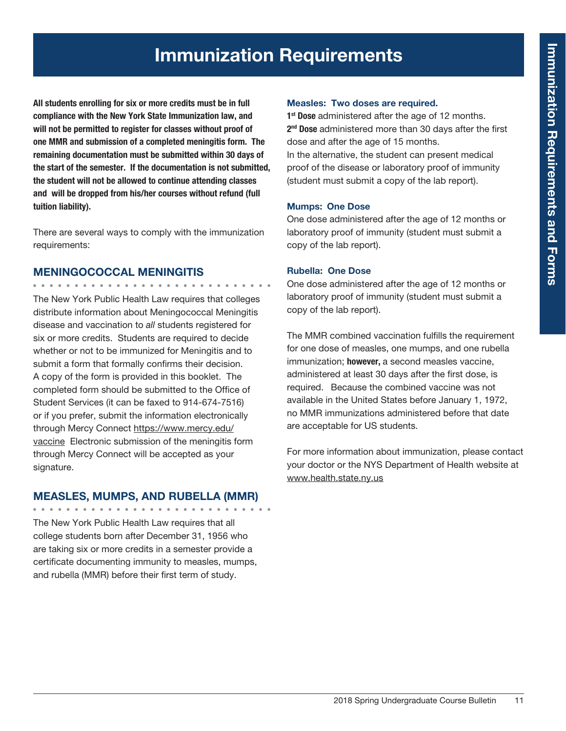# Immunization Requirements

All students enrolling for six or more credits must be in full compliance with the New York State Immunization law, and will not be permitted to register for classes without proof of one MMR and submission of a completed meningitis form. The remaining documentation must be submitted within 30 days of the start of the semester. If the documentation is not submitted, the student will not be allowed to continue attending classes and will be dropped from his/her courses without refund (full tuition liability).

There are several ways to comply with the immunization requirements:

## MENINGOCOCCAL MENINGITIS

. . . . . . . . . . . . . .

The New York Public Health Law requires that colleges distribute information about Meningococcal Meningitis disease and vaccination to *all* students registered for six or more credits. Students are required to decide whether or not to be immunized for Meningitis and to submit a form that formally confirms their decision. A copy of the form is provided in this booklet. The completed form should be submitted to the Office of Student Services (it can be faxed to 914-674-7516) or if you prefer, submit the information electronically through Mercy Connect https://www.mercy.edu/ vaccine Electronic submission of the meningitis form through Mercy Connect will be accepted as your signature.

## MEASLES, MUMPS, AND RUBELLA (MMR)

The New York Public Health Law requires that all college students born after December 31, 1956 who are taking six or more credits in a semester provide a certificate documenting immunity to measles, mumps, and rubella (MMR) before their first term of study.

#### Measles: Two doses are required.

1<sup>st</sup> Dose administered after the age of 12 months. 2<sup>nd</sup> Dose administered more than 30 days after the first dose and after the age of 15 months. In the alternative, the student can present medical proof of the disease or laboratory proof of immunity (student must submit a copy of the lab report).

## Mumps: One Dose

One dose administered after the age of 12 months or laboratory proof of immunity (student must submit a copy of the lab report).

## Rubella: One Dose

One dose administered after the age of 12 months or laboratory proof of immunity (student must submit a copy of the lab report).

The MMR combined vaccination fulfills the requirement for one dose of measles, one mumps, and one rubella immunization; however, a second measles vaccine, administered at least 30 days after the first dose, is required. Because the combined vaccine was not available in the United States before January 1, 1972, no MMR immunizations administered before that date are acceptable for US students.

For more information about immunization, please contact your doctor or the NYS Department of Health website at www.health.state.ny.us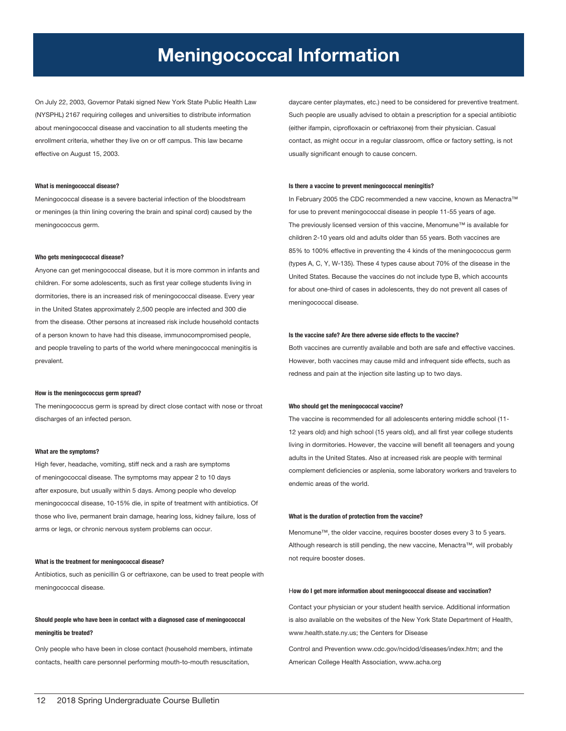# Meningococcal Information

On July 22, 2003, Governor Pataki signed New York State Public Health Law (NYSPHL) 2167 requiring colleges and universities to distribute information about meningococcal disease and vaccination to all students meeting the enrollment criteria, whether they live on or off campus. This law became effective on August 15, 2003.

#### What is meningococcal disease?

Meningococcal disease is a severe bacterial infection of the bloodstream or meninges (a thin lining covering the brain and spinal cord) caused by the meningococcus germ.

#### Who gets meningococcal disease?

Anyone can get meningococcal disease, but it is more common in infants and children. For some adolescents, such as first year college students living in dormitories, there is an increased risk of meningococcal disease. Every year in the United States approximately 2,500 people are infected and 300 die from the disease. Other persons at increased risk include household contacts of a person known to have had this disease, immunocompromised people, and people traveling to parts of the world where meningococcal meningitis is prevalent.

#### How is the meningococcus germ spread?

The meningococcus germ is spread by direct close contact with nose or throat discharges of an infected person.

#### What are the symptoms?

High fever, headache, vomiting, stiff neck and a rash are symptoms of meningococcal disease. The symptoms may appear 2 to 10 days after exposure, but usually within 5 days. Among people who develop meningococcal disease, 10-15% die, in spite of treatment with antibiotics. Of those who live, permanent brain damage, hearing loss, kidney failure, loss of arms or legs, or chronic nervous system problems can occur.

#### What is the treatment for meningococcal disease?

Antibiotics, such as penicillin G or ceftriaxone, can be used to treat people with meningococcal disease.

## Should people who have been in contact with a diagnosed case of meningococcal meningitis be treated?

Only people who have been in close contact (household members, intimate contacts, health care personnel performing mouth-to-mouth resuscitation,

daycare center playmates, etc.) need to be considered for preventive treatment. Such people are usually advised to obtain a prescription for a special antibiotic (either ifampin, ciprofloxacin or ceftriaxone) from their physician. Casual contact, as might occur in a regular classroom, office or factory setting, is not usually significant enough to cause concern.

#### Is there a vaccine to prevent meningococcal meningitis?

In February 2005 the CDC recommended a new vaccine, known as Menactra™ for use to prevent meningococcal disease in people 11-55 years of age. The previously licensed version of this vaccine, Menomune™ is available for children 2-10 years old and adults older than 55 years. Both vaccines are 85% to 100% effective in preventing the 4 kinds of the meningococcus germ (types A, C, Y, W-135). These 4 types cause about 70% of the disease in the United States. Because the vaccines do not include type B, which accounts for about one-third of cases in adolescents, they do not prevent all cases of meningococcal disease.

#### Is the vaccine safe? Are there adverse side effects to the vaccine?

Both vaccines are currently available and both are safe and effective vaccines. However, both vaccines may cause mild and infrequent side effects, such as redness and pain at the injection site lasting up to two days.

#### Who should get the meningococcal vaccine?

The vaccine is recommended for all adolescents entering middle school (11- 12 years old) and high school (15 years old), and all first year college students living in dormitories. However, the vaccine will benefit all teenagers and young adults in the United States. Also at increased risk are people with terminal complement deficiencies or asplenia, some laboratory workers and travelers to endemic areas of the world.

#### What is the duration of protection from the vaccine?

Menomune™, the older vaccine, requires booster doses every 3 to 5 years. Although research is still pending, the new vaccine, Menactra™, will probably not require booster doses.

#### How do I get more information about meningococcal disease and vaccination?

Contact your physician or your student health service. Additional information is also available on the websites of the New York State Department of Health, www.health.state.ny.us; the Centers for Disease

Control and Prevention www.cdc.gov/ncidod/diseases/index.htm; and the American College Health Association, www.acha.org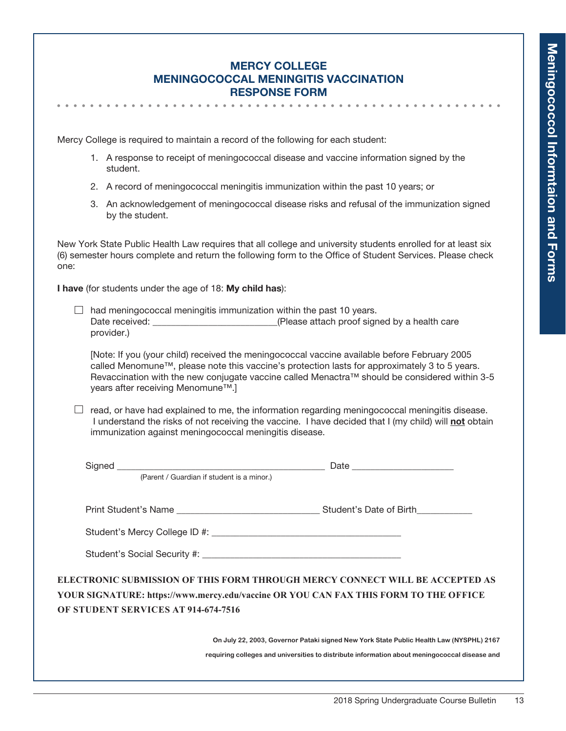# Mercy College Meningococcal Meningitis Vaccination Response Form

Mercy College is required to maintain a record of the following for each student:

- 1. A response to receipt of meningococcal disease and vaccine information signed by the student.
- 2. A record of meningococcal meningitis immunization within the past 10 years; or
- 3. An acknowledgement of meningococcal disease risks and refusal of the immunization signed by the student.

New York State Public Health Law requires that all college and university students enrolled for at least six (6) semester hours complete and return the following form to the Office of Student Services. Please check one:

I have (for students under the age of 18: My child has):

 $\Box$  had meningococcal meningitis immunization within the past 10 years. Date received: <br>  $(Please attach proof signed by a health care)$ provider.)

[Note: If you (your child) received the meningococcal vaccine available before February 2005 called Menomune™, please note this vaccine's protection lasts for approximately 3 to 5 years. Revaccination with the new conjugate vaccine called Menactra™ should be considered within 3-5 years after receiving Menomune™.]

 $\Box$  read, or have had explained to me, the information regarding meningococcal meningitis disease. I understand the risks of not receiving the vaccine. I have decided that I (my child) will not obtain immunization against meningococcal meningitis disease.

| (Parent / Guardian if student is a minor.) |                                                                                                                                                                                          |
|--------------------------------------------|------------------------------------------------------------------------------------------------------------------------------------------------------------------------------------------|
|                                            |                                                                                                                                                                                          |
|                                            |                                                                                                                                                                                          |
| OF STUDENT SERVICES AT 914-674-7516        | ELECTRONIC SUBMISSION OF THIS FORM THROUGH MERCY CONNECT WILL BE ACCEPTED AS<br>YOUR SIGNATURE: https://www.mercy.edu/vaccine OR YOU CAN FAX THIS FORM TO THE OFFICE                     |
|                                            | On July 22, 2003, Governor Pataki signed New York State Public Health Law (NYSPHL) 2167<br>requiring colleges and universities to distribute information about meningococcal disease and |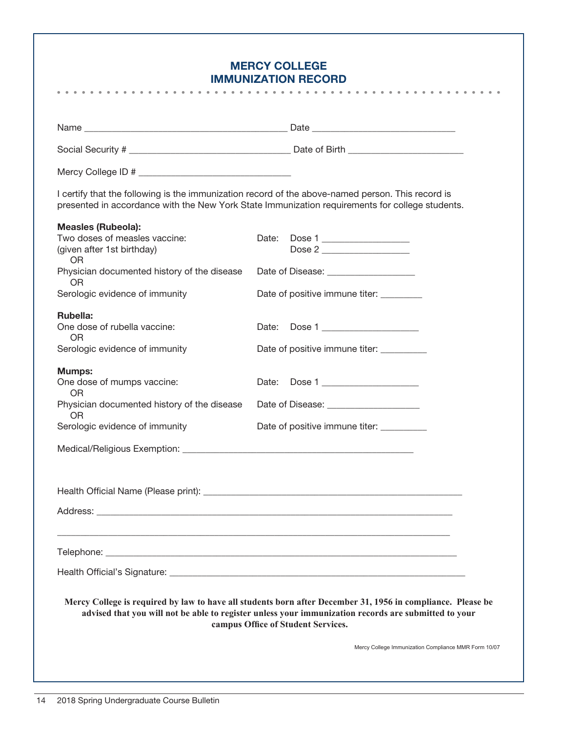# Mercy College **IMMUNIZATION REC**

|                                                                          | <b>IMMUNIZATION RECORD</b><br>.                                                                                                                                                                                                                           |
|--------------------------------------------------------------------------|-----------------------------------------------------------------------------------------------------------------------------------------------------------------------------------------------------------------------------------------------------------|
|                                                                          |                                                                                                                                                                                                                                                           |
|                                                                          |                                                                                                                                                                                                                                                           |
|                                                                          |                                                                                                                                                                                                                                                           |
|                                                                          |                                                                                                                                                                                                                                                           |
|                                                                          | I certify that the following is the immunization record of the above-named person. This record is<br>presented in accordance with the New York State Immunization requirements for college students.                                                      |
| <b>Measles (Rubeola):</b>                                                |                                                                                                                                                                                                                                                           |
| Two doses of measles vaccine:<br>(given after 1st birthday)<br><b>OR</b> | Date:<br>Dose 1                                                                                                                                                                                                                                           |
| Physician documented history of the disease<br>0R                        | Date of Disease: _____________________                                                                                                                                                                                                                    |
| Serologic evidence of immunity                                           | Date of positive immune titer:                                                                                                                                                                                                                            |
| Rubella:<br>One dose of rubella vaccine:<br><b>OR</b>                    | Date: Dose 1                                                                                                                                                                                                                                              |
| Serologic evidence of immunity                                           | Date of positive immune titer: __________                                                                                                                                                                                                                 |
| <b>Mumps:</b><br>One dose of mumps vaccine:<br><b>OR</b>                 | Date: Dose 1                                                                                                                                                                                                                                              |
| Physician documented history of the disease<br><b>OR</b>                 | Date of Disease: _______________________                                                                                                                                                                                                                  |
| Serologic evidence of immunity                                           | Date of positive immune titer: __________                                                                                                                                                                                                                 |
|                                                                          |                                                                                                                                                                                                                                                           |
|                                                                          |                                                                                                                                                                                                                                                           |
|                                                                          |                                                                                                                                                                                                                                                           |
|                                                                          |                                                                                                                                                                                                                                                           |
|                                                                          |                                                                                                                                                                                                                                                           |
|                                                                          |                                                                                                                                                                                                                                                           |
|                                                                          | Mercy College is required by law to have all students born after December 31, 1956 in compliance. Please be<br>advised that you will not be able to register unless your immunization records are submitted to your<br>campus Office of Student Services. |
|                                                                          | Mercy College Immunization Compliance MMR Form 10/07                                                                                                                                                                                                      |
|                                                                          |                                                                                                                                                                                                                                                           |
|                                                                          |                                                                                                                                                                                                                                                           |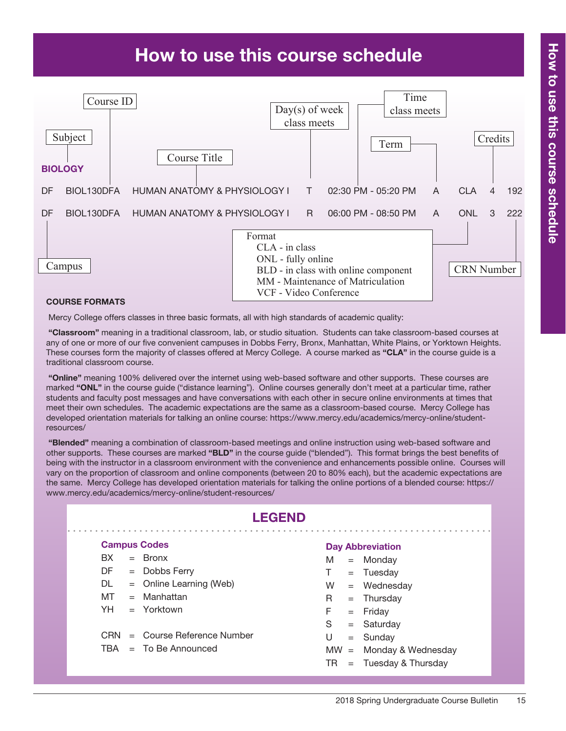# How to use this course schedule



#### Course Formats

Mercy College offers classes in three basic formats, all with high standards of academic quality:

 "Classroom" meaning in a traditional classroom, lab, or studio situation. Students can take classroom-based courses at any of one or more of our five convenient campuses in Dobbs Ferry, Bronx, Manhattan, White Plains, or Yorktown Heights. These courses form the majority of classes offered at Mercy College. A course marked as "CLA" in the course guide is a traditional classroom course.

"Online" meaning 100% delivered over the internet using web-based software and other supports. These courses are marked "ONL" in the course quide ("distance learning"). Online courses generally don't meet at a particular time, rather students and faculty post messages and have conversations with each other in secure online environments at times that meet their own schedules. The academic expectations are the same as a classroom-based course. Mercy College has developed orientation materials for talking an online course: https://www.mercy.edu/academics/mercy-online/studentresources/

 "Blended" meaning a combination of classroom-based meetings and online instruction using web-based software and other supports. These courses are marked "BLD" in the course guide ("blended"). This format brings the best benefits of being with the instructor in a classroom environment with the convenience and enhancements possible online. Courses will vary on the proportion of classroom and online components (between 20 to 80% each), but the academic expectations are the same. Mercy College has developed orientation materials for talking the online portions of a blended course: https:// www.mercy.edu/academics/mercy-online/student-resources/

|      | <b>LEGEND</b> |                             |    |  |  |                           |  |  |  |  |  |
|------|---------------|-----------------------------|----|--|--|---------------------------|--|--|--|--|--|
|      |               | <b>Campus Codes</b>         |    |  |  | <b>Day Abbreviation</b>   |  |  |  |  |  |
| BX.  |               | $=$ Bronx                   | M  |  |  | $=$ Monday                |  |  |  |  |  |
| DF.  |               | $=$ Dobbs Ferry             | T. |  |  | $=$ Tuesday               |  |  |  |  |  |
| DL.  |               | = Online Learning (Web)     | W  |  |  | $=$ Wednesday             |  |  |  |  |  |
| MT   |               | $=$ Manhattan               | R. |  |  | $=$ Thursday              |  |  |  |  |  |
| YH l |               | $=$ Yorktown                | F. |  |  | $=$ Friday                |  |  |  |  |  |
|      |               |                             | S  |  |  | $=$ Saturday              |  |  |  |  |  |
| CRN  |               | $=$ Course Reference Number | U  |  |  | $=$ Sunday                |  |  |  |  |  |
| TBA  |               | $=$ To Be Announced         |    |  |  | $MW = Monday & Wednesday$ |  |  |  |  |  |
|      |               |                             | TR |  |  | $=$ Tuesday & Thursday    |  |  |  |  |  |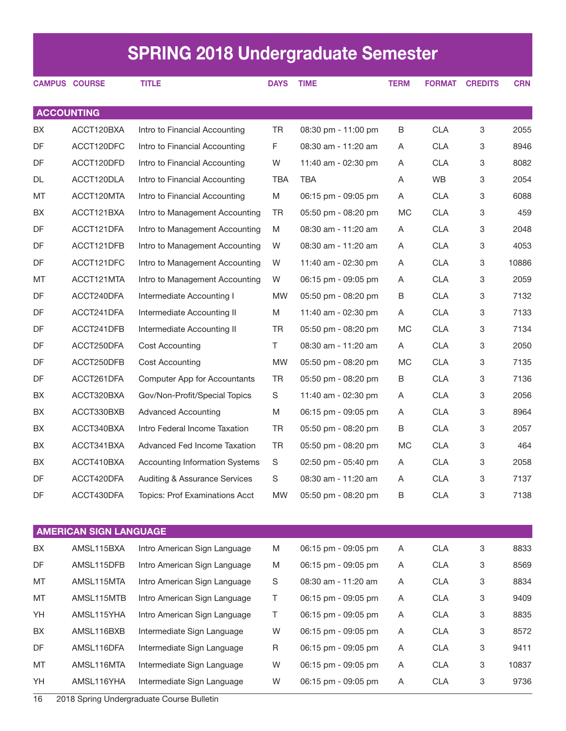# SPRING 2018 Undergraduate Semester

|                   | <b>CAMPUS COURSE</b>          | <b>TITLE</b>                             | <b>DAYS</b> | <b>TIME</b>         | <b>TERM</b> | <b>FORMAT</b> | <b>CREDITS</b> | <b>CRN</b> |
|-------------------|-------------------------------|------------------------------------------|-------------|---------------------|-------------|---------------|----------------|------------|
|                   |                               |                                          |             |                     |             |               |                |            |
| <b>ACCOUNTING</b> |                               |                                          |             |                     |             |               |                |            |
| BX                | ACCT120BXA                    | Intro to Financial Accounting            | TR          | 08:30 pm - 11:00 pm | B           | <b>CLA</b>    | 3              | 2055       |
| DF                | ACCT120DFC                    | Intro to Financial Accounting            | F.          | 08:30 am - 11:20 am | A           | <b>CLA</b>    | 3              | 8946       |
| DF                | ACCT120DFD                    | Intro to Financial Accounting            | W           | 11:40 am - 02:30 pm | Α           | <b>CLA</b>    | 3              | 8082       |
| DL                | ACCT120DLA                    | Intro to Financial Accounting            | <b>TBA</b>  | <b>TBA</b>          | A           | WB            | 3              | 2054       |
| MT                | ACCT120MTA                    | Intro to Financial Accounting            | M           | 06:15 pm - 09:05 pm | A           | <b>CLA</b>    | 3              | 6088       |
| BX                | ACCT121BXA                    | Intro to Management Accounting           | TR          | 05:50 pm - 08:20 pm | MC          | <b>CLA</b>    | 3              | 459        |
| DF                | ACCT121DFA                    | Intro to Management Accounting           | M           | 08:30 am - 11:20 am | A           | <b>CLA</b>    | 3              | 2048       |
| DF                | ACCT121DFB                    | Intro to Management Accounting           | W           | 08:30 am - 11:20 am | A           | <b>CLA</b>    | 3              | 4053       |
| DF                | ACCT121DFC                    | Intro to Management Accounting           | W           | 11:40 am - 02:30 pm | Α           | <b>CLA</b>    | 3              | 10886      |
| MT                | ACCT121MTA                    | Intro to Management Accounting           | W           | 06:15 pm - 09:05 pm | A           | <b>CLA</b>    | 3              | 2059       |
| DF                | ACCT240DFA                    | Intermediate Accounting I                | <b>MW</b>   | 05:50 pm - 08:20 pm | B           | <b>CLA</b>    | 3              | 7132       |
| DF                | ACCT241DFA                    | Intermediate Accounting II               | M           | 11:40 am - 02:30 pm | A           | <b>CLA</b>    | 3              | 7133       |
| DF                | ACCT241DFB                    | Intermediate Accounting II               | TR          | 05:50 pm - 08:20 pm | <b>MC</b>   | <b>CLA</b>    | 3              | 7134       |
| DF                | ACCT250DFA                    | Cost Accounting                          | T.          | 08:30 am - 11:20 am | A           | <b>CLA</b>    | 3              | 2050       |
| DF                | ACCT250DFB                    | Cost Accounting                          | <b>MW</b>   | 05:50 pm - 08:20 pm | <b>MC</b>   | <b>CLA</b>    | 3              | 7135       |
| DF                | ACCT261DFA                    | Computer App for Accountants             | TR          | 05:50 pm - 08:20 pm | В           | <b>CLA</b>    | 3              | 7136       |
| BX                | ACCT320BXA                    | Gov/Non-Profit/Special Topics            | S           | 11:40 am - 02:30 pm | Α           | <b>CLA</b>    | 3              | 2056       |
| BX                | ACCT330BXB                    | <b>Advanced Accounting</b>               | M           | 06:15 pm - 09:05 pm | A           | <b>CLA</b>    | 3              | 8964       |
| BX                | ACCT340BXA                    | Intro Federal Income Taxation            | <b>TR</b>   | 05:50 pm - 08:20 pm | B           | <b>CLA</b>    | 3              | 2057       |
| BX                | ACCT341BXA                    | Advanced Fed Income Taxation             | <b>TR</b>   | 05:50 pm - 08:20 pm | MC          | <b>CLA</b>    | 3              | 464        |
| BX                | ACCT410BXA                    | <b>Accounting Information Systems</b>    | S           | 02:50 pm - 05:40 pm | A           | <b>CLA</b>    | 3              | 2058       |
| DF                | ACCT420DFA                    | <b>Auditing &amp; Assurance Services</b> | S           | 08:30 am - 11:20 am | A           | <b>CLA</b>    | 3              | 7137       |
| DF                | ACCT430DFA                    | Topics: Prof Examinations Acct           | <b>MW</b>   | 05:50 pm - 08:20 pm | B           | <b>CLA</b>    | 3              | 7138       |
|                   | <b>AMERICAN SIGN LANGUAGE</b> |                                          |             |                     |             |               |                |            |
| BX                | AMSL115BXA                    | Intro American Sign Language             | M           | 06:15 pm - 09:05 pm | Α           | <b>CLA</b>    | 3              | 8833       |
| DF                | AMSL115DFB                    | Intro American Sign Language             | M           | 06:15 pm - 09:05 pm | A           | <b>CLA</b>    | 3              | 8569       |
| МT                | AMSL115MTA                    | Intro American Sign Language             | S           | 08:30 am - 11:20 am | A           | <b>CLA</b>    | 3              | 8834       |
| MT                | AMSL115MTB                    | Intro American Sign Language             | Τ           | 06:15 pm - 09:05 pm | A           | <b>CLA</b>    | 3              | 9409       |
| YH                | AMSL115YHA                    | Intro American Sign Language             | T           | 06:15 pm - 09:05 pm | Α           | <b>CLA</b>    | 3              | 8835       |
| BX                | AMSL116BXB                    | Intermediate Sign Language               | W           | 06:15 pm - 09:05 pm | A           | <b>CLA</b>    | 3              | 8572       |
| DF                | AMSL116DFA                    | Intermediate Sign Language               | R           | 06:15 pm - 09:05 pm | Α           | <b>CLA</b>    | 3              | 9411       |
| МT                | AMSL116MTA                    | Intermediate Sign Language               | W           | 06:15 pm - 09:05 pm | A           | <b>CLA</b>    | 3              | 10837      |
|                   |                               |                                          |             |                     |             |               |                |            |

YH AMSL116YHA Intermediate Sign Language W 06:15 pm - 09:05 pm A CLA 3 9736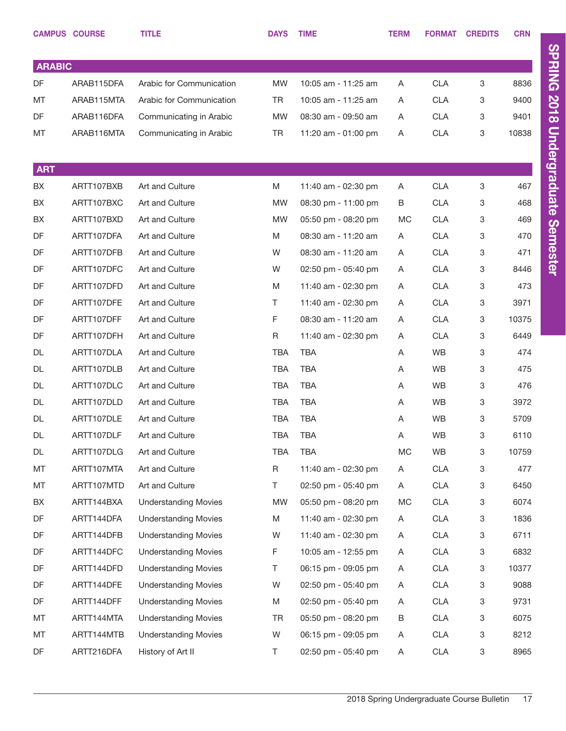|               | <b>CAMPUS COURSE</b> | <b>TITLE</b>                | <b>DAYS</b> | <b>TIME</b>         | <b>TERM</b> | <b>FORMAT</b> | <b>CREDITS</b> | <b>CRN</b> |
|---------------|----------------------|-----------------------------|-------------|---------------------|-------------|---------------|----------------|------------|
|               |                      |                             |             |                     |             |               |                |            |
| <b>ARABIC</b> |                      |                             |             |                     |             |               |                |            |
| DF            | ARAB115DFA           | Arabic for Communication    | <b>MW</b>   | 10:05 am - 11:25 am | Α           | <b>CLA</b>    | 3              | 8836       |
| MT            | ARAB115MTA           | Arabic for Communication    | TR          | 10:05 am - 11:25 am | Α           | <b>CLA</b>    | 3              | 9400       |
| DF            | ARAB116DFA           | Communicating in Arabic     | <b>MW</b>   | 08:30 am - 09:50 am | A           | <b>CLA</b>    | 3              | 9401       |
| MT            | ARAB116MTA           | Communicating in Arabic     | TR          | 11:20 am - 01:00 pm | Α           | <b>CLA</b>    | 3              | 10838      |
|               |                      |                             |             |                     |             |               |                |            |
| <b>ART</b>    |                      |                             |             |                     |             |               |                |            |
| BX            | ARTT107BXB           | Art and Culture             | M           | 11:40 am - 02:30 pm | Α           | <b>CLA</b>    | 3              | 467        |
| BX            | ARTT107BXC           | Art and Culture             | <b>MW</b>   | 08:30 pm - 11:00 pm | $\sf B$     | <b>CLA</b>    | 3              | 468        |
| BX            | ARTT107BXD           | Art and Culture             | <b>MW</b>   | 05:50 pm - 08:20 pm | <b>MC</b>   | <b>CLA</b>    | 3              | 469        |
| DF            | ARTT107DFA           | Art and Culture             | M           | 08:30 am - 11:20 am | Α           | <b>CLA</b>    | 3              | 470        |
| DF            | ARTT107DFB           | Art and Culture             | W           | 08:30 am - 11:20 am | Α           | <b>CLA</b>    | 3              | 471        |
| DF            | ARTT107DFC           | Art and Culture             | W           | 02:50 pm - 05:40 pm | Α           | <b>CLA</b>    | 3              | 8446       |
| DF            | ARTT107DFD           | Art and Culture             | M           | 11:40 am - 02:30 pm | Α           | <b>CLA</b>    | 3              | 473        |
| DF            | ARTT107DFE           | Art and Culture             | T.          | 11:40 am - 02:30 pm | Α           | <b>CLA</b>    | 3              | 3971       |
| DF            | ARTT107DFF           | Art and Culture             | F           | 08:30 am - 11:20 am | Α           | <b>CLA</b>    | 3              | 10375      |
| DF            | ARTT107DFH           | Art and Culture             | R           | 11:40 am - 02:30 pm | Α           | <b>CLA</b>    | 3              | 6449       |
| DL            | ARTT107DLA           | Art and Culture             | <b>TBA</b>  | <b>TBA</b>          | Α           | WB            | 3              | 474        |
| DL            | ARTT107DLB           | Art and Culture             | <b>TBA</b>  | <b>TBA</b>          | Α           | WB            | 3              | 475        |
| DL            | ARTT107DLC           | Art and Culture             | <b>TBA</b>  | <b>TBA</b>          | Α           | WB            | 3              | 476        |
| DL            | ARTT107DLD           | Art and Culture             | <b>TBA</b>  | <b>TBA</b>          | Α           | WB            | 3              | 3972       |
| <b>DL</b>     | ARTT107DLE           | Art and Culture             | <b>TBA</b>  | <b>TBA</b>          | Α           | WB            | 3              | 5709       |
| DL            | ARTT107DLF           | Art and Culture             | <b>TBA</b>  | <b>TBA</b>          | Α           | <b>WB</b>     | 3              | 6110       |
| DL            | ARTT107DLG           | Art and Culture             | <b>TBA</b>  | <b>TBA</b>          | MC          | WB            | 3              | 10759      |
| MT            | ARTT107MTA           | Art and Culture             | R           | 11:40 am - 02:30 pm | Α           | <b>CLA</b>    | 3              | 477        |
| MT            | ARTT107MTD           | Art and Culture             | T.          | 02:50 pm - 05:40 pm | Α           | <b>CLA</b>    | 3              | 6450       |
| BX            | ARTT144BXA           | <b>Understanding Movies</b> | <b>MW</b>   | 05:50 pm - 08:20 pm | MC          | <b>CLA</b>    | 3              | 6074       |
| DF            | ARTT144DFA           | <b>Understanding Movies</b> | Μ           | 11:40 am - 02:30 pm | A           | <b>CLA</b>    | 3              | 1836       |
| DF            | ARTT144DFB           | <b>Understanding Movies</b> | W           | 11:40 am - 02:30 pm | A           | <b>CLA</b>    | 3              | 6711       |
| DF            | ARTT144DFC           | <b>Understanding Movies</b> | F           | 10:05 am - 12:55 pm | A           | <b>CLA</b>    | 3              | 6832       |
| DF            | ARTT144DFD           | <b>Understanding Movies</b> | Τ           | 06:15 pm - 09:05 pm | A           | <b>CLA</b>    | 3              | 10377      |
| DF            | ARTT144DFE           | <b>Understanding Movies</b> | W           | 02:50 pm - 05:40 pm | A           | <b>CLA</b>    | 3              | 9088       |
| DF            | ARTT144DFF           | <b>Understanding Movies</b> | M           | 02:50 pm - 05:40 pm | A           | <b>CLA</b>    | 3              | 9731       |
| MT            | ARTT144MTA           | <b>Understanding Movies</b> | <b>TR</b>   | 05:50 pm - 08:20 pm | B           | <b>CLA</b>    | 3              | 6075       |
| MT            | ARTT144MTB           | <b>Understanding Movies</b> | W           | 06:15 pm - 09:05 pm | A           | <b>CLA</b>    | 3              | 8212       |
| DF            | ARTT216DFA           | History of Art II           | Τ           | 02:50 pm - 05:40 pm | A           | <b>CLA</b>    | 3              | 8965       |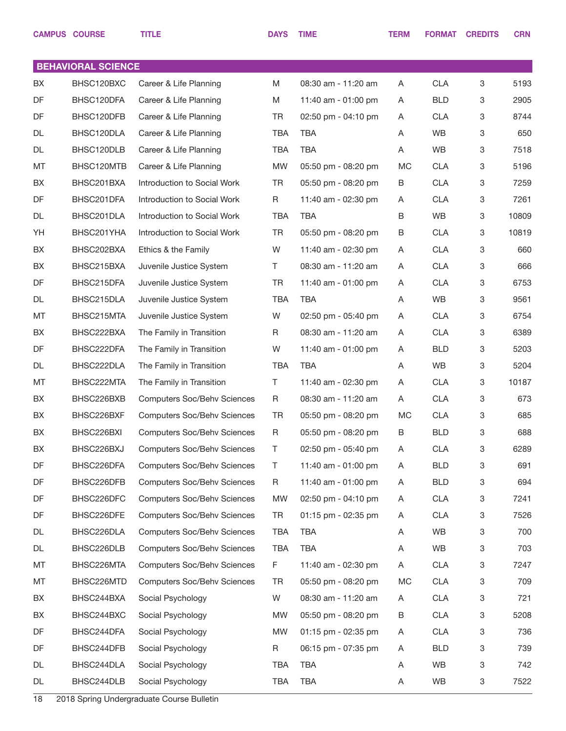|           | <b>CAMPUS COURSE</b>                    | <b>TITLE</b>                       | <b>DAYS</b> | <b>TIME</b>         | <b>TERM</b> | <b>FORMAT</b> | <b>CREDITS</b> | <b>CRN</b> |
|-----------|-----------------------------------------|------------------------------------|-------------|---------------------|-------------|---------------|----------------|------------|
|           |                                         |                                    |             |                     |             |               |                |            |
| BX        | <b>BEHAVIORAL SCIENCE</b><br>BHSC120BXC | Career & Life Planning             | M           | 08:30 am - 11:20 am | A           | <b>CLA</b>    | 3              | 5193       |
| <b>DF</b> | BHSC120DFA                              | Career & Life Planning             | M           | 11:40 am - 01:00 pm | Α           | <b>BLD</b>    | 3              | 2905       |
| DF        | BHSC120DFB                              | Career & Life Planning             | TR          | 02:50 pm - 04:10 pm | Α           | <b>CLA</b>    | 3              | 8744       |
| DL        | BHSC120DLA                              | Career & Life Planning             | <b>TBA</b>  | <b>TBA</b>          | Α           | <b>WB</b>     | 3              | 650        |
| DL        | BHSC120DLB                              | Career & Life Planning             | <b>TBA</b>  | <b>TBA</b>          | Α           | WB            | 3              | 7518       |
| MT        | BHSC120MTB                              | Career & Life Planning             | <b>MW</b>   | 05:50 pm - 08:20 pm | МC          | <b>CLA</b>    | 3              | 5196       |
| BX        | BHSC201BXA                              | Introduction to Social Work        | <b>TR</b>   | 05:50 pm - 08:20 pm | В           | <b>CLA</b>    | 3              | 7259       |
| DF        | BHSC201DFA                              | Introduction to Social Work        | R           | 11:40 am - 02:30 pm | A           | <b>CLA</b>    | 3              | 7261       |
| DL        | BHSC201DLA                              | Introduction to Social Work        | <b>TBA</b>  | TBA                 | В           | WB            | 3              | 10809      |
| YH        | BHSC201YHA                              | Introduction to Social Work        | <b>TR</b>   | 05:50 pm - 08:20 pm | В           | <b>CLA</b>    | 3              | 10819      |
| BX        | BHSC202BXA                              | Ethics & the Family                | W           | 11:40 am - 02:30 pm | Α           | <b>CLA</b>    | 3              | 660        |
| BX        | BHSC215BXA                              | Juvenile Justice System            | T.          | 08:30 am - 11:20 am | A           | <b>CLA</b>    | 3              | 666        |
| DF        | BHSC215DFA                              | Juvenile Justice System            | TR          | 11:40 am - 01:00 pm | Α           | <b>CLA</b>    | 3              | 6753       |
| DL        | BHSC215DLA                              | Juvenile Justice System            | <b>TBA</b>  | TBA                 | Α           | WB            | 3              | 9561       |
| MT        | BHSC215MTA                              | Juvenile Justice System            | W           | 02:50 pm - 05:40 pm | Α           | <b>CLA</b>    | 3              | 6754       |
| BX        | BHSC222BXA                              | The Family in Transition           | R           | 08:30 am - 11:20 am | A           | <b>CLA</b>    | 3              | 6389       |
| DF        | BHSC222DFA                              | The Family in Transition           | W           | 11:40 am - 01:00 pm | Α           | <b>BLD</b>    | 3              | 5203       |
| DL        | BHSC222DLA                              | The Family in Transition           | <b>TBA</b>  | TBA                 | Α           | WB            | 3              | 5204       |
| MT        | BHSC222MTA                              | The Family in Transition           | Τ           | 11:40 am - 02:30 pm | Α           | <b>CLA</b>    | 3              | 10187      |
| BX        | BHSC226BXB                              | <b>Computers Soc/Behv Sciences</b> | R           | 08:30 am - 11:20 am | A           | <b>CLA</b>    | 3              | 673        |
| BX        | BHSC226BXF                              | <b>Computers Soc/Behv Sciences</b> | <b>TR</b>   | 05:50 pm - 08:20 pm | <b>MC</b>   | <b>CLA</b>    | 3              | 685        |
| BX        | BHSC226BXI                              | <b>Computers Soc/Behv Sciences</b> | R           | 05:50 pm - 08:20 pm | В           | <b>BLD</b>    | 3              | 688        |
| BX        | BHSC226BXJ                              | <b>Computers Soc/Behv Sciences</b> | Τ           | 02:50 pm - 05:40 pm | A           | <b>CLA</b>    | 3              | 6289       |
| DF        | BHSC226DFA                              | <b>Computers Soc/Behv Sciences</b> | Τ           | 11:40 am - 01:00 pm | Α           | <b>BLD</b>    | 3              | 691        |
| DF        | BHSC226DFB                              | <b>Computers Soc/Behv Sciences</b> | R           | 11:40 am - 01:00 pm | A           | <b>BLD</b>    | 3              | 694        |
| DF        | BHSC226DFC                              | <b>Computers Soc/Behv Sciences</b> | <b>MW</b>   | 02:50 pm - 04:10 pm | Α           | <b>CLA</b>    | 3              | 7241       |
| DF        | BHSC226DFE                              | <b>Computers Soc/Behv Sciences</b> | TR          | 01:15 pm - 02:35 pm | A           | <b>CLA</b>    | 3              | 7526       |
| DL        | BHSC226DLA                              | <b>Computers Soc/Behv Sciences</b> | <b>TBA</b>  | TBA                 | Α           | WB            | 3              | 700        |
| DL        | BHSC226DLB                              | <b>Computers Soc/Behv Sciences</b> | <b>TBA</b>  | <b>TBA</b>          | Α           | WB            | 3              | 703        |
| MT        | BHSC226MTA                              | <b>Computers Soc/Behv Sciences</b> | F           | 11:40 am - 02:30 pm | Α           | <b>CLA</b>    | 3              | 7247       |
| MT        | BHSC226MTD                              | <b>Computers Soc/Behv Sciences</b> | TR          | 05:50 pm - 08:20 pm | MC          | <b>CLA</b>    | 3              | 709        |
| BX        | BHSC244BXA                              | Social Psychology                  | W           | 08:30 am - 11:20 am | Α           | <b>CLA</b>    | 3              | 721        |
| BX        | BHSC244BXC                              | Social Psychology                  | MW          | 05:50 pm - 08:20 pm | В           | <b>CLA</b>    | 3              | 5208       |
| DF        | BHSC244DFA                              | Social Psychology                  | MW          | 01:15 pm - 02:35 pm | Α           | <b>CLA</b>    | 3              | 736        |
| DF        | BHSC244DFB                              | Social Psychology                  | R           | 06:15 pm - 07:35 pm | A           | <b>BLD</b>    | 3              | 739        |
| DL        | BHSC244DLA                              | Social Psychology                  | TBA         | <b>TBA</b>          | Α           | WB            | 3              | 742        |
| DL        | BHSC244DLB                              | Social Psychology                  | TBA         | <b>TBA</b>          | Α           | WB            | 3              | 7522       |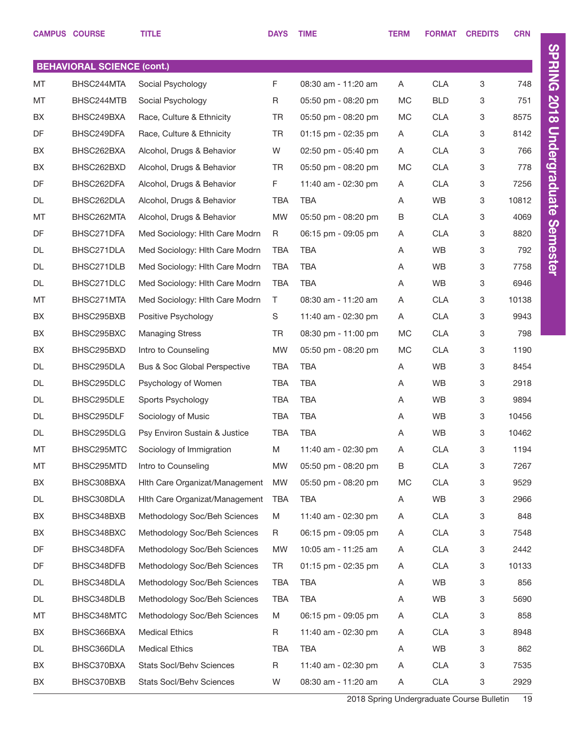|     | <b>CAMPUS COURSE</b>              | <b>TITLE</b>                   | <b>DAYS</b> | <b>TIME</b>         | <b>TERM</b> | <b>FORMAT</b> | <b>CREDITS</b> | <b>CRN</b> |
|-----|-----------------------------------|--------------------------------|-------------|---------------------|-------------|---------------|----------------|------------|
|     |                                   |                                |             |                     |             |               |                |            |
|     | <b>BEHAVIORAL SCIENCE (cont.)</b> |                                |             |                     |             |               |                |            |
| MT  | BHSC244MTA                        | Social Psychology              | F           | 08:30 am - 11:20 am | A           | <b>CLA</b>    | 3              | 748        |
| MT  | BHSC244MTB                        | Social Psychology              | R           | 05:50 pm - 08:20 pm | МC          | <b>BLD</b>    | 3              | 751        |
| BX  | BHSC249BXA                        | Race, Culture & Ethnicity      | <b>TR</b>   | 05:50 pm - 08:20 pm | <b>MC</b>   | <b>CLA</b>    | 3              | 8575       |
| DF  | BHSC249DFA                        | Race, Culture & Ethnicity      | <b>TR</b>   | 01:15 pm - 02:35 pm | A           | <b>CLA</b>    | 3              | 8142       |
| BX  | BHSC262BXA                        | Alcohol, Drugs & Behavior      | W           | 02:50 pm - 05:40 pm | A           | <b>CLA</b>    | 3              | 766        |
| BX  | BHSC262BXD                        | Alcohol, Drugs & Behavior      | <b>TR</b>   | 05:50 pm - 08:20 pm | МC          | <b>CLA</b>    | 3              | 778        |
| DF  | BHSC262DFA                        | Alcohol, Drugs & Behavior      | F.          | 11:40 am - 02:30 pm | A           | <b>CLA</b>    | 3              | 7256       |
| DL  | BHSC262DLA                        | Alcohol, Drugs & Behavior      | <b>TBA</b>  | <b>TBA</b>          | A           | WB            | 3              | 10812      |
| MT  | BHSC262MTA                        | Alcohol, Drugs & Behavior      | MW          | 05:50 pm - 08:20 pm | В           | <b>CLA</b>    | 3              | 4069       |
| DF  | BHSC271DFA                        | Med Sociology: Hith Care Modrn | R           | 06:15 pm - 09:05 pm | A           | <b>CLA</b>    | 3              | 8820       |
| DL  | BHSC271DLA                        | Med Sociology: Hith Care Modrn | <b>TBA</b>  | <b>TBA</b>          | A           | WB            | 3              | 792        |
| DL  | BHSC271DLB                        | Med Sociology: Hlth Care Modrn | <b>TBA</b>  | <b>TBA</b>          | A           | WB            | 3              | 7758       |
| DL. | BHSC271DLC                        | Med Sociology: Hith Care Modrn | <b>TBA</b>  | <b>TBA</b>          | A           | WB            | 3              | 6946       |
| MT  | BHSC271MTA                        | Med Sociology: Hlth Care Modrn | T.          | 08:30 am - 11:20 am | A           | <b>CLA</b>    | 3              | 10138      |
| BX  | BHSC295BXB                        | Positive Psychology            | S           | 11:40 am - 02:30 pm | A           | <b>CLA</b>    | 3              | 9943       |
| BX  | BHSC295BXC                        | <b>Managing Stress</b>         | TR          | 08:30 pm - 11:00 pm | МC          | <b>CLA</b>    | 3              | 798        |
| BX  | BHSC295BXD                        | Intro to Counseling            | <b>MW</b>   | 05:50 pm - 08:20 pm | МC          | <b>CLA</b>    | 3              | 1190       |
| DL  | BHSC295DLA                        | Bus & Soc Global Perspective   | <b>TBA</b>  | <b>TBA</b>          | A           | WB            | 3              | 8454       |
| DL  | BHSC295DLC                        | Psychology of Women            | <b>TBA</b>  | <b>TBA</b>          | A           | WB            | 3              | 2918       |
| DL  | BHSC295DLE                        | Sports Psychology              | <b>TBA</b>  | <b>TBA</b>          | A           | <b>WB</b>     | 3              | 9894       |
| DL  | BHSC295DLF                        | Sociology of Music             | <b>TBA</b>  | TBA                 | Α           | WB            | 3              | 10456      |
| DL  | BHSC295DLG                        | Psy Environ Sustain & Justice  | <b>TBA</b>  | <b>TBA</b>          | Α           | <b>WB</b>     | 3              | 10462      |
| МT  | BHSC295MTC                        | Sociology of Immigration       | M           | 11:40 am - 02:30 pm | A           | <b>CLA</b>    | 3              | 1194       |
| МT  | BHSC295MTD                        | Intro to Counseling            | MW          | 05:50 pm - 08:20 pm | В           | <b>CLA</b>    | 3              | 7267       |
| BX  | BHSC308BXA                        | Hith Care Organizat/Management | <b>MW</b>   | 05:50 pm - 08:20 pm | МC          | <b>CLA</b>    | 3              | 9529       |
| DL  | BHSC308DLA                        | Hith Care Organizat/Management | <b>TBA</b>  | <b>TBA</b>          | A           | WB            | 3              | 2966       |
| BX  | BHSC348BXB                        | Methodology Soc/Beh Sciences   | M           | 11:40 am - 02:30 pm | A           | <b>CLA</b>    | 3              | 848        |
| BX  | BHSC348BXC                        | Methodology Soc/Beh Sciences   | R.          | 06:15 pm - 09:05 pm | A           | <b>CLA</b>    | 3              | 7548       |
| DF  | BHSC348DFA                        | Methodology Soc/Beh Sciences   | <b>MW</b>   | 10:05 am - 11:25 am | A           | <b>CLA</b>    | 3              | 2442       |
| DF  | BHSC348DFB                        | Methodology Soc/Beh Sciences   | TR          | 01:15 pm - 02:35 pm | A           | <b>CLA</b>    | 3              | 10133      |
| DL  | BHSC348DLA                        | Methodology Soc/Beh Sciences   | <b>TBA</b>  | TBA                 | A           | WB            | 3              | 856        |
| DL  | BHSC348DLB                        | Methodology Soc/Beh Sciences   | <b>TBA</b>  | <b>TBA</b>          | A           | WB            | 3              | 5690       |
| МT  | BHSC348MTC                        | Methodology Soc/Beh Sciences   | Μ           | 06:15 pm - 09:05 pm | A           | <b>CLA</b>    | 3              | 858        |
| BX  | BHSC366BXA                        | <b>Medical Ethics</b>          | R           | 11:40 am - 02:30 pm | A           | <b>CLA</b>    | 3              | 8948       |
| DL  | BHSC366DLA                        | <b>Medical Ethics</b>          | TBA         | <b>TBA</b>          | A           | WB            | 3              | 862        |
| BX  | BHSC370BXA                        | Stats Socl/Behv Sciences       | R           | 11:40 am - 02:30 pm | A           | <b>CLA</b>    | 3              | 7535       |
| BX  | BHSC370BXB                        | Stats Socl/Behv Sciences       | W           | 08:30 am - 11:20 am | A           | CLA           | 3              | 2929       |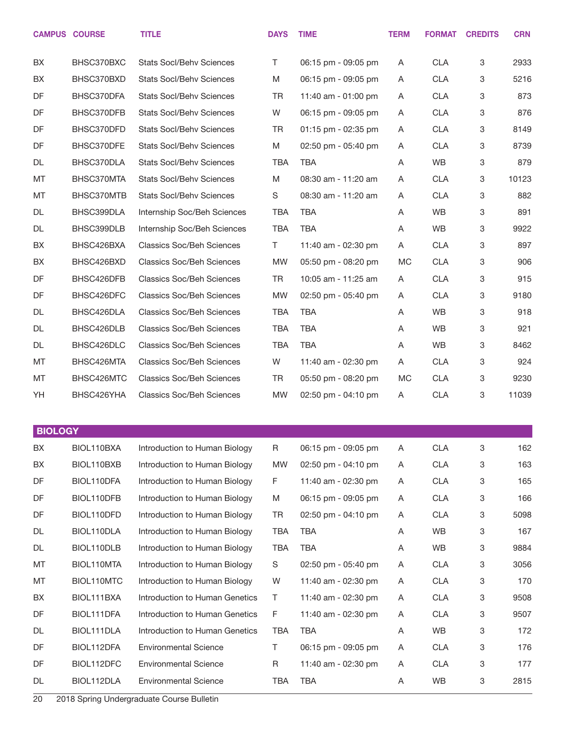| <b>CAMPUS COURSE</b> |            | <b>TITLE</b>                     | <b>DAYS</b> | <b>TIME</b>             | <b>TERM</b> | <b>FORMAT</b> | <b>CREDITS</b> | <b>CRN</b> |
|----------------------|------------|----------------------------------|-------------|-------------------------|-------------|---------------|----------------|------------|
| BX                   | BHSC370BXC | <b>Stats Socl/Behv Sciences</b>  | T.          | 06:15 pm - 09:05 pm     | A           | <b>CLA</b>    | 3              | 2933       |
| BX                   | BHSC370BXD | <b>Stats Socl/Behv Sciences</b>  | M           | 06:15 pm - 09:05 pm     | A           | <b>CLA</b>    | 3              | 5216       |
| DF                   | BHSC370DFA | <b>Stats Socl/Behv Sciences</b>  | TR          | 11:40 am - 01:00 pm     | A           | <b>CLA</b>    | 3              | 873        |
| DF                   | BHSC370DFB | <b>Stats Socl/Behv Sciences</b>  | W           | 06:15 pm - 09:05 pm     | A           | <b>CLA</b>    | 3              | 876        |
| DF                   | BHSC370DFD | <b>Stats Socl/Behv Sciences</b>  | TR          | 01:15 pm - 02:35 pm     | A           | <b>CLA</b>    | 3              | 8149       |
| DF                   | BHSC370DFE | <b>Stats Socl/Behv Sciences</b>  | M           | $02:50$ pm - $05:40$ pm | A           | <b>CLA</b>    | 3              | 8739       |
| DL                   | BHSC370DLA | <b>Stats Socl/Behv Sciences</b>  | <b>TBA</b>  | <b>TBA</b>              | A           | WB            | 3              | 879        |
| MT                   | BHSC370MTA | <b>Stats Socl/Behv Sciences</b>  | M           | 08:30 am - 11:20 am     | A           | <b>CLA</b>    | 3              | 10123      |
| MT                   | BHSC370MTB | <b>Stats Socl/Behv Sciences</b>  | S           | 08:30 am - 11:20 am     | A           | <b>CLA</b>    | 3              | 882        |
| DL                   | BHSC399DLA | Internship Soc/Beh Sciences      | <b>TBA</b>  | <b>TBA</b>              | A           | <b>WB</b>     | 3              | 891        |
| DL                   | BHSC399DLB | Internship Soc/Beh Sciences      | <b>TBA</b>  | <b>TBA</b>              | A           | WB            | 3              | 9922       |
| BX                   | BHSC426BXA | <b>Classics Soc/Beh Sciences</b> | T.          | 11:40 am - 02:30 pm     | A           | <b>CLA</b>    | 3              | 897        |
| BX                   | BHSC426BXD | <b>Classics Soc/Beh Sciences</b> | MW          | 05:50 pm - 08:20 pm     | MC          | <b>CLA</b>    | 3              | 906        |
| DF                   | BHSC426DFB | <b>Classics Soc/Beh Sciences</b> | TR          | 10:05 am - 11:25 am     | A           | <b>CLA</b>    | 3              | 915        |
| DF                   | BHSC426DFC | <b>Classics Soc/Beh Sciences</b> | <b>MW</b>   | 02:50 pm - 05:40 pm     | A           | <b>CLA</b>    | 3              | 9180       |
| DL                   | BHSC426DLA | <b>Classics Soc/Beh Sciences</b> | <b>TBA</b>  | <b>TBA</b>              | A           | <b>WB</b>     | 3              | 918        |
| DL                   | BHSC426DLB | <b>Classics Soc/Beh Sciences</b> | <b>TBA</b>  | <b>TBA</b>              | A           | <b>WB</b>     | 3              | 921        |
| DL                   | BHSC426DLC | <b>Classics Soc/Beh Sciences</b> | <b>TBA</b>  | <b>TBA</b>              | A           | <b>WB</b>     | 3              | 8462       |
| MT                   | BHSC426MTA | <b>Classics Soc/Beh Sciences</b> | W           | 11:40 am - 02:30 pm     | A           | <b>CLA</b>    | 3              | 924        |
| MT                   | BHSC426MTC | <b>Classics Soc/Beh Sciences</b> | TR          | 05:50 pm - 08:20 pm     | <b>MC</b>   | <b>CLA</b>    | 3              | 9230       |
| YH                   | BHSC426YHA | <b>Classics Soc/Beh Sciences</b> | <b>MW</b>   | 02:50 pm - 04:10 pm     | A           | <b>CLA</b>    | 3              | 11039      |
| <b>BIOLOGY</b>       |            |                                  |             |                         |             |               |                |            |
| BX                   | BIOL110BXA | Introduction to Human Biology    | R           | 06:15 pm - 09:05 pm     | A           | <b>CLA</b>    | 3              | 162        |
| BX                   | BIOL110BXB | Introduction to Human Biology    | MW          | 02:50 pm - 04:10 pm     | A           | <b>CLA</b>    | 3              | 163        |
| DF                   | BIOL110DFA | Introduction to Human Biology    | F.          | 11:40 am - 02:30 pm     | Α           | <b>CLA</b>    | 3              | 165        |
| DF                   | BIOL110DFB | Introduction to Human Biology    | M           | 06:15 pm - 09:05 pm     | A           | <b>CLA</b>    | 3              | 166        |
| DF                   | BIOL110DFD | Introduction to Human Biology    | <b>TR</b>   | 02:50 pm - 04:10 pm     | Α           | <b>CLA</b>    | 3              | 5098       |
| DL                   | BIOL110DLA | Introduction to Human Biology    | <b>TBA</b>  | <b>TBA</b>              | A           | WB            | 3              | 167        |
| DL                   | BIOL110DLB | Introduction to Human Biology    | <b>TBA</b>  | TBA                     | Α           | WB            | 3              | 9884       |
| MT                   | BIOL110MTA | Introduction to Human Biology    | S           | 02:50 pm - 05:40 pm     | Α           | <b>CLA</b>    | 3              | 3056       |
| MT                   | BIOL110MTC | Introduction to Human Biology    | W           | 11:40 am - 02:30 pm     | Α           | <b>CLA</b>    | 3              | 170        |
| BX                   | BIOL111BXA | Introduction to Human Genetics   | T           | 11:40 am - 02:30 pm     | A           | <b>CLA</b>    | 3              | 9508       |
| DF                   | BIOL111DFA | Introduction to Human Genetics   | F           | 11:40 am - 02:30 pm     | Α           | <b>CLA</b>    | 3              | 9507       |
| DL                   | BIOL111DLA | Introduction to Human Genetics   | <b>TBA</b>  | <b>TBA</b>              | Α           | WB            | 3              | 172        |
| DF                   | BIOL112DFA | <b>Environmental Science</b>     | T.          | 06:15 pm - 09:05 pm     | Α           | <b>CLA</b>    | 3              | 176        |

DF BIOL112DFC Environmental Science R 11:40 am - 02:30 pm A CLA 3 177 DL BIOL112DLA Environmental Science TBA TBA A WB 3 2815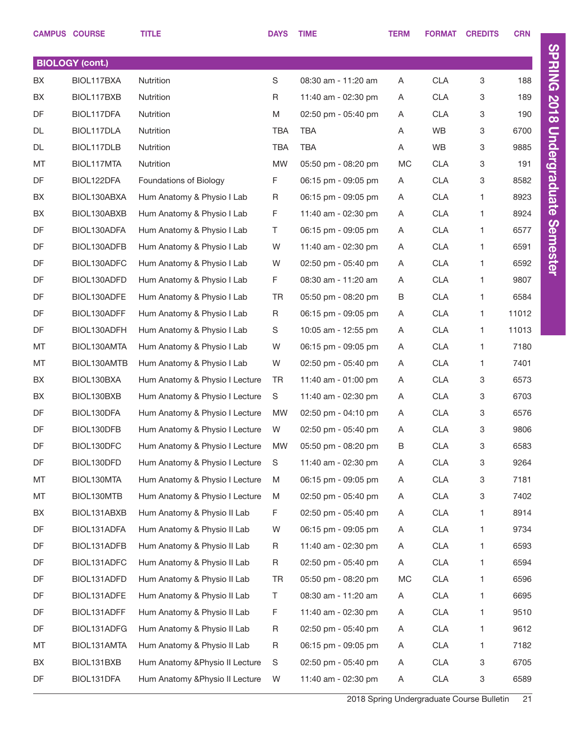|    | <b>CAMPUS COURSE</b>   | <b>TITLE</b>                    | <b>DAYS</b> | <b>TIME</b>             | <b>TERM</b> | <b>FORMAT</b> | <b>CREDITS</b> | <b>CRN</b> |
|----|------------------------|---------------------------------|-------------|-------------------------|-------------|---------------|----------------|------------|
|    | <b>BIOLOGY (cont.)</b> |                                 |             |                         |             |               |                |            |
| BX | BIOL117BXA             | Nutrition                       | $\mathbb S$ | 08:30 am - 11:20 am     | A           | <b>CLA</b>    | 3              | 188        |
| BX | BIOL117BXB             | Nutrition                       | R           | 11:40 am - 02:30 pm     | A           | <b>CLA</b>    | 3              | 189        |
| DF | BIOL117DFA             | Nutrition                       | M           | 02:50 pm - 05:40 pm     | A           | <b>CLA</b>    | 3              | 190        |
| DL | BIOL117DLA             | Nutrition                       | <b>TBA</b>  | <b>TBA</b>              | A           | WB            | 3              | 6700       |
| DL | BIOL117DLB             | Nutrition                       | <b>TBA</b>  | <b>TBA</b>              | Α           | WB            | 3              | 9885       |
| MT | BIOL117MTA             | Nutrition                       | <b>MW</b>   | 05:50 pm - 08:20 pm     | МC          | <b>CLA</b>    | 3              | 191        |
| DF | BIOL122DFA             | Foundations of Biology          | F.          | 06:15 pm - 09:05 pm     | A           | <b>CLA</b>    | 3              | 8582       |
| BX | BIOL130ABXA            | Hum Anatomy & Physio I Lab      | R           | 06:15 pm - 09:05 pm     | A           | <b>CLA</b>    | 1              | 8923       |
| BX | BIOL130ABXB            | Hum Anatomy & Physio I Lab      | F           | 11:40 am - 02:30 pm     | A           | <b>CLA</b>    | 1              | 8924       |
| DF | BIOL130ADFA            | Hum Anatomy & Physio I Lab      | T.          | 06:15 pm - 09:05 pm     | A           | <b>CLA</b>    | 1              | 6577       |
| DF | BIOL130ADFB            | Hum Anatomy & Physio I Lab      | W           | 11:40 am - 02:30 pm     | A           | <b>CLA</b>    | 1              | 6591       |
| DF | BIOL130ADFC            | Hum Anatomy & Physio I Lab      | W           | 02:50 pm - 05:40 pm     | A           | <b>CLA</b>    | 1              | 6592       |
| DF | BIOL130ADFD            | Hum Anatomy & Physio I Lab      | F           | 08:30 am - 11:20 am     | A           | <b>CLA</b>    | 1              | 9807       |
| DF | BIOL130ADFE            | Hum Anatomy & Physio I Lab      | TR          | 05:50 pm - 08:20 pm     | B           | <b>CLA</b>    | 1              | 6584       |
| DF | BIOL130ADFF            | Hum Anatomy & Physio I Lab      | R           | 06:15 pm - 09:05 pm     | A           | <b>CLA</b>    | 1              | 11012      |
| DF | BIOL130ADFH            | Hum Anatomy & Physio I Lab      | S           | 10:05 am - 12:55 pm     | A           | <b>CLA</b>    | 1              | 11013      |
| MT | BIOL130AMTA            | Hum Anatomy & Physio I Lab      | W           | 06:15 pm - 09:05 pm     | A           | <b>CLA</b>    | 1              | 7180       |
| MT | BIOL130AMTB            | Hum Anatomy & Physio I Lab      | W           | 02:50 pm - 05:40 pm     | A           | <b>CLA</b>    | 1.             | 7401       |
| BX | BIOL130BXA             | Hum Anatomy & Physio I Lecture  | <b>TR</b>   | 11:40 am - 01:00 pm     | A           | <b>CLA</b>    | 3              | 6573       |
| BX | BIOL130BXB             | Hum Anatomy & Physio I Lecture  | $\mathsf S$ | 11:40 am - 02:30 pm     | A           | <b>CLA</b>    | 3              | 6703       |
| DF | BIOL130DFA             | Hum Anatomy & Physio I Lecture  | <b>MW</b>   | $02:50$ pm - $04:10$ pm | A           | <b>CLA</b>    | 3              | 6576       |
| DF | BIOL130DFB             | Hum Anatomy & Physio I Lecture  | W           | 02:50 pm - 05:40 pm     | A           | <b>CLA</b>    | 3              | 9806       |
| DF | BIOL130DFC             | Hum Anatomy & Physio I Lecture  | <b>MW</b>   | 05:50 pm - 08:20 pm     | B           | CLA           | 3              | 6583       |
| DF | BIOL130DFD             | Hum Anatomy & Physio I Lecture  | S           | 11:40 am - 02:30 pm     | Α           | <b>CLA</b>    | 3              | 9264       |
| MT | BIOL130MTA             | Hum Anatomy & Physio I Lecture  | M           | 06:15 pm - 09:05 pm     | A           | <b>CLA</b>    | 3              | 7181       |
| MT | BIOL130MTB             | Hum Anatomy & Physio I Lecture  | M           | 02:50 pm - 05:40 pm     | Α           | <b>CLA</b>    | 3              | 7402       |
| BX | BIOL131ABXB            | Hum Anatomy & Physio II Lab     | F           | 02:50 pm - 05:40 pm     | Α           | <b>CLA</b>    | 1              | 8914       |
| DF | BIOL131ADFA            | Hum Anatomy & Physio II Lab     | W           | 06:15 pm - 09:05 pm     | Α           | <b>CLA</b>    | 1              | 9734       |
| DF | BIOL131ADFB            | Hum Anatomy & Physio II Lab     | R           | 11:40 am - 02:30 pm     | Α           | <b>CLA</b>    | 1              | 6593       |
| DF | BIOL131ADFC            | Hum Anatomy & Physio II Lab     | R           | 02:50 pm - 05:40 pm     | Α           | <b>CLA</b>    | 1              | 6594       |
| DF | BIOL131ADFD            | Hum Anatomy & Physio II Lab     | TR          | 05:50 pm - 08:20 pm     | MC          | <b>CLA</b>    | 1              | 6596       |
| DF | BIOL131ADFE            | Hum Anatomy & Physio II Lab     | T.          | 08:30 am - 11:20 am     | A           | <b>CLA</b>    | 1              | 6695       |
| DF | BIOL131ADFF            | Hum Anatomy & Physio II Lab     | F           | 11:40 am - 02:30 pm     | Α           | <b>CLA</b>    | 1              | 9510       |
| DF | BIOL131ADFG            | Hum Anatomy & Physio II Lab     | R           | 02:50 pm - 05:40 pm     | Α           | <b>CLA</b>    | 1              | 9612       |
| MT | BIOL131AMTA            | Hum Anatomy & Physio II Lab     | R           | 06:15 pm - 09:05 pm     | Α           | <b>CLA</b>    | 1              | 7182       |
| BX | BIOL131BXB             | Hum Anatomy & Physio II Lecture | $\mathsf S$ | 02:50 pm - 05:40 pm     | Α           | <b>CLA</b>    | 3              | 6705       |
| DF | BIOL131DFA             | Hum Anatomy & Physio II Lecture | W           | 11:40 am - 02:30 pm     | A           | <b>CLA</b>    | 3              | 6589       |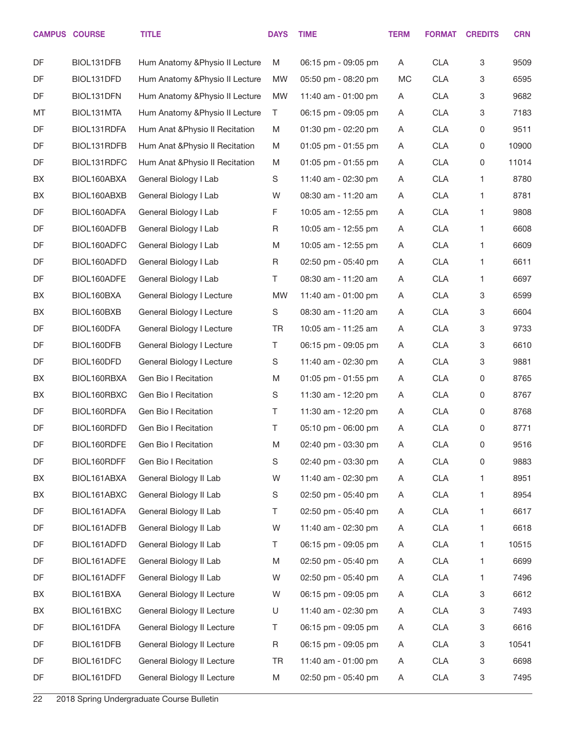|    | <b>CAMPUS COURSE</b> | <b>TITLE</b>                    | <b>DAYS</b> | <b>TIME</b>                           | <b>TERM</b> | <b>FORMAT</b> | <b>CREDITS</b> | <b>CRN</b> |
|----|----------------------|---------------------------------|-------------|---------------------------------------|-------------|---------------|----------------|------------|
| DF | BIOL131DFB           | Hum Anatomy & Physio II Lecture | M           | 06:15 pm - 09:05 pm                   | A           | <b>CLA</b>    | 3              | 9509       |
| DF | BIOL131DFD           | Hum Anatomy & Physio II Lecture | <b>MW</b>   | 05:50 pm - 08:20 pm                   | <b>MC</b>   | <b>CLA</b>    | 3              | 6595       |
| DF | BIOL131DFN           | Hum Anatomy & Physio II Lecture | MW          | 11:40 am - 01:00 pm                   | A           | <b>CLA</b>    | 3              | 9682       |
| MT | BIOL131MTA           | Hum Anatomy & Physio II Lecture | T.          | 06:15 pm - 09:05 pm                   | A           | <b>CLA</b>    | 3              | 7183       |
| DF | BIOL131RDFA          | Hum Anat & Physio II Recitation | M           | 01:30 pm - 02:20 pm                   | Α           | <b>CLA</b>    | 0              | 9511       |
| DF | BIOL131RDFB          | Hum Anat & Physio II Recitation | M           | 01:05 pm - 01:55 pm                   | A           | <b>CLA</b>    | 0              | 10900      |
| DF | BIOL131RDFC          | Hum Anat & Physio II Recitation | M           | 01:05 pm - 01:55 pm                   | Α           | <b>CLA</b>    | 0              | 11014      |
| BX | BIOL160ABXA          | General Biology I Lab           | S           | 11:40 am - 02:30 pm                   | Α           | <b>CLA</b>    | 1              | 8780       |
| BX | BIOL160ABXB          | General Biology I Lab           | W           | 08:30 am - 11:20 am                   | Α           | <b>CLA</b>    | 1              | 8781       |
| DF | BIOL160ADFA          | General Biology I Lab           | F           | 10:05 am - 12:55 pm                   | A           | <b>CLA</b>    | 1              | 9808       |
| DF | BIOL160ADFB          | General Biology I Lab           | R           | 10:05 am - 12:55 pm                   | Α           | <b>CLA</b>    | 1              | 6608       |
| DF | BIOL160ADFC          | General Biology I Lab           | M           | 10:05 am - 12:55 pm                   | A           | <b>CLA</b>    | 1              | 6609       |
| DF | BIOL160ADFD          | General Biology I Lab           | R           | 02:50 pm - 05:40 pm                   | Α           | <b>CLA</b>    | 1              | 6611       |
| DF | BIOL160ADFE          | General Biology I Lab           | T.          | 08:30 am - 11:20 am                   | Α           | <b>CLA</b>    | 1              | 6697       |
| BX | BIOL160BXA           | General Biology I Lecture       | MW          | 11:40 am - 01:00 pm                   | Α           | <b>CLA</b>    | 3              | 6599       |
| BX | BIOL160BXB           | General Biology I Lecture       | S           | 08:30 am - 11:20 am                   | Α           | <b>CLA</b>    | 3              | 6604       |
| DF | BIOL160DFA           | General Biology I Lecture       | <b>TR</b>   | 10:05 am - 11:25 am                   | Α           | <b>CLA</b>    | 3              | 9733       |
| DF | BIOL160DFB           | General Biology I Lecture       | T.          | 06:15 pm - 09:05 pm                   | A           | <b>CLA</b>    | 3              | 6610       |
| DF | BIOL160DFD           | General Biology I Lecture       | S           | 11:40 am - 02:30 pm                   | Α           | <b>CLA</b>    | 3              | 9881       |
| BX | BIOL160RBXA          | Gen Bio I Recitation            | M           | 01:05 pm - 01:55 pm                   | Α           | <b>CLA</b>    | 0              | 8765       |
| BX | BIOL160RBXC          | Gen Bio I Recitation            | S           | 11:30 am - 12:20 pm                   | Α           | <b>CLA</b>    | 0              | 8767       |
| DF | BIOL160RDFA          | Gen Bio I Recitation            | Τ           | 11:30 am - 12:20 pm                   | A           | <b>CLA</b>    | 0              | 8768       |
| DF | BIOL160RDFD          | Gen Bio I Recitation            | Τ           | $05:10 \text{ pm} - 06:00 \text{ pm}$ | Α           | <b>CLA</b>    | 0              | 8771       |
| DF | BIOL160RDFE          | Gen Bio I Recitation            | M           | 02:40 pm - 03:30 pm                   | A           | <b>CLA</b>    | 0              | 9516       |
| DF | BIOL160RDFF          | Gen Bio I Recitation            | S           | 02:40 pm - 03:30 pm                   | Α           | <b>CLA</b>    | 0              | 9883       |
| BX | BIOL161ABXA          | General Biology II Lab          | W           | 11:40 am - 02:30 pm                   | Α           | CLA           | 1              | 8951       |
| BX | BIOL161ABXC          | General Biology II Lab          | S           | 02:50 pm - 05:40 pm                   | A           | <b>CLA</b>    | 1              | 8954       |
| DF | BIOL161ADFA          | General Biology II Lab          | Τ           | 02:50 pm - 05:40 pm                   | Α           | <b>CLA</b>    | 1              | 6617       |
| DF | BIOL161ADFB          | General Biology II Lab          | W           | 11:40 am - 02:30 pm                   | A           | <b>CLA</b>    | 1              | 6618       |
| DF | BIOL161ADFD          | General Biology II Lab          | Τ           | 06:15 pm - 09:05 pm                   | Α           | CLA           | 1              | 10515      |
| DF | BIOL161ADFE          | General Biology II Lab          | M           | 02:50 pm - 05:40 pm                   | A           | <b>CLA</b>    | 1              | 6699       |
| DF | BIOL161ADFF          | General Biology II Lab          | W           | 02:50 pm - 05:40 pm                   | Α           | CLA           | 1              | 7496       |
| BX | BIOL161BXA           | General Biology II Lecture      | W           | 06:15 pm - 09:05 pm                   | A           | <b>CLA</b>    | 3              | 6612       |
| BX | BIOL161BXC           | General Biology II Lecture      | U           | 11:40 am - 02:30 pm                   | Α           | <b>CLA</b>    | 3              | 7493       |
| DF | BIOL161DFA           | General Biology II Lecture      | T.          | 06:15 pm - 09:05 pm                   | A           | <b>CLA</b>    | 3              | 6616       |
| DF | BIOL161DFB           | General Biology II Lecture      | R           | 06:15 pm - 09:05 pm                   | Α           | CLA           | 3              | 10541      |
| DF | BIOL161DFC           | General Biology II Lecture      | <b>TR</b>   | 11:40 am - 01:00 pm                   | A           | <b>CLA</b>    | 3              | 6698       |
| DF | BIOL161DFD           | General Biology II Lecture      | M           | 02:50 pm - 05:40 pm                   | A           | <b>CLA</b>    | 3              | 7495       |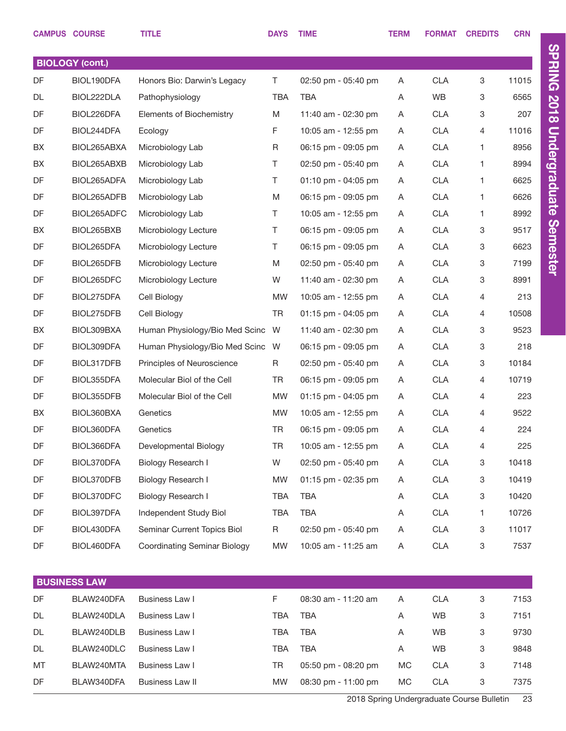| <b>BIOLOGY</b> (cont.)<br>DF<br><b>CLA</b><br>BIOL190DFA<br>Honors Bio: Darwin's Legacy<br>T<br>02:50 pm - 05:40 pm<br>3<br>11015<br>A<br>DL<br>BIOL222DLA<br>Pathophysiology<br><b>TBA</b><br><b>TBA</b><br>Α<br><b>WB</b><br>3<br>6565<br>DF<br>BIOL226DFA<br>M<br><b>CLA</b><br>3<br>207<br><b>Elements of Biochemistry</b><br>11:40 am - 02:30 pm<br>A<br>F<br>DF<br>11016<br>BIOL244DFA<br>Ecology<br>10:05 am - 12:55 pm<br><b>CLA</b><br>4<br>A<br>BX<br>BIOL265ABXA<br>R<br>06:15 pm - 09:05 pm<br><b>CLA</b><br>1<br>8956<br>Microbiology Lab<br>A<br>T<br>BX<br>BIOL265ABXB<br>Microbiology Lab<br>02:50 pm - 05:40 pm<br><b>CLA</b><br>1<br>8994<br>A<br>T.<br>DF<br>BIOL265ADFA<br>01:10 pm - 04:05 pm<br><b>CLA</b><br>1<br>6625<br>Microbiology Lab<br>A<br>DF<br>BIOL265ADFB<br>Microbiology Lab<br>M<br>06:15 pm - 09:05 pm<br><b>CLA</b><br>6626<br>A<br>1<br>DF<br>BIOL265ADFC<br>T.<br>10:05 am - 12:55 pm<br><b>CLA</b><br>1<br>8992<br>Microbiology Lab<br>A<br>BX<br>BIOL265BXB<br>Microbiology Lecture<br>T<br>06:15 pm - 09:05 pm<br><b>CLA</b><br>3<br>9517<br>A<br>DF<br>T.<br>BIOL265DFA<br>06:15 pm - 09:05 pm<br><b>CLA</b><br>3<br>6623<br>Microbiology Lecture<br>A<br>DF<br>BIOL265DFB<br>Microbiology Lecture<br>M<br>02:50 pm - 05:40 pm<br><b>CLA</b><br>3<br>7199<br>A<br>DF<br>BIOL265DFC<br>W<br>11:40 am - 02:30 pm<br><b>CLA</b><br>3<br>8991<br>Microbiology Lecture<br>A<br>DF<br>BIOL275DFA<br>Cell Biology<br><b>MW</b><br>10:05 am - 12:55 pm<br><b>CLA</b><br>213<br>A<br>4<br>DF<br>BIOL275DFB<br>Cell Biology<br>TR<br><b>CLA</b><br>10508<br>$01:15$ pm - 04:05 pm<br>A<br>4<br>BX<br>BIOL309BXA<br>Human Physiology/Bio Med Scinc<br>11:40 am - 02:30 pm<br><b>CLA</b><br>9523<br>W<br>A<br>3<br>DF<br>BIOL309DFA<br>Human Physiology/Bio Med Scinc<br>06:15 pm - 09:05 pm<br><b>CLA</b><br>3<br>218<br>- W<br>A<br>DF<br>BIOL317DFB<br>Principles of Neuroscience<br>R<br>02:50 pm - 05:40 pm<br><b>CLA</b><br>3<br>10184<br>A<br>DF<br>10719<br>BIOL355DFA<br>Molecular Biol of the Cell<br>TR<br>06:15 pm - 09:05 pm<br><b>CLA</b><br>4<br>A<br>DF<br>BIOL355DFB<br>Molecular Biol of the Cell<br><b>MW</b><br>01:15 pm - 04:05 pm<br><b>CLA</b><br>223<br>A<br>4<br>BX<br>BIOL360BXA<br>Genetics<br><b>MW</b><br><b>CLA</b><br>9522<br>10:05 am - 12:55 pm<br>A<br>4<br>DF<br><b>CLA</b><br>BIOL360DFA<br>Genetics<br>TR<br>4<br>224<br>06:15 pm - 09:05 pm<br>Α<br>DF<br>Developmental Biology<br><b>TR</b><br><b>CLA</b><br>225<br>BIOL366DFA<br>10:05 am - 12:55 pm<br>A<br>4<br>DF<br>BIOL370DFA<br>Biology Research I<br>W<br>02:50 pm - 05:40 pm<br><b>CLA</b><br>10418<br>A<br>3<br>01:15 pm - 02:35 pm<br>DF<br>Biology Research I<br><b>CLA</b><br>10419<br>BIOL370DFB<br><b>MW</b><br>A<br>3<br>DF<br>BIOL370DFC<br>Biology Research I<br><b>CLA</b><br>3<br>10420<br>TBA<br><b>TBA</b><br>A<br>DF<br>Independent Study Biol<br><b>CLA</b><br>10726<br>BIOL397DFA<br>TBA<br><b>TBA</b><br>Α<br>1<br>DF<br>BIOL430DFA<br>Seminar Current Topics Biol<br>02:50 pm - 05:40 pm<br><b>CLA</b><br>11017<br>R<br>A<br>3<br>DF<br><b>Coordinating Seminar Biology</b><br>10:05 am - 11:25 am<br><b>CLA</b><br>7537<br>BIOL460DFA<br>MW<br>A<br>3<br><b>BUSINESS LAW</b> | <b>CAMPUS COURSE</b> | <b>TITLE</b> | <b>DAYS</b> | <b>TIME</b> | <b>TERM</b> | <b>FORMAT</b> | <b>CREDITS</b> | <b>CRN</b> |
|---------------------------------------------------------------------------------------------------------------------------------------------------------------------------------------------------------------------------------------------------------------------------------------------------------------------------------------------------------------------------------------------------------------------------------------------------------------------------------------------------------------------------------------------------------------------------------------------------------------------------------------------------------------------------------------------------------------------------------------------------------------------------------------------------------------------------------------------------------------------------------------------------------------------------------------------------------------------------------------------------------------------------------------------------------------------------------------------------------------------------------------------------------------------------------------------------------------------------------------------------------------------------------------------------------------------------------------------------------------------------------------------------------------------------------------------------------------------------------------------------------------------------------------------------------------------------------------------------------------------------------------------------------------------------------------------------------------------------------------------------------------------------------------------------------------------------------------------------------------------------------------------------------------------------------------------------------------------------------------------------------------------------------------------------------------------------------------------------------------------------------------------------------------------------------------------------------------------------------------------------------------------------------------------------------------------------------------------------------------------------------------------------------------------------------------------------------------------------------------------------------------------------------------------------------------------------------------------------------------------------------------------------------------------------------------------------------------------------------------------------------------------------------------------------------------------------------------------------------------------------------------------------------------------------------------------------------------------------------------------------------------------------------------------------------------------------------------------------------------------------------------------------------------------------------------------------------------------------------|----------------------|--------------|-------------|-------------|-------------|---------------|----------------|------------|
|                                                                                                                                                                                                                                                                                                                                                                                                                                                                                                                                                                                                                                                                                                                                                                                                                                                                                                                                                                                                                                                                                                                                                                                                                                                                                                                                                                                                                                                                                                                                                                                                                                                                                                                                                                                                                                                                                                                                                                                                                                                                                                                                                                                                                                                                                                                                                                                                                                                                                                                                                                                                                                                                                                                                                                                                                                                                                                                                                                                                                                                                                                                                                                                                                                 |                      |              |             |             |             |               |                |            |
|                                                                                                                                                                                                                                                                                                                                                                                                                                                                                                                                                                                                                                                                                                                                                                                                                                                                                                                                                                                                                                                                                                                                                                                                                                                                                                                                                                                                                                                                                                                                                                                                                                                                                                                                                                                                                                                                                                                                                                                                                                                                                                                                                                                                                                                                                                                                                                                                                                                                                                                                                                                                                                                                                                                                                                                                                                                                                                                                                                                                                                                                                                                                                                                                                                 |                      |              |             |             |             |               |                |            |
|                                                                                                                                                                                                                                                                                                                                                                                                                                                                                                                                                                                                                                                                                                                                                                                                                                                                                                                                                                                                                                                                                                                                                                                                                                                                                                                                                                                                                                                                                                                                                                                                                                                                                                                                                                                                                                                                                                                                                                                                                                                                                                                                                                                                                                                                                                                                                                                                                                                                                                                                                                                                                                                                                                                                                                                                                                                                                                                                                                                                                                                                                                                                                                                                                                 |                      |              |             |             |             |               |                |            |
|                                                                                                                                                                                                                                                                                                                                                                                                                                                                                                                                                                                                                                                                                                                                                                                                                                                                                                                                                                                                                                                                                                                                                                                                                                                                                                                                                                                                                                                                                                                                                                                                                                                                                                                                                                                                                                                                                                                                                                                                                                                                                                                                                                                                                                                                                                                                                                                                                                                                                                                                                                                                                                                                                                                                                                                                                                                                                                                                                                                                                                                                                                                                                                                                                                 |                      |              |             |             |             |               |                |            |
|                                                                                                                                                                                                                                                                                                                                                                                                                                                                                                                                                                                                                                                                                                                                                                                                                                                                                                                                                                                                                                                                                                                                                                                                                                                                                                                                                                                                                                                                                                                                                                                                                                                                                                                                                                                                                                                                                                                                                                                                                                                                                                                                                                                                                                                                                                                                                                                                                                                                                                                                                                                                                                                                                                                                                                                                                                                                                                                                                                                                                                                                                                                                                                                                                                 |                      |              |             |             |             |               |                |            |
|                                                                                                                                                                                                                                                                                                                                                                                                                                                                                                                                                                                                                                                                                                                                                                                                                                                                                                                                                                                                                                                                                                                                                                                                                                                                                                                                                                                                                                                                                                                                                                                                                                                                                                                                                                                                                                                                                                                                                                                                                                                                                                                                                                                                                                                                                                                                                                                                                                                                                                                                                                                                                                                                                                                                                                                                                                                                                                                                                                                                                                                                                                                                                                                                                                 |                      |              |             |             |             |               |                |            |
|                                                                                                                                                                                                                                                                                                                                                                                                                                                                                                                                                                                                                                                                                                                                                                                                                                                                                                                                                                                                                                                                                                                                                                                                                                                                                                                                                                                                                                                                                                                                                                                                                                                                                                                                                                                                                                                                                                                                                                                                                                                                                                                                                                                                                                                                                                                                                                                                                                                                                                                                                                                                                                                                                                                                                                                                                                                                                                                                                                                                                                                                                                                                                                                                                                 |                      |              |             |             |             |               |                |            |
|                                                                                                                                                                                                                                                                                                                                                                                                                                                                                                                                                                                                                                                                                                                                                                                                                                                                                                                                                                                                                                                                                                                                                                                                                                                                                                                                                                                                                                                                                                                                                                                                                                                                                                                                                                                                                                                                                                                                                                                                                                                                                                                                                                                                                                                                                                                                                                                                                                                                                                                                                                                                                                                                                                                                                                                                                                                                                                                                                                                                                                                                                                                                                                                                                                 |                      |              |             |             |             |               |                |            |
|                                                                                                                                                                                                                                                                                                                                                                                                                                                                                                                                                                                                                                                                                                                                                                                                                                                                                                                                                                                                                                                                                                                                                                                                                                                                                                                                                                                                                                                                                                                                                                                                                                                                                                                                                                                                                                                                                                                                                                                                                                                                                                                                                                                                                                                                                                                                                                                                                                                                                                                                                                                                                                                                                                                                                                                                                                                                                                                                                                                                                                                                                                                                                                                                                                 |                      |              |             |             |             |               |                |            |
|                                                                                                                                                                                                                                                                                                                                                                                                                                                                                                                                                                                                                                                                                                                                                                                                                                                                                                                                                                                                                                                                                                                                                                                                                                                                                                                                                                                                                                                                                                                                                                                                                                                                                                                                                                                                                                                                                                                                                                                                                                                                                                                                                                                                                                                                                                                                                                                                                                                                                                                                                                                                                                                                                                                                                                                                                                                                                                                                                                                                                                                                                                                                                                                                                                 |                      |              |             |             |             |               |                |            |
|                                                                                                                                                                                                                                                                                                                                                                                                                                                                                                                                                                                                                                                                                                                                                                                                                                                                                                                                                                                                                                                                                                                                                                                                                                                                                                                                                                                                                                                                                                                                                                                                                                                                                                                                                                                                                                                                                                                                                                                                                                                                                                                                                                                                                                                                                                                                                                                                                                                                                                                                                                                                                                                                                                                                                                                                                                                                                                                                                                                                                                                                                                                                                                                                                                 |                      |              |             |             |             |               |                |            |
|                                                                                                                                                                                                                                                                                                                                                                                                                                                                                                                                                                                                                                                                                                                                                                                                                                                                                                                                                                                                                                                                                                                                                                                                                                                                                                                                                                                                                                                                                                                                                                                                                                                                                                                                                                                                                                                                                                                                                                                                                                                                                                                                                                                                                                                                                                                                                                                                                                                                                                                                                                                                                                                                                                                                                                                                                                                                                                                                                                                                                                                                                                                                                                                                                                 |                      |              |             |             |             |               |                |            |
|                                                                                                                                                                                                                                                                                                                                                                                                                                                                                                                                                                                                                                                                                                                                                                                                                                                                                                                                                                                                                                                                                                                                                                                                                                                                                                                                                                                                                                                                                                                                                                                                                                                                                                                                                                                                                                                                                                                                                                                                                                                                                                                                                                                                                                                                                                                                                                                                                                                                                                                                                                                                                                                                                                                                                                                                                                                                                                                                                                                                                                                                                                                                                                                                                                 |                      |              |             |             |             |               |                |            |
|                                                                                                                                                                                                                                                                                                                                                                                                                                                                                                                                                                                                                                                                                                                                                                                                                                                                                                                                                                                                                                                                                                                                                                                                                                                                                                                                                                                                                                                                                                                                                                                                                                                                                                                                                                                                                                                                                                                                                                                                                                                                                                                                                                                                                                                                                                                                                                                                                                                                                                                                                                                                                                                                                                                                                                                                                                                                                                                                                                                                                                                                                                                                                                                                                                 |                      |              |             |             |             |               |                |            |
|                                                                                                                                                                                                                                                                                                                                                                                                                                                                                                                                                                                                                                                                                                                                                                                                                                                                                                                                                                                                                                                                                                                                                                                                                                                                                                                                                                                                                                                                                                                                                                                                                                                                                                                                                                                                                                                                                                                                                                                                                                                                                                                                                                                                                                                                                                                                                                                                                                                                                                                                                                                                                                                                                                                                                                                                                                                                                                                                                                                                                                                                                                                                                                                                                                 |                      |              |             |             |             |               |                |            |
|                                                                                                                                                                                                                                                                                                                                                                                                                                                                                                                                                                                                                                                                                                                                                                                                                                                                                                                                                                                                                                                                                                                                                                                                                                                                                                                                                                                                                                                                                                                                                                                                                                                                                                                                                                                                                                                                                                                                                                                                                                                                                                                                                                                                                                                                                                                                                                                                                                                                                                                                                                                                                                                                                                                                                                                                                                                                                                                                                                                                                                                                                                                                                                                                                                 |                      |              |             |             |             |               |                |            |
|                                                                                                                                                                                                                                                                                                                                                                                                                                                                                                                                                                                                                                                                                                                                                                                                                                                                                                                                                                                                                                                                                                                                                                                                                                                                                                                                                                                                                                                                                                                                                                                                                                                                                                                                                                                                                                                                                                                                                                                                                                                                                                                                                                                                                                                                                                                                                                                                                                                                                                                                                                                                                                                                                                                                                                                                                                                                                                                                                                                                                                                                                                                                                                                                                                 |                      |              |             |             |             |               |                |            |
|                                                                                                                                                                                                                                                                                                                                                                                                                                                                                                                                                                                                                                                                                                                                                                                                                                                                                                                                                                                                                                                                                                                                                                                                                                                                                                                                                                                                                                                                                                                                                                                                                                                                                                                                                                                                                                                                                                                                                                                                                                                                                                                                                                                                                                                                                                                                                                                                                                                                                                                                                                                                                                                                                                                                                                                                                                                                                                                                                                                                                                                                                                                                                                                                                                 |                      |              |             |             |             |               |                |            |
|                                                                                                                                                                                                                                                                                                                                                                                                                                                                                                                                                                                                                                                                                                                                                                                                                                                                                                                                                                                                                                                                                                                                                                                                                                                                                                                                                                                                                                                                                                                                                                                                                                                                                                                                                                                                                                                                                                                                                                                                                                                                                                                                                                                                                                                                                                                                                                                                                                                                                                                                                                                                                                                                                                                                                                                                                                                                                                                                                                                                                                                                                                                                                                                                                                 |                      |              |             |             |             |               |                |            |
|                                                                                                                                                                                                                                                                                                                                                                                                                                                                                                                                                                                                                                                                                                                                                                                                                                                                                                                                                                                                                                                                                                                                                                                                                                                                                                                                                                                                                                                                                                                                                                                                                                                                                                                                                                                                                                                                                                                                                                                                                                                                                                                                                                                                                                                                                                                                                                                                                                                                                                                                                                                                                                                                                                                                                                                                                                                                                                                                                                                                                                                                                                                                                                                                                                 |                      |              |             |             |             |               |                |            |
|                                                                                                                                                                                                                                                                                                                                                                                                                                                                                                                                                                                                                                                                                                                                                                                                                                                                                                                                                                                                                                                                                                                                                                                                                                                                                                                                                                                                                                                                                                                                                                                                                                                                                                                                                                                                                                                                                                                                                                                                                                                                                                                                                                                                                                                                                                                                                                                                                                                                                                                                                                                                                                                                                                                                                                                                                                                                                                                                                                                                                                                                                                                                                                                                                                 |                      |              |             |             |             |               |                |            |
|                                                                                                                                                                                                                                                                                                                                                                                                                                                                                                                                                                                                                                                                                                                                                                                                                                                                                                                                                                                                                                                                                                                                                                                                                                                                                                                                                                                                                                                                                                                                                                                                                                                                                                                                                                                                                                                                                                                                                                                                                                                                                                                                                                                                                                                                                                                                                                                                                                                                                                                                                                                                                                                                                                                                                                                                                                                                                                                                                                                                                                                                                                                                                                                                                                 |                      |              |             |             |             |               |                |            |
|                                                                                                                                                                                                                                                                                                                                                                                                                                                                                                                                                                                                                                                                                                                                                                                                                                                                                                                                                                                                                                                                                                                                                                                                                                                                                                                                                                                                                                                                                                                                                                                                                                                                                                                                                                                                                                                                                                                                                                                                                                                                                                                                                                                                                                                                                                                                                                                                                                                                                                                                                                                                                                                                                                                                                                                                                                                                                                                                                                                                                                                                                                                                                                                                                                 |                      |              |             |             |             |               |                |            |
|                                                                                                                                                                                                                                                                                                                                                                                                                                                                                                                                                                                                                                                                                                                                                                                                                                                                                                                                                                                                                                                                                                                                                                                                                                                                                                                                                                                                                                                                                                                                                                                                                                                                                                                                                                                                                                                                                                                                                                                                                                                                                                                                                                                                                                                                                                                                                                                                                                                                                                                                                                                                                                                                                                                                                                                                                                                                                                                                                                                                                                                                                                                                                                                                                                 |                      |              |             |             |             |               |                |            |
|                                                                                                                                                                                                                                                                                                                                                                                                                                                                                                                                                                                                                                                                                                                                                                                                                                                                                                                                                                                                                                                                                                                                                                                                                                                                                                                                                                                                                                                                                                                                                                                                                                                                                                                                                                                                                                                                                                                                                                                                                                                                                                                                                                                                                                                                                                                                                                                                                                                                                                                                                                                                                                                                                                                                                                                                                                                                                                                                                                                                                                                                                                                                                                                                                                 |                      |              |             |             |             |               |                |            |
|                                                                                                                                                                                                                                                                                                                                                                                                                                                                                                                                                                                                                                                                                                                                                                                                                                                                                                                                                                                                                                                                                                                                                                                                                                                                                                                                                                                                                                                                                                                                                                                                                                                                                                                                                                                                                                                                                                                                                                                                                                                                                                                                                                                                                                                                                                                                                                                                                                                                                                                                                                                                                                                                                                                                                                                                                                                                                                                                                                                                                                                                                                                                                                                                                                 |                      |              |             |             |             |               |                |            |
|                                                                                                                                                                                                                                                                                                                                                                                                                                                                                                                                                                                                                                                                                                                                                                                                                                                                                                                                                                                                                                                                                                                                                                                                                                                                                                                                                                                                                                                                                                                                                                                                                                                                                                                                                                                                                                                                                                                                                                                                                                                                                                                                                                                                                                                                                                                                                                                                                                                                                                                                                                                                                                                                                                                                                                                                                                                                                                                                                                                                                                                                                                                                                                                                                                 |                      |              |             |             |             |               |                |            |
|                                                                                                                                                                                                                                                                                                                                                                                                                                                                                                                                                                                                                                                                                                                                                                                                                                                                                                                                                                                                                                                                                                                                                                                                                                                                                                                                                                                                                                                                                                                                                                                                                                                                                                                                                                                                                                                                                                                                                                                                                                                                                                                                                                                                                                                                                                                                                                                                                                                                                                                                                                                                                                                                                                                                                                                                                                                                                                                                                                                                                                                                                                                                                                                                                                 |                      |              |             |             |             |               |                |            |
|                                                                                                                                                                                                                                                                                                                                                                                                                                                                                                                                                                                                                                                                                                                                                                                                                                                                                                                                                                                                                                                                                                                                                                                                                                                                                                                                                                                                                                                                                                                                                                                                                                                                                                                                                                                                                                                                                                                                                                                                                                                                                                                                                                                                                                                                                                                                                                                                                                                                                                                                                                                                                                                                                                                                                                                                                                                                                                                                                                                                                                                                                                                                                                                                                                 |                      |              |             |             |             |               |                |            |
|                                                                                                                                                                                                                                                                                                                                                                                                                                                                                                                                                                                                                                                                                                                                                                                                                                                                                                                                                                                                                                                                                                                                                                                                                                                                                                                                                                                                                                                                                                                                                                                                                                                                                                                                                                                                                                                                                                                                                                                                                                                                                                                                                                                                                                                                                                                                                                                                                                                                                                                                                                                                                                                                                                                                                                                                                                                                                                                                                                                                                                                                                                                                                                                                                                 |                      |              |             |             |             |               |                |            |
|                                                                                                                                                                                                                                                                                                                                                                                                                                                                                                                                                                                                                                                                                                                                                                                                                                                                                                                                                                                                                                                                                                                                                                                                                                                                                                                                                                                                                                                                                                                                                                                                                                                                                                                                                                                                                                                                                                                                                                                                                                                                                                                                                                                                                                                                                                                                                                                                                                                                                                                                                                                                                                                                                                                                                                                                                                                                                                                                                                                                                                                                                                                                                                                                                                 |                      |              |             |             |             |               |                |            |
| F<br><b>CLA</b><br>DF<br>BLAW240DFA<br><b>Business Law I</b><br>08:30 am - 11:20 am<br>3<br>7153<br>A                                                                                                                                                                                                                                                                                                                                                                                                                                                                                                                                                                                                                                                                                                                                                                                                                                                                                                                                                                                                                                                                                                                                                                                                                                                                                                                                                                                                                                                                                                                                                                                                                                                                                                                                                                                                                                                                                                                                                                                                                                                                                                                                                                                                                                                                                                                                                                                                                                                                                                                                                                                                                                                                                                                                                                                                                                                                                                                                                                                                                                                                                                                           |                      |              |             |             |             |               |                |            |

| DF        | BLAW240DFA | Business Law I  | F         | 08:30 am - 11:20 am                   | A   | <b>CLA</b> | 3 | 7153 |
|-----------|------------|-----------------|-----------|---------------------------------------|-----|------------|---|------|
| <b>DL</b> | BLAW240DLA | Business Law I  | TBA       | TBA                                   | A   | WB         | 3 | 7151 |
| <b>DL</b> | BLAW240DLB | Business Law I  | TBA       | <b>TBA</b>                            | A   | <b>WB</b>  | 3 | 9730 |
| <b>DL</b> | BLAW240DLC | Business Law I  | TBA       | <b>TBA</b>                            | A   | WB         | 3 | 9848 |
| MT        | BLAW240MTA | Business Law I  | TR        | $05:50 \text{ pm} - 08:20 \text{ pm}$ | MC. | <b>CLA</b> | 3 | 7148 |
| DF        | BLAW340DFA | Business Law II | <b>MW</b> | $08:30 \text{ pm} - 11:00 \text{ pm}$ | MC. | <b>CLA</b> | 3 | 7375 |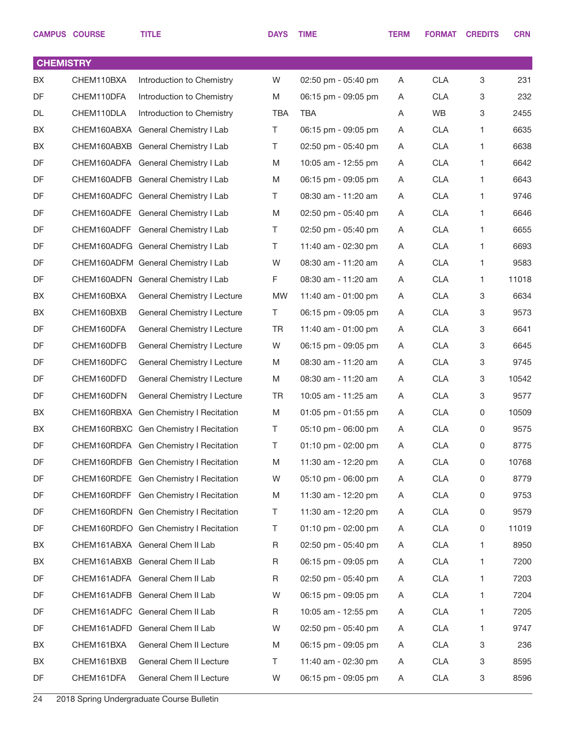|                  | <b>CAMPUS COURSE</b> | <b>TITLE</b>                           | <b>DAYS</b> | <b>TIME</b>                           | <b>TERM</b> | <b>FORMAT</b> | <b>CREDITS</b> | <b>CRN</b> |
|------------------|----------------------|----------------------------------------|-------------|---------------------------------------|-------------|---------------|----------------|------------|
| <b>CHEMISTRY</b> |                      |                                        |             |                                       |             |               |                |            |
| BX               | CHEM110BXA           | Introduction to Chemistry              | W           | 02:50 pm - 05:40 pm                   | A           | <b>CLA</b>    | 3              | 231        |
| DF               | CHEM110DFA           | Introduction to Chemistry              | M           | 06:15 pm - 09:05 pm                   | A           | <b>CLA</b>    | 3              | 232        |
| DL               | CHEM110DLA           | Introduction to Chemistry              | <b>TBA</b>  | TBA                                   | A           | WB            | 3              | 2455       |
| BX               |                      | CHEM160ABXA General Chemistry I Lab    | $\top$      | 06:15 pm - 09:05 pm                   | A           | <b>CLA</b>    | 1              | 6635       |
| BX               |                      | CHEM160ABXB General Chemistry I Lab    | T.          | 02:50 pm - 05:40 pm                   | A           | <b>CLA</b>    | 1              | 6638       |
| DF               |                      | CHEM160ADFA General Chemistry I Lab    | M           | 10:05 am - 12:55 pm                   | A           | <b>CLA</b>    | 1.             | 6642       |
| DF               |                      | CHEM160ADFB General Chemistry I Lab    | M           | 06:15 pm - 09:05 pm                   | A           | <b>CLA</b>    | 1              | 6643       |
| DF               |                      | CHEM160ADFC General Chemistry I Lab    | T.          | 08:30 am - 11:20 am                   | A           | <b>CLA</b>    | 1              | 9746       |
| DF               |                      | CHEM160ADFE General Chemistry I Lab    | M           | 02:50 pm - 05:40 pm                   | A           | <b>CLA</b>    | 1              | 6646       |
| DF               |                      | CHEM160ADFF General Chemistry I Lab    | T.          | 02:50 pm - 05:40 pm                   | A           | <b>CLA</b>    | 1              | 6655       |
| DF               |                      | CHEM160ADFG General Chemistry I Lab    | T.          | 11:40 am - 02:30 pm                   | A           | <b>CLA</b>    | 1              | 6693       |
| DF               |                      | CHEM160ADFM General Chemistry I Lab    | W           | 08:30 am - 11:20 am                   | A           | <b>CLA</b>    | 1              | 9583       |
| DF               |                      | CHEM160ADFN General Chemistry I Lab    | F.          | 08:30 am - 11:20 am                   | A           | <b>CLA</b>    | 1              | 11018      |
| BX               | CHEM160BXA           | General Chemistry I Lecture            | <b>MW</b>   | 11:40 am - 01:00 pm                   | A           | <b>CLA</b>    | 3              | 6634       |
| BX               | CHEM160BXB           | General Chemistry I Lecture            | T.          | 06:15 pm - 09:05 pm                   | A           | <b>CLA</b>    | 3              | 9573       |
| DF               | CHEM160DFA           | General Chemistry I Lecture            | <b>TR</b>   | 11:40 am - 01:00 pm                   | A           | <b>CLA</b>    | 3              | 6641       |
| DF               | CHEM160DFB           | General Chemistry I Lecture            | W           | 06:15 pm - 09:05 pm                   | A           | <b>CLA</b>    | 3              | 6645       |
| DF               | CHEM160DFC           | General Chemistry I Lecture            | M           | 08:30 am - 11:20 am                   | A           | <b>CLA</b>    | 3              | 9745       |
| DF               | CHEM160DFD           | General Chemistry I Lecture            | M           | 08:30 am - 11:20 am                   | A           | <b>CLA</b>    | 3              | 10542      |
| DF               | CHEM160DFN           | General Chemistry I Lecture            | <b>TR</b>   | 10:05 am - 11:25 am                   | A           | <b>CLA</b>    | 3              | 9577       |
| BX               |                      | CHEM160RBXA Gen Chemistry I Recitation | M           | 01:05 pm - 01:55 pm                   | A           | <b>CLA</b>    | 0              | 10509      |
| BX               |                      | CHEM160RBXC Gen Chemistry I Recitation | T.          | $05:10 \text{ pm} - 06:00 \text{ pm}$ | A           | <b>CLA</b>    | 0              | 9575       |
| DF               |                      | CHEM160RDFA Gen Chemistry I Recitation | T           | 01:10 pm - 02:00 pm                   | A           | <b>CLA</b>    | 0              | 8775       |
| DF               |                      | CHEM160RDFB Gen Chemistry I Recitation | M           | 11:30 am - 12:20 pm                   | A           | <b>CLA</b>    | 0              | 10768      |
| DF               |                      | CHEM160RDFE Gen Chemistry I Recitation | W           | 05:10 pm - 06:00 pm                   | A           | <b>CLA</b>    | 0              | 8779       |
| DF               |                      | CHEM160RDFF Gen Chemistry I Recitation | M           | 11:30 am - 12:20 pm                   | A           | <b>CLA</b>    | 0              | 9753       |
| DF               |                      | CHEM160RDFN Gen Chemistry I Recitation | T           | 11:30 am - 12:20 pm                   | A           | <b>CLA</b>    | 0              | 9579       |
| DF               |                      | CHEM160RDFO Gen Chemistry I Recitation | T           | $01:10 \text{ pm} - 02:00 \text{ pm}$ | A           | <b>CLA</b>    | 0              | 11019      |
| BX               |                      | CHEM161ABXA General Chem II Lab        | R           | 02:50 pm - 05:40 pm                   | A           | <b>CLA</b>    | 1              | 8950       |
| BX               |                      | CHEM161ABXB General Chem II Lab        | R           | 06:15 pm - 09:05 pm                   | A           | <b>CLA</b>    | 1.             | 7200       |
| DF               |                      | CHEM161ADFA General Chem II Lab        | R           | 02:50 pm - 05:40 pm                   | A           | <b>CLA</b>    | 1.             | 7203       |
| DF               |                      | CHEM161ADFB General Chem II Lab        | W           | 06:15 pm - 09:05 pm                   | A           | <b>CLA</b>    | 1.             | 7204       |
| DF               |                      | CHEM161ADFC General Chem II Lab        | R           | 10:05 am - 12:55 pm                   | A           | <b>CLA</b>    | 1              | 7205       |
| DF               |                      | CHEM161ADFD General Chem II Lab        | W           | 02:50 pm - 05:40 pm                   | A           | <b>CLA</b>    | 1.             | 9747       |
| BX               | CHEM161BXA           | General Chem II Lecture                | M           | 06:15 pm - 09:05 pm                   | A           | <b>CLA</b>    | 3              | 236        |
| BX               | CHEM161BXB           | General Chem II Lecture                | T.          | 11:40 am - 02:30 pm                   | A           | <b>CLA</b>    | 3              | 8595       |
| DF               | CHEM161DFA           | General Chem II Lecture                | W           | 06:15 pm - 09:05 pm                   | A           | <b>CLA</b>    | 3              | 8596       |
|                  |                      |                                        |             |                                       |             |               |                |            |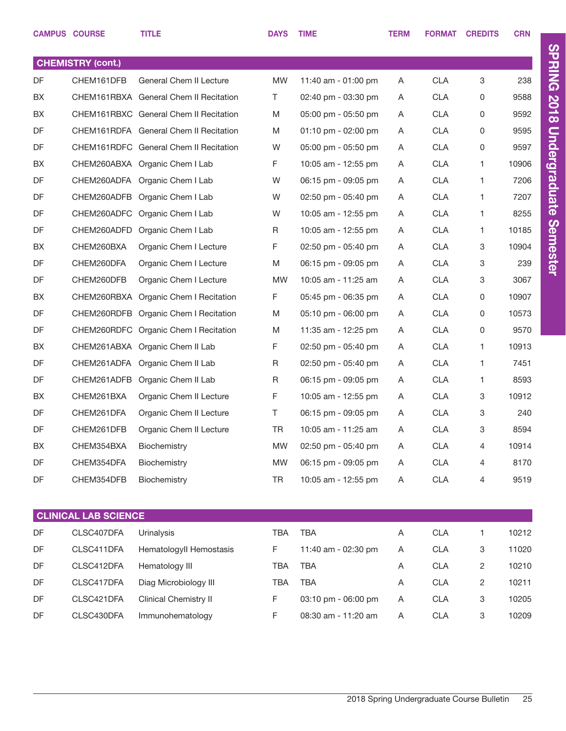|           | <b>CAMPUS COURSE</b>        | <b>TITLE</b>                           | <b>DAYS</b> | <b>TIME</b>                           | <b>TERM</b> | <b>FORMAT</b> | <b>CREDITS</b> | <b>CRN</b> |
|-----------|-----------------------------|----------------------------------------|-------------|---------------------------------------|-------------|---------------|----------------|------------|
|           | <b>CHEMISTRY (cont.)</b>    |                                        |             |                                       |             |               |                |            |
| <b>DF</b> | CHEM161DFB                  | <b>General Chem II Lecture</b>         | <b>MW</b>   | 11:40 am - 01:00 pm                   | A           | <b>CLA</b>    | 3              | 238        |
| BX        |                             | CHEM161RBXA General Chem II Recitation | T.          | 02:40 pm - 03:30 pm                   | A           | <b>CLA</b>    | 0              | 9588       |
| BX        |                             | CHEM161RBXC General Chem II Recitation | M           | $05:00 \text{ pm} - 05:50 \text{ pm}$ | A           | <b>CLA</b>    | 0              | 9592       |
| DF        |                             | CHEM161RDFA General Chem II Recitation | M           | $01:10 \text{ pm} - 02:00 \text{ pm}$ | A           | <b>CLA</b>    | 0              | 9595       |
| <b>DF</b> |                             | CHEM161RDFC General Chem II Recitation | W           | 05:00 pm - 05:50 pm                   | A           | <b>CLA</b>    | 0              | 9597       |
| BX        |                             | CHEM260ABXA Organic Chem I Lab         | F.          | 10:05 am - 12:55 pm                   | A           | <b>CLA</b>    | 1              | 10906      |
| <b>DF</b> |                             | CHEM260ADFA Organic Chem I Lab         | W           | 06:15 pm - 09:05 pm                   | A           | <b>CLA</b>    | 1              | 7206       |
| DF        |                             | CHEM260ADFB Organic Chem I Lab         | W           | 02:50 pm - 05:40 pm                   | A           | <b>CLA</b>    | 1              | 7207       |
| DF        |                             | CHEM260ADFC Organic Chem I Lab         | W           | 10:05 am - 12:55 pm                   | A           | <b>CLA</b>    | 1              | 8255       |
| DF        |                             | CHEM260ADFD Organic Chem I Lab         | R           | 10:05 am - 12:55 pm                   | A           | <b>CLA</b>    | 1              | 10185      |
| BX        | CHEM260BXA                  | Organic Chem I Lecture                 | F.          | 02:50 pm - 05:40 pm                   | A           | <b>CLA</b>    | 3              | 10904      |
| DF        | CHEM260DFA                  | Organic Chem I Lecture                 | M           | 06:15 pm - 09:05 pm                   | A           | <b>CLA</b>    | 3              | 239        |
| DF        | CHEM260DFB                  | Organic Chem I Lecture                 | <b>MW</b>   | 10:05 am - 11:25 am                   | A           | <b>CLA</b>    | 3              | 3067       |
| BX        |                             | CHEM260RBXA Organic Chem I Recitation  | F.          | 05:45 pm - 06:35 pm                   | A           | <b>CLA</b>    | 0              | 10907      |
| DF        |                             | CHEM260RDFB Organic Chem I Recitation  | M           | $05:10 \text{ pm} - 06:00 \text{ pm}$ | A           | <b>CLA</b>    | 0              | 10573      |
| DF        |                             | CHEM260RDFC Organic Chem I Recitation  | M           | 11:35 am - 12:25 pm                   | A           | <b>CLA</b>    | 0              | 9570       |
| <b>BX</b> |                             | CHEM261ABXA Organic Chem II Lab        | F.          | $02:50$ pm - $05:40$ pm               | A           | <b>CLA</b>    | 1.             | 10913      |
| DF        |                             | CHEM261ADFA Organic Chem II Lab        | R           | 02:50 pm - 05:40 pm                   | A           | <b>CLA</b>    | 1              | 7451       |
| <b>DF</b> |                             | CHEM261ADFB Organic Chem II Lab        | R           | 06:15 pm - 09:05 pm                   | A           | <b>CLA</b>    | 1              | 8593       |
| BX        | CHEM261BXA                  | Organic Chem II Lecture                | F           | 10:05 am - 12:55 pm                   | A           | <b>CLA</b>    | 3              | 10912      |
| DF        | CHEM261DFA                  | Organic Chem II Lecture                | Τ           | 06:15 pm - 09:05 pm                   | A           | <b>CLA</b>    | 3              | 240        |
| DF        | CHEM261DFB                  | Organic Chem II Lecture                | TR          | 10:05 am - 11:25 am                   | Α           | <b>CLA</b>    | 3              | 8594       |
| BX        | CHEM354BXA                  | Biochemistry                           | <b>MW</b>   | 02:50 pm - 05:40 pm                   | Α           | <b>CLA</b>    | 4              | 10914      |
| DF        | CHEM354DFA                  | Biochemistry                           | <b>MW</b>   | 06:15 pm - 09:05 pm                   | Α           | <b>CLA</b>    | 4              | 8170       |
| DF        | CHEM354DFB                  | Biochemistry                           | TR          | 10:05 am - 12:55 pm                   | A           | CLA           | 4              | 9519       |
|           |                             |                                        |             |                                       |             |               |                |            |
| DF        | <b>CLINICAL LAB SCIENCE</b> |                                        | <b>TBA</b>  |                                       |             |               |                | 10212      |
|           | CLSC407DFA                  | Urinalysis                             |             | <b>TBA</b>                            | A           | <b>CLA</b>    | 1              | 11020      |
| DF        | CLSC411DFA                  | HematologyII Hemostasis                | F           | 11:40 am - 02:30 pm                   | Α           | CLA           | 3              |            |
| DF        | CLSC412DFA                  | Hematology III                         | <b>TBA</b>  | <b>TBA</b>                            | Α           | CLA           | 2              | 10210      |
| DF        | CLSC417DFA                  | Diag Microbiology III                  | <b>TBA</b>  | <b>TBA</b>                            | Α           | <b>CLA</b>    | 2              | 10211      |
| DF        | CLSC421DFA                  | Clinical Chemistry II                  | F           | 03:10 pm - 06:00 pm                   | Α           | <b>CLA</b>    | 3              | 10205      |
| DF        | CLSC430DFA                  | Immunohematology                       | F           | 08:30 am - 11:20 am                   | A           | CLA           | 3              | 10209      |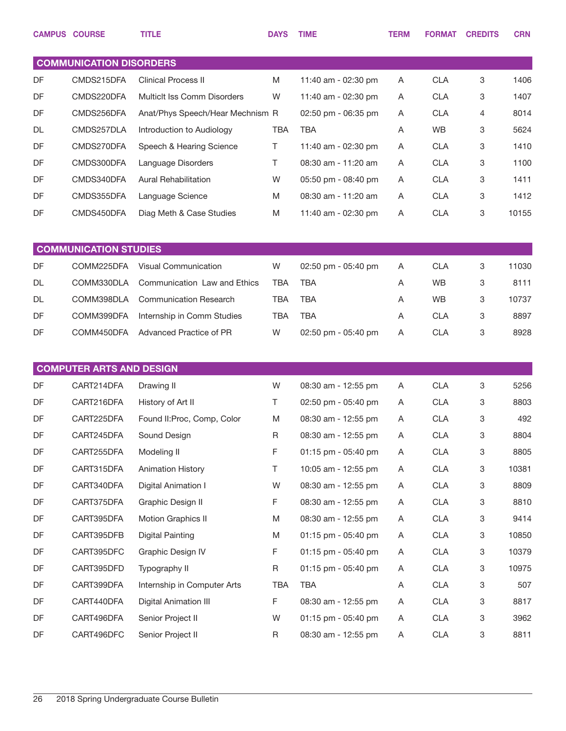|           | <b>CAMPUS COURSE</b>            | <b>TITLE</b>                     | <b>DAYS</b> | <b>TIME</b>         | <b>TERM</b> | <b>FORMAT</b> | <b>CREDITS</b> | <b>CRN</b> |
|-----------|---------------------------------|----------------------------------|-------------|---------------------|-------------|---------------|----------------|------------|
|           |                                 |                                  |             |                     |             |               |                |            |
|           | <b>COMMUNICATION DISORDERS</b>  |                                  |             |                     |             |               |                |            |
| DF        | CMDS215DFA                      | Clinical Process II              | M           | 11:40 am - 02:30 pm | Α           | <b>CLA</b>    | 3              | 1406       |
| DF        | CMDS220DFA                      | Multiclt Iss Comm Disorders      | W           | 11:40 am - 02:30 pm | A           | <b>CLA</b>    | 3              | 1407       |
| DF        | CMDS256DFA                      | Anat/Phys Speech/Hear Mechnism R |             | 02:50 pm - 06:35 pm | Α           | <b>CLA</b>    | 4              | 8014       |
| DL        | CMDS257DLA                      | Introduction to Audiology        | TBA         | <b>TBA</b>          | A           | WB            | 3              | 5624       |
| DF        | CMDS270DFA                      | Speech & Hearing Science         | T           | 11:40 am - 02:30 pm | Α           | <b>CLA</b>    | 3              | 1410       |
| DF        | CMDS300DFA                      | Language Disorders               | Τ           | 08:30 am - 11:20 am | A           | <b>CLA</b>    | 3              | 1100       |
| DF        | CMDS340DFA                      | <b>Aural Rehabilitation</b>      | W           | 05:50 pm - 08:40 pm | Α           | <b>CLA</b>    | 3              | 1411       |
| DF        | CMDS355DFA                      | Language Science                 | M           | 08:30 am - 11:20 am | A           | <b>CLA</b>    | 3              | 1412       |
| DF        | CMDS450DFA                      | Diag Meth & Case Studies         | M           | 11:40 am - 02:30 pm | Α           | <b>CLA</b>    | 3              | 10155      |
|           |                                 |                                  |             |                     |             |               |                |            |
|           | <b>COMMUNICATION STUDIES</b>    |                                  |             |                     |             |               |                |            |
| DF        | COMM225DFA                      | <b>Visual Communication</b>      | W           | 02:50 pm - 05:40 pm | A           | <b>CLA</b>    | 3              | 11030      |
| DL        | COMM330DLA                      | Communication Law and Ethics     | <b>TBA</b>  | <b>TBA</b>          | A           | WB            | 3              | 8111       |
| <b>DL</b> | COMM398DLA                      | <b>Communication Research</b>    | <b>TBA</b>  | <b>TBA</b>          | A           | WB            | 3              | 10737      |
| DF        | COMM399DFA                      | Internship in Comm Studies       | <b>TBA</b>  | <b>TBA</b>          | Α           | <b>CLA</b>    | 3              | 8897       |
| DF        | COMM450DFA                      | Advanced Practice of PR          | W           | 02:50 pm - 05:40 pm | Α           | <b>CLA</b>    | 3              | 8928       |
|           |                                 |                                  |             |                     |             |               |                |            |
|           | <b>COMPUTER ARTS AND DESIGN</b> |                                  |             |                     |             |               |                |            |
| DF        | CART214DFA                      | Drawing II                       | W           | 08:30 am - 12:55 pm | A           | <b>CLA</b>    | 3              | 5256       |
| DF        | CART216DFA                      | History of Art II                | Τ           | 02:50 pm - 05:40 pm | A           | <b>CLA</b>    | 3              | 8803       |
| DF        | CART225DFA                      | Found II: Proc, Comp, Color      | M           | 08:30 am - 12:55 pm | A           | <b>CLA</b>    | 3              | 492        |
| DF        | CART245DFA                      | Sound Design                     | R           | 08:30 am - 12:55 pm | A           | <b>CLA</b>    | 3              | 8804       |
| DF        | CART255DFA                      | Modeling II                      | F           | 01:15 pm - 05:40 pm | Α           | <b>CLA</b>    | 3              | 8805       |
| DF        | CART315DFA                      | <b>Animation History</b>         | T           | 10:05 am - 12:55 pm | A           | CLA           | 3              | 10381      |
| DF        | CART340DFA                      | Digital Animation I              | W           | 08:30 am - 12:55 pm | A           | CLA           | 3              | 8809       |
| DF        | CART375DFA                      | Graphic Design II                | F           | 08:30 am - 12:55 pm | A           | <b>CLA</b>    | 3              | 8810       |
| DF        | CART395DFA                      | Motion Graphics II               | M           | 08:30 am - 12:55 pm | A           | CLA           | 3              | 9414       |
| DF        | CART395DFB                      | <b>Digital Painting</b>          | M           | 01:15 pm - 05:40 pm | A           | <b>CLA</b>    | 3              | 10850      |
| DF        | CART395DFC                      | Graphic Design IV                | F           | 01:15 pm - 05:40 pm | A           | <b>CLA</b>    | 3              | 10379      |
| DF        | CART395DFD                      | Typography II                    | R           | 01:15 pm - 05:40 pm | A           | <b>CLA</b>    | 3              | 10975      |
| DF        | CART399DFA                      | Internship in Computer Arts      | <b>TBA</b>  | <b>TBA</b>          | A           | <b>CLA</b>    | 3              | 507        |
| DF        | CART440DFA                      | Digital Animation III            | F           | 08:30 am - 12:55 pm | A           | <b>CLA</b>    | 3              | 8817       |
| DF        | CART496DFA                      | Senior Project II                | W           | 01:15 pm - 05:40 pm | A           | <b>CLA</b>    | 3              | 3962       |
| DF        | CART496DFC                      | Senior Project II                | R           | 08:30 am - 12:55 pm | A           | <b>CLA</b>    | 3              | 8811       |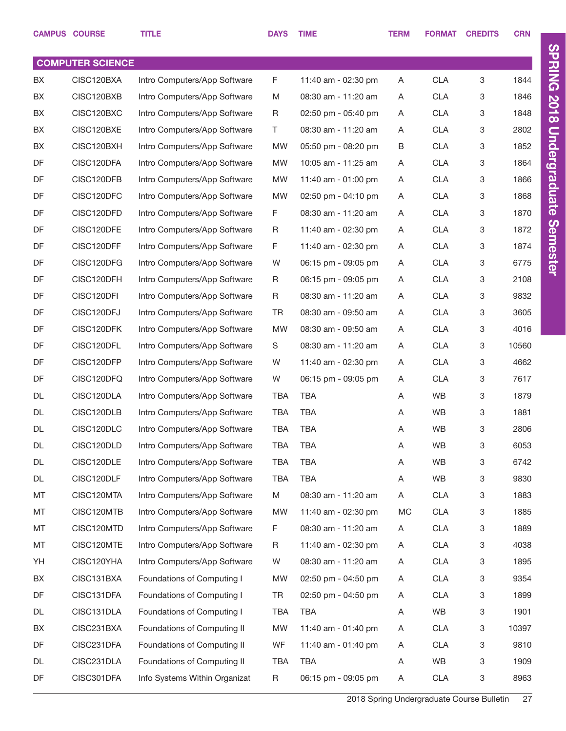|    | <b>CAMPUS COURSE</b>    | <b>TITLE</b>                  | <b>DAYS</b> | <b>TIME</b>         | <b>TERM</b> | <b>FORMAT</b> | <b>CREDITS</b> | <b>CRN</b> |
|----|-------------------------|-------------------------------|-------------|---------------------|-------------|---------------|----------------|------------|
|    | <b>COMPUTER SCIENCE</b> |                               |             |                     |             |               |                |            |
| BX | CISC120BXA              | Intro Computers/App Software  | F.          | 11:40 am - 02:30 pm | Α           | <b>CLA</b>    | 3              | 1844       |
| BX | CISC120BXB              | Intro Computers/App Software  | M           | 08:30 am - 11:20 am | A           | <b>CLA</b>    | 3              | 1846       |
| BX | CISC120BXC              | Intro Computers/App Software  | R           | 02:50 pm - 05:40 pm | A           | <b>CLA</b>    | 3              | 1848       |
| BX | CISC120BXE              | Intro Computers/App Software  | Τ           | 08:30 am - 11:20 am | A           | <b>CLA</b>    | 3              | 2802       |
| BX | CISC120BXH              | Intro Computers/App Software  | <b>MW</b>   | 05:50 pm - 08:20 pm | B           | <b>CLA</b>    | 3              | 1852       |
| DF | CISC120DFA              | Intro Computers/App Software  | <b>MW</b>   | 10:05 am - 11:25 am | A           | <b>CLA</b>    | 3              | 1864       |
| DF | CISC120DFB              | Intro Computers/App Software  | <b>MW</b>   | 11:40 am - 01:00 pm | A           | <b>CLA</b>    | 3              | 1866       |
| DF | CISC120DFC              | Intro Computers/App Software  | <b>MW</b>   | 02:50 pm - 04:10 pm | A           | <b>CLA</b>    | 3              | 1868       |
| DF | CISC120DFD              | Intro Computers/App Software  | F.          | 08:30 am - 11:20 am | A           | <b>CLA</b>    | 3              | 1870       |
| DF | CISC120DFE              | Intro Computers/App Software  | R           | 11:40 am - 02:30 pm | A           | <b>CLA</b>    | 3              | 1872       |
| DF | CISC120DFF              | Intro Computers/App Software  | F           | 11:40 am - 02:30 pm | A           | <b>CLA</b>    | 3              | 1874       |
| DF | CISC120DFG              | Intro Computers/App Software  | W           | 06:15 pm - 09:05 pm | A           | <b>CLA</b>    | 3              | 6775       |
| DF | CISC120DFH              | Intro Computers/App Software  | R           | 06:15 pm - 09:05 pm | A           | <b>CLA</b>    | 3              | 2108       |
| DF | CISC120DFI              | Intro Computers/App Software  | R           | 08:30 am - 11:20 am | A           | <b>CLA</b>    | 3              | 9832       |
| DF | CISC120DFJ              | Intro Computers/App Software  | TR          | 08:30 am - 09:50 am | A           | <b>CLA</b>    | 3              | 3605       |
| DF | CISC120DFK              | Intro Computers/App Software  | <b>MW</b>   | 08:30 am - 09:50 am | A           | <b>CLA</b>    | 3              | 4016       |
| DF | CISC120DFL              | Intro Computers/App Software  | S           | 08:30 am - 11:20 am | A           | <b>CLA</b>    | 3              | 10560      |
| DF | CISC120DFP              | Intro Computers/App Software  | W           | 11:40 am - 02:30 pm | Α           | <b>CLA</b>    | 3              | 4662       |
| DF | CISC120DFQ              | Intro Computers/App Software  | W           | 06:15 pm - 09:05 pm | A           | <b>CLA</b>    | 3              | 7617       |
| DL | CISC120DLA              | Intro Computers/App Software  | <b>TBA</b>  | <b>TBA</b>          | A           | WB            | 3              | 1879       |
| DL | CISC120DLB              | Intro Computers/App Software  | <b>TBA</b>  | <b>TBA</b>          | A           | <b>WB</b>     | 3              | 1881       |
| DL | CISC120DLC              | Intro Computers/App Software  | TBA         | <b>TBA</b>          | A           | <b>WB</b>     | 3              | 2806       |
| DL | CISC120DLD              | Intro Computers/App Software  | TBA         | <b>TBA</b>          | Α           | WB            | 3              | 6053       |
| DL | CISC120DLE              | Intro Computers/App Software  | TBA         | <b>TBA</b>          | Α           | WB            | 3              | 6742       |
| DL | CISC120DLF              | Intro Computers/App Software  | TBA         | TBA                 | Α           | WB            | 3              | 9830       |
| MT | CISC120MTA              | Intro Computers/App Software  | M           | 08:30 am - 11:20 am | Α           | <b>CLA</b>    | 3              | 1883       |
| MT | CISC120MTB              | Intro Computers/App Software  | MW          | 11:40 am - 02:30 pm | MC          | <b>CLA</b>    | 3              | 1885       |
| MT | CISC120MTD              | Intro Computers/App Software  | F.          | 08:30 am - 11:20 am | A           | <b>CLA</b>    | 3              | 1889       |
| MT | CISC120MTE              | Intro Computers/App Software  | R           | 11:40 am - 02:30 pm | Α           | <b>CLA</b>    | 3              | 4038       |
| YH | CISC120YHA              | Intro Computers/App Software  | W           | 08:30 am - 11:20 am | Α           | <b>CLA</b>    | 3              | 1895       |
| BX | CISC131BXA              | Foundations of Computing I    | MW          | 02:50 pm - 04:50 pm | Α           | <b>CLA</b>    | 3              | 9354       |
| DF | CISC131DFA              | Foundations of Computing I    | TR          | 02:50 pm - 04:50 pm | A           | <b>CLA</b>    | 3              | 1899       |
| DL | CISC131DLA              | Foundations of Computing I    | TBA         | <b>TBA</b>          | Α           | WB            | 3              | 1901       |
| BX | CISC231BXA              | Foundations of Computing II   | MW          | 11:40 am - 01:40 pm | Α           | <b>CLA</b>    | 3              | 10397      |
| DF | CISC231DFA              | Foundations of Computing II   | WF          | 11:40 am - 01:40 pm | Α           | <b>CLA</b>    | 3              | 9810       |
| DL | CISC231DLA              | Foundations of Computing II   | TBA         | TBA                 | Α           | WB            | 3              | 1909       |
| DF | CISC301DFA              | Info Systems Within Organizat | R           | 06:15 pm - 09:05 pm | A           | <b>CLA</b>    | 3              | 8963       |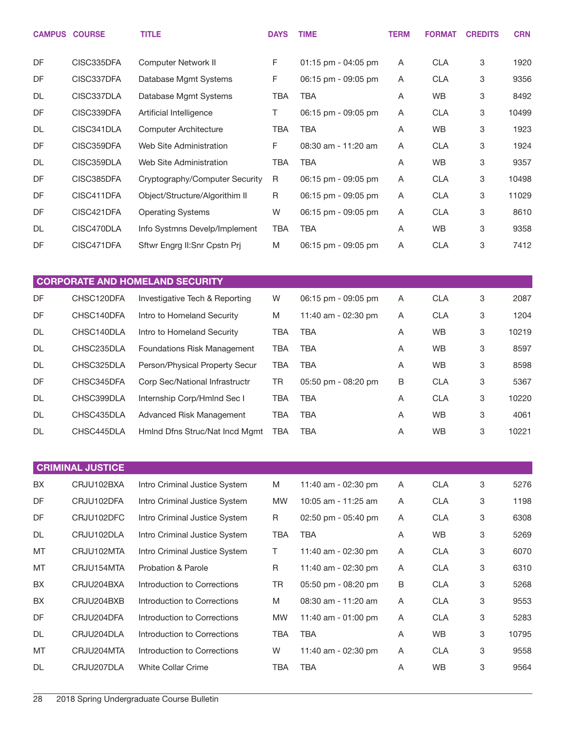|    | <b>CAMPUS COURSE</b>    | <b>TITLE</b>                           | <b>DAYS</b> | <b>TIME</b>         | <b>TERM</b> | <b>FORMAT</b> | <b>CREDITS</b>            | <b>CRN</b> |
|----|-------------------------|----------------------------------------|-------------|---------------------|-------------|---------------|---------------------------|------------|
| DF | CISC335DFA              | Computer Network II                    | F           | 01:15 pm - 04:05 pm | A           | <b>CLA</b>    | 3                         | 1920       |
| DF | CISC337DFA              | Database Mgmt Systems                  | F           | 06:15 pm - 09:05 pm | A           | <b>CLA</b>    | 3                         | 9356       |
| DL | CISC337DLA              | Database Mgmt Systems                  | TBA         | <b>TBA</b>          | A           | WB            | $\ensuremath{\mathsf{3}}$ | 8492       |
| DF | CISC339DFA              | Artificial Intelligence                | T.          | 06:15 pm - 09:05 pm | A           | <b>CLA</b>    | 3                         | 10499      |
| DL | CISC341DLA              | <b>Computer Architecture</b>           | TBA         | <b>TBA</b>          | A           | WB            | 3                         | 1923       |
| DF | CISC359DFA              | Web Site Administration                | F           | 08:30 am - 11:20 am | A           | <b>CLA</b>    | 3                         | 1924       |
| DL | CISC359DLA              | Web Site Administration                | <b>TBA</b>  | <b>TBA</b>          | A           | WB            | $\ensuremath{\mathsf{3}}$ | 9357       |
| DF | CISC385DFA              | Cryptography/Computer Security         | R           | 06:15 pm - 09:05 pm | A           | <b>CLA</b>    | 3                         | 10498      |
| DF | CISC411DFA              | Object/Structure/Algorithim II         | R           | 06:15 pm - 09:05 pm | A           | <b>CLA</b>    | 3                         | 11029      |
| DF | CISC421DFA              | <b>Operating Systems</b>               | W           | 06:15 pm - 09:05 pm | A           | <b>CLA</b>    | 3                         | 8610       |
| DL | CISC470DLA              | Info Systmns Develp/Implement          | <b>TBA</b>  | <b>TBA</b>          | A           | WB            | 3                         | 9358       |
| DF | CISC471DFA              | Sftwr Engrg II: Snr Cpstn Prj          | M           | 06:15 pm - 09:05 pm | Α           | <b>CLA</b>    | 3                         | 7412       |
|    |                         | <b>CORPORATE AND HOMELAND SECURITY</b> |             |                     |             |               |                           |            |
| DF | CHSC120DFA              | Investigative Tech & Reporting         | W           | 06:15 pm - 09:05 pm | A           | <b>CLA</b>    | 3                         | 2087       |
| DF | CHSC140DFA              | Intro to Homeland Security             | M           | 11:40 am - 02:30 pm | A           | <b>CLA</b>    | 3                         | 1204       |
| DL | CHSC140DLA              | Intro to Homeland Security             | <b>TBA</b>  | <b>TBA</b>          | A           | WB            | 3                         | 10219      |
| DL | CHSC235DLA              | Foundations Risk Management            | <b>TBA</b>  | <b>TBA</b>          | A           | WB            | 3                         | 8597       |
| DL | CHSC325DLA              | Person/Physical Property Secur         | <b>TBA</b>  | <b>TBA</b>          | A           | WB            | 3                         | 8598       |
| DF | CHSC345DFA              | Corp Sec/National Infrastructr         | TR          | 05:50 pm - 08:20 pm | В           | <b>CLA</b>    | 3                         | 5367       |
| DL | CHSC399DLA              | Internship Corp/Hmlnd Sec I            | <b>TBA</b>  | <b>TBA</b>          | A           | <b>CLA</b>    | 3                         | 10220      |
| DL | CHSC435DLA              | Advanced Risk Management               | <b>TBA</b>  | <b>TBA</b>          | A           | WB            | 3                         | 4061       |
| DL | CHSC445DLA              | Hmind Dfns Struc/Nat Incd Mgmt         | <b>TBA</b>  | <b>TBA</b>          | A           | WB            | 3                         | 10221      |
|    |                         |                                        |             |                     |             |               |                           |            |
|    | <b>CRIMINAL JUSTICE</b> |                                        |             |                     |             |               |                           |            |
| BX | CRJU102BXA              | Intro Criminal Justice System          | M           | 11:40 am - 02:30 pm | A           | <b>CLA</b>    | 3                         | 5276       |
| DF | CRJU102DFA              | Intro Criminal Justice System          | MW          | 10:05 am - 11:25 am | A           | <b>CLA</b>    | 3                         | 1198       |
| DF | CRJU102DFC              | Intro Criminal Justice System          | R           | 02:50 pm - 05:40 pm | A           | <b>CLA</b>    | 3                         | 6308       |
| DL | CRJU102DLA              | Intro Criminal Justice System          | <b>TBA</b>  | <b>TBA</b>          | A           | <b>WB</b>     | 3                         | 5269       |
| МT | CRJU102MTA              | Intro Criminal Justice System          | T.          | 11:40 am - 02:30 pm | A           | <b>CLA</b>    | 3                         | 6070       |
| МT | CRJU154MTA              | <b>Probation &amp; Parole</b>          | R           | 11:40 am - 02:30 pm | A           | <b>CLA</b>    | 3                         | 6310       |
| BX | CRJU204BXA              | Introduction to Corrections            | TR.         | 05:50 pm - 08:20 pm | B           | <b>CLA</b>    | 3                         | 5268       |
| BX | CRJU204BXB              | Introduction to Corrections            | M           | 08:30 am - 11:20 am | A           | <b>CLA</b>    | 3                         | 9553       |
| DF | CRJU204DFA              | Introduction to Corrections            | <b>MW</b>   | 11:40 am - 01:00 pm | A           | <b>CLA</b>    | 3                         | 5283       |
| DL | CRJU204DLA              | Introduction to Corrections            | TBA         | <b>TBA</b>          | A           | WB            | 3                         | 10795      |
| МT | CRJU204MTA              | Introduction to Corrections            | W           | 11:40 am - 02:30 pm | A           | <b>CLA</b>    | 3                         | 9558       |

DL CRJU207DLA White Collar Crime TBA TBA A WB 3 9564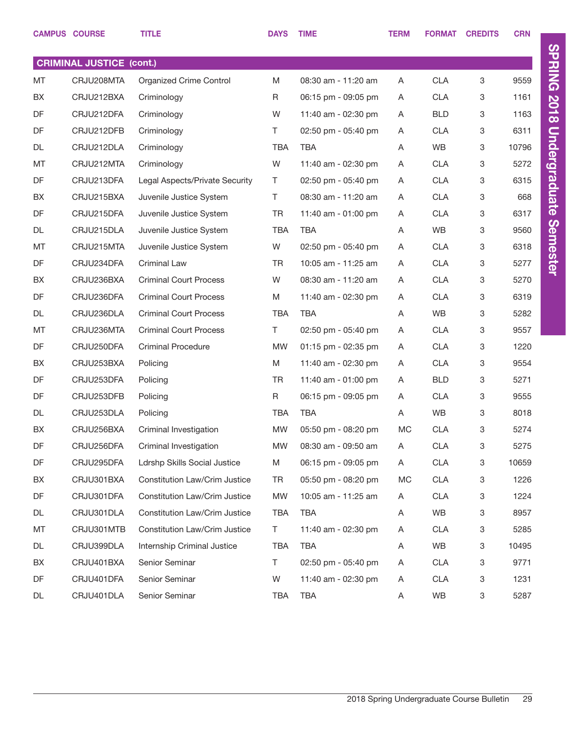|    | <b>CAMPUS COURSE</b>            | <b>TITLE</b>                         | <b>DAYS</b>  | <b>TIME</b>         | <b>TERM</b> | <b>FORMAT</b> | <b>CREDITS</b> | <b>CRN</b> |
|----|---------------------------------|--------------------------------------|--------------|---------------------|-------------|---------------|----------------|------------|
|    | <b>CRIMINAL JUSTICE (cont.)</b> |                                      |              |                     |             |               |                |            |
| MT | CRJU208MTA                      | <b>Organized Crime Control</b>       | M            | 08:30 am - 11:20 am | A           | <b>CLA</b>    | 3              | 9559       |
| BX | CRJU212BXA                      | Criminology                          | R            | 06:15 pm - 09:05 pm | A           | <b>CLA</b>    | 3              | 1161       |
| DF | CRJU212DFA                      | Criminology                          | W            | 11:40 am - 02:30 pm | A           | <b>BLD</b>    | 3              | 1163       |
| DF | CRJU212DFB                      | Criminology                          | T.           | 02:50 pm - 05:40 pm | A           | <b>CLA</b>    | 3              | 6311       |
| DL | CRJU212DLA                      | Criminology                          | TBA          | <b>TBA</b>          | A           | <b>WB</b>     | 3              | 10796      |
| MT | CRJU212MTA                      | Criminology                          | W            | 11:40 am - 02:30 pm | A           | <b>CLA</b>    | 3              | 5272       |
| DF | CRJU213DFA                      | Legal Aspects/Private Security       | T            | 02:50 pm - 05:40 pm | A           | <b>CLA</b>    | 3              | 6315       |
| BX | CRJU215BXA                      | Juvenile Justice System              | T.           | 08:30 am - 11:20 am | A           | <b>CLA</b>    | 3              | 668        |
| DF | CRJU215DFA                      | Juvenile Justice System              | <b>TR</b>    | 11:40 am - 01:00 pm | A           | <b>CLA</b>    | 3              | 6317       |
| DL | CRJU215DLA                      | Juvenile Justice System              | TBA          | TBA                 | A           | <b>WB</b>     | 3              | 9560       |
| MT | CRJU215MTA                      | Juvenile Justice System              | W            | 02:50 pm - 05:40 pm | A           | <b>CLA</b>    | 3              | 6318       |
| DF | CRJU234DFA                      | <b>Criminal Law</b>                  | TR           | 10:05 am - 11:25 am | A           | <b>CLA</b>    | 3              | 5277       |
| BX | CRJU236BXA                      | <b>Criminal Court Process</b>        | W            | 08:30 am - 11:20 am | A           | <b>CLA</b>    | 3              | 5270       |
| DF | CRJU236DFA                      | <b>Criminal Court Process</b>        | M            | 11:40 am - 02:30 pm | A           | <b>CLA</b>    | 3              | 6319       |
| DL | CRJU236DLA                      | <b>Criminal Court Process</b>        | <b>TBA</b>   | <b>TBA</b>          | A           | <b>WB</b>     | 3              | 5282       |
| MT | CRJU236MTA                      | <b>Criminal Court Process</b>        | $\mathsf{T}$ | 02:50 pm - 05:40 pm | A           | <b>CLA</b>    | 3              | 9557       |
| DF | CRJU250DFA                      | <b>Criminal Procedure</b>            | <b>MW</b>    | 01:15 pm - 02:35 pm | A           | <b>CLA</b>    | 3              | 1220       |
| BX | CRJU253BXA                      | Policing                             | M            | 11:40 am - 02:30 pm | A           | <b>CLA</b>    | 3              | 9554       |
| DF | CRJU253DFA                      | Policing                             | <b>TR</b>    | 11:40 am - 01:00 pm | A           | <b>BLD</b>    | 3              | 5271       |
| DF | CRJU253DFB                      | Policing                             | R            | 06:15 pm - 09:05 pm | A           | <b>CLA</b>    | 3              | 9555       |
| DL | CRJU253DLA                      | Policing                             | <b>TBA</b>   | <b>TBA</b>          | A           | <b>WB</b>     | 3              | 8018       |
| BX | CRJU256BXA                      | Criminal Investigation               | <b>MW</b>    | 05:50 pm - 08:20 pm | <b>MC</b>   | <b>CLA</b>    | 3              | 5274       |
| DF | CRJU256DFA                      | Criminal Investigation               | <b>MW</b>    | 08:30 am - 09:50 am | A           | CLA           | 3              | 5275       |
| DF | CRJU295DFA                      | Ldrshp Skills Social Justice         | M            | 06:15 pm - 09:05 pm | A           | <b>CLA</b>    | 3              | 10659      |
| BX | CRJU301BXA                      | Constitution Law/Crim Justice        | TR           | 05:50 pm - 08:20 pm | МC          | <b>CLA</b>    | 3              | 1226       |
| DF | CRJU301DFA                      | Constitution Law/Crim Justice        | MW           | 10:05 am - 11:25 am | A           | <b>CLA</b>    | 3              | 1224       |
| DL | CRJU301DLA                      | <b>Constitution Law/Crim Justice</b> | TBA          | TBA                 | Α           | WB            | 3              | 8957       |
| MT | CRJU301MTB                      | Constitution Law/Crim Justice        | T.           | 11:40 am - 02:30 pm | A           | <b>CLA</b>    | 3              | 5285       |
| DL | CRJU399DLA                      | Internship Criminal Justice          | TBA          | TBA                 | Α           | WB            | 3              | 10495      |
| BX | CRJU401BXA                      | Senior Seminar                       | T.           | 02:50 pm - 05:40 pm | A           | <b>CLA</b>    | 3              | 9771       |
| DF | CRJU401DFA                      | Senior Seminar                       | W            | 11:40 am - 02:30 pm | Α           | <b>CLA</b>    | 3              | 1231       |
| DL | CRJU401DLA                      | Senior Seminar                       | TBA          | TBA                 | Α           | WB            | 3              | 5287       |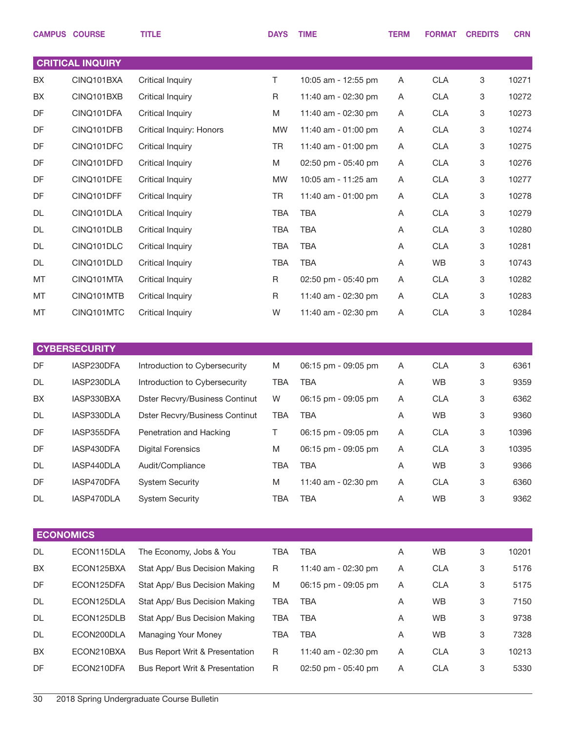|                  | <b>CAMPUS COURSE</b>    | <b>TITLE</b>                          | <b>DAYS</b> | <b>TIME</b>         | <b>TERM</b> | <b>FORMAT</b> | <b>CREDITS</b> | <b>CRN</b> |
|------------------|-------------------------|---------------------------------------|-------------|---------------------|-------------|---------------|----------------|------------|
|                  | <b>CRITICAL INQUIRY</b> |                                       |             |                     |             |               |                |            |
| BX               | CINQ101BXA              | <b>Critical Inquiry</b>               | T           | 10:05 am - 12:55 pm | Α           | <b>CLA</b>    | 3              | 10271      |
| BX               | CINQ101BXB              | <b>Critical Inquiry</b>               | R           | 11:40 am - 02:30 pm | Α           | <b>CLA</b>    | 3              | 10272      |
| DF               | CINQ101DFA              | <b>Critical Inquiry</b>               | M           | 11:40 am - 02:30 pm | Α           | <b>CLA</b>    | 3              | 10273      |
| DF               | CINQ101DFB              | <b>Critical Inquiry: Honors</b>       | <b>MW</b>   | 11:40 am - 01:00 pm | Α           | <b>CLA</b>    | 3              | 10274      |
| DF               | CINQ101DFC              | <b>Critical Inquiry</b>               | <b>TR</b>   | 11:40 am - 01:00 pm | Α           | <b>CLA</b>    | 3              | 10275      |
| DF               | CINQ101DFD              | <b>Critical Inquiry</b>               | M           | 02:50 pm - 05:40 pm | Α           | <b>CLA</b>    | 3              | 10276      |
| DF               | CINQ101DFE              | <b>Critical Inquiry</b>               | <b>MW</b>   | 10:05 am - 11:25 am | Α           | <b>CLA</b>    | 3              | 10277      |
| DF               | CINQ101DFF              | <b>Critical Inquiry</b>               | <b>TR</b>   | 11:40 am - 01:00 pm | Α           | <b>CLA</b>    | 3              | 10278      |
| DL               | CINQ101DLA              | <b>Critical Inquiry</b>               | <b>TBA</b>  | <b>TBA</b>          | Α           | <b>CLA</b>    | 3              | 10279      |
| DL               | CINQ101DLB              | Critical Inquiry                      | <b>TBA</b>  | <b>TBA</b>          | Α           | <b>CLA</b>    | 3              | 10280      |
| DL               | CINQ101DLC              | <b>Critical Inquiry</b>               | <b>TBA</b>  | <b>TBA</b>          | Α           | <b>CLA</b>    | 3              | 10281      |
| DL               | CINQ101DLD              | <b>Critical Inquiry</b>               | <b>TBA</b>  | <b>TBA</b>          | A           | <b>WB</b>     | 3              | 10743      |
| MT               | CINQ101MTA              | <b>Critical Inquiry</b>               | R           | 02:50 pm - 05:40 pm | Α           | <b>CLA</b>    | 3              | 10282      |
| MT               | CINQ101MTB              | <b>Critical Inquiry</b>               | R           | 11:40 am - 02:30 pm | Α           | <b>CLA</b>    | 3              | 10283      |
| MT               | CINQ101MTC              | <b>Critical Inquiry</b>               | W           | 11:40 am - 02:30 pm | Α           | <b>CLA</b>    | 3              | 10284      |
|                  |                         |                                       |             |                     |             |               |                |            |
|                  | <b>CYBERSECURITY</b>    |                                       |             |                     |             |               |                |            |
| DF               | IASP230DFA              | Introduction to Cybersecurity         | M           | 06:15 pm - 09:05 pm | Α           | <b>CLA</b>    | 3              | 6361       |
| DL               | IASP230DLA              | Introduction to Cybersecurity         | <b>TBA</b>  | <b>TBA</b>          | Α           | WB            | 3              | 9359       |
| BX               | IASP330BXA              | <b>Dster Recvry/Business Continut</b> | W           | 06:15 pm - 09:05 pm | Α           | <b>CLA</b>    | 3              | 6362       |
| DL               | IASP330DLA              | <b>Dster Recvry/Business Continut</b> | <b>TBA</b>  | <b>TBA</b>          | Α           | <b>WB</b>     | 3              | 9360       |
| DF               | IASP355DFA              | Penetration and Hacking               | $\top$      | 06:15 pm - 09:05 pm | Α           | <b>CLA</b>    | 3              | 10396      |
| DF               | IASP430DFA              | <b>Digital Forensics</b>              | M           | 06:15 pm - 09:05 pm | A           | <b>CLA</b>    | 3              | 10395      |
| DL               | IASP440DLA              | Audit/Compliance                      | <b>TBA</b>  | <b>TBA</b>          | Α           | WB            | 3              | 9366       |
| DF               | IASP470DFA              | <b>System Security</b>                | M           | 11:40 am - 02:30 pm | Α           | <b>CLA</b>    | 3              | 6360       |
| DL               | IASP470DLA              | <b>System Security</b>                | <b>TBA</b>  | <b>TBA</b>          | A           | WB            | 3              | 9362       |
|                  |                         |                                       |             |                     |             |               |                |            |
| <b>ECONOMICS</b> |                         |                                       |             |                     |             |               |                |            |
| DL               | ECON115DLA              | The Economy, Jobs & You               | <b>TBA</b>  | <b>TBA</b>          | A           | WB            | 3              | 10201      |
| BX               | ECON125BXA              | Stat App/ Bus Decision Making         | R           | 11:40 am - 02:30 pm | Α           | <b>CLA</b>    | 3              | 5176       |
| DF               | ECON125DFA              | Stat App/ Bus Decision Making         | M           | 06:15 pm - 09:05 pm | Α           | <b>CLA</b>    | 3              | 5175       |
| DL               | ECON125DLA              | Stat App/ Bus Decision Making         | TBA         | <b>TBA</b>          | Α           | WB            | 3              | 7150       |
| DL               | ECON125DLB              | Stat App/ Bus Decision Making         | TBA         | <b>TBA</b>          | Α           | WB            | 3              | 9738       |
| DL               | ECON200DLA              | Managing Your Money                   | <b>TBA</b>  | <b>TBA</b>          | Α           | WB            | 3              | 7328       |
| BX               | ECON210BXA              | Bus Report Writ & Presentation        | R           | 11:40 am - 02:30 pm | Α           | <b>CLA</b>    | 3              | 10213      |
| DF               | ECON210DFA              | Bus Report Writ & Presentation        | R           | 02:50 pm - 05:40 pm | A           | CLA           | 3              | 5330       |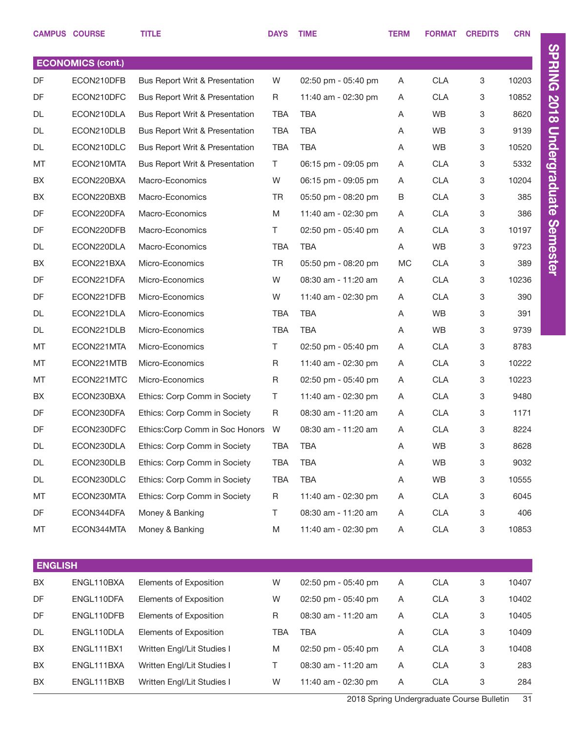|                | <b>CAMPUS COURSE</b>     | <b>TITLE</b>                   | <b>DAYS</b> | <b>TIME</b>         | <b>TERM</b> | <b>FORMAT</b> | <b>CREDITS</b> | <b>CRN</b> |
|----------------|--------------------------|--------------------------------|-------------|---------------------|-------------|---------------|----------------|------------|
|                | <b>ECONOMICS (cont.)</b> |                                |             |                     |             |               |                |            |
| DF             | ECON210DFB               | Bus Report Writ & Presentation | W           | 02:50 pm - 05:40 pm | A           | <b>CLA</b>    | 3              | 10203      |
| DF             | ECON210DFC               | Bus Report Writ & Presentation | R           | 11:40 am - 02:30 pm | A           | <b>CLA</b>    | 3              | 10852      |
| DL             | ECON210DLA               | Bus Report Writ & Presentation | <b>TBA</b>  | <b>TBA</b>          | A           | <b>WB</b>     | 3              | 8620       |
| DL             | ECON210DLB               | Bus Report Writ & Presentation | <b>TBA</b>  | TBA                 | A           | <b>WB</b>     | 3              | 9139       |
| DL             | ECON210DLC               | Bus Report Writ & Presentation | <b>TBA</b>  | <b>TBA</b>          | Α           | <b>WB</b>     | 3              | 10520      |
| MT             | ECON210MTA               | Bus Report Writ & Presentation | T.          | 06:15 pm - 09:05 pm | A           | <b>CLA</b>    | 3              | 5332       |
| BX             | ECON220BXA               | Macro-Economics                | W           | 06:15 pm - 09:05 pm | A           | <b>CLA</b>    | 3              | 10204      |
| BX             | ECON220BXB               | Macro-Economics                | <b>TR</b>   | 05:50 pm - 08:20 pm | B           | <b>CLA</b>    | 3              | 385        |
| DF             | ECON220DFA               | Macro-Economics                | M           | 11:40 am - 02:30 pm | A           | <b>CLA</b>    | 3              | 386        |
| DF             | ECON220DFB               | Macro-Economics                | T.          | 02:50 pm - 05:40 pm | A           | <b>CLA</b>    | 3              | 10197      |
| DL             | ECON220DLA               | Macro-Economics                | TBA         | <b>TBA</b>          | A           | <b>WB</b>     | 3              | 9723       |
| BX             | ECON221BXA               | Micro-Economics                | <b>TR</b>   | 05:50 pm - 08:20 pm | <b>MC</b>   | <b>CLA</b>    | 3              | 389        |
| DF             | ECON221DFA               | Micro-Economics                | W           | 08:30 am - 11:20 am | A           | <b>CLA</b>    | 3              | 10236      |
| DF             | ECON221DFB               | Micro-Economics                | W           | 11:40 am - 02:30 pm | A           | <b>CLA</b>    | 3              | 390        |
| DL             | ECON221DLA               | Micro-Economics                | <b>TBA</b>  | <b>TBA</b>          | A           | <b>WB</b>     | 3              | 391        |
| DL             | ECON221DLB               | Micro-Economics                | <b>TBA</b>  | TBA                 | Α           | <b>WB</b>     | 3              | 9739       |
| MT             | ECON221MTA               | Micro-Economics                | T.          | 02:50 pm - 05:40 pm | A           | <b>CLA</b>    | 3              | 8783       |
| MT             | ECON221MTB               | Micro-Economics                | R           | 11:40 am - 02:30 pm | A           | <b>CLA</b>    | 3              | 10222      |
| MT             | ECON221MTC               | Micro-Economics                | R           | 02:50 pm - 05:40 pm | A           | <b>CLA</b>    | 3              | 10223      |
| BX             | ECON230BXA               | Ethics: Corp Comm in Society   | Τ           | 11:40 am - 02:30 pm | A           | <b>CLA</b>    | 3              | 9480       |
| DF             | ECON230DFA               | Ethics: Corp Comm in Society   | R           | 08:30 am - 11:20 am | A           | <b>CLA</b>    | 3              | 1171       |
| DF             | ECON230DFC               | Ethics:Corp Comm in Soc Honors | W           | 08:30 am - 11:20 am | A           | <b>CLA</b>    | 3              | 8224       |
| DL             | ECON230DLA               | Ethics: Corp Comm in Society   | <b>TBA</b>  | TBA                 | Α           | WB            | 3              | 8628       |
| DL             | ECON230DLB               | Ethics: Corp Comm in Society   | <b>TBA</b>  | <b>TBA</b>          | Α           | WB            | 3              | 9032       |
| DL             | ECON230DLC               | Ethics: Corp Comm in Society   | TBA         | TBA                 | Α           | WB            | 3              | 10555      |
| MT             | ECON230MTA               | Ethics: Corp Comm in Society   | R           | 11:40 am - 02:30 pm | Α           | <b>CLA</b>    | 3              | 6045       |
| DF             | ECON344DFA               | Money & Banking                | T.          | 08:30 am - 11:20 am | A           | <b>CLA</b>    | 3              | 406        |
| MT             | ECON344MTA               | Money & Banking                | M           | 11:40 am - 02:30 pm | Α           | CLA           | 3              | 10853      |
| <b>ENGLISH</b> |                          |                                |             |                     |             |               |                |            |
| BX             | ENGL110BXA               | Elements of Exposition         | W           | 02:50 pm - 05:40 pm | Α           | CLA           | 3              | 10407      |
| DF             | ENGL110DFA               | Elements of Exposition         | W           | 02:50 pm - 05:40 pm | Α           | <b>CLA</b>    | 3              | 10402      |
| DF             | ENGL110DFB               | Elements of Exposition         | $\mathsf R$ | 08:30 am - 11:20 am | Α           | <b>CLA</b>    | 3              | 10405      |
| DL             | ENGL110DLA               | Elements of Exposition         | <b>TBA</b>  | <b>TBA</b>          | Α           | <b>CLA</b>    | 3              | 10409      |
| BX             | ENGL111BX1               | Written Engl/Lit Studies I     | M           | 02:50 pm - 05:40 pm | Α           | <b>CLA</b>    | 3              | 10408      |
| BX             | ENGL111BXA               | Written Engl/Lit Studies I     | T.          | 08:30 am - 11:20 am | Α           | <b>CLA</b>    | 3              | 283        |
| BX             | ENGL111BXB               | Written Engl/Lit Studies I     | W           | 11:40 am - 02:30 pm | A           | CLA           | 3              | 284        |

2018 Spring Undergraduate Course Bulletin 31

SPRING 2018 Undergraduate Semester

SPRING 2018 Undergraduate Semester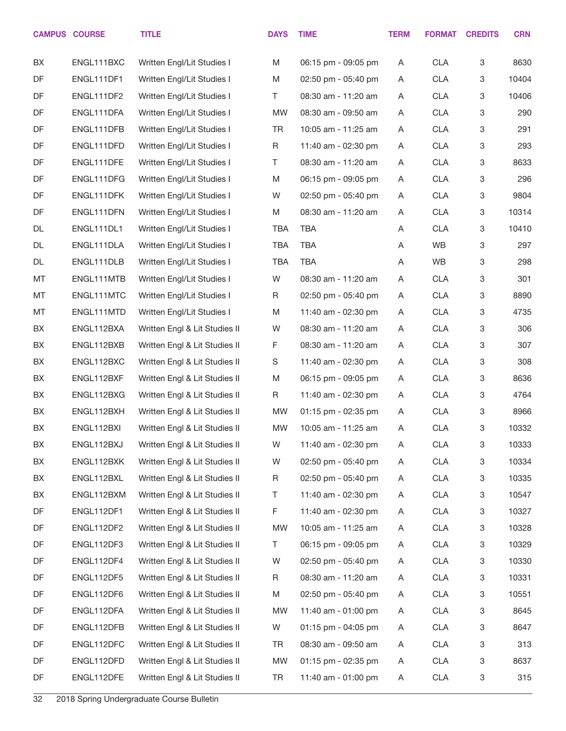|    | <b>CAMPUS COURSE</b> | <b>TITLE</b>                  | <b>DAYS</b> | <b>TIME</b>         | <b>TERM</b> | <b>FORMAT</b> | <b>CREDITS</b> | <b>CRN</b> |
|----|----------------------|-------------------------------|-------------|---------------------|-------------|---------------|----------------|------------|
| BX | ENGL111BXC           | Written Engl/Lit Studies I    | M           | 06:15 pm - 09:05 pm | A           | <b>CLA</b>    | 3              | 8630       |
| DF | ENGL111DF1           | Written Engl/Lit Studies I    | M           | 02:50 pm - 05:40 pm | A           | <b>CLA</b>    | 3              | 10404      |
| DF | ENGL111DF2           | Written Engl/Lit Studies I    | Τ           | 08:30 am - 11:20 am | A           | <b>CLA</b>    | 3              | 10406      |
| DF | ENGL111DFA           | Written Engl/Lit Studies I    | MW          | 08:30 am - 09:50 am | Α           | <b>CLA</b>    | 3              | 290        |
| DF | ENGL111DFB           | Written Engl/Lit Studies I    | <b>TR</b>   | 10:05 am - 11:25 am | A           | <b>CLA</b>    | 3              | 291        |
| DF | ENGL111DFD           | Written Engl/Lit Studies I    | R           | 11:40 am - 02:30 pm | A           | <b>CLA</b>    | 3              | 293        |
| DF | ENGL111DFE           | Written Engl/Lit Studies I    | Τ           | 08:30 am - 11:20 am | Α           | <b>CLA</b>    | 3              | 8633       |
| DF | ENGL111DFG           | Written Engl/Lit Studies I    | M           | 06:15 pm - 09:05 pm | A           | <b>CLA</b>    | 3              | 296        |
| DF | ENGL111DFK           | Written Engl/Lit Studies I    | W           | 02:50 pm - 05:40 pm | A           | <b>CLA</b>    | 3              | 9804       |
| DF | ENGL111DFN           | Written Engl/Lit Studies I    | M           | 08:30 am - 11:20 am | Α           | <b>CLA</b>    | 3              | 10314      |
| DL | ENGL111DL1           | Written Engl/Lit Studies I    | <b>TBA</b>  | TBA                 | A           | <b>CLA</b>    | 3              | 10410      |
| DL | ENGL111DLA           | Written Engl/Lit Studies I    | <b>TBA</b>  | <b>TBA</b>          | Α           | WB            | 3              | 297        |
| DL | ENGL111DLB           | Written Engl/Lit Studies I    | <b>TBA</b>  | <b>TBA</b>          | A           | WB            | 3              | 298        |
| MT | ENGL111MTB           | Written Engl/Lit Studies I    | W           | 08:30 am - 11:20 am | A           | <b>CLA</b>    | 3              | 301        |
| MT | ENGL111MTC           | Written Engl/Lit Studies I    | R           | 02:50 pm - 05:40 pm | A           | <b>CLA</b>    | 3              | 8890       |
| MT | ENGL111MTD           | Written Engl/Lit Studies I    | M           | 11:40 am - 02:30 pm | Α           | <b>CLA</b>    | 3              | 4735       |
| BX | ENGL112BXA           | Written Engl & Lit Studies II | W           | 08:30 am - 11:20 am | A           | <b>CLA</b>    | 3              | 306        |
| BX | ENGL112BXB           | Written Engl & Lit Studies II | F.          | 08:30 am - 11:20 am | Α           | <b>CLA</b>    | 3              | 307        |
| BX | ENGL112BXC           | Written Engl & Lit Studies II | S           | 11:40 am - 02:30 pm | A           | <b>CLA</b>    | 3              | 308        |
| BX | ENGL112BXF           | Written Engl & Lit Studies II | M           | 06:15 pm - 09:05 pm | A           | <b>CLA</b>    | 3              | 8636       |
| BX | ENGL112BXG           | Written Engl & Lit Studies II | R           | 11:40 am - 02:30 pm | A           | <b>CLA</b>    | 3              | 4764       |
| BX | ENGL112BXH           | Written Engl & Lit Studies II | MW          | 01:15 pm - 02:35 pm | A           | <b>CLA</b>    | 3              | 8966       |
| BX | ENGL112BXI           | Written Engl & Lit Studies II | <b>MW</b>   | 10:05 am - 11:25 am | A           | <b>CLA</b>    | 3              | 10332      |
| BX | ENGL112BXJ           | Written Engl & Lit Studies II | W           | 11:40 am - 02:30 pm | A           | <b>CLA</b>    | 3              | 10333      |
| BX | ENGL112BXK           | Written Engl & Lit Studies II | W           | 02:50 pm - 05:40 pm | Α           | <b>CLA</b>    | 3              | 10334      |
| BX | ENGL112BXL           | Written Engl & Lit Studies II | R           | 02:50 pm - 05:40 pm | A           | CLA           | 3              | 10335      |
| BX | ENGL112BXM           | Written Engl & Lit Studies II | Τ           | 11:40 am - 02:30 pm | A           | CLA           | 3              | 10547      |
| DF | ENGL112DF1           | Written Engl & Lit Studies II | F.          | 11:40 am - 02:30 pm | A           | CLA           | 3              | 10327      |
| DF | ENGL112DF2           | Written Engl & Lit Studies II | MW          | 10:05 am - 11:25 am | Α           | CLA           | 3              | 10328      |
| DF | ENGL112DF3           | Written Engl & Lit Studies II | Τ           | 06:15 pm - 09:05 pm | A           | CLA           | 3              | 10329      |
| DF | ENGL112DF4           | Written Engl & Lit Studies II | W           | 02:50 pm - 05:40 pm | A           | CLA           | 3              | 10330      |
| DF | ENGL112DF5           | Written Engl & Lit Studies II | R           | 08:30 am - 11:20 am | A           | CLA           | 3              | 10331      |
| DF | ENGL112DF6           | Written Engl & Lit Studies II | M           | 02:50 pm - 05:40 pm | A           | CLA           | 3              | 10551      |
| DF | ENGL112DFA           | Written Engl & Lit Studies II | MW          | 11:40 am - 01:00 pm | A           | CLA           | 3              | 8645       |
| DF | ENGL112DFB           | Written Engl & Lit Studies II | W           | 01:15 pm - 04:05 pm | A           | CLA           | 3              | 8647       |
| DF | ENGL112DFC           | Written Engl & Lit Studies II | TR          | 08:30 am - 09:50 am | A           | CLA           | 3              | 313        |
| DF | ENGL112DFD           | Written Engl & Lit Studies II | MW          | 01:15 pm - 02:35 pm | A           | CLA           | 3              | 8637       |
| DF | ENGL112DFE           | Written Engl & Lit Studies II | TR          | 11:40 am - 01:00 pm | A           | <b>CLA</b>    | 3              | 315        |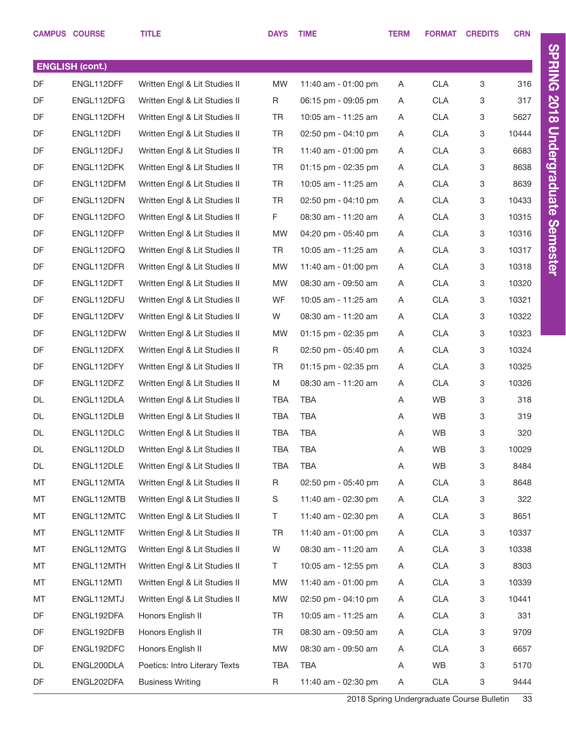|           | <b>CAMPUS COURSE</b>   | <b>TITLE</b>                  | <b>DAYS</b> | <b>TIME</b>           | <b>TERM</b> | <b>FORMAT</b> | <b>CREDITS</b> | <b>CRN</b> |
|-----------|------------------------|-------------------------------|-------------|-----------------------|-------------|---------------|----------------|------------|
|           |                        |                               |             |                       |             |               |                |            |
|           | <b>ENGLISH (cont.)</b> |                               |             |                       |             |               |                |            |
| <b>DF</b> | ENGL112DFF             | Written Engl & Lit Studies II | MW.         | 11:40 am - 01:00 pm   | A           | <b>CLA</b>    | 3              | 316        |
| <b>DF</b> | ENGL112DFG             | Written Engl & Lit Studies II | R           | 06:15 pm - 09:05 pm   | A           | <b>CLA</b>    | 3              | 317        |
| DF        | ENGL112DFH             | Written Engl & Lit Studies II | <b>TR</b>   | 10:05 am - 11:25 am   | A           | <b>CLA</b>    | 3              | 5627       |
| DF        | ENGL112DFI             | Written Engl & Lit Studies II | TR          | 02:50 pm - 04:10 pm   | A           | <b>CLA</b>    | 3              | 10444      |
| DF        | ENGL112DFJ             | Written Engl & Lit Studies II | <b>TR</b>   | 11:40 am - 01:00 pm   | A           | <b>CLA</b>    | 3              | 6683       |
| DF        | ENGL112DFK             | Written Engl & Lit Studies II | <b>TR</b>   | $01:15$ pm - 02:35 pm | A           | <b>CLA</b>    | 3              | 8638       |
| DF        | ENGL112DFM             | Written Engl & Lit Studies II | <b>TR</b>   | 10:05 am - 11:25 am   | A           | <b>CLA</b>    | 3              | 8639       |
| DF        | ENGL112DFN             | Written Engl & Lit Studies II | TR          | 02:50 pm - 04:10 pm   | A           | <b>CLA</b>    | 3              | 10433      |
| DF        | ENGL112DFO             | Written Engl & Lit Studies II | F.          | 08:30 am - 11:20 am   | A           | <b>CLA</b>    | 3              | 10315      |
| DF        | ENGL112DFP             | Written Engl & Lit Studies II | <b>MW</b>   | 04:20 pm - 05:40 pm   | A           | <b>CLA</b>    | 3              | 10316      |
| DF        | ENGL112DFQ             | Written Engl & Lit Studies II | TR          | 10:05 am - 11:25 am   | A           | <b>CLA</b>    | 3              | 10317      |
| DF        | ENGL112DFR             | Written Engl & Lit Studies II | <b>MW</b>   | 11:40 am - 01:00 pm   | A           | <b>CLA</b>    | 3              | 10318      |
| DF        | ENGL112DFT             | Written Engl & Lit Studies II | <b>MW</b>   | 08:30 am - 09:50 am   | A           | <b>CLA</b>    | 3              | 10320      |
| DF        | ENGL112DFU             | Written Engl & Lit Studies II | WF          | 10:05 am - 11:25 am   | A           | <b>CLA</b>    | 3              | 10321      |
| DF        | ENGL112DFV             | Written Engl & Lit Studies II | W           | 08:30 am - 11:20 am   | A           | <b>CLA</b>    | 3              | 10322      |
| DF        | ENGL112DFW             | Written Engl & Lit Studies II | <b>MW</b>   | $01:15$ pm - 02:35 pm | A           | <b>CLA</b>    | 3              | 10323      |
| DF        | ENGL112DFX             | Written Engl & Lit Studies II | R           | 02:50 pm - 05:40 pm   | A           | <b>CLA</b>    | 3              | 10324      |
| DF        | ENGL112DFY             | Written Engl & Lit Studies II | <b>TR</b>   | $01:15$ pm - 02:35 pm | A           | <b>CLA</b>    | 3              | 10325      |
| DF        | ENGL112DFZ             | Written Engl & Lit Studies II | M           | 08:30 am - 11:20 am   | A           | <b>CLA</b>    | 3              | 10326      |
| DL        | ENGL112DLA             | Written Engl & Lit Studies II | TBA         | <b>TBA</b>            | A           | WB            | 3              | 318        |
| DL        | ENGL112DLB             | Written Engl & Lit Studies II | TBA         | TBA                   | A           | <b>WB</b>     | 3              | 319        |
| DL        | ENGL112DLC             | Written Engl & Lit Studies II | TBA         | <b>TBA</b>            | A           | <b>WB</b>     | 3              | 320        |
| DL        | ENGL112DLD             | Written Engl & Lit Studies II | TBA         | <b>TBA</b>            | Α           | WB            | 3              | 10029      |
| DL        | ENGL112DLE             | Written Engl & Lit Studies II | TBA         | <b>TBA</b>            | A           | WB            | 3              | 8484       |
| МT        | ENGL112MTA             | Written Engl & Lit Studies II | R           | 02:50 pm - 05:40 pm   | A           | <b>CLA</b>    | 3              | 8648       |
| МT        | ENGL112MTB             | Written Engl & Lit Studies II | S           | 11:40 am - 02:30 pm   | A           | <b>CLA</b>    | 3              | 322        |
| МT        | ENGL112MTC             | Written Engl & Lit Studies II | T.          | 11:40 am - 02:30 pm   | A           | <b>CLA</b>    | 3              | 8651       |
| МT        | ENGL112MTF             | Written Engl & Lit Studies II | TR          | 11:40 am - 01:00 pm   | A           | <b>CLA</b>    | 3              | 10337      |
| МT        | ENGL112MTG             | Written Engl & Lit Studies II | W           | 08:30 am - 11:20 am   | A           | <b>CLA</b>    | 3              | 10338      |
| МT        | ENGL112MTH             | Written Engl & Lit Studies II | T.          | 10:05 am - 12:55 pm   | A           | <b>CLA</b>    | 3              | 8303       |
| МT        | ENGL112MTI             | Written Engl & Lit Studies II | <b>MW</b>   | 11:40 am - 01:00 pm   | A           | <b>CLA</b>    | 3              | 10339      |
| МT        | ENGL112MTJ             | Written Engl & Lit Studies II | <b>MW</b>   | 02:50 pm - 04:10 pm   | A           | <b>CLA</b>    | 3              | 10441      |
| DF        | ENGL192DFA             | Honors English II             | TR          | 10:05 am - 11:25 am   | A           | <b>CLA</b>    | 3              | 331        |
| DF        | ENGL192DFB             | Honors English II             | TR          | 08:30 am - 09:50 am   | A           | <b>CLA</b>    | 3              | 9709       |
| DF        | ENGL192DFC             | Honors English II             | <b>MW</b>   | 08:30 am - 09:50 am   | A           | <b>CLA</b>    | 3              | 6657       |
| DL        | ENGL200DLA             | Poetics: Intro Literary Texts | TBA         | <b>TBA</b>            | A           | WB            | 3              | 5170       |
| DF        | ENGL202DFA             | <b>Business Writing</b>       | R           | 11:40 am - 02:30 pm   | A           | <b>CLA</b>    | 3              | 9444       |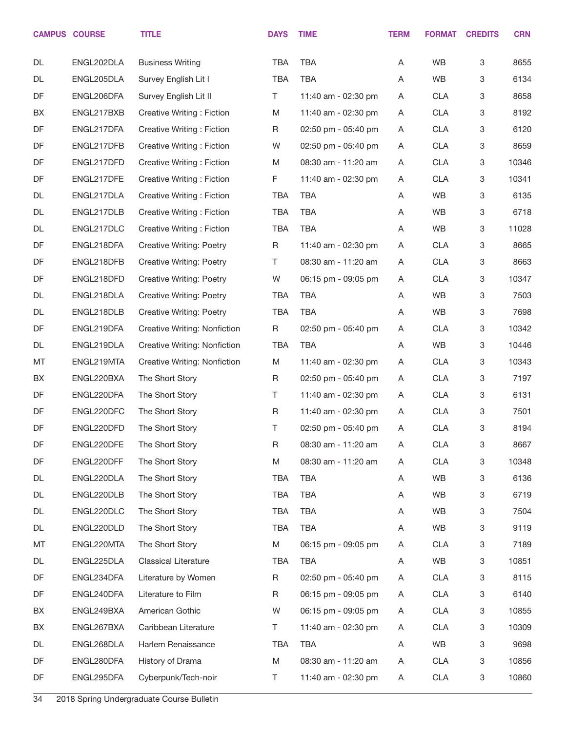|    | <b>CAMPUS COURSE</b> | <b>TITLE</b>                    | <b>DAYS</b> | <b>TIME</b>             | <b>TERM</b> | <b>FORMAT</b> | <b>CREDITS</b>            | <b>CRN</b> |
|----|----------------------|---------------------------------|-------------|-------------------------|-------------|---------------|---------------------------|------------|
| DL | ENGL202DLA           | <b>Business Writing</b>         | <b>TBA</b>  | <b>TBA</b>              | A           | <b>WB</b>     | 3                         | 8655       |
| DL | ENGL205DLA           | Survey English Lit I            | <b>TBA</b>  | <b>TBA</b>              | A           | WB            | 3                         | 6134       |
| DF | ENGL206DFA           | Survey English Lit II           | T           | 11:40 am - 02:30 pm     | A           | <b>CLA</b>    | 3                         | 8658       |
| BX | ENGL217BXB           | Creative Writing: Fiction       | M           | 11:40 am - 02:30 pm     | A           | <b>CLA</b>    | 3                         | 8192       |
| DF | ENGL217DFA           | Creative Writing: Fiction       | R           | $02:50$ pm - $05:40$ pm | A           | <b>CLA</b>    | 3                         | 6120       |
| DF | ENGL217DFB           | Creative Writing: Fiction       | W           | 02:50 pm - 05:40 pm     | A           | <b>CLA</b>    | 3                         | 8659       |
| DF | ENGL217DFD           | Creative Writing: Fiction       | M           | 08:30 am - 11:20 am     | A           | <b>CLA</b>    | 3                         | 10346      |
| DF | ENGL217DFE           | Creative Writing: Fiction       | F.          | 11:40 am - 02:30 pm     | A           | <b>CLA</b>    | 3                         | 10341      |
| DL | ENGL217DLA           | Creative Writing: Fiction       | <b>TBA</b>  | <b>TBA</b>              | A           | WB            | 3                         | 6135       |
| DL | ENGL217DLB           | Creative Writing: Fiction       | <b>TBA</b>  | <b>TBA</b>              | A           | <b>WB</b>     | 3                         | 6718       |
| DL | ENGL217DLC           | Creative Writing: Fiction       | <b>TBA</b>  | <b>TBA</b>              | A           | WB            | 3                         | 11028      |
| DF | ENGL218DFA           | <b>Creative Writing: Poetry</b> | R           | 11:40 am - 02:30 pm     | A           | <b>CLA</b>    | 3                         | 8665       |
| DF | ENGL218DFB           | Creative Writing: Poetry        | T.          | 08:30 am - 11:20 am     | A           | <b>CLA</b>    | 3                         | 8663       |
| DF | ENGL218DFD           | <b>Creative Writing: Poetry</b> | W           | 06:15 pm - 09:05 pm     | A           | <b>CLA</b>    | 3                         | 10347      |
| DL | ENGL218DLA           | <b>Creative Writing: Poetry</b> | <b>TBA</b>  | <b>TBA</b>              | A           | WB            | 3                         | 7503       |
| DL | ENGL218DLB           | Creative Writing: Poetry        | <b>TBA</b>  | TBA                     | A           | WB            | 3                         | 7698       |
| DF | ENGL219DFA           | Creative Writing: Nonfiction    | R           | 02:50 pm - 05:40 pm     | A           | <b>CLA</b>    | 3                         | 10342      |
| DL | ENGL219DLA           | Creative Writing: Nonfiction    | <b>TBA</b>  | <b>TBA</b>              | A           | WB            | 3                         | 10446      |
| MT | ENGL219MTA           | Creative Writing: Nonfiction    | M           | 11:40 am - 02:30 pm     | A           | <b>CLA</b>    | 3                         | 10343      |
| BX | ENGL220BXA           | The Short Story                 | R           | 02:50 pm - 05:40 pm     | A           | <b>CLA</b>    | 3                         | 7197       |
| DF | ENGL220DFA           | The Short Story                 | T           | 11:40 am - 02:30 pm     | A           | <b>CLA</b>    | 3                         | 6131       |
| DF | ENGL220DFC           | The Short Story                 | R           | 11:40 am - 02:30 pm     | A           | <b>CLA</b>    | 3                         | 7501       |
| DF | ENGL220DFD           | The Short Story                 | $\top$      | 02:50 pm - 05:40 pm     | A           | <b>CLA</b>    | $\ensuremath{\mathsf{3}}$ | 8194       |
| DF | ENGL220DFE           | The Short Story                 | R           | 08:30 am - 11:20 am     | Α           | <b>CLA</b>    | 3                         | 8667       |
| DF | ENGL220DFF           | The Short Story                 | M           | 08:30 am - 11:20 am     | Α           | <b>CLA</b>    | 3                         | 10348      |
| DL | ENGL220DLA           | The Short Story                 | TBA         | <b>TBA</b>              | Α           | WB            | 3                         | 6136       |
| DL | ENGL220DLB           | The Short Story                 | <b>TBA</b>  | <b>TBA</b>              | A           | WB            | 3                         | 6719       |
| DL | ENGL220DLC           | The Short Story                 | <b>TBA</b>  | <b>TBA</b>              | Α           | WB            | 3                         | 7504       |
| DL | ENGL220DLD           | The Short Story                 | <b>TBA</b>  | <b>TBA</b>              | Α           | WB            | 3                         | 9119       |
| МT | ENGL220MTA           | The Short Story                 | M           | 06:15 pm - 09:05 pm     | A           | <b>CLA</b>    | $\mathbf 3$               | 7189       |
| DL | ENGL225DLA           | <b>Classical Literature</b>     | <b>TBA</b>  | <b>TBA</b>              | Α           | WB            | $\mathbf 3$               | 10851      |
| DF | ENGL234DFA           | Literature by Women             | R           | 02:50 pm - 05:40 pm     | Α           | <b>CLA</b>    | 3                         | 8115       |
| DF | ENGL240DFA           | Literature to Film              | R           | 06:15 pm - 09:05 pm     | A           | <b>CLA</b>    | $\mathbf 3$               | 6140       |
| BX | ENGL249BXA           | American Gothic                 | W           | 06:15 pm - 09:05 pm     | A           | <b>CLA</b>    | 3                         | 10855      |
| BX | ENGL267BXA           | Caribbean Literature            | T.          | 11:40 am - 02:30 pm     | A           | <b>CLA</b>    | 3                         | 10309      |
| DL | ENGL268DLA           | Harlem Renaissance              | TBA         | <b>TBA</b>              | Α           | WB            | $\mathbf 3$               | 9698       |
| DF | ENGL280DFA           | History of Drama                | M           | 08:30 am - 11:20 am     | Α           | <b>CLA</b>    | 3                         | 10856      |
| DF | ENGL295DFA           | Cyberpunk/Tech-noir             | T           | 11:40 am - 02:30 pm     | A           | <b>CLA</b>    | $\mathbf 3$               | 10860      |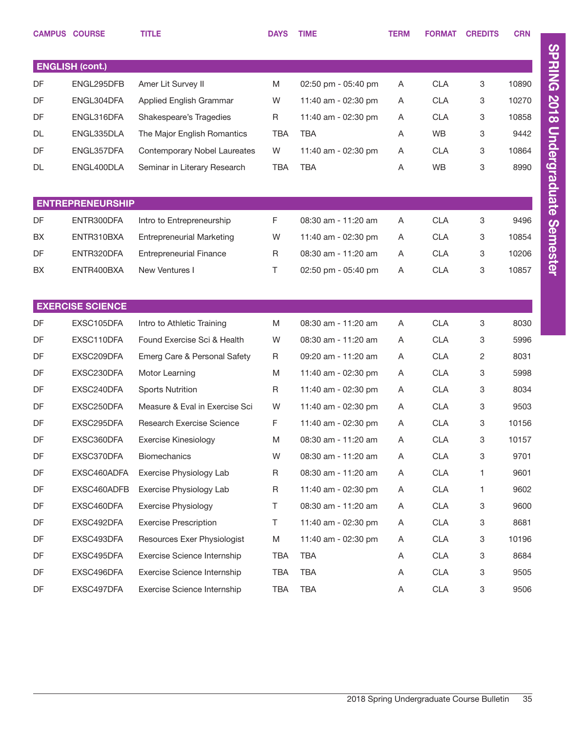|           | <b>CAMPUS COURSE</b>    | <b>TITLE</b>                     | <b>DAYS</b> | <b>TIME</b>         | <b>TERM</b> | <b>FORMAT</b> | <b>CREDITS</b> | <b>CRN</b> |
|-----------|-------------------------|----------------------------------|-------------|---------------------|-------------|---------------|----------------|------------|
|           | <b>ENGLISH (cont.)</b>  |                                  |             |                     |             |               |                |            |
| DF        | ENGL295DFB              | Amer Lit Survey II               | M           | 02:50 pm - 05:40 pm | A           | <b>CLA</b>    | 3              | 10890      |
| DF        | ENGL304DFA              | Applied English Grammar          | W           | 11:40 am - 02:30 pm | A           | <b>CLA</b>    | 3              | 10270      |
| DF        | ENGL316DFA              | Shakespeare's Tragedies          | R           | 11:40 am - 02:30 pm | A           | <b>CLA</b>    | 3              | 10858      |
| <b>DL</b> | ENGL335DLA              | The Major English Romantics      | <b>TBA</b>  | <b>TBA</b>          | A           | <b>WB</b>     | 3              | 9442       |
| DF        | ENGL357DFA              | Contemporary Nobel Laureates     | W           | 11:40 am - 02:30 pm | A           | <b>CLA</b>    | 3              | 10864      |
| <b>DL</b> | ENGL400DLA              | Seminar in Literary Research     | <b>TBA</b>  | <b>TBA</b>          | A           | WB            | 3              | 8990       |
|           | <b>ENTREPRENEURSHIP</b> |                                  |             |                     |             |               |                |            |
| DF        | ENTR300DFA              | Intro to Entrepreneurship        | F           | 08:30 am - 11:20 am | A           | <b>CLA</b>    | 3              | 9496       |
| <b>BX</b> | ENTR310BXA              | <b>Entrepreneurial Marketing</b> | W           | 11:40 am - 02:30 pm | A           | <b>CLA</b>    | 3              | 10854      |
| DF        | ENTR320DFA              | <b>Entrepreneurial Finance</b>   | R           | 08:30 am - 11:20 am | A           | <b>CLA</b>    | 3              | 10206      |
| BX        | ENTR400BXA              | New Ventures I                   | T           | 02:50 pm - 05:40 pm | A           | <b>CLA</b>    | 3              | 10857      |
|           |                         |                                  |             |                     |             |               |                |            |
|           | <b>EXERCISE SCIENCE</b> |                                  |             |                     |             |               |                |            |
| DF        | EXSC105DFA              | Intro to Athletic Training       | M           | 08:30 am - 11:20 am | A           | <b>CLA</b>    | 3              | 8030       |
| DF        | EXSC110DFA              | Found Exercise Sci & Health      | W           | 08:30 am - 11:20 am | A           | <b>CLA</b>    | 3              | 5996       |
| DF        | EXSC209DFA              | Emerg Care & Personal Safety     | R           | 09:20 am - 11:20 am | A           | <b>CLA</b>    | 2              | 8031       |
| DF        | EXSC230DFA              | Motor Learning                   | M           | 11:40 am - 02:30 pm | A           | <b>CLA</b>    | 3              | 5998       |
| DF        | EXSC240DFA              | <b>Sports Nutrition</b>          | R           | 11:40 am - 02:30 pm | A           | <b>CLA</b>    | 3              | 8034       |
| DF        | EXSC250DFA              | Measure & Eval in Exercise Sci   | W           | 11:40 am - 02:30 pm | A           | <b>CLA</b>    | 3              | 9503       |
| DF        | EXSC295DFA              | <b>Research Exercise Science</b> | F           | 11:40 am - 02:30 pm | A           | <b>CLA</b>    | 3              | 10156      |
| DF        | EXSC360DFA              | <b>Exercise Kinesiology</b>      | M           | 08:30 am - 11:20 am | Α           | <b>CLA</b>    | 3              | 10157      |
| DF        | EXSC370DFA              | <b>Biomechanics</b>              | W           | 08:30 am - 11:20 am | A           | <b>CLA</b>    | 3              | 9701       |
| DF        | EXSC460ADFA             | Exercise Physiology Lab          | R           | 08:30 am - 11:20 am | A           | <b>CLA</b>    | 1              | 9601       |
| DF        | EXSC460ADFB             | Exercise Physiology Lab          | R           | 11:40 am - 02:30 pm | A           | <b>CLA</b>    | 1              | 9602       |
| DF        | EXSC460DFA              | <b>Exercise Physiology</b>       | T.          | 08:30 am - 11:20 am | A           | <b>CLA</b>    | 3              | 9600       |
| DF        | EXSC492DFA              | <b>Exercise Prescription</b>     | Τ           | 11:40 am - 02:30 pm | A           | <b>CLA</b>    | 3              | 8681       |
| DF        | EXSC493DFA              | Resources Exer Physiologist      | M           | 11:40 am - 02:30 pm | A           | <b>CLA</b>    | 3              | 10196      |
| DF        | EXSC495DFA              | Exercise Science Internship      | <b>TBA</b>  | TBA                 | Α           | <b>CLA</b>    | 3              | 8684       |
| DF        | EXSC496DFA              | Exercise Science Internship      | <b>TBA</b>  | TBA                 | Α           | <b>CLA</b>    | 3              | 9505       |
| DF        | EXSC497DFA              | Exercise Science Internship      | TBA         | TBA                 | A           | CLA           | 3              | 9506       |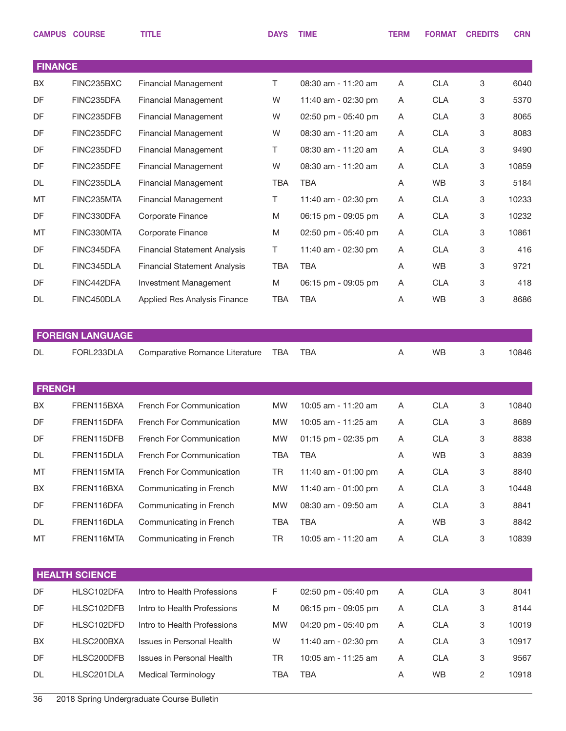|                | <b>CAMPUS COURSE</b>    | <b>TITLE</b>                        | <b>DAYS</b> | <b>TIME</b>         | <b>TERM</b> | <b>FORMAT</b> | <b>CREDITS</b> | <b>CRN</b> |
|----------------|-------------------------|-------------------------------------|-------------|---------------------|-------------|---------------|----------------|------------|
|                |                         |                                     |             |                     |             |               |                |            |
| <b>FINANCE</b> |                         |                                     |             |                     |             |               |                |            |
| BX             | FINC235BXC              | <b>Financial Management</b>         | Τ           | 08:30 am - 11:20 am | Α           | <b>CLA</b>    | 3              | 6040       |
| DF             | FINC235DFA              | <b>Financial Management</b>         | W           | 11:40 am - 02:30 pm | Α           | <b>CLA</b>    | 3              | 5370       |
| DF             | FINC235DFB              | <b>Financial Management</b>         | W           | 02:50 pm - 05:40 pm | Α           | <b>CLA</b>    | 3              | 8065       |
| DF             | FINC235DFC              | <b>Financial Management</b>         | W           | 08:30 am - 11:20 am | Α           | <b>CLA</b>    | 3              | 8083       |
| DF             | FINC235DFD              | <b>Financial Management</b>         | Τ           | 08:30 am - 11:20 am | Α           | <b>CLA</b>    | 3              | 9490       |
| DF             | FINC235DFE              | <b>Financial Management</b>         | W           | 08:30 am - 11:20 am | Α           | <b>CLA</b>    | 3              | 10859      |
| <b>DL</b>      | FINC235DLA              | <b>Financial Management</b>         | <b>TBA</b>  | <b>TBA</b>          | Α           | WB            | 3              | 5184       |
| MT             | FINC235MTA              | <b>Financial Management</b>         | Τ           | 11:40 am - 02:30 pm | Α           | <b>CLA</b>    | 3              | 10233      |
| DF             | FINC330DFA              | Corporate Finance                   | M           | 06:15 pm - 09:05 pm | Α           | <b>CLA</b>    | 3              | 10232      |
| MT             | FINC330MTA              | Corporate Finance                   | M           | 02:50 pm - 05:40 pm | Α           | <b>CLA</b>    | 3              | 10861      |
| DF             | FINC345DFA              | <b>Financial Statement Analysis</b> | Τ           | 11:40 am - 02:30 pm | Α           | <b>CLA</b>    | 3              | 416        |
| <b>DL</b>      | FINC345DLA              | <b>Financial Statement Analysis</b> | <b>TBA</b>  | <b>TBA</b>          | Α           | WB            | 3              | 9721       |
| DF             | FINC442DFA              | Investment Management               | M           | 06:15 pm - 09:05 pm | Α           | <b>CLA</b>    | 3              | 418        |
| DL             | FINC450DLA              | Applied Res Analysis Finance        | <b>TBA</b>  | <b>TBA</b>          | Α           | WB            | 3              | 8686       |
|                |                         |                                     |             |                     |             |               |                |            |
|                | <b>FOREIGN LANGUAGE</b> |                                     |             |                     |             |               |                |            |
| DL             | FORL233DLA              | Comparative Romance Literature      | <b>TBA</b>  | <b>TBA</b>          | A           | <b>WB</b>     | 3              | 10846      |
|                |                         |                                     |             |                     |             |               |                |            |
| <b>FRENCH</b>  |                         |                                     |             |                     |             |               |                |            |
| BX             | FREN115BXA              | French For Communication            | <b>MW</b>   | 10:05 am - 11:20 am | Α           | <b>CLA</b>    | 3              | 10840      |
| DF             | FREN115DFA              | French For Communication            | <b>MW</b>   | 10:05 am - 11:25 am |             | <b>CLA</b>    | 3              | 8689       |
|                | FREN115DFB              |                                     |             |                     | Α           |               | 3              | 8838       |
| DF             |                         | French For Communication            | MW          | 01:15 pm - 02:35 pm | A           | <b>CLA</b>    |                |            |
| DL             | FREN115DLA              | French For Communication            | <b>TBA</b>  | <b>TBA</b>          | Α           | WB            | 3              | 8839       |
| MT             | FREN115MTA              | French For Communication            | TR          | 11:40 am - 01:00 pm | Α           | <b>CLA</b>    | 3              | 8840       |
| BX             | FREN116BXA              | Communicating in French             | MW          | 11:40 am - 01:00 pm | Α           | <b>CLA</b>    | 3              | 10448      |
| DF             | FREN116DFA              | Communicating in French             | <b>MW</b>   | 08:30 am - 09:50 am | Α           | <b>CLA</b>    | 3              | 8841       |
| DL             | FREN116DLA              | Communicating in French             | <b>TBA</b>  | <b>TBA</b>          | Α           | WB            | 3              | 8842       |
| MT             | FREN116MTA              | Communicating in French             | TR          | 10:05 am - 11:20 am | Α           | <b>CLA</b>    | 3              | 10839      |
|                |                         |                                     |             |                     |             |               |                |            |
|                | <b>HEALTH SCIENCE</b>   |                                     |             |                     |             |               |                |            |
| DF             | HLSC102DFA              | Intro to Health Professions         | F           | 02:50 pm - 05:40 pm | Α           | <b>CLA</b>    | 3              | 8041       |
| DF             | HLSC102DFB              | Intro to Health Professions         | M           | 06:15 pm - 09:05 pm | Α           | <b>CLA</b>    | 3              | 8144       |
| DF             | HLSC102DFD              | Intro to Health Professions         | <b>MW</b>   | 04:20 pm - 05:40 pm | Α           | <b>CLA</b>    | 3              | 10019      |
| BX             | HLSC200BXA              | Issues in Personal Health           | W           | 11:40 am - 02:30 pm | Α           | <b>CLA</b>    | 3              | 10917      |
| DF             | HLSC200DFB              | Issues in Personal Health           | <b>TR</b>   | 10:05 am - 11:25 am | Α           | <b>CLA</b>    | 3              | 9567       |
| DL             | HLSC201DLA              | <b>Medical Terminology</b>          | TBA         | <b>TBA</b>          | Α           | WB            | 2              | 10918      |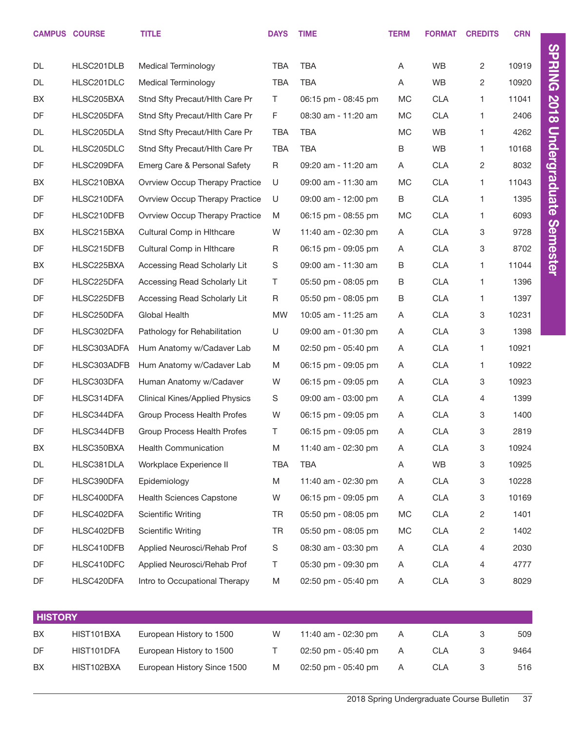|                | <b>CAMPUS COURSE</b> | <b>TITLE</b>                          | <b>DAYS</b> | <b>TIME</b>         | <b>TERM</b> |            | <b>FORMAT CREDITS</b> | <b>CRN</b> |
|----------------|----------------------|---------------------------------------|-------------|---------------------|-------------|------------|-----------------------|------------|
|                |                      |                                       |             |                     |             |            |                       |            |
| DL             | HLSC201DLB           | <b>Medical Terminology</b>            | <b>TBA</b>  | <b>TBA</b>          | Α           | WB         | $\overline{2}$        | 10919      |
| DL             | HLSC201DLC           | <b>Medical Terminology</b>            | <b>TBA</b>  | <b>TBA</b>          | Α           | <b>WB</b>  | 2                     | 10920      |
| BX             | HLSC205BXA           | Stnd Sfty Precaut/Hith Care Pr        | T.          | 06:15 pm - 08:45 pm | MC          | <b>CLA</b> | 1.                    | 11041      |
| DF             | HLSC205DFA           | Stnd Sfty Precaut/Hith Care Pr        | F.          | 08:30 am - 11:20 am | МC          | <b>CLA</b> | 1.                    | 2406       |
| DL             | HLSC205DLA           | Stnd Sfty Precaut/Hith Care Pr        | <b>TBA</b>  | <b>TBA</b>          | МC          | WB         | 1.                    | 4262       |
| DL             | HLSC205DLC           | Stnd Sfty Precaut/Hlth Care Pr        | <b>TBA</b>  | <b>TBA</b>          | B           | WB         | 1.                    | 10168      |
| DF             | HLSC209DFA           | Emerg Care & Personal Safety          | R           | 09:20 am - 11:20 am | A           | <b>CLA</b> | 2                     | 8032       |
| BX             | HLSC210BXA           | Ovrview Occup Therapy Practice        | U           | 09:00 am - 11:30 am | MC.         | <b>CLA</b> | 1.                    | 11043      |
| DF             | HLSC210DFA           | Ovrview Occup Therapy Practice        | U           | 09:00 am - 12:00 pm | B           | <b>CLA</b> | 1.                    | 1395       |
| DF             | HLSC210DFB           | Ovrview Occup Therapy Practice        | M           | 06:15 pm - 08:55 pm | <b>MC</b>   | <b>CLA</b> | 1.                    | 6093       |
| BX             | HLSC215BXA           | <b>Cultural Comp in Hithcare</b>      | W           | 11:40 am - 02:30 pm | A           | <b>CLA</b> | 3                     | 9728       |
| DF             | HLSC215DFB           | <b>Cultural Comp in Hithcare</b>      | R           | 06:15 pm - 09:05 pm | A           | <b>CLA</b> | 3                     | 8702       |
| BX             | HLSC225BXA           | Accessing Read Scholarly Lit          | S           | 09:00 am - 11:30 am | B           | <b>CLA</b> | 1.                    | 11044      |
| DF             | HLSC225DFA           | Accessing Read Scholarly Lit          | Τ           | 05:50 pm - 08:05 pm | B           | <b>CLA</b> | 1.                    | 1396       |
| DF             | HLSC225DFB           | Accessing Read Scholarly Lit          | R           | 05:50 pm - 08:05 pm | B           | <b>CLA</b> | 1.                    | 1397       |
| DF             | HLSC250DFA           | Global Health                         | <b>MW</b>   | 10:05 am - 11:25 am | A           | <b>CLA</b> | 3                     | 10231      |
| DF             | HLSC302DFA           | Pathology for Rehabilitation          | U           | 09:00 am - 01:30 pm | A           | <b>CLA</b> | 3                     | 1398       |
| DF             | HLSC303ADFA          | Hum Anatomy w/Cadaver Lab             | M           | 02:50 pm - 05:40 pm | A           | <b>CLA</b> | 1.                    | 10921      |
| DF             | HLSC303ADFB          | Hum Anatomy w/Cadaver Lab             | M           | 06:15 pm - 09:05 pm | A           | <b>CLA</b> | 1.                    | 10922      |
| DF             | HLSC303DFA           | Human Anatomy w/Cadaver               | W           | 06:15 pm - 09:05 pm | A           | <b>CLA</b> | 3                     | 10923      |
| DF             | HLSC314DFA           | <b>Clinical Kines/Applied Physics</b> | S           | 09:00 am - 03:00 pm | A           | <b>CLA</b> | 4                     | 1399       |
| DF             | HLSC344DFA           | Group Process Health Profes           | W           | 06:15 pm - 09:05 pm | A           | <b>CLA</b> | 3                     | 1400       |
| DF             | HLSC344DFB           | Group Process Health Profes           | T.          | 06:15 pm - 09:05 pm | Α           | <b>CLA</b> | 3                     | 2819       |
| BX             | HLSC350BXA           | <b>Health Communication</b>           | M           | 11:40 am - 02:30 pm | Α           | <b>CLA</b> | 3                     | 10924      |
| DL             | HLSC381DLA           | Workplace Experience II               | <b>TBA</b>  | <b>TBA</b>          | Α           | WB         | 3                     | 10925      |
| DF             | HLSC390DFA           | Epidemiology                          | M           | 11:40 am - 02:30 pm | Α           | <b>CLA</b> | 3                     | 10228      |
| DF             | HLSC400DFA           | <b>Health Sciences Capstone</b>       | W           | 06:15 pm - 09:05 pm | Α           | <b>CLA</b> | 3                     | 10169      |
| DF             | HLSC402DFA           | <b>Scientific Writing</b>             | <b>TR</b>   | 05:50 pm - 08:05 pm | MC          | <b>CLA</b> | 2                     | 1401       |
| DF             | HLSC402DFB           | <b>Scientific Writing</b>             | TR          | 05:50 pm - 08:05 pm | MC          | <b>CLA</b> | 2                     | 1402       |
| DF             | HLSC410DFB           | Applied Neurosci/Rehab Prof           | S           | 08:30 am - 03:30 pm | A           | <b>CLA</b> | 4                     | 2030       |
| DF             | HLSC410DFC           | Applied Neurosci/Rehab Prof           | Τ           | 05:30 pm - 09:30 pm | A           | <b>CLA</b> | 4                     | 4777       |
| DF             | HLSC420DFA           | Intro to Occupational Therapy         | M           | 02:50 pm - 05:40 pm | Α           | <b>CLA</b> | 3                     | 8029       |
|                |                      |                                       |             |                     |             |            |                       |            |
| <b>HISTORY</b> |                      |                                       |             |                     |             |            |                       |            |
| BX             | HIST101BXA           | European History to 1500              | W           | 11:40 am - 02:30 pm | Α           | <b>CLA</b> | 3                     | 509        |
| DF             | HIST101DFA           | European History to 1500              | Τ           | 02:50 pm - 05:40 pm | A           | <b>CLA</b> | 3                     | 9464       |
| BX             | HIST102BXA           | European History Since 1500           | M           | 02:50 pm - 05:40 pm | A           | <b>CLA</b> | 3                     | 516        |

SPRING 2018 Undergraduate Semester

SPRING 2018 Undergraduate Semester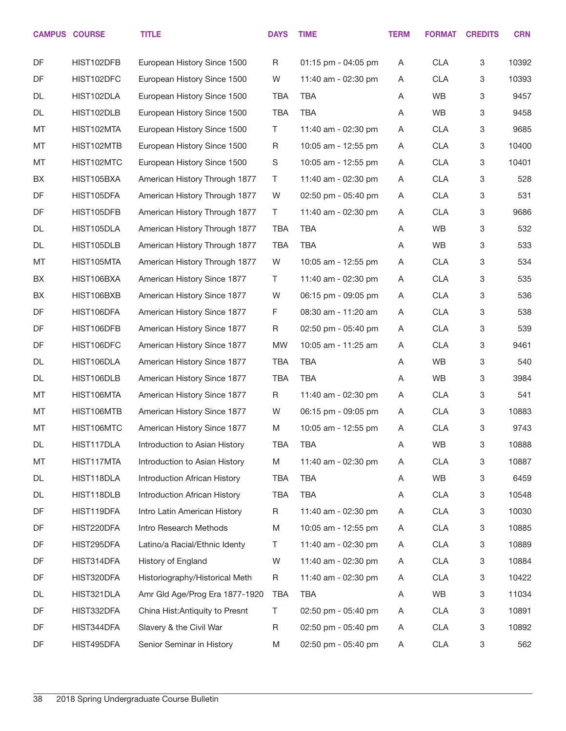|    | <b>CAMPUS COURSE</b> | <b>TITLE</b>                    | <b>DAYS</b> | <b>TIME</b>         | <b>TERM</b> | <b>FORMAT</b> | <b>CREDITS</b> | <b>CRN</b> |
|----|----------------------|---------------------------------|-------------|---------------------|-------------|---------------|----------------|------------|
| DF | HIST102DFB           | European History Since 1500     | R           | 01:15 pm - 04:05 pm | A           | <b>CLA</b>    | 3              | 10392      |
| DF | HIST102DFC           | European History Since 1500     | W           | 11:40 am - 02:30 pm | Α           | <b>CLA</b>    | 3              | 10393      |
| DL | HIST102DLA           | European History Since 1500     | <b>TBA</b>  | <b>TBA</b>          | Α           | WB            | 3              | 9457       |
| DL | HIST102DLB           | European History Since 1500     | <b>TBA</b>  | <b>TBA</b>          | Α           | WB            | 3              | 9458       |
| MT | HIST102MTA           | European History Since 1500     | Τ           | 11:40 am - 02:30 pm | Α           | <b>CLA</b>    | 3              | 9685       |
| MT | HIST102MTB           | European History Since 1500     | R           | 10:05 am - 12:55 pm | A           | <b>CLA</b>    | 3              | 10400      |
| MT | HIST102MTC           | European History Since 1500     | S           | 10:05 am - 12:55 pm | A           | <b>CLA</b>    | 3              | 10401      |
| BX | HIST105BXA           | American History Through 1877   | Τ           | 11:40 am - 02:30 pm | A           | <b>CLA</b>    | 3              | 528        |
| DF | HIST105DFA           | American History Through 1877   | W           | 02:50 pm - 05:40 pm | Α           | <b>CLA</b>    | 3              | 531        |
| DF | HIST105DFB           | American History Through 1877   | Τ           | 11:40 am - 02:30 pm | A           | <b>CLA</b>    | 3              | 9686       |
| DL | HIST105DLA           | American History Through 1877   | <b>TBA</b>  | <b>TBA</b>          | Α           | WB            | 3              | 532        |
| DL | HIST105DLB           | American History Through 1877   | <b>TBA</b>  | <b>TBA</b>          | Α           | WB            | 3              | 533        |
| MT | HIST105MTA           | American History Through 1877   | W           | 10:05 am - 12:55 pm | Α           | <b>CLA</b>    | 3              | 534        |
| BX | HIST106BXA           | American History Since 1877     | Τ           | 11:40 am - 02:30 pm | A           | <b>CLA</b>    | 3              | 535        |
| BX | HIST106BXB           | American History Since 1877     | W           | 06:15 pm - 09:05 pm | A           | <b>CLA</b>    | 3              | 536        |
| DF | HIST106DFA           | American History Since 1877     | F           | 08:30 am - 11:20 am | Α           | <b>CLA</b>    | 3              | 538        |
| DF | HIST106DFB           | American History Since 1877     | R           | 02:50 pm - 05:40 pm | A           | <b>CLA</b>    | 3              | 539        |
| DF | HIST106DFC           | American History Since 1877     | <b>MW</b>   | 10:05 am - 11:25 am | Α           | <b>CLA</b>    | 3              | 9461       |
| DL | HIST106DLA           | American History Since 1877     | <b>TBA</b>  | <b>TBA</b>          | Α           | WB            | 3              | 540        |
| DL | HIST106DLB           | American History Since 1877     | <b>TBA</b>  | <b>TBA</b>          | Α           | WB            | 3              | 3984       |
| MT | HIST106MTA           | American History Since 1877     | R           | 11:40 am - 02:30 pm | Α           | <b>CLA</b>    | 3              | 541        |
| MT | HIST106MTB           | American History Since 1877     | W           | 06:15 pm - 09:05 pm | Α           | <b>CLA</b>    | 3              | 10883      |
| MT | HIST106MTC           | American History Since 1877     | M           | 10:05 am - 12:55 pm | Α           | <b>CLA</b>    | 3              | 9743       |
| DL | HIST117DLA           | Introduction to Asian History   | TBA         | TBA                 | Α           | WB            | 3              | 10888      |
| MT | HIST117MTA           | Introduction to Asian History   | M           | 11:40 am - 02:30 pm | Α           | <b>CLA</b>    | 3              | 10887      |
| DL | HIST118DLA           | Introduction African History    | <b>TBA</b>  | <b>TBA</b>          | Α           | WB            | 3              | 6459       |
| DL | HIST118DLB           | Introduction African History    | <b>TBA</b>  | <b>TBA</b>          | Α           | <b>CLA</b>    | 3              | 10548      |
| DF | HIST119DFA           | Intro Latin American History    | R           | 11:40 am - 02:30 pm | Α           | <b>CLA</b>    | 3              | 10030      |
| DF | HIST220DFA           | Intro Research Methods          | M           | 10:05 am - 12:55 pm | Α           | <b>CLA</b>    | 3              | 10885      |
| DF | HIST295DFA           | Latino/a Racial/Ethnic Identy   | Τ           | 11:40 am - 02:30 pm | Α           | <b>CLA</b>    | 3              | 10889      |
| DF | HIST314DFA           | History of England              | W           | 11:40 am - 02:30 pm | Α           | <b>CLA</b>    | 3              | 10884      |
| DF | HIST320DFA           | Historiography/Historical Meth  | R           | 11:40 am - 02:30 pm | Α           | <b>CLA</b>    | 3              | 10422      |
| DL | HIST321DLA           | Amr Gld Age/Prog Era 1877-1920  | TBA         | <b>TBA</b>          | Α           | WB            | 3              | 11034      |
| DF | HIST332DFA           | China Hist: Antiquity to Presnt | Τ           | 02:50 pm - 05:40 pm | Α           | <b>CLA</b>    | 3              | 10891      |
| DF | HIST344DFA           | Slavery & the Civil War         | R           | 02:50 pm - 05:40 pm | Α           | <b>CLA</b>    | 3              | 10892      |
| DF | HIST495DFA           | Senior Seminar in History       | M           | 02:50 pm - 05:40 pm | Α           | <b>CLA</b>    | 3              | 562        |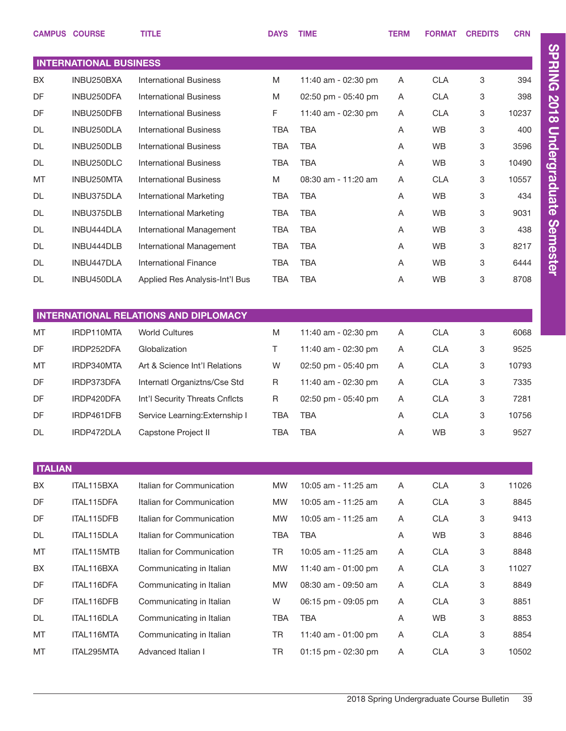|                                              | <b>CAMPUS COURSE</b>          | <b>TITLE</b>                   | <b>DAYS</b> | <b>TIME</b>         | <b>TERM</b> | <b>FORMAT</b> | <b>CREDITS</b> | <b>CRN</b> |  |  |
|----------------------------------------------|-------------------------------|--------------------------------|-------------|---------------------|-------------|---------------|----------------|------------|--|--|
|                                              | <b>INTERNATIONAL BUSINESS</b> |                                |             |                     |             |               |                |            |  |  |
| BX                                           | INBU250BXA                    | <b>International Business</b>  | M           | 11:40 am - 02:30 pm | A           | <b>CLA</b>    | 3              | 394        |  |  |
| DF                                           | INBU250DFA                    | <b>International Business</b>  | M           | 02:50 pm - 05:40 pm | A           | <b>CLA</b>    | 3              | 398        |  |  |
| DF                                           | INBU250DFB                    | <b>International Business</b>  | F           | 11:40 am - 02:30 pm | A           | <b>CLA</b>    | 3              | 10237      |  |  |
| DL                                           | INBU250DLA                    | <b>International Business</b>  | <b>TBA</b>  | TBA                 | A           | WB            | 3              | 400        |  |  |
| DL                                           | INBU250DLB                    | <b>International Business</b>  | <b>TBA</b>  | <b>TBA</b>          | Α           | WB            | 3              | 3596       |  |  |
| DL                                           | INBU250DLC                    | <b>International Business</b>  | <b>TBA</b>  | TBA                 | Α           | WB            | 3              | 10490      |  |  |
| MT                                           | INBU250MTA                    | <b>International Business</b>  | M           | 08:30 am - 11:20 am | Α           | <b>CLA</b>    | 3              | 10557      |  |  |
| DL                                           | INBU375DLA                    | <b>International Marketing</b> | <b>TBA</b>  | TBA                 | A           | WB            | 3              | 434        |  |  |
| DL                                           | INBU375DLB                    | International Marketing        | <b>TBA</b>  | <b>TBA</b>          | Α           | WB            | 3              | 9031       |  |  |
| DL                                           | INBU444DLA                    | International Management       | <b>TBA</b>  | <b>TBA</b>          | Α           | WB            | 3              | 438        |  |  |
| DL                                           | INBU444DLB                    | International Management       | <b>TBA</b>  | <b>TBA</b>          | Α           | WB            | 3              | 8217       |  |  |
| DL                                           | INBU447DLA                    | <b>International Finance</b>   | <b>TBA</b>  | <b>TBA</b>          | A           | WB            | 3              | 6444       |  |  |
| DL                                           | INBU450DLA                    | Applied Res Analysis-Int'l Bus | <b>TBA</b>  | <b>TBA</b>          | Α           | WB            | 3              | 8708       |  |  |
|                                              |                               |                                |             |                     |             |               |                |            |  |  |
| <b>INTERNATIONAL RELATIONS AND DIPLOMACY</b> |                               |                                |             |                     |             |               |                |            |  |  |
| MT                                           | IRDP110MTA                    | <b>World Cultures</b>          | M           | 11:40 am - 02:30 pm | A           | <b>CLA</b>    | 3              | 6068       |  |  |
| DF                                           | IRDP252DFA                    | Globalization                  | T           | 11:40 am - 02:30 pm | A           | <b>CLA</b>    | 3              | 9525       |  |  |
| MT                                           | IRDP340MTA                    | Art & Science Int'l Relations  | W           | 02:50 pm - 05:40 pm | Α           | <b>CLA</b>    | 3              | 10793      |  |  |
| DF                                           | IRDP373DFA                    | Internatl Organiztns/Cse Std   | R           | 11:40 am - 02:30 pm | A           | <b>CLA</b>    | 3              | 7335       |  |  |
| DF                                           | IRDP420DFA                    | Int'l Security Threats Cnflcts | R           | 02:50 pm - 05:40 pm | Α           | <b>CLA</b>    | 3              | 7281       |  |  |
| DF                                           | IRDP461DFB                    | Service Learning: Externship I | <b>TBA</b>  | <b>TBA</b>          | Α           | <b>CLA</b>    | 3              | 10756      |  |  |
| DL                                           | IRDP472DLA                    | Capstone Project II            | <b>TBA</b>  | <b>TBA</b>          | Α           | <b>WB</b>     | 3              | 9527       |  |  |
|                                              |                               |                                |             |                     |             |               |                |            |  |  |
| <b>ITALIAN</b>                               |                               |                                |             |                     |             |               |                |            |  |  |
| BX                                           | ITAL115BXA                    | Italian for Communication      | <b>MW</b>   | 10:05 am - 11:25 am | A           | <b>CLA</b>    | 3              | 11026      |  |  |
| DF                                           | ITAL115DFA                    | Italian for Communication      | <b>MW</b>   | 10:05 am - 11:25 am | A           | <b>CLA</b>    | 3              | 8845       |  |  |
| DF                                           | ITAL115DFB                    | Italian for Communication      | <b>MW</b>   | 10:05 am - 11:25 am | A           | <b>CLA</b>    | 3              | 9413       |  |  |
| DL                                           | ITAL115DLA                    | Italian for Communication      | <b>TBA</b>  | TBA                 | Α           | <b>WB</b>     | 3              | 8846       |  |  |
| MT                                           | ITAL115MTB                    | Italian for Communication      | TR          | 10:05 am - 11:25 am | Α           | <b>CLA</b>    | 3              | 8848       |  |  |
| BX                                           | ITAL116BXA                    | Communicating in Italian       | <b>MW</b>   | 11:40 am - 01:00 pm | A           | <b>CLA</b>    | 3              | 11027      |  |  |
| DF                                           | ITAL116DFA                    | Communicating in Italian       | <b>MW</b>   | 08:30 am - 09:50 am | A           | <b>CLA</b>    | 3              | 8849       |  |  |
| DF                                           | ITAL116DFB                    | Communicating in Italian       | W           | 06:15 pm - 09:05 pm | A           | <b>CLA</b>    | 3              | 8851       |  |  |
| DL                                           | ITAL116DLA                    | Communicating in Italian       | <b>TBA</b>  | <b>TBA</b>          | Α           | <b>WB</b>     | 3              | 8853       |  |  |
| MT                                           | ITAL116MTA                    | Communicating in Italian       | TR          | 11:40 am - 01:00 pm | Α           | <b>CLA</b>    | 3              | 8854       |  |  |
| MT                                           | ITAL295MTA                    | Advanced Italian I             | TR          | 01:15 pm - 02:30 pm | A           | <b>CLA</b>    | 3              | 10502      |  |  |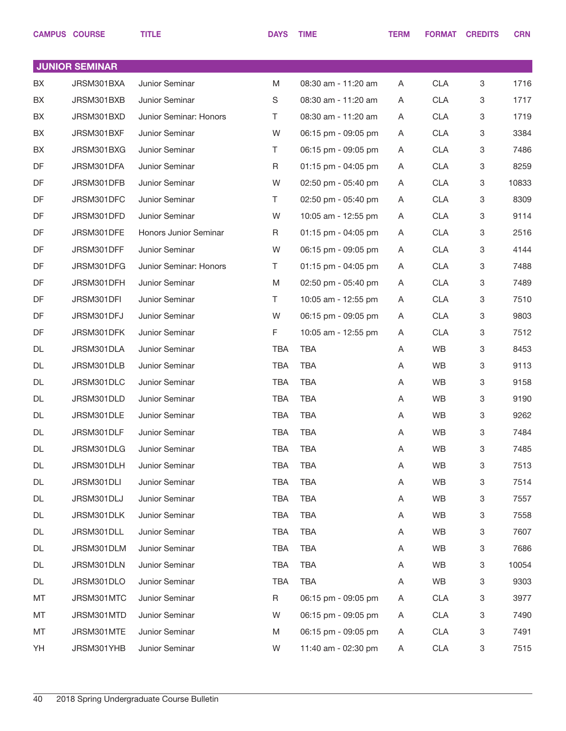|    | <b>CAMPUS COURSE</b>  | <b>TITLE</b>                 | <b>DAYS</b> | <b>TIME</b>         | <b>TERM</b> | <b>FORMAT</b> | <b>CREDITS</b> | <b>CRN</b> |
|----|-----------------------|------------------------------|-------------|---------------------|-------------|---------------|----------------|------------|
|    |                       |                              |             |                     |             |               |                |            |
|    | <b>JUNIOR SEMINAR</b> |                              |             |                     |             |               |                |            |
| BX | JRSM301BXA            | Junior Seminar               | M           | 08:30 am - 11:20 am | A           | <b>CLA</b>    | 3              | 1716       |
| BX | JRSM301BXB            | Junior Seminar               | S           | 08:30 am - 11:20 am | Α           | <b>CLA</b>    | 3              | 1717       |
| BX | JRSM301BXD            | Junior Seminar: Honors       | Τ           | 08:30 am - 11:20 am | A           | <b>CLA</b>    | 3              | 1719       |
| BX | JRSM301BXF            | Junior Seminar               | W           | 06:15 pm - 09:05 pm | A           | <b>CLA</b>    | 3              | 3384       |
| BX | JRSM301BXG            | Junior Seminar               | T           | 06:15 pm - 09:05 pm | A           | <b>CLA</b>    | 3              | 7486       |
| DF | JRSM301DFA            | Junior Seminar               | R           | 01:15 pm - 04:05 pm | Α           | <b>CLA</b>    | 3              | 8259       |
| DF | JRSM301DFB            | Junior Seminar               | W           | 02:50 pm - 05:40 pm | A           | <b>CLA</b>    | 3              | 10833      |
| DF | JRSM301DFC            | Junior Seminar               | T.          | 02:50 pm - 05:40 pm | Α           | <b>CLA</b>    | 3              | 8309       |
| DF | JRSM301DFD            | Junior Seminar               | W           | 10:05 am - 12:55 pm | Α           | <b>CLA</b>    | 3              | 9114       |
| DF | JRSM301DFE            | <b>Honors Junior Seminar</b> | R           | 01:15 pm - 04:05 pm | A           | <b>CLA</b>    | 3              | 2516       |
| DF | JRSM301DFF            | Junior Seminar               | W           | 06:15 pm - 09:05 pm | A           | <b>CLA</b>    | 3              | 4144       |
| DF | JRSM301DFG            | Junior Seminar: Honors       | T.          | 01:15 pm - 04:05 pm | A           | <b>CLA</b>    | 3              | 7488       |
| DF | JRSM301DFH            | Junior Seminar               | M           | 02:50 pm - 05:40 pm | A           | <b>CLA</b>    | 3              | 7489       |
| DF | JRSM301DFI            | Junior Seminar               | T.          | 10:05 am - 12:55 pm | Α           | <b>CLA</b>    | 3              | 7510       |
| DF | JRSM301DFJ            | Junior Seminar               | W           | 06:15 pm - 09:05 pm | A           | <b>CLA</b>    | 3              | 9803       |
| DF | JRSM301DFK            | Junior Seminar               | F           | 10:05 am - 12:55 pm | Α           | <b>CLA</b>    | 3              | 7512       |
| DL | JRSM301DLA            | Junior Seminar               | <b>TBA</b>  | <b>TBA</b>          | Α           | WB            | 3              | 8453       |
| DL | JRSM301DLB            | Junior Seminar               | <b>TBA</b>  | <b>TBA</b>          | Α           | WB            | 3              | 9113       |
| DL | JRSM301DLC            | Junior Seminar               | <b>TBA</b>  | <b>TBA</b>          | Α           | WB            | 3              | 9158       |
| DL | JRSM301DLD            | Junior Seminar               | <b>TBA</b>  | <b>TBA</b>          | Α           | <b>WB</b>     | 3              | 9190       |
| DL | JRSM301DLE            | Junior Seminar               | <b>TBA</b>  | <b>TBA</b>          | Α           | WB            | 3              | 9262       |
| DL | JRSM301DLF            | Junior Seminar               | <b>TBA</b>  | <b>TBA</b>          | Α           | WB            | 3              | 7484       |
| DL | JRSM301DLG            | Junior Seminar               | <b>TBA</b>  | <b>TBA</b>          | A           | WB            | 3              | 7485       |
| DL | JRSM301DLH            | Junior Seminar               | <b>TBA</b>  | <b>TBA</b>          | Α           | WB            | 3              | 7513       |
| DL | JRSM301DLI            | Junior Seminar               | <b>TBA</b>  | <b>TBA</b>          | Α           | WB            | 3              | 7514       |
| DL | JRSM301DLJ            | Junior Seminar               | <b>TBA</b>  | <b>TBA</b>          | Α           | WB            | 3              | 7557       |
| DL | JRSM301DLK            | Junior Seminar               | <b>TBA</b>  | <b>TBA</b>          | Α           | WB            | 3              | 7558       |
| DL | JRSM301DLL            | Junior Seminar               | <b>TBA</b>  | <b>TBA</b>          | Α           | WB            | 3              | 7607       |
| DL | JRSM301DLM            | Junior Seminar               | <b>TBA</b>  | <b>TBA</b>          | Α           | WB            | 3              | 7686       |
| DL | JRSM301DLN            | Junior Seminar               | <b>TBA</b>  | <b>TBA</b>          | Α           | WB            | 3              | 10054      |
| DL | JRSM301DLO            | Junior Seminar               | <b>TBA</b>  | <b>TBA</b>          | Α           | WB            | 3              | 9303       |
| MT | JRSM301MTC            | Junior Seminar               | R           | 06:15 pm - 09:05 pm | Α           | <b>CLA</b>    | 3              | 3977       |
| МT | JRSM301MTD            | Junior Seminar               | W           | 06:15 pm - 09:05 pm | Α           | <b>CLA</b>    | 3              | 7490       |
| MT | JRSM301MTE            | Junior Seminar               | M           | 06:15 pm - 09:05 pm | Α           | <b>CLA</b>    | 3              | 7491       |
| YH | JRSM301YHB            | Junior Seminar               | W           | 11:40 am - 02:30 pm | Α           | <b>CLA</b>    | 3              | 7515       |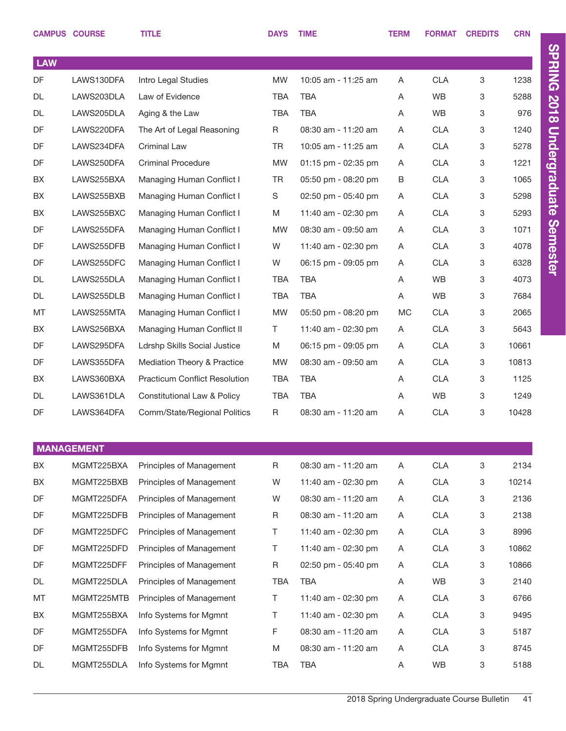|            | <b>CAMPUS COURSE</b> | <b>TITLE</b>                           | <b>DAYS</b> | <b>TIME</b>         | <b>TERM</b> | <b>FORMAT</b> | <b>CREDITS</b> | <b>CRN</b> |
|------------|----------------------|----------------------------------------|-------------|---------------------|-------------|---------------|----------------|------------|
| <b>LAW</b> |                      |                                        |             |                     |             |               |                |            |
| DF         | LAWS130DFA           | Intro Legal Studies                    | <b>MW</b>   | 10:05 am - 11:25 am | A           | <b>CLA</b>    | 3              | 1238       |
| DL         | LAWS203DLA           | Law of Evidence                        | TBA         | TBA                 | A           | <b>WB</b>     | 3              | 5288       |
| DL         | LAWS205DLA           | Aging & the Law                        | <b>TBA</b>  | TBA                 | A           | <b>WB</b>     | 3              | 976        |
| <b>DF</b>  | LAWS220DFA           | The Art of Legal Reasoning             | R           | 08:30 am - 11:20 am | A           | <b>CLA</b>    | 3              | 1240       |
| DF         | LAWS234DFA           | Criminal Law                           | TR          | 10:05 am - 11:25 am | A           | <b>CLA</b>    | 3              | 5278       |
| <b>DF</b>  | LAWS250DFA           | <b>Criminal Procedure</b>              | <b>MW</b>   | 01:15 pm - 02:35 pm | A           | <b>CLA</b>    | 3              | 1221       |
| BX         | LAWS255BXA           | Managing Human Conflict I              | TR          | 05:50 pm - 08:20 pm | B           | <b>CLA</b>    | 3              | 1065       |
| BX         | LAWS255BXB           | Managing Human Conflict I              | S           | 02:50 pm - 05:40 pm | A           | <b>CLA</b>    | 3              | 5298       |
| BX         | LAWS255BXC           | Managing Human Conflict I              | M           | 11:40 am - 02:30 pm | A           | <b>CLA</b>    | 3              | 5293       |
| <b>DF</b>  | LAWS255DFA           | Managing Human Conflict I              | <b>MW</b>   | 08:30 am - 09:50 am | A           | <b>CLA</b>    | 3              | 1071       |
| DF         | LAWS255DFB           | Managing Human Conflict I              | W           | 11:40 am - 02:30 pm | A           | <b>CLA</b>    | 3              | 4078       |
| DF         | LAWS255DFC           | Managing Human Conflict I              | W           | 06:15 pm - 09:05 pm | A           | <b>CLA</b>    | 3              | 6328       |
| DL         | LAWS255DLA           | Managing Human Conflict I              | TBA         | <b>TBA</b>          | A           | <b>WB</b>     | 3              | 4073       |
| DL         | LAWS255DLB           | Managing Human Conflict I              | <b>TBA</b>  | <b>TBA</b>          | A           | <b>WB</b>     | 3              | 7684       |
| MT         | LAWS255MTA           | Managing Human Conflict I              | <b>MW</b>   | 05:50 pm - 08:20 pm | МC          | <b>CLA</b>    | 3              | 2065       |
| BX.        | LAWS256BXA           | Managing Human Conflict II             | T.          | 11:40 am - 02:30 pm | A           | <b>CLA</b>    | 3              | 5643       |
| DF         | LAWS295DFA           | <b>Ldrshp Skills Social Justice</b>    | M           | 06:15 pm - 09:05 pm | A           | <b>CLA</b>    | 3              | 10661      |
| <b>DF</b>  | LAWS355DFA           | Mediation Theory & Practice            | <b>MW</b>   | 08:30 am - 09:50 am | A           | <b>CLA</b>    | 3              | 10813      |
| BX         | LAWS360BXA           | <b>Practicum Conflict Resolution</b>   | TBA         | <b>TBA</b>          | A           | <b>CLA</b>    | 3              | 1125       |
| DL         | LAWS361DLA           | <b>Constitutional Law &amp; Policy</b> | TBA         | <b>TBA</b>          | A           | WB            | 3              | 1249       |
| <b>DF</b>  | LAWS364DFA           | Comm/State/Regional Politics           | R           | 08:30 am - 11:20 am | A           | <b>CLA</b>    | 3              | 10428      |
|            |                      |                                        |             |                     |             |               |                |            |
|            | <b>MANAGEMENT</b>    |                                        |             |                     |             |               |                |            |
| BX         | MGMT225BXA           | Principles of Management               | R           | 08:30 am - 11:20 am | A           | <b>CLA</b>    | 3              | 2134       |
| BX         | MGMT225BXB           | Principles of Management               | W           | 11:40 am - 02:30 pm | Α           | <b>CLA</b>    | 3              | 10214      |
| DF         | MGMT225DFA           | Principles of Management               | W           | 08:30 am - 11:20 am | Α           | <b>CLA</b>    | 3              | 2136       |
| DF         | MGMT225DFB           | Principles of Management               | R           | 08:30 am - 11:20 am | Α           | <b>CLA</b>    | 3              | 2138       |
| DF         | MGMT225DFC           | Principles of Management               | Τ           | 11:40 am - 02:30 pm | Α           | <b>CLA</b>    | 3              | 8996       |
| DF         | MGMT225DFD           | Principles of Management               | Τ           | 11:40 am - 02:30 pm | Α           | <b>CLA</b>    | 3              | 10862      |
| DF         | MGMT225DFF           | Principles of Management               | $\mathsf R$ | 02:50 pm - 05:40 pm | Α           | <b>CLA</b>    | 3              | 10866      |
| DL         | MGMT225DLA           | Principles of Management               | TBA         | TBA                 | Α           | WB            | 3              | 2140       |
| МT         | MGMT225MTB           | Principles of Management               | T.          | 11:40 am - 02:30 pm | Α           | <b>CLA</b>    | 3              | 6766       |
| BX         | MGMT255BXA           | Info Systems for Mgmnt                 | Τ           | 11:40 am - 02:30 pm | Α           | <b>CLA</b>    | 3              | 9495       |
| DF         | MGMT255DFA           | Info Systems for Mgmnt                 | F           | 08:30 am - 11:20 am | Α           | <b>CLA</b>    | 3              | 5187       |
| DF         | MGMT255DFB           | Info Systems for Mgmnt                 | M           | 08:30 am - 11:20 am | Α           | <b>CLA</b>    | 3              | 8745       |
| DL         | MGMT255DLA           | Info Systems for Mgmnt                 | TBA         | <b>TBA</b>          | Α           | WB            | 3              | 5188       |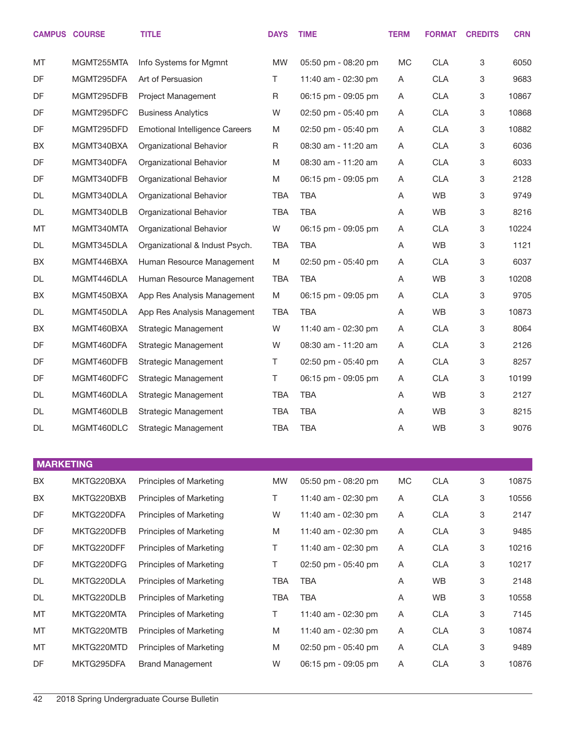|                  | <b>CAMPUS COURSE</b> | <b>TITLE</b>                          | <b>DAYS</b> | <b>TIME</b>         | <b>TERM</b> | <b>FORMAT</b> | <b>CREDITS</b> | <b>CRN</b> |
|------------------|----------------------|---------------------------------------|-------------|---------------------|-------------|---------------|----------------|------------|
| MT               | MGMT255MTA           | Info Systems for Mgmnt                | MW          | 05:50 pm - 08:20 pm | МC          | <b>CLA</b>    | 3              | 6050       |
| DF               | MGMT295DFA           | Art of Persuasion                     | T.          | 11:40 am - 02:30 pm | A           | <b>CLA</b>    | 3              | 9683       |
| DF               | MGMT295DFB           | Project Management                    | R           | 06:15 pm - 09:05 pm | A           | <b>CLA</b>    | 3              | 10867      |
| DF               | MGMT295DFC           | <b>Business Analytics</b>             | W           | 02:50 pm - 05:40 pm | A           | <b>CLA</b>    | 3              | 10868      |
| DF               | MGMT295DFD           | <b>Emotional Intelligence Careers</b> | M           | 02:50 pm - 05:40 pm | A           | <b>CLA</b>    | 3              | 10882      |
| BX               | MGMT340BXA           | Organizational Behavior               | R           | 08:30 am - 11:20 am | A           | <b>CLA</b>    | 3              | 6036       |
| DF               | MGMT340DFA           | Organizational Behavior               | M           | 08:30 am - 11:20 am | A           | <b>CLA</b>    | 3              | 6033       |
| DF               | MGMT340DFB           | Organizational Behavior               | M           | 06:15 pm - 09:05 pm | A           | <b>CLA</b>    | 3              | 2128       |
| DL               | MGMT340DLA           | Organizational Behavior               | <b>TBA</b>  | <b>TBA</b>          | A           | <b>WB</b>     | 3              | 9749       |
| DL               | MGMT340DLB           | Organizational Behavior               | <b>TBA</b>  | <b>TBA</b>          | A           | <b>WB</b>     | 3              | 8216       |
| MT               | MGMT340MTA           | Organizational Behavior               | W           | 06:15 pm - 09:05 pm | A           | <b>CLA</b>    | 3              | 10224      |
| DL               | MGMT345DLA           | Organizational & Indust Psych.        | <b>TBA</b>  | <b>TBA</b>          | A           | WB            | 3              | 1121       |
| BX               | MGMT446BXA           | Human Resource Management             | M           | 02:50 pm - 05:40 pm | A           | <b>CLA</b>    | 3              | 6037       |
| DL               | MGMT446DLA           | Human Resource Management             | <b>TBA</b>  | <b>TBA</b>          | A           | WB            | 3              | 10208      |
| BX               | MGMT450BXA           | App Res Analysis Management           | M           | 06:15 pm - 09:05 pm | A           | <b>CLA</b>    | 3              | 9705       |
| DL               | MGMT450DLA           | App Res Analysis Management           | <b>TBA</b>  | <b>TBA</b>          | A           | WB            | 3              | 10873      |
| BX               | MGMT460BXA           | Strategic Management                  | W           | 11:40 am - 02:30 pm | A           | <b>CLA</b>    | 3              | 8064       |
| DF               | MGMT460DFA           | Strategic Management                  | W           | 08:30 am - 11:20 am | A           | <b>CLA</b>    | 3              | 2126       |
| DF               | MGMT460DFB           | Strategic Management                  | Τ           | 02:50 pm - 05:40 pm | A           | <b>CLA</b>    | 3              | 8257       |
| DF               | MGMT460DFC           | Strategic Management                  | Τ           | 06:15 pm - 09:05 pm | A           | <b>CLA</b>    | 3              | 10199      |
| DL               | MGMT460DLA           | Strategic Management                  | <b>TBA</b>  | <b>TBA</b>          | A           | WB            | 3              | 2127       |
| DL               | MGMT460DLB           | Strategic Management                  | <b>TBA</b>  | <b>TBA</b>          | A           | WB.           | 3              | 8215       |
| DL               | MGMT460DLC           | Strategic Management                  | TBA         | <b>TBA</b>          | A           | WB            | 3              | 9076       |
|                  |                      |                                       |             |                     |             |               |                |            |
| <b>MARKETING</b> |                      |                                       |             |                     |             |               |                |            |
| BX               | MKTG220BXA           | Principles of Marketing               | <b>MW</b>   | 05:50 pm - 08:20 pm | МC          | <b>CLA</b>    | 3              | 10875      |
| BX               | MKTG220BXB           | Principles of Marketing               | T.          | 11:40 am - 02:30 pm | A           | <b>CLA</b>    | 3              | 10556      |
| DF               | MKTG220DFA           | Principles of Marketing               | W           | 11:40 am - 02:30 pm | A           | <b>CLA</b>    | 3              | 2147       |
| DF               | MKTG220DFB           | Principles of Marketing               | M           | 11:40 am - 02:30 pm | A           | <b>CLA</b>    | 3              | 9485       |
| DF               | MKTG220DFF           | Principles of Marketing               | T.          | 11:40 am - 02:30 pm | A           | <b>CLA</b>    | 3              | 10216      |
| DF               | MKTG220DFG           | Principles of Marketing               | T.          | 02:50 pm - 05:40 pm | A           | <b>CLA</b>    | 3              | 10217      |
| DL.              | MKTG220DLA           | Principles of Marketing               | <b>TBA</b>  | <b>TBA</b>          | A           | WB            | 3              | 2148       |
| DL.              | MKTG220DLB           | Principles of Marketing               | <b>TBA</b>  | <b>TBA</b>          | A           | WB            | 3              | 10558      |
| MT               | MKTG220MTA           | Principles of Marketing               | T.          | 11:40 am - 02:30 pm | A           | <b>CLA</b>    | 3              | 7145       |
| MT               | MKTG220MTB           | Principles of Marketing               | M           | 11:40 am - 02:30 pm | A           | <b>CLA</b>    | 3              | 10874      |
| MT               | MKTG220MTD           | Principles of Marketing               | M           | 02:50 pm - 05:40 pm | A           | <b>CLA</b>    | 3              | 9489       |
| DF               | MKTG295DFA           | <b>Brand Management</b>               | W           | 06:15 pm - 09:05 pm | A           | <b>CLA</b>    | 3              | 10876      |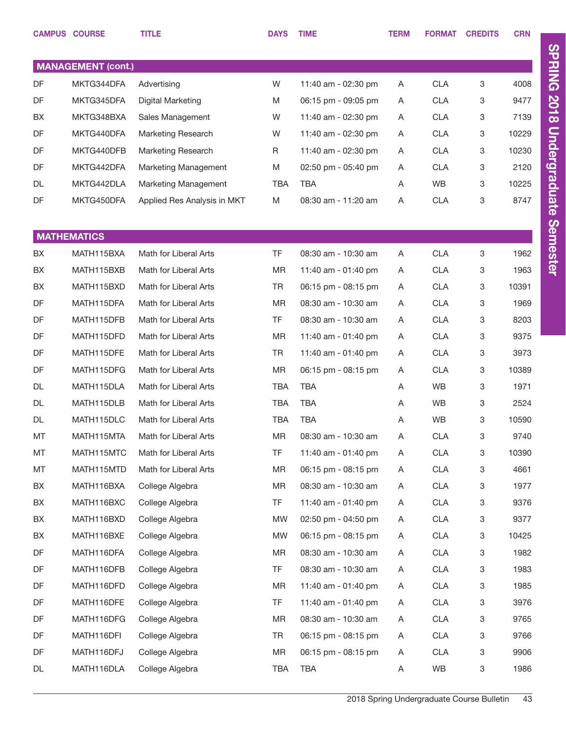|    | <b>CAMPUS COURSE</b>      | <b>TITLE</b>                | <b>DAYS</b> | <b>TIME</b>         | <b>TERM</b> | <b>FORMAT</b> | <b>CREDITS</b> | <b>CRN</b> |
|----|---------------------------|-----------------------------|-------------|---------------------|-------------|---------------|----------------|------------|
|    | <b>MANAGEMENT (cont.)</b> |                             |             |                     |             |               |                |            |
| DF | MKTG344DFA                | Advertising                 | W           | 11:40 am - 02:30 pm | A           | <b>CLA</b>    | 3              | 4008       |
| DF | MKTG345DFA                | Digital Marketing           | M           | 06:15 pm - 09:05 pm | A           | <b>CLA</b>    | 3              | 9477       |
| BX | MKTG348BXA                | Sales Management            | W           | 11:40 am - 02:30 pm | Α           | <b>CLA</b>    | 3              | 7139       |
| DF | MKTG440DFA                | Marketing Research          | W           | 11:40 am - 02:30 pm | A           | <b>CLA</b>    | 3              | 10229      |
| DF | MKTG440DFB                | <b>Marketing Research</b>   | R           | 11:40 am - 02:30 pm | A           | <b>CLA</b>    | 3              | 10230      |
| DF | MKTG442DFA                | Marketing Management        | M           | 02:50 pm - 05:40 pm | A           | <b>CLA</b>    | 3              | 2120       |
| DL | MKTG442DLA                | Marketing Management        | <b>TBA</b>  | TBA                 | Α           | WB            | 3              | 10225      |
| DF | MKTG450DFA                | Applied Res Analysis in MKT | M           | 08:30 am - 11:20 am | Α           | <b>CLA</b>    | 3              | 8747       |
|    |                           |                             |             |                     |             |               |                |            |
|    | <b>MATHEMATICS</b>        |                             |             |                     |             |               |                |            |
| BX | MATH115BXA                | Math for Liberal Arts       | <b>TF</b>   | 08:30 am - 10:30 am | A           | <b>CLA</b>    | 3              | 1962       |
| BX | MATH115BXB                | Math for Liberal Arts       | <b>MR</b>   | 11:40 am - 01:40 pm | A           | <b>CLA</b>    | 3              | 1963       |
| BX | MATH115BXD                | Math for Liberal Arts       | TR          | 06:15 pm - 08:15 pm | A           | <b>CLA</b>    | 3              | 10391      |
| DF | MATH115DFA                | Math for Liberal Arts       | <b>MR</b>   | 08:30 am - 10:30 am | A           | <b>CLA</b>    | 3              | 1969       |
| DF | MATH115DFB                | Math for Liberal Arts       | <b>TF</b>   | 08:30 am - 10:30 am | A           | <b>CLA</b>    | 3              | 8203       |
| DF | MATH115DFD                | Math for Liberal Arts       | <b>MR</b>   | 11:40 am - 01:40 pm | A           | <b>CLA</b>    | 3              | 9375       |
| DF | MATH115DFE                | Math for Liberal Arts       | TR          | 11:40 am - 01:40 pm | A           | <b>CLA</b>    | 3              | 3973       |
| DF | MATH115DFG                | Math for Liberal Arts       | <b>MR</b>   | 06:15 pm - 08:15 pm | A           | <b>CLA</b>    | 3              | 10389      |
| DL | MATH115DLA                | Math for Liberal Arts       | <b>TBA</b>  | <b>TBA</b>          | A           | WB            | 3              | 1971       |
| DL | MATH115DLB                | Math for Liberal Arts       | <b>TBA</b>  | TBA                 | A           | WB            | 3              | 2524       |
| DL | MATH115DLC                | Math for Liberal Arts       | <b>TBA</b>  | <b>TBA</b>          | A           | WB            | 3              | 10590      |
| МT | MATH115MTA                | Math for Liberal Arts       | MR          | 08:30 am - 10:30 am | Α           | <b>CLA</b>    | 3              | 9740       |
| MT | MATH115MTC                | Math for Liberal Arts       | <b>TF</b>   | 11:40 am - 01:40 pm | Α           | <b>CLA</b>    | 3              | 10390      |
| MT | MATH115MTD                | Math for Liberal Arts       | MR          | 06:15 pm - 08:15 pm | Α           | <b>CLA</b>    | 3              | 4661       |
| BX | MATH116BXA                | College Algebra             | MR          | 08:30 am - 10:30 am | Α           | CLA           | 3              | 1977       |
| BX | MATH116BXC                | College Algebra             | <b>TF</b>   | 11:40 am - 01:40 pm | Α           | <b>CLA</b>    | 3              | 9376       |
| BX | MATH116BXD                | College Algebra             | <b>MW</b>   | 02:50 pm - 04:50 pm | A           | <b>CLA</b>    | 3              | 9377       |
| BX | MATH116BXE                | College Algebra             | <b>MW</b>   | 06:15 pm - 08:15 pm | A           | <b>CLA</b>    | 3              | 10425      |
| DF | MATH116DFA                | College Algebra             | MR          | 08:30 am - 10:30 am | A           | <b>CLA</b>    | 3              | 1982       |
| DF | MATH116DFB                | College Algebra             | <b>TF</b>   | 08:30 am - 10:30 am | Α           | <b>CLA</b>    | 3              | 1983       |
| DF | MATH116DFD                | College Algebra             | MR          | 11:40 am - 01:40 pm | A           | <b>CLA</b>    | 3              | 1985       |
| DF | MATH116DFE                | College Algebra             | TF          | 11:40 am - 01:40 pm | A           | <b>CLA</b>    | 3              | 3976       |
| DF | MATH116DFG                | College Algebra             | MR          | 08:30 am - 10:30 am | Α           | <b>CLA</b>    | 3              | 9765       |
| DF | MATH116DFI                | College Algebra             | TR          | 06:15 pm - 08:15 pm | A           | <b>CLA</b>    | 3              | 9766       |
| DF | MATH116DFJ                | College Algebra             | MR          | 06:15 pm - 08:15 pm | A           | <b>CLA</b>    | 3              | 9906       |
| DL | MATH116DLA                | College Algebra             | TBA         | TBA                 | A           | WB            | 3              | 1986       |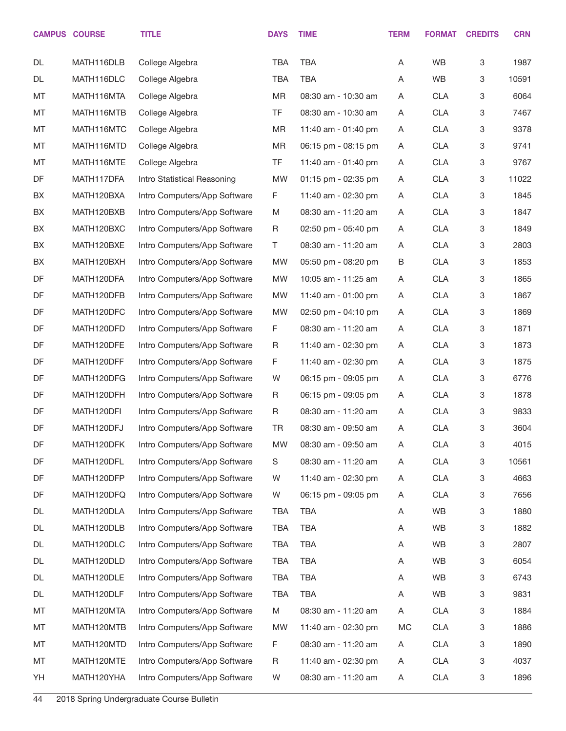|    | <b>CAMPUS COURSE</b> | <b>TITLE</b>                 | <b>DAYS</b> | <b>TIME</b>         | <b>TERM</b> | <b>FORMAT</b> | <b>CREDITS</b>            | <b>CRN</b> |
|----|----------------------|------------------------------|-------------|---------------------|-------------|---------------|---------------------------|------------|
| DL | MATH116DLB           | College Algebra              | <b>TBA</b>  | <b>TBA</b>          | A           | WB            | 3                         | 1987       |
| DL | MATH116DLC           | College Algebra              | <b>TBA</b>  | <b>TBA</b>          | A           | <b>WB</b>     | 3                         | 10591      |
| МT | MATH116MTA           | College Algebra              | MR          | 08:30 am - 10:30 am | A           | <b>CLA</b>    | 3                         | 6064       |
| MT | MATH116MTB           | College Algebra              | TF          | 08:30 am - 10:30 am | A           | <b>CLA</b>    | $\ensuremath{\mathsf{3}}$ | 7467       |
| МT | MATH116MTC           | College Algebra              | <b>MR</b>   | 11:40 am - 01:40 pm | Α           | <b>CLA</b>    | 3                         | 9378       |
| МT | MATH116MTD           | College Algebra              | MR          | 06:15 pm - 08:15 pm | A           | <b>CLA</b>    | $\ensuremath{\mathsf{3}}$ | 9741       |
| MT | MATH116MTE           | College Algebra              | <b>TF</b>   | 11:40 am - 01:40 pm | Α           | <b>CLA</b>    | 3                         | 9767       |
| DF | MATH117DFA           | Intro Statistical Reasoning  | MW          | 01:15 pm - 02:35 pm | A           | <b>CLA</b>    | 3                         | 11022      |
| BX | MATH120BXA           | Intro Computers/App Software | F           | 11:40 am - 02:30 pm | Α           | <b>CLA</b>    | 3                         | 1845       |
| BX | MATH120BXB           | Intro Computers/App Software | M           | 08:30 am - 11:20 am | A           | <b>CLA</b>    | $\ensuremath{\mathsf{3}}$ | 1847       |
| BX | MATH120BXC           | Intro Computers/App Software | R           | 02:50 pm - 05:40 pm | A           | <b>CLA</b>    | 3                         | 1849       |
| BX | MATH120BXE           | Intro Computers/App Software | Τ           | 08:30 am - 11:20 am | A           | <b>CLA</b>    | 3                         | 2803       |
| BX | MATH120BXH           | Intro Computers/App Software | MW          | 05:50 pm - 08:20 pm | B           | <b>CLA</b>    | 3                         | 1853       |
| DF | MATH120DFA           | Intro Computers/App Software | MW          | 10:05 am - 11:25 am | A           | <b>CLA</b>    | 3                         | 1865       |
| DF | MATH120DFB           | Intro Computers/App Software | MW          | 11:40 am - 01:00 pm | Α           | <b>CLA</b>    | 3                         | 1867       |
| DF | MATH120DFC           | Intro Computers/App Software | <b>MW</b>   | 02:50 pm - 04:10 pm | A           | <b>CLA</b>    | 3                         | 1869       |
| DF | MATH120DFD           | Intro Computers/App Software | F           | 08:30 am - 11:20 am | Α           | <b>CLA</b>    | 3                         | 1871       |
| DF | MATH120DFE           | Intro Computers/App Software | R           | 11:40 am - 02:30 pm | A           | <b>CLA</b>    | 3                         | 1873       |
| DF | MATH120DFF           | Intro Computers/App Software | F           | 11:40 am - 02:30 pm | Α           | <b>CLA</b>    | 3                         | 1875       |
| DF | MATH120DFG           | Intro Computers/App Software | W           | 06:15 pm - 09:05 pm | A           | <b>CLA</b>    | 3                         | 6776       |
| DF | MATH120DFH           | Intro Computers/App Software | R           | 06:15 pm - 09:05 pm | A           | <b>CLA</b>    | 3                         | 1878       |
| DF | MATH120DFI           | Intro Computers/App Software | R           | 08:30 am - 11:20 am | A           | <b>CLA</b>    | 3                         | 9833       |
| DF | MATH120DFJ           | Intro Computers/App Software | <b>TR</b>   | 08:30 am - 09:50 am | A           | <b>CLA</b>    | 3                         | 3604       |
| DF | MATH120DFK           | Intro Computers/App Software | MW          | 08:30 am - 09:50 am | Α           | <b>CLA</b>    | 3                         | 4015       |
| DF | MATH120DFL           | Intro Computers/App Software | S           | 08:30 am - 11:20 am | Α           | <b>CLA</b>    | 3                         | 10561      |
| DF | MATH120DFP           | Intro Computers/App Software | W           | 11:40 am - 02:30 pm | Α           | <b>CLA</b>    | 3                         | 4663       |
| DF | MATH120DFQ           | Intro Computers/App Software | W           | 06:15 pm - 09:05 pm | A           | <b>CLA</b>    | 3                         | 7656       |
| DL | MATH120DLA           | Intro Computers/App Software | TBA         | <b>TBA</b>          | Α           | WB            | 3                         | 1880       |
| DL | MATH120DLB           | Intro Computers/App Software | <b>TBA</b>  | <b>TBA</b>          | Α           | WB            | 3                         | 1882       |
| DL | MATH120DLC           | Intro Computers/App Software | <b>TBA</b>  | <b>TBA</b>          | A           | WB            | 3                         | 2807       |
| DL | MATH120DLD           | Intro Computers/App Software | <b>TBA</b>  | <b>TBA</b>          | Α           | WB            | 3                         | 6054       |
| DL | MATH120DLE           | Intro Computers/App Software | <b>TBA</b>  | <b>TBA</b>          | A           | WB            | 3                         | 6743       |
| DL | MATH120DLF           | Intro Computers/App Software | TBA         | <b>TBA</b>          | Α           | WB            | 3                         | 9831       |
| MT | MATH120MTA           | Intro Computers/App Software | M           | 08:30 am - 11:20 am | Α           | <b>CLA</b>    | 3                         | 1884       |
| MT | MATH120MTB           | Intro Computers/App Software | MW          | 11:40 am - 02:30 pm | MC          | <b>CLA</b>    | 3                         | 1886       |
| MT | MATH120MTD           | Intro Computers/App Software | F           | 08:30 am - 11:20 am | A           | <b>CLA</b>    | 3                         | 1890       |
| MT | MATH120MTE           | Intro Computers/App Software | R           | 11:40 am - 02:30 pm | A           | <b>CLA</b>    | 3                         | 4037       |
| YH | MATH120YHA           | Intro Computers/App Software | W           | 08:30 am - 11:20 am | Α           | <b>CLA</b>    | 3                         | 1896       |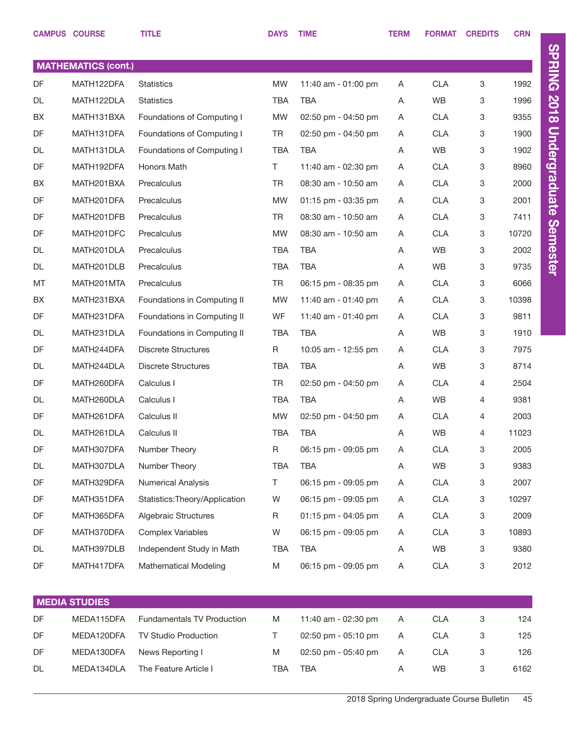|                            | <b>CAMPUS COURSE</b> | <b>TITLE</b>                   | <b>DAYS</b> | <b>TIME</b>         | <b>TERM</b> | <b>FORMAT</b> | <b>CREDITS</b> | <b>CRN</b> |  |
|----------------------------|----------------------|--------------------------------|-------------|---------------------|-------------|---------------|----------------|------------|--|
|                            |                      |                                |             |                     |             |               |                |            |  |
| <b>MATHEMATICS (cont.)</b> |                      |                                |             |                     |             |               |                |            |  |
| DF                         | MATH122DFA           | <b>Statistics</b>              | <b>MW</b>   | 11:40 am - 01:00 pm | A           | <b>CLA</b>    | 3              | 1992       |  |
| DL                         | MATH122DLA           | <b>Statistics</b>              | <b>TBA</b>  | <b>TBA</b>          | A           | WB            | 3              | 1996       |  |
| BX                         | MATH131BXA           | Foundations of Computing I     | <b>MW</b>   | 02:50 pm - 04:50 pm | A           | <b>CLA</b>    | 3              | 9355       |  |
| DF                         | MATH131DFA           | Foundations of Computing I     | TR          | 02:50 pm - 04:50 pm | A           | <b>CLA</b>    | 3              | 1900       |  |
| DL                         | MATH131DLA           | Foundations of Computing I     | <b>TBA</b>  | <b>TBA</b>          | Α           | <b>WB</b>     | 3              | 1902       |  |
| DF                         | MATH192DFA           | Honors Math                    | T.          | 11:40 am - 02:30 pm | A           | <b>CLA</b>    | 3              | 8960       |  |
| BX                         | MATH201BXA           | Precalculus                    | TR          | 08:30 am - 10:50 am | A           | <b>CLA</b>    | 3              | 2000       |  |
| DF                         | MATH201DFA           | Precalculus                    | <b>MW</b>   | 01:15 pm - 03:35 pm | A           | <b>CLA</b>    | 3              | 2001       |  |
| DF                         | MATH201DFB           | Precalculus                    | TR          | 08:30 am - 10:50 am | A           | <b>CLA</b>    | 3              | 7411       |  |
| DF                         | MATH201DFC           | Precalculus                    | <b>MW</b>   | 08:30 am - 10:50 am | A           | <b>CLA</b>    | 3              | 10720      |  |
| DL                         | MATH201DLA           | Precalculus                    | <b>TBA</b>  | <b>TBA</b>          | A           | WB            | 3              | 2002       |  |
| DL                         | MATH201DLB           | Precalculus                    | <b>TBA</b>  | <b>TBA</b>          | Α           | WB            | 3              | 9735       |  |
| MT                         | MATH201MTA           | Precalculus                    | TR          | 06:15 pm - 08:35 pm | A           | <b>CLA</b>    | 3              | 6066       |  |
| BX                         | MATH231BXA           | Foundations in Computing II    | <b>MW</b>   | 11:40 am - 01:40 pm | A           | <b>CLA</b>    | 3              | 10398      |  |
| DF                         | MATH231DFA           | Foundations in Computing II    | <b>WF</b>   | 11:40 am - 01:40 pm | A           | <b>CLA</b>    | 3              | 9811       |  |
| DL                         | MATH231DLA           | Foundations in Computing II    | <b>TBA</b>  | <b>TBA</b>          | Α           | WB            | 3              | 1910       |  |
| DF                         | MATH244DFA           | <b>Discrete Structures</b>     | R           | 10:05 am - 12:55 pm | A           | <b>CLA</b>    | 3              | 7975       |  |
| DL                         | MATH244DLA           | <b>Discrete Structures</b>     | <b>TBA</b>  | <b>TBA</b>          | Α           | WB            | 3              | 8714       |  |
| DF                         | MATH260DFA           | Calculus I                     | TR          | 02:50 pm - 04:50 pm | A           | <b>CLA</b>    | 4              | 2504       |  |
| DL                         | MATH260DLA           | Calculus I                     | <b>TBA</b>  | <b>TBA</b>          | Α           | WB            | 4              | 9381       |  |
| DF                         | MATH261DFA           | Calculus II                    | <b>MW</b>   | 02:50 pm - 04:50 pm | A           | <b>CLA</b>    | 4              | 2003       |  |
| DL                         | MATH261DLA           | Calculus II                    | <b>TBA</b>  | <b>TBA</b>          | Α           | WB            | 4              | 11023      |  |
| DF                         | MATH307DFA           | Number Theory                  | R           | 06:15 pm - 09:05 pm | Α           | <b>CLA</b>    | 3              | 2005       |  |
| DL                         | MATH307DLA           | Number Theory                  | <b>TBA</b>  | <b>TBA</b>          | Α           | WB            | 3              | 9383       |  |
| DF                         | MATH329DFA           | <b>Numerical Analysis</b>      | T.          | 06:15 pm - 09:05 pm | Α           | <b>CLA</b>    | 3              | 2007       |  |
| DF                         | MATH351DFA           | Statistics: Theory/Application | W           | 06:15 pm - 09:05 pm | A           | <b>CLA</b>    | 3              | 10297      |  |
| DF                         | MATH365DFA           | <b>Algebraic Structures</b>    | R           | 01:15 pm - 04:05 pm | Α           | <b>CLA</b>    | 3              | 2009       |  |
| DF                         | MATH370DFA           | <b>Complex Variables</b>       | W           | 06:15 pm - 09:05 pm | Α           | <b>CLA</b>    | 3              | 10893      |  |
| DL                         | MATH397DLB           | Independent Study in Math      | TBA         | TBA                 | Α           | WB            | 3              | 9380       |  |
| DF                         | MATH417DFA           | <b>Mathematical Modeling</b>   | M           | 06:15 pm - 09:05 pm | Α           | <b>CLA</b>    | 3              | 2012       |  |
|                            |                      |                                |             |                     |             |               |                |            |  |

|     | <b>MEDIA STUDIES</b> |                                   |     |                         |          |     |  |      |  |  |
|-----|----------------------|-----------------------------------|-----|-------------------------|----------|-----|--|------|--|--|
| DF. | MEDA115DFA           | <b>Fundamentals TV Production</b> | M   | 11:40 am - 02:30 pm     | A        | CLA |  | 124  |  |  |
| DF. | MEDA120DFA           | <b>TV Studio Production</b>       |     | $02:50$ pm - $05:10$ pm | <b>A</b> | CLA |  | 125  |  |  |
| DF  | MEDA130DFA           | News Reporting I                  | M   | $02:50$ pm - $05:40$ pm | <b>A</b> | CLA |  | 126  |  |  |
| DL  | MEDA134DLA           | The Feature Article I             | TBA | TBA                     | Α        | WB. |  | 6162 |  |  |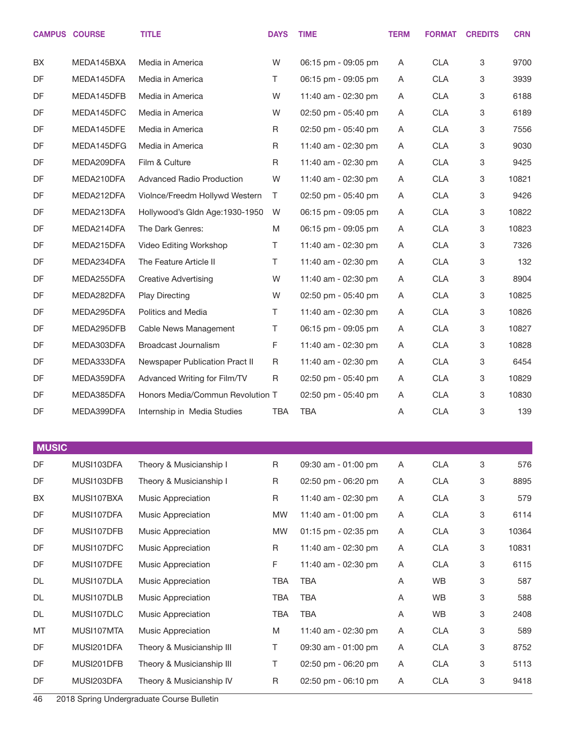|              | <b>CAMPUS COURSE</b> | <b>TITLE</b>                     | <b>DAYS</b> | <b>TIME</b>         | <b>TERM</b> | <b>FORMAT</b> | <b>CREDITS</b>            | <b>CRN</b> |
|--------------|----------------------|----------------------------------|-------------|---------------------|-------------|---------------|---------------------------|------------|
| BX           | MEDA145BXA           | Media in America                 | W           | 06:15 pm - 09:05 pm | A           | <b>CLA</b>    | 3                         | 9700       |
| DF           | MEDA145DFA           | Media in America                 | Τ           | 06:15 pm - 09:05 pm | A           | <b>CLA</b>    | 3                         | 3939       |
| DF           | MEDA145DFB           | Media in America                 | W           | 11:40 am - 02:30 pm | A           | <b>CLA</b>    | 3                         | 6188       |
| DF           | MEDA145DFC           | Media in America                 | W           | 02:50 pm - 05:40 pm | A           | <b>CLA</b>    | 3                         | 6189       |
| DF           | MEDA145DFE           | Media in America                 | R           | 02:50 pm - 05:40 pm | A           | <b>CLA</b>    | 3                         | 7556       |
| DF           | MEDA145DFG           | Media in America                 | R           | 11:40 am - 02:30 pm | A           | <b>CLA</b>    | 3                         | 9030       |
| DF           | MEDA209DFA           | Film & Culture                   | R           | 11:40 am - 02:30 pm | A           | <b>CLA</b>    | 3                         | 9425       |
| DF           | MEDA210DFA           | <b>Advanced Radio Production</b> | W           | 11:40 am - 02:30 pm | A           | <b>CLA</b>    | 3                         | 10821      |
| DF           | MEDA212DFA           | Violnce/Freedm Hollywd Western   | Τ           | 02:50 pm - 05:40 pm | A           | <b>CLA</b>    | 3                         | 9426       |
| DF           | MEDA213DFA           | Hollywood's Gldn Age:1930-1950   | W           | 06:15 pm - 09:05 pm | A           | <b>CLA</b>    | 3                         | 10822      |
| DF           | MEDA214DFA           | The Dark Genres:                 | M           | 06:15 pm - 09:05 pm | A           | <b>CLA</b>    | 3                         | 10823      |
| DF           | MEDA215DFA           | Video Editing Workshop           | Τ           | 11:40 am - 02:30 pm | A           | <b>CLA</b>    | 3                         | 7326       |
| DF           | MEDA234DFA           | The Feature Article II           | Τ           | 11:40 am - 02:30 pm | A           | <b>CLA</b>    | 3                         | 132        |
| DF           | MEDA255DFA           | <b>Creative Advertising</b>      | W           | 11:40 am - 02:30 pm | A           | <b>CLA</b>    | 3                         | 8904       |
| DF           | MEDA282DFA           | <b>Play Directing</b>            | W           | 02:50 pm - 05:40 pm | A           | <b>CLA</b>    | 3                         | 10825      |
| DF           | MEDA295DFA           | Politics and Media               | T.          | 11:40 am - 02:30 pm | A           | <b>CLA</b>    | 3                         | 10826      |
| DF           | MEDA295DFB           | Cable News Management            | Т           | 06:15 pm - 09:05 pm | A           | <b>CLA</b>    | 3                         | 10827      |
| DF           | MEDA303DFA           | Broadcast Journalism             | F           | 11:40 am - 02:30 pm | A           | <b>CLA</b>    | 3                         | 10828      |
| DF           | MEDA333DFA           | Newspaper Publication Pract II   | R           | 11:40 am - 02:30 pm | A           | <b>CLA</b>    | 3                         | 6454       |
| DF           | MEDA359DFA           | Advanced Writing for Film/TV     | R           | 02:50 pm - 05:40 pm | A           | <b>CLA</b>    | 3                         | 10829      |
| DF           | MEDA385DFA           | Honors Media/Commun Revolution T |             | 02:50 pm - 05:40 pm | A           | <b>CLA</b>    | 3                         | 10830      |
| DF           | MEDA399DFA           | Internship in Media Studies      | TBA         | TBA                 | A           | <b>CLA</b>    | 3                         | 139        |
|              |                      |                                  |             |                     |             |               |                           |            |
| <b>MUSIC</b> |                      |                                  |             |                     |             |               |                           |            |
| DF           | MUSI103DFA           | Theory & Musicianship I          | $\mathsf R$ | 09:30 am - 01:00 pm | Α           | CLA           | $\ensuremath{\mathsf{3}}$ | 576        |
| DF           | MUSI103DFB           | Theory & Musicianship I          | R           | 02:50 pm - 06:20 pm | A           | <b>CLA</b>    | 3                         | 8895       |
| BX           | MUSI107BXA           | Music Appreciation               | R           | 11:40 am - 02:30 pm | A           | <b>CLA</b>    | 3                         | 579        |
| DF           | MUSI107DFA           | Music Appreciation               | <b>MW</b>   | 11:40 am - 01:00 pm | A           | <b>CLA</b>    | 3                         | 6114       |
| DF           | MUSI107DFB           | Music Appreciation               | <b>MW</b>   | 01:15 pm - 02:35 pm | A           | <b>CLA</b>    | 3                         | 10364      |
| DF           | MUSI107DFC           | Music Appreciation               | R           | 11:40 am - 02:30 pm | A           | <b>CLA</b>    | 3                         | 10831      |
| DF           | MUSI107DFE           | Music Appreciation               | F           | 11:40 am - 02:30 pm | Α           | <b>CLA</b>    | 3                         | 6115       |
| DL           | MUSI107DLA           | Music Appreciation               | TBA         | <b>TBA</b>          | A           | WB            | 3                         | 587        |
| DL           | MUSI107DLB           | Music Appreciation               | TBA         | <b>TBA</b>          | A           | WB            | 3                         | 588        |
| DL           | MUSI107DLC           | Music Appreciation               | TBA         | <b>TBA</b>          | A           | WB            | 3                         | 2408       |
| МT           | MUSI107MTA           | Music Appreciation               | M           | 11:40 am - 02:30 pm | A           | <b>CLA</b>    | 3                         | 589        |
| DF           | MUSI201DFA           | Theory & Musicianship III        | T.          | 09:30 am - 01:00 pm | A           | <b>CLA</b>    | 3                         | 8752       |
| DF           | MUSI201DFB           | Theory & Musicianship III        | T           | 02:50 pm - 06:20 pm | A           | <b>CLA</b>    | 3                         | 5113       |
| DF           | MUSI203DFA           | Theory & Musicianship IV         | R           | 02:50 pm - 06:10 pm | Α           | <b>CLA</b>    | 3                         | 9418       |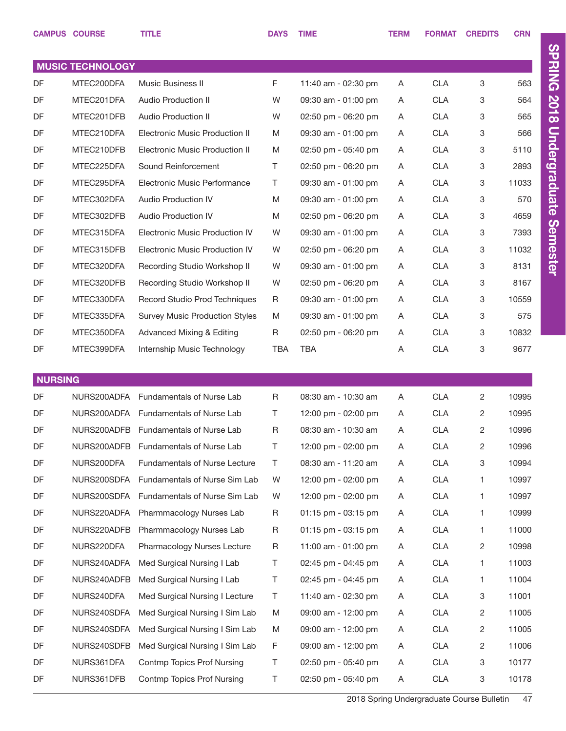|                | <b>CAMPUS COURSE</b>    | <b>TITLE</b>                          | <b>DAYS</b> | <b>TIME</b>             | <b>TERM</b> | <b>FORMAT</b> | <b>CREDITS</b> | <b>CRN</b> |
|----------------|-------------------------|---------------------------------------|-------------|-------------------------|-------------|---------------|----------------|------------|
|                |                         |                                       |             |                         |             |               |                |            |
|                | <b>MUSIC TECHNOLOGY</b> |                                       |             |                         |             |               |                |            |
| DF             | MTEC200DFA              | Music Business II                     | F           | 11:40 am - 02:30 pm     | A           | <b>CLA</b>    | 3              | 563        |
| DF             | MTEC201DFA              | Audio Production II                   | W           | 09:30 am - 01:00 pm     | A           | <b>CLA</b>    | 3              | 564        |
| DF             | MTEC201DFB              | Audio Production II                   | W           | 02:50 pm - 06:20 pm     | A           | <b>CLA</b>    | 3              | 565        |
| DF             | MTEC210DFA              | <b>Electronic Music Production II</b> | M           | 09:30 am - 01:00 pm     | A           | <b>CLA</b>    | 3              | 566        |
| DF             | MTEC210DFB              | <b>Electronic Music Production II</b> | M           | 02:50 pm - 05:40 pm     | A           | <b>CLA</b>    | 3              | 5110       |
| DF             | MTEC225DFA              | Sound Reinforcement                   | T.          | 02:50 pm - 06:20 pm     | A           | <b>CLA</b>    | 3              | 2893       |
| DF             | MTEC295DFA              | Electronic Music Performance          | Τ           | 09:30 am - 01:00 pm     | A           | <b>CLA</b>    | 3              | 11033      |
| DF             | MTEC302DFA              | <b>Audio Production IV</b>            | M           | 09:30 am - 01:00 pm     | A           | <b>CLA</b>    | 3              | 570        |
| DF             | MTEC302DFB              | <b>Audio Production IV</b>            | M           | 02:50 pm - 06:20 pm     | A           | <b>CLA</b>    | 3              | 4659       |
| DF             | MTEC315DFA              | <b>Electronic Music Production IV</b> | W           | 09:30 am - 01:00 pm     | A           | <b>CLA</b>    | 3              | 7393       |
| DF             | MTEC315DFB              | <b>Electronic Music Production IV</b> | W           | 02:50 pm - 06:20 pm     | A           | <b>CLA</b>    | 3              | 11032      |
| DF             | MTEC320DFA              | Recording Studio Workshop II          | W           | 09:30 am - 01:00 pm     | A           | <b>CLA</b>    | 3              | 8131       |
| DF             | MTEC320DFB              | Recording Studio Workshop II          | W           | 02:50 pm - 06:20 pm     | A           | <b>CLA</b>    | 3              | 8167       |
| DF             | MTEC330DFA              | Record Studio Prod Techniques         | R           | 09:30 am - 01:00 pm     | A           | <b>CLA</b>    | 3              | 10559      |
| DF             | MTEC335DFA              | <b>Survey Music Production Styles</b> | M           | 09:30 am - 01:00 pm     | A           | <b>CLA</b>    | 3              | 575        |
| DF             | MTEC350DFA              | <b>Advanced Mixing &amp; Editing</b>  | R           | 02:50 pm - 06:20 pm     | A           | <b>CLA</b>    | 3              | 10832      |
| DF             | MTEC399DFA              | Internship Music Technology           | <b>TBA</b>  | TBA                     | A           | <b>CLA</b>    | 3              | 9677       |
|                |                         |                                       |             |                         |             |               |                |            |
| <b>NURSING</b> |                         |                                       |             |                         |             |               |                |            |
| DF             | NURS200ADFA             | <b>Fundamentals of Nurse Lab</b>      | R           | 08:30 am - 10:30 am     | A           | <b>CLA</b>    | $\overline{2}$ | 10995      |
| DF             | NURS200ADFA             | <b>Fundamentals of Nurse Lab</b>      | T.          | 12:00 pm - 02:00 pm     | A           | <b>CLA</b>    | $\overline{2}$ | 10995      |
| DF             | NURS200ADFB             | <b>Fundamentals of Nurse Lab</b>      | R           | 08:30 am - 10:30 am     | Α           | <b>CLA</b>    | 2              | 10996      |
| DF             | NURS200ADFB             | Fundamentals of Nurse Lab             | T           | 12:00 pm - 02:00 pm     | Α           | <b>CLA</b>    | 2              | 10996      |
| DF             | NURS200DFA              | Fundamentals of Nurse Lecture         | T.          | 08:30 am - 11:20 am     | A           | <b>CLA</b>    | 3              | 10994      |
| DF             | NURS200SDFA             | Fundamentals of Nurse Sim Lab         | W           | 12:00 pm - 02:00 pm     | A           | <b>CLA</b>    | 1              | 10997      |
| DF             | NURS200SDFA             | Fundamentals of Nurse Sim Lab         | W           | 12:00 pm - 02:00 pm     | A           | <b>CLA</b>    | 1              | 10997      |
| DF             | NURS220ADFA             | Pharmmacology Nurses Lab              | R           | $01:15$ pm - $03:15$ pm | A           | <b>CLA</b>    | 1              | 10999      |
| DF             | NURS220ADFB             | Pharmmacology Nurses Lab              | R           | $01:15$ pm - $03:15$ pm | A           | <b>CLA</b>    | 1              | 11000      |
| DF             | NURS220DFA              | Pharmacology Nurses Lecture           | R           | 11:00 am - 01:00 pm     | A           | <b>CLA</b>    | $\overline{c}$ | 10998      |
| DF             | NURS240ADFA             | Med Surgical Nursing I Lab            | T           | 02:45 pm - 04:45 pm     | A           | <b>CLA</b>    | 1              | 11003      |
| DF             | NURS240ADFB             | Med Surgical Nursing I Lab            | Τ           | 02:45 pm - 04:45 pm     | A           | <b>CLA</b>    | 1              | 11004      |
| DF             | NURS240DFA              | Med Surgical Nursing I Lecture        | Τ           | 11:40 am - 02:30 pm     | A           | <b>CLA</b>    | 3              | 11001      |
| DF             | NURS240SDFA             | Med Surgical Nursing I Sim Lab        | M           | 09:00 am - 12:00 pm     | A           | <b>CLA</b>    | 2              | 11005      |
| DF             | NURS240SDFA             | Med Surgical Nursing I Sim Lab        | M           | 09:00 am - 12:00 pm     | A           | <b>CLA</b>    | 2              | 11005      |
| DF             | NURS240SDFB             | Med Surgical Nursing I Sim Lab        | F           | 09:00 am - 12:00 pm     | A           | <b>CLA</b>    | 2              | 11006      |
| DF             | NURS361DFA              | Contmp Topics Prof Nursing            | T           | 02:50 pm - 05:40 pm     | A           | <b>CLA</b>    | 3              | 10177      |
| DF             | NURS361DFB              | <b>Contmp Topics Prof Nursing</b>     | Τ           | 02:50 pm - 05:40 pm     | A           | CLA           | 3              | 10178      |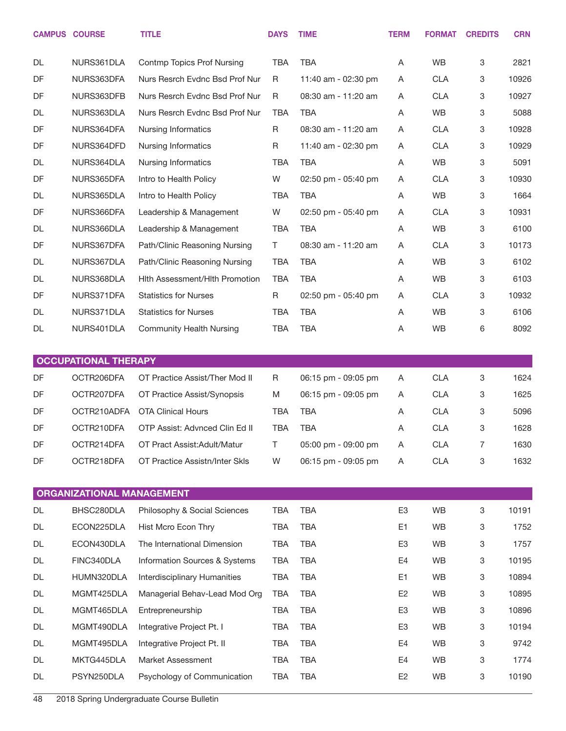|           | <b>CAMPUS COURSE</b>             | <b>TITLE</b>                        | <b>DAYS</b> | <b>TIME</b>         | <b>TERM</b>    | <b>FORMAT</b> | <b>CREDITS</b> | <b>CRN</b> |
|-----------|----------------------------------|-------------------------------------|-------------|---------------------|----------------|---------------|----------------|------------|
| DL        | NURS361DLA                       | Contmp Topics Prof Nursing          | <b>TBA</b>  | <b>TBA</b>          | Α              | <b>WB</b>     | 3              | 2821       |
| DF        | NURS363DFA                       | Nurs Resrch Evdnc Bsd Prof Nur      | R           | 11:40 am - 02:30 pm | A              | <b>CLA</b>    | 3              | 10926      |
| DF        | NURS363DFB                       | Nurs Resrch Evdnc Bsd Prof Nur      | R           | 08:30 am - 11:20 am | Α              | <b>CLA</b>    | 3              | 10927      |
| DL        | NURS363DLA                       | Nurs Resrch Evdnc Bsd Prof Nur      | TBA         | <b>TBA</b>          | Α              | WB            | 3              | 5088       |
| DF        | NURS364DFA                       | Nursing Informatics                 | R           | 08:30 am - 11:20 am | Α              | <b>CLA</b>    | 3              | 10928      |
| DF        | NURS364DFD                       | <b>Nursing Informatics</b>          | R           | 11:40 am - 02:30 pm | A              | <b>CLA</b>    | 3              | 10929      |
| DL        | NURS364DLA                       | <b>Nursing Informatics</b>          | <b>TBA</b>  | <b>TBA</b>          | Α              | WB            | 3              | 5091       |
| DF        | NURS365DFA                       | Intro to Health Policy              | W           | 02:50 pm - 05:40 pm | A              | <b>CLA</b>    | 3              | 10930      |
| DL        | NURS365DLA                       | Intro to Health Policy              | <b>TBA</b>  | <b>TBA</b>          | Α              | WB            | 3              | 1664       |
| DF        | NURS366DFA                       | Leadership & Management             | W           | 02:50 pm - 05:40 pm | A              | <b>CLA</b>    | 3              | 10931      |
| DL        | NURS366DLA                       | Leadership & Management             | <b>TBA</b>  | <b>TBA</b>          | Α              | WB            | 3              | 6100       |
| DF        | NURS367DFA                       | Path/Clinic Reasoning Nursing       | T.          | 08:30 am - 11:20 am | A              | <b>CLA</b>    | 3              | 10173      |
| <b>DL</b> | NURS367DLA                       | Path/Clinic Reasoning Nursing       | <b>TBA</b>  | <b>TBA</b>          | Α              | <b>WB</b>     | 3              | 6102       |
| DL        | NURS368DLA                       | Hith Assessment/Hith Promotion      | <b>TBA</b>  | <b>TBA</b>          | Α              | WB            | 3              | 6103       |
| DF        | NURS371DFA                       | <b>Statistics for Nurses</b>        | R           | 02:50 pm - 05:40 pm | A              | <b>CLA</b>    | 3              | 10932      |
| DL        | NURS371DLA                       | <b>Statistics for Nurses</b>        | <b>TBA</b>  | <b>TBA</b>          | A              | WB            | 3              | 6106       |
| DL        | NURS401DLA                       | <b>Community Health Nursing</b>     | <b>TBA</b>  | <b>TBA</b>          | Α              | <b>WB</b>     | 6              | 8092       |
|           |                                  |                                     |             |                     |                |               |                |            |
|           | <b>OCCUPATIONAL THERAPY</b>      |                                     |             |                     |                |               |                |            |
| DF        | OCTR206DFA                       | OT Practice Assist/Ther Mod II      | R           | 06:15 pm - 09:05 pm | A              | <b>CLA</b>    | 3              | 1624       |
| DF        | OCTR207DFA                       | OT Practice Assist/Synopsis         | M           | 06:15 pm - 09:05 pm | A              | <b>CLA</b>    | 3              | 1625       |
| DF        | OCTR210ADFA                      | <b>OTA Clinical Hours</b>           | <b>TBA</b>  | TBA                 | A              | <b>CLA</b>    | 3              | 5096       |
| DF        | OCTR210DFA                       | OTP Assist: Advnced Clin Ed II      | <b>TBA</b>  | <b>TBA</b>          | A              | <b>CLA</b>    | 3              | 1628       |
| DF        | OCTR214DFA                       | OT Pract Assist: Adult/Matur        | Т           | 05:00 pm - 09:00 pm | Α              | <b>CLA</b>    | 7              | 1630       |
| DF        | OCTR218DFA                       | OT Practice Assistn/Inter Skls      | W           | 06:15 pm - 09:05 pm | Α              | CLA           | 3              | 1632       |
|           |                                  |                                     |             |                     |                |               |                |            |
|           | <b>ORGANIZATIONAL MANAGEMENT</b> |                                     |             |                     |                |               |                |            |
| DL        | BHSC280DLA                       | Philosophy & Social Sciences        | TBA         | <b>TBA</b>          | E <sub>3</sub> | WB            | 3              | 10191      |
| DL        | ECON225DLA                       | Hist Mcro Econ Thry                 | TBA         | <b>TBA</b>          | E <sub>1</sub> | WB            | 3              | 1752       |
| DL        | ECON430DLA                       | The International Dimension         | <b>TBA</b>  | <b>TBA</b>          | E <sub>3</sub> | WB            | 3              | 1757       |
| DL        | FINC340DLA                       | Information Sources & Systems       | TBA         | <b>TBA</b>          | E4             | WB            | 3              | 10195      |
| DL        | HUMN320DLA                       | <b>Interdisciplinary Humanities</b> | <b>TBA</b>  | <b>TBA</b>          | E1             | WB            | 3              | 10894      |
| DL        | MGMT425DLA                       | Managerial Behav-Lead Mod Org       | TBA         | <b>TBA</b>          | E <sub>2</sub> | <b>WB</b>     | 3              | 10895      |
| DL        | MGMT465DLA                       | Entrepreneurship                    | TBA         | <b>TBA</b>          | E <sub>3</sub> | WB            | 3              | 10896      |
| DL        | MGMT490DLA                       | Integrative Project Pt. I           | TBA         | <b>TBA</b>          | E <sub>3</sub> | <b>WB</b>     | 3              | 10194      |
| DL        | MGMT495DLA                       | Integrative Project Pt. II          | TBA         | <b>TBA</b>          | E4             | WB            | 3              | 9742       |
| DL        | MKTG445DLA                       | Market Assessment                   | TBA         | <b>TBA</b>          | E4             | <b>WB</b>     | 3              | 1774       |
| DL        | PSYN250DLA                       | Psychology of Communication         | TBA         | <b>TBA</b>          | E <sub>2</sub> | WB            | 3              | 10190      |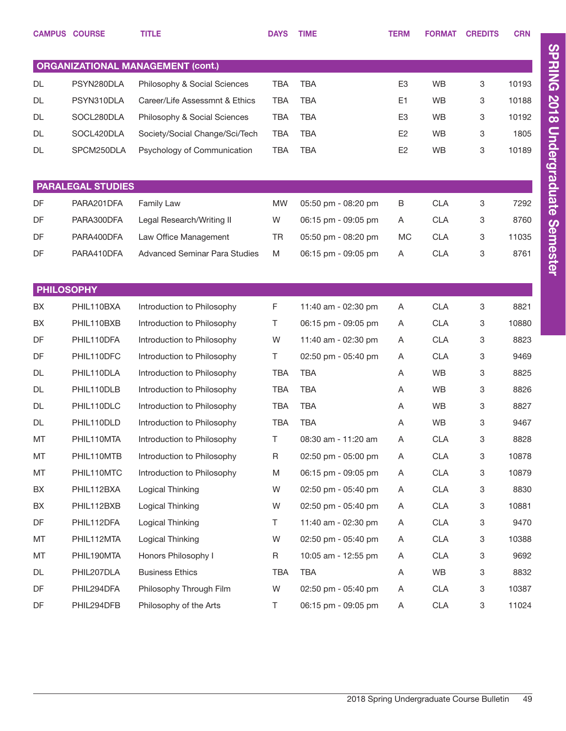|                   | <b>CAMPUS COURSE</b>     | TITLE                                    | <b>DAYS</b> | <b>TIME</b>         | <b>TERM</b>    | <b>FORMAT</b> | <b>CREDITS</b> | <b>CRN</b> |
|-------------------|--------------------------|------------------------------------------|-------------|---------------------|----------------|---------------|----------------|------------|
|                   |                          | <b>ORGANIZATIONAL MANAGEMENT (cont.)</b> |             |                     |                |               |                |            |
| DL.               | PSYN280DLA               | Philosophy & Social Sciences             | <b>TBA</b>  | <b>TBA</b>          | E <sub>3</sub> | <b>WB</b>     | 3              | 10193      |
| DL.               | PSYN310DLA               | Career/Life Assessmnt & Ethics           | <b>TBA</b>  | <b>TBA</b>          | E1             | <b>WB</b>     | 3              | 10188      |
| DL                | SOCL280DLA               | Philosophy & Social Sciences             | <b>TBA</b>  | <b>TBA</b>          | E <sub>3</sub> | <b>WB</b>     | 3              | 10192      |
| DL.               | SOCL420DLA               | Society/Social Change/Sci/Tech           | <b>TBA</b>  | <b>TBA</b>          | E <sub>2</sub> | <b>WB</b>     | 3              | 1805       |
| DL                | SPCM250DLA               | Psychology of Communication              | <b>TBA</b>  | <b>TBA</b>          | E <sub>2</sub> | <b>WB</b>     | 3              | 10189      |
|                   | <b>PARALEGAL STUDIES</b> |                                          |             |                     |                |               |                |            |
| DF                | PARA201DFA               | <b>Family Law</b>                        | <b>MW</b>   | 05:50 pm - 08:20 pm | B              | <b>CLA</b>    | 3              | 7292       |
| DF                | PARA300DFA               | Legal Research/Writing II                | W           | 06:15 pm - 09:05 pm | A              | <b>CLA</b>    | 3              | 8760       |
| DF                | PARA400DFA               | Law Office Management                    | TR          | 05:50 pm - 08:20 pm | МC             | <b>CLA</b>    | 3              | 11035      |
| DF                | PARA410DFA               | <b>Advanced Seminar Para Studies</b>     | M           | 06:15 pm - 09:05 pm | A              | <b>CLA</b>    | 3              | 8761       |
|                   |                          |                                          |             |                     |                |               |                |            |
| <b>PHILOSOPHY</b> |                          |                                          |             |                     |                |               |                |            |
| <b>BX</b>         | PHIL110BXA               | Introduction to Philosophy               | F           | 11:40 am - 02:30 pm | Α              | <b>CLA</b>    | 3              | 8821       |
| BX                | PHIL110BXB               | Introduction to Philosophy               | T.          | 06:15 pm - 09:05 pm | A              | <b>CLA</b>    | 3              | 10880      |
| DF                | PHIL110DFA               | Introduction to Philosophy               | W           | 11:40 am - 02:30 pm | A              | <b>CLA</b>    | 3              | 8823       |
| DF                | PHIL110DFC               | Introduction to Philosophy               | T           | 02:50 pm - 05:40 pm | A              | <b>CLA</b>    | 3              | 9469       |
| DL                | PHIL110DLA               | Introduction to Philosophy               | <b>TBA</b>  | <b>TBA</b>          | A              | <b>WB</b>     | 3              | 8825       |
| DL                | PHIL110DLB               | Introduction to Philosophy               | <b>TBA</b>  | TBA                 | A              | <b>WB</b>     | 3              | 8826       |
| DL.               | PHIL110DLC               | Introduction to Philosophy               | TBA         | <b>TBA</b>          | A              | <b>WB</b>     | 3              | 8827       |
| DL                | PHIL110DLD               | Introduction to Philosophy               | TBA         | <b>TBA</b>          | A              | <b>WB</b>     | 3              | 9467       |
| MT                | PHIL110MTA               | Introduction to Philosophy               | T           | 08:30 am - 11:20 am | A              | <b>CLA</b>    | 3              | 8828       |
| MT                | PHIL110MTB               | Introduction to Philosophy               | R           | 02:50 pm - 05:00 pm | Α              | <b>CLA</b>    | 3              | 10878      |
| МT                | PHIL110MTC               | Introduction to Philosophy               | M           | 06:15 pm - 09:05 pm | A              | <b>CLA</b>    | 3              | 10879      |
| BX                | PHIL112BXA               | Logical Thinking                         | W           | 02:50 pm - 05:40 pm | A              | <b>CLA</b>    | 3              | 8830       |
| BX                | PHIL112BXB               | Logical Thinking                         | W           | 02:50 pm - 05:40 pm | A              | <b>CLA</b>    | 3              | 10881      |
| DF                | PHIL112DFA               | Logical Thinking                         | T.          | 11:40 am - 02:30 pm | Α              | <b>CLA</b>    | 3              | 9470       |
| МT                | PHIL112MTA               | Logical Thinking                         | W           | 02:50 pm - 05:40 pm | A              | <b>CLA</b>    | 3              | 10388      |
| МT                | PHIL190MTA               | Honors Philosophy I                      | R           | 10:05 am - 12:55 pm | A              | <b>CLA</b>    | 3              | 9692       |
| DL                | PHIL207DLA               | <b>Business Ethics</b>                   | TBA         | <b>TBA</b>          | A              | WB            | 3              | 8832       |
| DF                | PHIL294DFA               | Philosophy Through Film                  | W           | 02:50 pm - 05:40 pm | Α              | <b>CLA</b>    | 3              | 10387      |
| DF                | PHIL294DFB               | Philosophy of the Arts                   | T.          | 06:15 pm - 09:05 pm | Α              | <b>CLA</b>    | 3              | 11024      |

SPRING 2018 Undergraduate Semester

SPRING 2018 Undergraduate Semester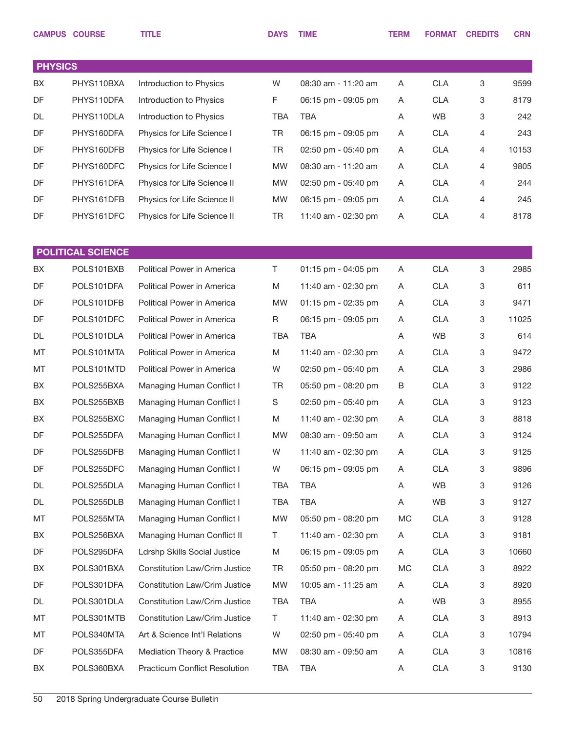|                | <b>CAMPUS COURSE</b>     | <b>TITLE</b>                         | <b>DAYS</b> | <b>TIME</b>         | <b>TERM</b> | <b>FORMAT</b> | <b>CREDITS</b>            | <b>CRN</b> |
|----------------|--------------------------|--------------------------------------|-------------|---------------------|-------------|---------------|---------------------------|------------|
|                |                          |                                      |             |                     |             |               |                           |            |
| <b>PHYSICS</b> |                          |                                      |             |                     |             |               |                           |            |
| BX             | PHYS110BXA               | Introduction to Physics              | W           | 08:30 am - 11:20 am | Α           | <b>CLA</b>    | 3                         | 9599       |
| <b>DF</b>      | PHYS110DFA               | Introduction to Physics              | F           | 06:15 pm - 09:05 pm | A           | <b>CLA</b>    | 3                         | 8179       |
| DL             | PHYS110DLA               | Introduction to Physics              | <b>TBA</b>  | <b>TBA</b>          | Α           | <b>WB</b>     | 3                         | 242        |
| <b>DF</b>      | PHYS160DFA               | Physics for Life Science I           | <b>TR</b>   | 06:15 pm - 09:05 pm | Α           | <b>CLA</b>    | 4                         | 243        |
| DF             | PHYS160DFB               | Physics for Life Science I           | <b>TR</b>   | 02:50 pm - 05:40 pm | Α           | <b>CLA</b>    | 4                         | 10153      |
| <b>DF</b>      | PHYS160DFC               | Physics for Life Science I           | <b>MW</b>   | 08:30 am - 11:20 am | Α           | <b>CLA</b>    | $\overline{4}$            | 9805       |
| DF             | PHYS161DFA               | Physics for Life Science II          | <b>MW</b>   | 02:50 pm - 05:40 pm | Α           | <b>CLA</b>    | $\overline{4}$            | 244        |
| <b>DF</b>      | PHYS161DFB               | Physics for Life Science II          | <b>MW</b>   | 06:15 pm - 09:05 pm | Α           | <b>CLA</b>    | 4                         | 245        |
| DF             | PHYS161DFC               | Physics for Life Science II          | <b>TR</b>   | 11:40 am - 02:30 pm | Α           | <b>CLA</b>    | 4                         | 8178       |
|                |                          |                                      |             |                     |             |               |                           |            |
|                | <b>POLITICAL SCIENCE</b> |                                      |             |                     |             |               |                           |            |
| BX             | POLS101BXB               | Political Power in America           | T.          | 01:15 pm - 04:05 pm | A           | <b>CLA</b>    | 3                         | 2985       |
| DF             | POLS101DFA               | Political Power in America           | M           | 11:40 am - 02:30 pm | A           | <b>CLA</b>    | 3                         | 611        |
| <b>DF</b>      | POLS101DFB               | Political Power in America           | <b>MW</b>   | 01:15 pm - 02:35 pm | A           | <b>CLA</b>    | 3                         | 9471       |
| DF             | POLS101DFC               | Political Power in America           | R           | 06:15 pm - 09:05 pm | A           | <b>CLA</b>    | $\ensuremath{\mathsf{3}}$ | 11025      |
| DL             | POLS101DLA               | Political Power in America           | <b>TBA</b>  | <b>TBA</b>          | Α           | WB            | 3                         | 614        |
| MT             | POLS101MTA               | Political Power in America           | M           | 11:40 am - 02:30 pm | A           | <b>CLA</b>    | 3                         | 9472       |
| MT             | POLS101MTD               | Political Power in America           | W           | 02:50 pm - 05:40 pm | A           | <b>CLA</b>    | 3                         | 2986       |
| BX             | POLS255BXA               | Managing Human Conflict I            | TR          | 05:50 pm - 08:20 pm | B           | <b>CLA</b>    | 3                         | 9122       |
| BX             | POLS255BXB               | Managing Human Conflict I            | S           | 02:50 pm - 05:40 pm | A           | <b>CLA</b>    | 3                         | 9123       |
| BX             | POLS255BXC               | Managing Human Conflict I            | M           | 11:40 am - 02:30 pm | A           | <b>CLA</b>    | 3                         | 8818       |
| DF             | POLS255DFA               | Managing Human Conflict I            | MW          | 08:30 am - 09:50 am | A           | <b>CLA</b>    | 3                         | 9124       |
| DF             | POLS255DFB               | Managing Human Conflict I            | W           | 11:40 am - 02:30 pm | A           | <b>CLA</b>    | 3                         | 9125       |
| DF             | POLS255DFC               | Managing Human Conflict I            | W           | 06:15 pm - 09:05 pm | A           | <b>CLA</b>    | 3                         | 9896       |
| DL             | POLS255DLA               | Managing Human Conflict I            | TBA         | <b>TBA</b>          | A           | WB            | 3                         | 9126       |
| DL             | POLS255DLB               | Managing Human Conflict I            | <b>TBA</b>  | <b>TBA</b>          | A           | WB            | 3                         | 9127       |
| MT             | POLS255MTA               | Managing Human Conflict I            | MW          | 05:50 pm - 08:20 pm | MC          | <b>CLA</b>    | 3                         | 9128       |
| BX             | POLS256BXA               | Managing Human Conflict II           | T.          | 11:40 am - 02:30 pm | A           | <b>CLA</b>    | 3                         | 9181       |
| DF             | POLS295DFA               | <b>Ldrshp Skills Social Justice</b>  | M           | 06:15 pm - 09:05 pm | A           | <b>CLA</b>    | 3                         | 10660      |
| BX             | POLS301BXA               | Constitution Law/Crim Justice        | TR          | 05:50 pm - 08:20 pm | МC          | <b>CLA</b>    | 3                         | 8922       |
| DF             | POLS301DFA               | Constitution Law/Crim Justice        | <b>MW</b>   | 10:05 am - 11:25 am | A           | <b>CLA</b>    | 3                         | 8920       |
| DL             | POLS301DLA               | Constitution Law/Crim Justice        | TBA         | <b>TBA</b>          | A           | WB            | 3                         | 8955       |
| MT             | POLS301MTB               | Constitution Law/Crim Justice        | T           | 11:40 am - 02:30 pm | A           | <b>CLA</b>    | 3                         | 8913       |
| MT             | POLS340MTA               | Art & Science Int'l Relations        | W           | 02:50 pm - 05:40 pm | A           | <b>CLA</b>    | 3                         | 10794      |
| DF             | POLS355DFA               | Mediation Theory & Practice          | <b>MW</b>   | 08:30 am - 09:50 am | A           | <b>CLA</b>    | 3                         | 10816      |
| BX             | POLS360BXA               | <b>Practicum Conflict Resolution</b> | TBA         | TBA                 | A           | <b>CLA</b>    | $\mathbf 3$               | 9130       |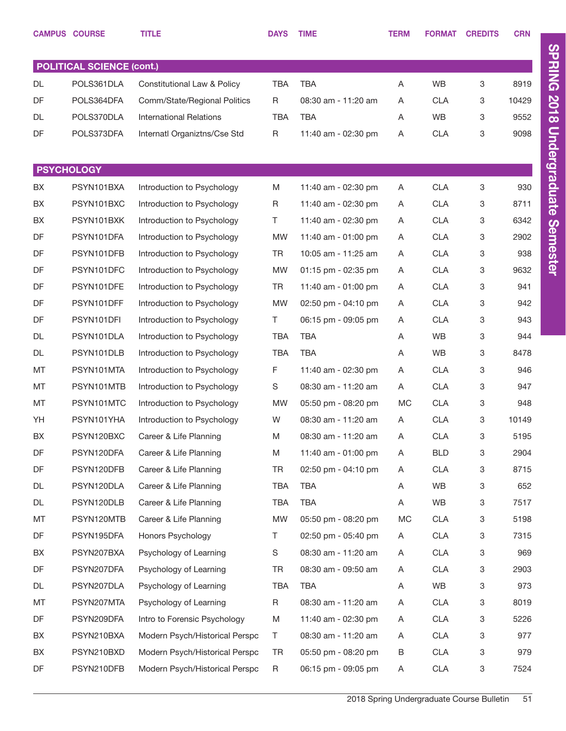|           | <b>CAMPUS COURSE</b>             | <b>TITLE</b>                   | <b>DAYS</b> | <b>TIME</b>         | <b>TERM</b> | <b>FORMAT</b> | <b>CREDITS</b> | <b>CRN</b> |
|-----------|----------------------------------|--------------------------------|-------------|---------------------|-------------|---------------|----------------|------------|
|           |                                  |                                |             |                     |             |               |                |            |
|           | <b>POLITICAL SCIENCE (cont.)</b> |                                |             |                     |             |               |                |            |
| <b>DL</b> | POLS361DLA                       | Constitutional Law & Policy    | <b>TBA</b>  | <b>TBA</b>          | A           | WB            | 3              | 8919       |
| DF        | POLS364DFA                       | Comm/State/Regional Politics   | $\mathsf R$ | 08:30 am - 11:20 am | Α           | <b>CLA</b>    | 3              | 10429      |
| DL        | POLS370DLA                       | <b>International Relations</b> | <b>TBA</b>  | <b>TBA</b>          | Α           | <b>WB</b>     | 3              | 9552       |
| DF        | POLS373DFA                       | Internatl Organiztns/Cse Std   | R           | 11:40 am - 02:30 pm | Α           | <b>CLA</b>    | 3              | 9098       |
|           |                                  |                                |             |                     |             |               |                |            |
|           | <b>PSYCHOLOGY</b>                |                                |             |                     |             |               |                |            |
| BX        | PSYN101BXA                       | Introduction to Psychology     | M           | 11:40 am - 02:30 pm | A           | <b>CLA</b>    | 3              | 930        |
| BX        | PSYN101BXC                       | Introduction to Psychology     | $\mathsf R$ | 11:40 am - 02:30 pm | A           | <b>CLA</b>    | 3              | 8711       |
| BX        | PSYN101BXK                       | Introduction to Psychology     | Τ           | 11:40 am - 02:30 pm | A           | <b>CLA</b>    | 3              | 6342       |
| DF        | PSYN101DFA                       | Introduction to Psychology     | <b>MW</b>   | 11:40 am - 01:00 pm | A           | <b>CLA</b>    | 3              | 2902       |
| DF        | PSYN101DFB                       | Introduction to Psychology     | <b>TR</b>   | 10:05 am - 11:25 am | A           | <b>CLA</b>    | 3              | 938        |
| DF        | PSYN101DFC                       | Introduction to Psychology     | <b>MW</b>   | 01:15 pm - 02:35 pm | A           | <b>CLA</b>    | 3              | 9632       |
| DF        | PSYN101DFE                       | Introduction to Psychology     | TR          | 11:40 am - 01:00 pm | Α           | <b>CLA</b>    | 3              | 941        |
| DF        | PSYN101DFF                       | Introduction to Psychology     | MW          | 02:50 pm - 04:10 pm | A           | <b>CLA</b>    | 3              | 942        |
| DF        | PSYN101DFI                       | Introduction to Psychology     | Τ           | 06:15 pm - 09:05 pm | Α           | <b>CLA</b>    | 3              | 943        |
| DL        | PSYN101DLA                       | Introduction to Psychology     | <b>TBA</b>  | <b>TBA</b>          | Α           | WB            | 3              | 944        |
| DL        | PSYN101DLB                       | Introduction to Psychology     | <b>TBA</b>  | <b>TBA</b>          | Α           | <b>WB</b>     | 3              | 8478       |
| MT        | PSYN101MTA                       | Introduction to Psychology     | F           | 11:40 am - 02:30 pm | Α           | <b>CLA</b>    | 3              | 946        |
| MT        | PSYN101MTB                       | Introduction to Psychology     | S           | 08:30 am - 11:20 am | A           | <b>CLA</b>    | 3              | 947        |
| MT        | PSYN101MTC                       | Introduction to Psychology     | MW          | 05:50 pm - 08:20 pm | МC          | <b>CLA</b>    | 3              | 948        |
| YH        | PSYN101YHA                       | Introduction to Psychology     | W           | 08:30 am - 11:20 am | Α           | <b>CLA</b>    | 3              | 10149      |
| BX        | PSYN120BXC                       | Career & Life Planning         | M           | 08:30 am - 11:20 am | A           | <b>CLA</b>    | 3              | 5195       |
| DF        | PSYN120DFA                       | Career & Life Planning         | M           | 11:40 am - 01:00 pm | A           | <b>BLD</b>    | 3              | 2904       |
| DF        | PSYN120DFB                       | Career & Life Planning         | <b>TR</b>   | 02:50 pm - 04:10 pm | A           | <b>CLA</b>    | 3              | 8715       |
| DL        | PSYN120DLA                       | Career & Life Planning         | TBA         | <b>TBA</b>          | Α           | WB            | 3              | 652        |
| DL        | PSYN120DLB                       | Career & Life Planning         | <b>TBA</b>  | <b>TBA</b>          | Α           | WB            | 3              | 7517       |
| MT        | PSYN120MTB                       | Career & Life Planning         | MW          | 05:50 pm - 08:20 pm | МC          | <b>CLA</b>    | 3              | 5198       |
| DF        | PSYN195DFA                       | Honors Psychology              | Τ           | 02:50 pm - 05:40 pm | A           | <b>CLA</b>    | 3              | 7315       |
| BX        | PSYN207BXA                       | Psychology of Learning         | S           | 08:30 am - 11:20 am | A           | <b>CLA</b>    | 3              | 969        |
| DF        | PSYN207DFA                       | Psychology of Learning         | <b>TR</b>   | 08:30 am - 09:50 am | A           | <b>CLA</b>    | 3              | 2903       |
| DL        | PSYN207DLA                       | Psychology of Learning         | TBA         | <b>TBA</b>          | Α           | WB            | 3              | 973        |
| MT        | PSYN207MTA                       | Psychology of Learning         | R           | 08:30 am - 11:20 am | Α           | <b>CLA</b>    | 3              | 8019       |
| DF        | PSYN209DFA                       | Intro to Forensic Psychology   | M           | 11:40 am - 02:30 pm | A           | <b>CLA</b>    | 3              | 5226       |
| BX        | PSYN210BXA                       | Modern Psych/Historical Perspc | Τ           | 08:30 am - 11:20 am | Α           | <b>CLA</b>    | 3              | 977        |
| BX        | PSYN210BXD                       | Modern Psych/Historical Perspc | TR          | 05:50 pm - 08:20 pm | В           | <b>CLA</b>    | 3              | 979        |
| DF        | PSYN210DFB                       | Modern Psych/Historical Perspc | R           | 06:15 pm - 09:05 pm | A           | <b>CLA</b>    | 3              | 7524       |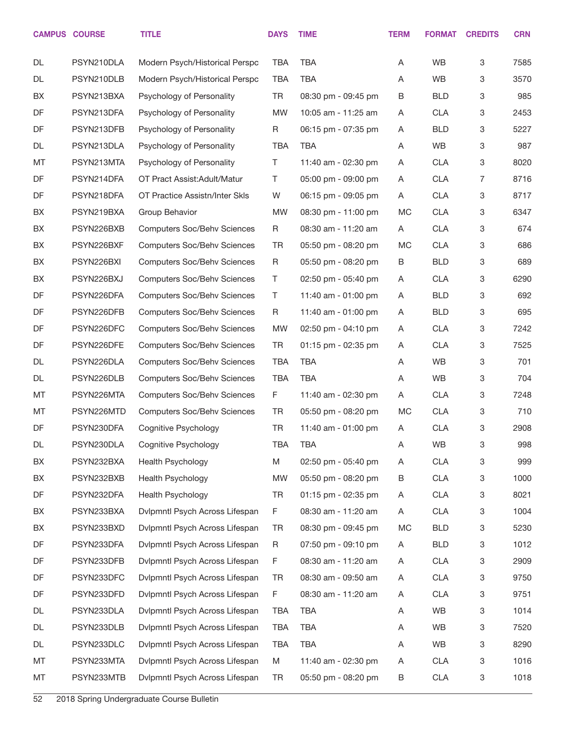|    | <b>CAMPUS COURSE</b> | <b>TITLE</b>                       | <b>DAYS</b> | <b>TIME</b>         | <b>TERM</b> | <b>FORMAT</b> | <b>CREDITS</b> | <b>CRN</b> |
|----|----------------------|------------------------------------|-------------|---------------------|-------------|---------------|----------------|------------|
| DL | PSYN210DLA           | Modern Psych/Historical Perspc     | TBA         | <b>TBA</b>          | Α           | <b>WB</b>     | 3              | 7585       |
| DL | PSYN210DLB           | Modern Psych/Historical Perspc     | <b>TBA</b>  | <b>TBA</b>          | Α           | <b>WB</b>     | 3              | 3570       |
| BX | PSYN213BXA           | Psychology of Personality          | TR          | 08:30 pm - 09:45 pm | B           | <b>BLD</b>    | 3              | 985        |
| DF | PSYN213DFA           | Psychology of Personality          | <b>MW</b>   | 10:05 am - 11:25 am | A           | <b>CLA</b>    | 3              | 2453       |
| DF | PSYN213DFB           | Psychology of Personality          | R           | 06:15 pm - 07:35 pm | A           | <b>BLD</b>    | 3              | 5227       |
| DL | PSYN213DLA           | Psychology of Personality          | <b>TBA</b>  | TBA                 | Α           | WB            | 3              | 987        |
| MT | PSYN213MTA           | Psychology of Personality          | Τ           | 11:40 am - 02:30 pm | Α           | <b>CLA</b>    | 3              | 8020       |
| DF | PSYN214DFA           | OT Pract Assist: Adult/Matur       | Τ           | 05:00 pm - 09:00 pm | A           | <b>CLA</b>    | 7              | 8716       |
| DF | PSYN218DFA           | OT Practice Assistn/Inter Skls     | W           | 06:15 pm - 09:05 pm | Α           | <b>CLA</b>    | 3              | 8717       |
| BX | PSYN219BXA           | Group Behavior                     | <b>MW</b>   | 08:30 pm - 11:00 pm | МC          | <b>CLA</b>    | 3              | 6347       |
| BX | PSYN226BXB           | <b>Computers Soc/Behv Sciences</b> | R           | 08:30 am - 11:20 am | Α           | <b>CLA</b>    | 3              | 674        |
| BX | PSYN226BXF           | <b>Computers Soc/Behv Sciences</b> | <b>TR</b>   | 05:50 pm - 08:20 pm | МC          | <b>CLA</b>    | 3              | 686        |
| BX | PSYN226BXI           | <b>Computers Soc/Behv Sciences</b> | R           | 05:50 pm - 08:20 pm | B           | <b>BLD</b>    | 3              | 689        |
| BX | PSYN226BXJ           | <b>Computers Soc/Behv Sciences</b> | Τ           | 02:50 pm - 05:40 pm | A           | <b>CLA</b>    | 3              | 6290       |
| DF | PSYN226DFA           | <b>Computers Soc/Behv Sciences</b> | T           | 11:40 am - 01:00 pm | A           | <b>BLD</b>    | 3              | 692        |
| DF | PSYN226DFB           | <b>Computers Soc/Behv Sciences</b> | R           | 11:40 am - 01:00 pm | A           | <b>BLD</b>    | 3              | 695        |
| DF | PSYN226DFC           | <b>Computers Soc/Behv Sciences</b> | <b>MW</b>   | 02:50 pm - 04:10 pm | A           | <b>CLA</b>    | 3              | 7242       |
| DF | PSYN226DFE           | <b>Computers Soc/Behv Sciences</b> | <b>TR</b>   | 01:15 pm - 02:35 pm | Α           | <b>CLA</b>    | 3              | 7525       |
| DL | PSYN226DLA           | <b>Computers Soc/Behv Sciences</b> | <b>TBA</b>  | <b>TBA</b>          | Α           | <b>WB</b>     | 3              | 701        |
| DL | PSYN226DLB           | <b>Computers Soc/Behv Sciences</b> | <b>TBA</b>  | TBA                 | Α           | WB            | 3              | 704        |
| MT | PSYN226MTA           | <b>Computers Soc/Behv Sciences</b> | F           | 11:40 am - 02:30 pm | Α           | <b>CLA</b>    | 3              | 7248       |
| MT | PSYN226MTD           | <b>Computers Soc/Behv Sciences</b> | <b>TR</b>   | 05:50 pm - 08:20 pm | МC          | <b>CLA</b>    | 3              | 710        |
| DF | PSYN230DFA           | Cognitive Psychology               | <b>TR</b>   | 11:40 am - 01:00 pm | A           | <b>CLA</b>    | 3              | 2908       |
| DL | PSYN230DLA           | Cognitive Psychology               | <b>TBA</b>  | TBA                 | Α           | WB            | 3              | 998        |
| BX | PSYN232BXA           | Health Psychology                  | M           | 02:50 pm - 05:40 pm | Α           | <b>CLA</b>    | 3              | 999        |
| BX | PSYN232BXB           | Health Psychology                  | MW          | 05:50 pm - 08:20 pm | Β           | <b>CLA</b>    | 3              | 1000       |
| DF | PSYN232DFA           | Health Psychology                  | <b>TR</b>   | 01:15 pm - 02:35 pm | Α           | <b>CLA</b>    | 3              | 8021       |
| BX | PSYN233BXA           | Dvlpmntl Psych Across Lifespan     | F           | 08:30 am - 11:20 am | Α           | <b>CLA</b>    | 3              | 1004       |
| BX | PSYN233BXD           | Dvlpmntl Psych Across Lifespan     | TR          | 08:30 pm - 09:45 pm | MC          | <b>BLD</b>    | 3              | 5230       |
| DF | PSYN233DFA           | Dvlpmntl Psych Across Lifespan     | R           | 07:50 pm - 09:10 pm | Α           | <b>BLD</b>    | 3              | 1012       |
| DF | PSYN233DFB           | Dvlpmntl Psych Across Lifespan     | F           | 08:30 am - 11:20 am | Α           | <b>CLA</b>    | 3              | 2909       |
| DF | PSYN233DFC           | Dvlpmntl Psych Across Lifespan     | TR          | 08:30 am - 09:50 am | Α           | <b>CLA</b>    | 3              | 9750       |
| DF | PSYN233DFD           | Dvlpmntl Psych Across Lifespan     | F           | 08:30 am - 11:20 am | Α           | <b>CLA</b>    | 3              | 9751       |
| DL | PSYN233DLA           | Dvlpmntl Psych Across Lifespan     | <b>TBA</b>  | <b>TBA</b>          | Α           | WB            | 3              | 1014       |
| DL | PSYN233DLB           | Dvlpmntl Psych Across Lifespan     | <b>TBA</b>  | <b>TBA</b>          | Α           | WB            | 3              | 7520       |
| DL | PSYN233DLC           | Dvlpmntl Psych Across Lifespan     | <b>TBA</b>  | <b>TBA</b>          | Α           | WB            | 3              | 8290       |
| MT | PSYN233MTA           | Dvlpmntl Psych Across Lifespan     | M           | 11:40 am - 02:30 pm | Α           | <b>CLA</b>    | 3              | 1016       |
| MT | PSYN233MTB           | Dvlpmntl Psych Across Lifespan     | TR          | 05:50 pm - 08:20 pm | Β           | <b>CLA</b>    | 3              | 1018       |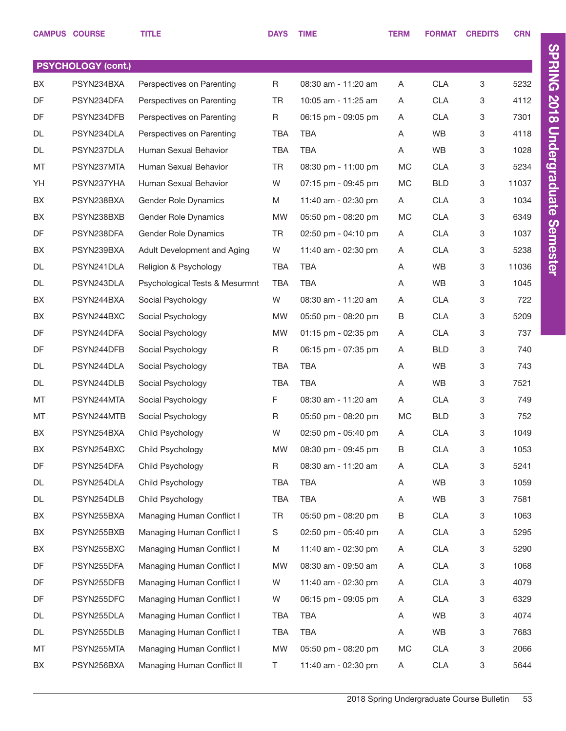|           | <b>CAMPUS COURSE</b>      | <b>TITLE</b>                   | <b>DAYS</b> | <b>TIME</b>         | <b>TERM</b> | <b>FORMAT</b> | <b>CREDITS</b> | <b>CRN</b> |
|-----------|---------------------------|--------------------------------|-------------|---------------------|-------------|---------------|----------------|------------|
|           |                           |                                |             |                     |             |               |                |            |
|           | <b>PSYCHOLOGY (cont.)</b> |                                |             |                     |             |               |                |            |
| BX        | PSYN234BXA                | Perspectives on Parenting      | R           | 08:30 am - 11:20 am | Α           | <b>CLA</b>    | 3              | 5232       |
| <b>DF</b> | PSYN234DFA                | Perspectives on Parenting      | TR          | 10:05 am - 11:25 am | A           | <b>CLA</b>    | 3              | 4112       |
| DF        | PSYN234DFB                | Perspectives on Parenting      | R           | 06:15 pm - 09:05 pm | Α           | <b>CLA</b>    | 3              | 7301       |
| DL        | PSYN234DLA                | Perspectives on Parenting      | TBA         | <b>TBA</b>          | A           | WB            | 3              | 4118       |
| DL        | PSYN237DLA                | Human Sexual Behavior          | <b>TBA</b>  | <b>TBA</b>          | Α           | <b>WB</b>     | 3              | 1028       |
| MT        | PSYN237MTA                | Human Sexual Behavior          | TR          | 08:30 pm - 11:00 pm | MC          | <b>CLA</b>    | 3              | 5234       |
| YH        | PSYN237YHA                | Human Sexual Behavior          | W           | 07:15 pm - 09:45 pm | MC          | <b>BLD</b>    | 3              | 11037      |
| BX        | PSYN238BXA                | Gender Role Dynamics           | M           | 11:40 am - 02:30 pm | A           | <b>CLA</b>    | 3              | 1034       |
| BX        | PSYN238BXB                | <b>Gender Role Dynamics</b>    | <b>MW</b>   | 05:50 pm - 08:20 pm | MC          | <b>CLA</b>    | 3              | 6349       |
| DF        | PSYN238DFA                | Gender Role Dynamics           | TR          | 02:50 pm - 04:10 pm | A           | <b>CLA</b>    | 3              | 1037       |
| BX        | PSYN239BXA                | Adult Development and Aging    | W           | 11:40 am - 02:30 pm | Α           | <b>CLA</b>    | 3              | 5238       |
| DL        | PSYN241DLA                | Religion & Psychology          | <b>TBA</b>  | <b>TBA</b>          | A           | WB            | 3              | 11036      |
| DL        | PSYN243DLA                | Psychological Tests & Mesurmnt | <b>TBA</b>  | <b>TBA</b>          | Α           | <b>WB</b>     | 3              | 1045       |
| BX        | PSYN244BXA                | Social Psychology              | W           | 08:30 am - 11:20 am | Α           | <b>CLA</b>    | 3              | 722        |
| BX        | PSYN244BXC                | Social Psychology              | <b>MW</b>   | 05:50 pm - 08:20 pm | В           | <b>CLA</b>    | 3              | 5209       |
| DF        | PSYN244DFA                | Social Psychology              | <b>MW</b>   | 01:15 pm - 02:35 pm | A           | <b>CLA</b>    | 3              | 737        |
| DF        | PSYN244DFB                | Social Psychology              | R           | 06:15 pm - 07:35 pm | Α           | <b>BLD</b>    | 3              | 740        |
| DL        | PSYN244DLA                | Social Psychology              | <b>TBA</b>  | TBA                 | A           | WB            | 3              | 743        |
| DL        | PSYN244DLB                | Social Psychology              | TBA         | <b>TBA</b>          | Α           | WB            | 3              | 7521       |
| MT        | PSYN244MTA                | Social Psychology              | F           | 08:30 am - 11:20 am | Α           | <b>CLA</b>    | 3              | 749        |
| MT        | PSYN244MTB                | Social Psychology              | R           | 05:50 pm - 08:20 pm | МC          | <b>BLD</b>    | 3              | 752        |
| BX        | PSYN254BXA                | Child Psychology               | W           | 02:50 pm - 05:40 pm | Α           | <b>CLA</b>    | 3              | 1049       |
| BX        | PSYN254BXC                | Child Psychology               | <b>MW</b>   | 08:30 pm - 09:45 pm | В           | CLA           | 3              | 1053       |
| DF        | PSYN254DFA                | Child Psychology               | R           | 08:30 am - 11:20 am | Α           | <b>CLA</b>    | 3              | 5241       |
| DL        | PSYN254DLA                | Child Psychology               | TBA         | TBA                 | A           | WB            | 3              | 1059       |
| DL        | PSYN254DLB                | Child Psychology               | TBA         | TBA                 | Α           | WB            | 3              | 7581       |
| BX        | PSYN255BXA                | Managing Human Conflict I      | TR          | 05:50 pm - 08:20 pm | В           | <b>CLA</b>    | 3              | 1063       |
| BX        | PSYN255BXB                | Managing Human Conflict I      | S           | 02:50 pm - 05:40 pm | Α           | <b>CLA</b>    | 3              | 5295       |
| BX        | PSYN255BXC                | Managing Human Conflict I      | M           | 11:40 am - 02:30 pm | Α           | <b>CLA</b>    | 3              | 5290       |
| DF        | PSYN255DFA                | Managing Human Conflict I      | <b>MW</b>   | 08:30 am - 09:50 am | Α           | <b>CLA</b>    | 3              | 1068       |
| DF        | PSYN255DFB                | Managing Human Conflict I      | W           | 11:40 am - 02:30 pm | Α           | <b>CLA</b>    | 3              | 4079       |
| DF        | PSYN255DFC                | Managing Human Conflict I      | W           | 06:15 pm - 09:05 pm | Α           | <b>CLA</b>    | 3              | 6329       |
| DL        | PSYN255DLA                | Managing Human Conflict I      | TBA         | TBA                 | Α           | WB            | 3              | 4074       |
| DL        | PSYN255DLB                | Managing Human Conflict I      | TBA         | TBA                 | Α           | WB            | 3              | 7683       |
| MT        | PSYN255MTA                | Managing Human Conflict I      | <b>MW</b>   | 05:50 pm - 08:20 pm | MC          | <b>CLA</b>    | 3              | 2066       |
| BX        | PSYN256BXA                | Managing Human Conflict II     | T.          | 11:40 am - 02:30 pm | A           | CLA           | 3              | 5644       |

2018 Spring Undergraduate Course Bulletin 53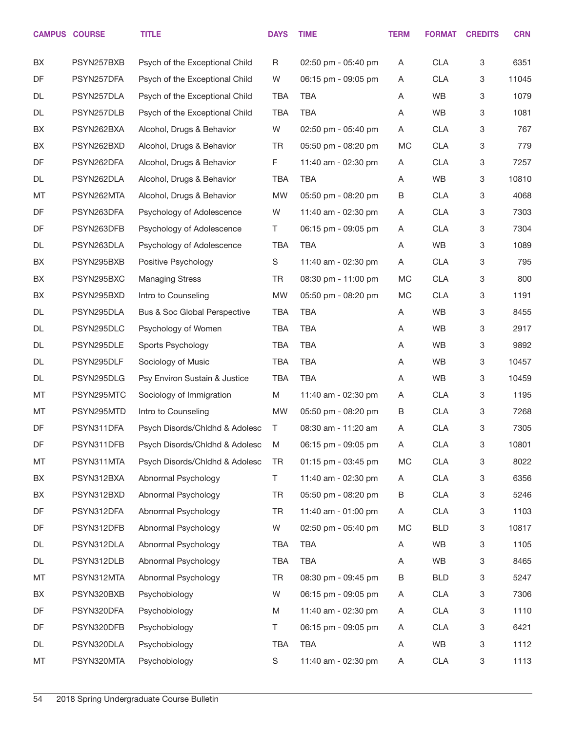|    | <b>CAMPUS COURSE</b> | <b>TITLE</b>                   | <b>DAYS</b> | <b>TIME</b>         | <b>TERM</b> | <b>FORMAT</b> | <b>CREDITS</b> | <b>CRN</b> |
|----|----------------------|--------------------------------|-------------|---------------------|-------------|---------------|----------------|------------|
| BX | PSYN257BXB           | Psych of the Exceptional Child | R           | 02:50 pm - 05:40 pm | A           | <b>CLA</b>    | 3              | 6351       |
| DF | PSYN257DFA           | Psych of the Exceptional Child | W           | 06:15 pm - 09:05 pm | A           | <b>CLA</b>    | 3              | 11045      |
| DL | PSYN257DLA           | Psych of the Exceptional Child | <b>TBA</b>  | TBA                 | Α           | <b>WB</b>     | 3              | 1079       |
| DL | PSYN257DLB           | Psych of the Exceptional Child | <b>TBA</b>  | TBA                 | Α           | WB            | 3              | 1081       |
| BX | PSYN262BXA           | Alcohol, Drugs & Behavior      | W           | 02:50 pm - 05:40 pm | Α           | <b>CLA</b>    | 3              | 767        |
| BX | PSYN262BXD           | Alcohol, Drugs & Behavior      | TR          | 05:50 pm - 08:20 pm | <b>MC</b>   | <b>CLA</b>    | 3              | 779        |
| DF | PSYN262DFA           | Alcohol, Drugs & Behavior      | F           | 11:40 am - 02:30 pm | Α           | <b>CLA</b>    | 3              | 7257       |
| DL | PSYN262DLA           | Alcohol, Drugs & Behavior      | <b>TBA</b>  | TBA                 | Α           | WB            | 3              | 10810      |
| MT | PSYN262MTA           | Alcohol, Drugs & Behavior      | <b>MW</b>   | 05:50 pm - 08:20 pm | B           | <b>CLA</b>    | 3              | 4068       |
| DF | PSYN263DFA           | Psychology of Adolescence      | W           | 11:40 am - 02:30 pm | A           | <b>CLA</b>    | 3              | 7303       |
| DF | PSYN263DFB           | Psychology of Adolescence      | T.          | 06:15 pm - 09:05 pm | A           | <b>CLA</b>    | 3              | 7304       |
| DL | PSYN263DLA           | Psychology of Adolescence      | <b>TBA</b>  | TBA                 | Α           | WB            | 3              | 1089       |
| BX | PSYN295BXB           | Positive Psychology            | $\mathbb S$ | 11:40 am - 02:30 pm | Α           | <b>CLA</b>    | 3              | 795        |
| BX | PSYN295BXC           | <b>Managing Stress</b>         | TR          | 08:30 pm - 11:00 pm | <b>MC</b>   | <b>CLA</b>    | 3              | 800        |
| BX | PSYN295BXD           | Intro to Counseling            | <b>MW</b>   | 05:50 pm - 08:20 pm | <b>MC</b>   | <b>CLA</b>    | 3              | 1191       |
| DL | PSYN295DLA           | Bus & Soc Global Perspective   | <b>TBA</b>  | <b>TBA</b>          | Α           | <b>WB</b>     | 3              | 8455       |
| DL | PSYN295DLC           | Psychology of Women            | <b>TBA</b>  | <b>TBA</b>          | Α           | <b>WB</b>     | 3              | 2917       |
| DL | PSYN295DLE           | Sports Psychology              | <b>TBA</b>  | <b>TBA</b>          | Α           | <b>WB</b>     | 3              | 9892       |
| DL | PSYN295DLF           | Sociology of Music             | <b>TBA</b>  | <b>TBA</b>          | Α           | <b>WB</b>     | 3              | 10457      |
| DL | PSYN295DLG           | Psy Environ Sustain & Justice  | <b>TBA</b>  | <b>TBA</b>          | Α           | WB            | 3              | 10459      |
| MT | PSYN295MTC           | Sociology of Immigration       | M           | 11:40 am - 02:30 pm | A           | <b>CLA</b>    | 3              | 1195       |
| MT | PSYN295MTD           | Intro to Counseling            | <b>MW</b>   | 05:50 pm - 08:20 pm | B           | <b>CLA</b>    | 3              | 7268       |
| DF | PSYN311DFA           | Psych Disords/Chldhd & Adolesc | T.          | 08:30 am - 11:20 am | A           | <b>CLA</b>    | 3              | 7305       |
| DF | PSYN311DFB           | Psych Disords/Chldhd & Adolesc | M           | 06:15 pm - 09:05 pm | Α           | <b>CLA</b>    | 3              | 10801      |
| MT | PSYN311MTA           | Psych Disords/Chldhd & Adolesc | <b>TR</b>   | 01:15 pm - 03:45 pm | <b>MC</b>   | <b>CLA</b>    | 3              | 8022       |
| BX | PSYN312BXA           | Abnormal Psychology            | T.          | 11:40 am - 02:30 pm | A           | <b>CLA</b>    | 3              | 6356       |
| BX | PSYN312BXD           | Abnormal Psychology            | TR          | 05:50 pm - 08:20 pm | В           | <b>CLA</b>    | 3              | 5246       |
| DF | PSYN312DFA           | Abnormal Psychology            | TR          | 11:40 am - 01:00 pm | Α           | <b>CLA</b>    | 3              | 1103       |
| DF | PSYN312DFB           | Abnormal Psychology            | W           | 02:50 pm - 05:40 pm | <b>MC</b>   | <b>BLD</b>    | 3              | 10817      |
| DL | PSYN312DLA           | Abnormal Psychology            | TBA         | <b>TBA</b>          | Α           | WB            | 3              | 1105       |
| DL | PSYN312DLB           | Abnormal Psychology            | <b>TBA</b>  | TBA                 | Α           | WB            | 3              | 8465       |
| MT | PSYN312MTA           | Abnormal Psychology            | TR          | 08:30 pm - 09:45 pm | В           | <b>BLD</b>    | 3              | 5247       |
| BX | PSYN320BXB           | Psychobiology                  | W           | 06:15 pm - 09:05 pm | A           | <b>CLA</b>    | 3              | 7306       |
| DF | PSYN320DFA           | Psychobiology                  | M           | 11:40 am - 02:30 pm | A           | <b>CLA</b>    | 3              | 1110       |
| DF | PSYN320DFB           | Psychobiology                  | Τ           | 06:15 pm - 09:05 pm | A           | <b>CLA</b>    | 3              | 6421       |
| DL | PSYN320DLA           | Psychobiology                  | TBA         | <b>TBA</b>          | Α           | WB            | 3              | 1112       |
| MT | PSYN320MTA           | Psychobiology                  | S           | 11:40 am - 02:30 pm | A           | <b>CLA</b>    | 3              | 1113       |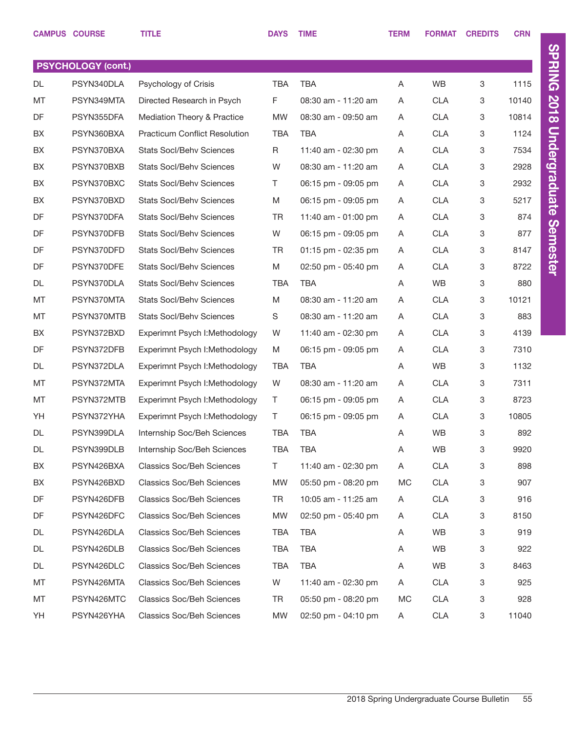|    | <b>CAMPUS COURSE</b>      | TITLE                                | <b>DAYS</b> | <b>TIME</b>           | <b>TERM</b> | <b>FORMAT</b> | <b>CREDITS</b> | <b>CRN</b> |
|----|---------------------------|--------------------------------------|-------------|-----------------------|-------------|---------------|----------------|------------|
|    |                           |                                      |             |                       |             |               |                |            |
|    | <b>PSYCHOLOGY (cont.)</b> |                                      |             |                       |             |               |                |            |
| DL | PSYN340DLA                | Psychology of Crisis                 | TBA         | <b>TBA</b>            | A           | <b>WB</b>     | 3              | 1115       |
| МT | PSYN349MTA                | Directed Research in Psych           | F.          | 08:30 am - 11:20 am   | A           | <b>CLA</b>    | 3              | 10140      |
| DF | PSYN355DFA                | Mediation Theory & Practice          | <b>MW</b>   | 08:30 am - 09:50 am   | A           | <b>CLA</b>    | 3              | 10814      |
| BX | PSYN360BXA                | <b>Practicum Conflict Resolution</b> | TBA         | <b>TBA</b>            | A           | <b>CLA</b>    | 3              | 1124       |
| BX | PSYN370BXA                | <b>Stats Socl/Behy Sciences</b>      | R           | 11:40 am - 02:30 pm   | A           | <b>CLA</b>    | 3              | 7534       |
| BX | PSYN370BXB                | <b>Stats Socl/Behv Sciences</b>      | W           | 08:30 am - 11:20 am   | A           | <b>CLA</b>    | 3              | 2928       |
| BX | PSYN370BXC                | <b>Stats Socl/Behy Sciences</b>      | T.          | 06:15 pm - 09:05 pm   | A           | <b>CLA</b>    | 3              | 2932       |
| BX | PSYN370BXD                | <b>Stats Socl/Behy Sciences</b>      | M           | 06:15 pm - 09:05 pm   | A           | <b>CLA</b>    | 3              | 5217       |
| DF | PSYN370DFA                | <b>Stats Socl/Behy Sciences</b>      | TR          | 11:40 am - 01:00 pm   | A           | <b>CLA</b>    | 3              | 874        |
| DF | PSYN370DFB                | <b>Stats Socl/Behy Sciences</b>      | W           | 06:15 pm - 09:05 pm   | A           | <b>CLA</b>    | 3              | 877        |
| DF | PSYN370DFD                | <b>Stats Socl/Behy Sciences</b>      | TR          | $01:15$ pm - 02:35 pm | A           | <b>CLA</b>    | 3              | 8147       |
| DF | PSYN370DFE                | <b>Stats Socl/Behy Sciences</b>      | M           | 02:50 pm - 05:40 pm   | A           | <b>CLA</b>    | 3              | 8722       |
| DL | PSYN370DLA                | <b>Stats Socl/Behy Sciences</b>      | TBA         | <b>TBA</b>            | A           | WB            | 3              | 880        |
| MT | PSYN370MTA                | <b>Stats Socl/Behy Sciences</b>      | M           | 08:30 am - 11:20 am   | A           | <b>CLA</b>    | 3              | 10121      |
| MT | PSYN370MTB                | <b>Stats Socl/Behy Sciences</b>      | S           | 08:30 am - 11:20 am   | A           | <b>CLA</b>    | 3              | 883        |
| BX | PSYN372BXD                | Experimnt Psych I: Methodology       | W           | 11:40 am - 02:30 pm   | A           | <b>CLA</b>    | 3              | 4139       |
| DF | PSYN372DFB                | Experimnt Psych I: Methodology       | M           | 06:15 pm - 09:05 pm   | A           | <b>CLA</b>    | 3              | 7310       |
| DL | PSYN372DLA                | Experimnt Psych I: Methodology       | <b>TBA</b>  | TBA                   | A           | WB            | 3              | 1132       |
| MT | PSYN372MTA                | Experimnt Psych I: Methodology       | W           | 08:30 am - 11:20 am   | A           | <b>CLA</b>    | 3              | 7311       |
| MT | PSYN372MTB                | Experimnt Psych I: Methodology       | Τ           | 06:15 pm - 09:05 pm   | A           | <b>CLA</b>    | 3              | 8723       |
| YH | PSYN372YHA                | Experimnt Psych I: Methodology       | T.          | 06:15 pm - 09:05 pm   | A           | <b>CLA</b>    | 3              | 10805      |
| DL | PSYN399DLA                | Internship Soc/Beh Sciences          | TBA         | <b>TBA</b>            | A           | WB            | 3              | 892        |
| DL | PSYN399DLB                | Internship Soc/Beh Sciences          | TBA         | TBA                   | A           | WB            | 3              | 9920       |
| BX | PSYN426BXA                | <b>Classics Soc/Beh Sciences</b>     | T.          | 11:40 am - 02:30 pm   | A           | <b>CLA</b>    | 3              | 898        |
| BX | PSYN426BXD                | <b>Classics Soc/Beh Sciences</b>     | <b>MW</b>   | 05:50 pm - 08:20 pm   | МC          | <b>CLA</b>    | 3              | 907        |
| DF | PSYN426DFB                | <b>Classics Soc/Beh Sciences</b>     | TR          | 10:05 am - 11:25 am   | A           | <b>CLA</b>    | 3              | 916        |
| DF | PSYN426DFC                | <b>Classics Soc/Beh Sciences</b>     | <b>MW</b>   | 02:50 pm - 05:40 pm   | A           | <b>CLA</b>    | 3              | 8150       |
| DL | PSYN426DLA                | <b>Classics Soc/Beh Sciences</b>     | TBA         | <b>TBA</b>            | A           | WB            | 3              | 919        |
| DL | PSYN426DLB                | <b>Classics Soc/Beh Sciences</b>     | TBA         | TBA                   | A           | WB            | 3              | 922        |
| DL | PSYN426DLC                | <b>Classics Soc/Beh Sciences</b>     | TBA         | <b>TBA</b>            | A           | WB            | 3              | 8463       |
| МT | PSYN426MTA                | <b>Classics Soc/Beh Sciences</b>     | W           | 11:40 am - 02:30 pm   | A           | <b>CLA</b>    | 3              | 925        |
| МT | PSYN426MTC                | <b>Classics Soc/Beh Sciences</b>     | TR          | 05:50 pm - 08:20 pm   | МC          | <b>CLA</b>    | 3              | 928        |
| YH | PSYN426YHA                | <b>Classics Soc/Beh Sciences</b>     | MW          | 02:50 pm - 04:10 pm   | A           | <b>CLA</b>    | 3              | 11040      |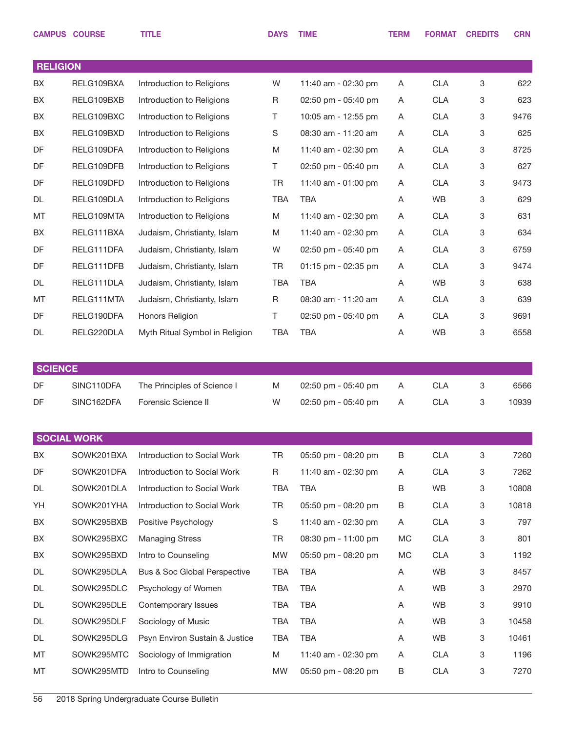|                 | <b>CAMPUS COURSE</b> | <b>TITLE</b>                   | <b>DAYS</b> | <b>TIME</b>         | <b>TERM</b> | <b>FORMAT</b> | <b>CREDITS</b> | <b>CRN</b> |
|-----------------|----------------------|--------------------------------|-------------|---------------------|-------------|---------------|----------------|------------|
|                 |                      |                                |             |                     |             |               |                |            |
| <b>RELIGION</b> |                      |                                |             |                     |             |               |                |            |
| BX              | RELG109BXA           | Introduction to Religions      | W           | 11:40 am - 02:30 pm | A           | <b>CLA</b>    | 3              | 622        |
| BX              | RELG109BXB           | Introduction to Religions      | R           | 02:50 pm - 05:40 pm | A           | <b>CLA</b>    | 3              | 623        |
| BX              | RELG109BXC           | Introduction to Religions      | Τ           | 10:05 am - 12:55 pm | A           | <b>CLA</b>    | 3              | 9476       |
| BX              | RELG109BXD           | Introduction to Religions      | S           | 08:30 am - 11:20 am | A           | <b>CLA</b>    | 3              | 625        |
| DF              | RELG109DFA           | Introduction to Religions      | M           | 11:40 am - 02:30 pm | A           | <b>CLA</b>    | 3              | 8725       |
| DF              | RELG109DFB           | Introduction to Religions      | Τ           | 02:50 pm - 05:40 pm | A           | <b>CLA</b>    | 3              | 627        |
| DF              | RELG109DFD           | Introduction to Religions      | <b>TR</b>   | 11:40 am - 01:00 pm | A           | <b>CLA</b>    | 3              | 9473       |
| DL              | RELG109DLA           | Introduction to Religions      | <b>TBA</b>  | <b>TBA</b>          | Α           | <b>WB</b>     | 3              | 629        |
| MT              | RELG109MTA           | Introduction to Religions      | M           | 11:40 am - 02:30 pm | A           | <b>CLA</b>    | 3              | 631        |
| BX              | RELG111BXA           | Judaism, Christianty, Islam    | M           | 11:40 am - 02:30 pm | A           | <b>CLA</b>    | 3              | 634        |
| DF              | RELG111DFA           | Judaism, Christianty, Islam    | W           | 02:50 pm - 05:40 pm | A           | <b>CLA</b>    | 3              | 6759       |
| DF              | RELG111DFB           | Judaism, Christianty, Islam    | TR          | 01:15 pm - 02:35 pm | A           | <b>CLA</b>    | 3              | 9474       |
| DL              | RELG111DLA           | Judaism, Christianty, Islam    | <b>TBA</b>  | <b>TBA</b>          | A           | <b>WB</b>     | 3              | 638        |
| MT              | RELG111MTA           | Judaism, Christianty, Islam    | R           | 08:30 am - 11:20 am | A           | <b>CLA</b>    | 3              | 639        |
| DF              | RELG190DFA           | Honors Religion                | Τ           | 02:50 pm - 05:40 pm | A           | <b>CLA</b>    | 3              | 9691       |
| DL              | RELG220DLA           | Myth Ritual Symbol in Religion | <b>TBA</b>  | <b>TBA</b>          | Α           | WB            | 3              | 6558       |
|                 |                      |                                |             |                     |             |               |                |            |
| <b>SCIENCE</b>  |                      |                                |             |                     |             |               |                |            |
| DF              | SINC110DFA           | The Principles of Science I    | M           | 02:50 pm - 05:40 pm | A           | <b>CLA</b>    | 3              | 6566       |
| DF              | SINC162DFA           | Forensic Science II            | W           | 02:50 pm - 05:40 pm | Α           | <b>CLA</b>    | 3              | 10939      |
|                 |                      |                                |             |                     |             |               |                |            |
|                 | <b>SOCIAL WORK</b>   |                                |             |                     |             |               |                |            |
| BX              | SOWK201BXA           | Introduction to Social Work    | <b>TR</b>   | 05:50 pm - 08:20 pm | В           | <b>CLA</b>    | 3              | 7260       |
| DF              | SOWK201DFA           | Introduction to Social Work    | R           | 11:40 am - 02:30 pm | A           | <b>CLA</b>    | 3              | 7262       |
| DL              | SOWK201DLA           | Introduction to Social Work    | <b>TBA</b>  | <b>TBA</b>          | В           | WB            | 3              | 10808      |
| YH              | SOWK201YHA           | Introduction to Social Work    | <b>TR</b>   | 05:50 pm - 08:20 pm | В           | <b>CLA</b>    | 3              | 10818      |
| BX              | SOWK295BXB           | Positive Psychology            | S           | 11:40 am - 02:30 pm | A           | <b>CLA</b>    | 3              | 797        |
| BX              | SOWK295BXC           | <b>Managing Stress</b>         | TR          | 08:30 pm - 11:00 pm | MC          | <b>CLA</b>    | 3              | 801        |
| BX              | SOWK295BXD           | Intro to Counseling            | <b>MW</b>   | 05:50 pm - 08:20 pm | MC          | <b>CLA</b>    | 3              | 1192       |
| DL              | SOWK295DLA           | Bus & Soc Global Perspective   | TBA         | TBA                 | Α           | WB            | 3              | 8457       |
| DL              | SOWK295DLC           | Psychology of Women            | TBA         | <b>TBA</b>          | Α           | WB            | 3              | 2970       |
| DL              | SOWK295DLE           | Contemporary Issues            | TBA         | TBA                 | Α           | WB            | 3              | 9910       |
| DL              | SOWK295DLF           | Sociology of Music             | <b>TBA</b>  | <b>TBA</b>          | Α           | WB            | 3              | 10458      |
| DL              | SOWK295DLG           | Psyn Environ Sustain & Justice | TBA         | TBA                 | Α           | WB            | 3              | 10461      |
| MT              | SOWK295MTC           | Sociology of Immigration       | M           | 11:40 am - 02:30 pm | A           | <b>CLA</b>    | 3              | 1196       |
|                 |                      |                                |             |                     |             |               |                |            |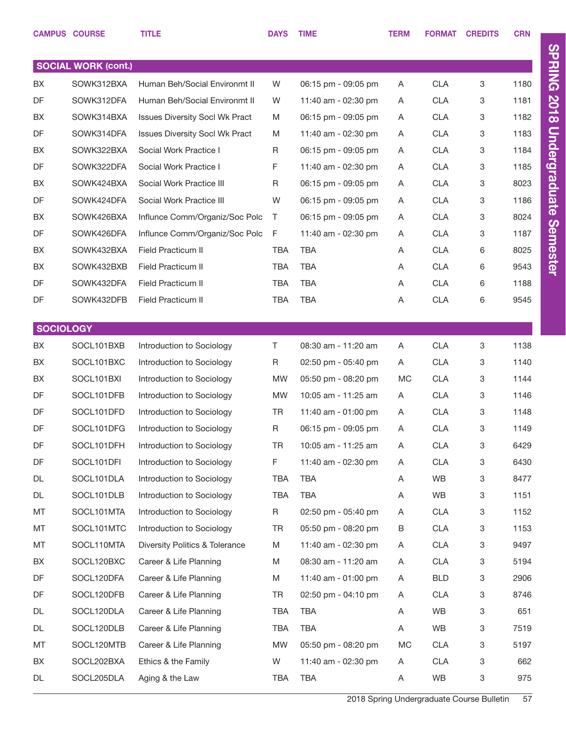|                  | <b>CAMPUS COURSE</b>       | <b>TITLE</b>                              | <b>DAYS</b> | <b>TIME</b>         | <b>TERM</b> | <b>FORMAT</b> | <b>CREDITS</b> | <b>CRN</b> |
|------------------|----------------------------|-------------------------------------------|-------------|---------------------|-------------|---------------|----------------|------------|
|                  |                            |                                           |             |                     |             |               |                |            |
|                  | <b>SOCIAL WORK (cont.)</b> |                                           |             |                     |             |               |                |            |
| BX               | SOWK312BXA                 | Human Beh/Social Environmt II             | W           | 06:15 pm - 09:05 pm | A           | <b>CLA</b>    | 3              | 1180       |
| <b>DF</b>        | SOWK312DFA                 | Human Beh/Social Environmt II             | W           | 11:40 am - 02:30 pm | A           | <b>CLA</b>    | 3              | 1181       |
| BX               | SOWK314BXA                 | <b>Issues Diversity Socl Wk Pract</b>     | M           | 06:15 pm - 09:05 pm | A           | <b>CLA</b>    | 3              | 1182       |
| DF               | SOWK314DFA                 | <b>Issues Diversity Socl Wk Pract</b>     | M           | 11:40 am - 02:30 pm | A           | <b>CLA</b>    | 3              | 1183       |
| BX               | SOWK322BXA                 | Social Work Practice I                    | R           | 06:15 pm - 09:05 pm | A           | <b>CLA</b>    | 3              | 1184       |
| DF               | SOWK322DFA                 | Social Work Practice I                    | F           | 11:40 am - 02:30 pm | A           | <b>CLA</b>    | 3              | 1185       |
| BX               | SOWK424BXA                 | Social Work Practice III                  | R           | 06:15 pm - 09:05 pm | A           | <b>CLA</b>    | 3              | 8023       |
| DF               | SOWK424DFA                 | Social Work Practice III                  | W           | 06:15 pm - 09:05 pm | A           | <b>CLA</b>    | 3              | 1186       |
| BX               | SOWK426BXA                 | Influnce Comm/Organiz/Soc Polc            | T           | 06:15 pm - 09:05 pm | A           | <b>CLA</b>    | 3              | 8024       |
| DF               | SOWK426DFA                 | Influnce Comm/Organiz/Soc Polc            | F           | 11:40 am - 02:30 pm | A           | <b>CLA</b>    | 3              | 1187       |
| BX               | SOWK432BXA                 | <b>Field Practicum II</b>                 | <b>TBA</b>  | <b>TBA</b>          | Α           | <b>CLA</b>    | 6              | 8025       |
| BX               | SOWK432BXB                 | Field Practicum II                        | <b>TBA</b>  | TBA                 | Α           | <b>CLA</b>    | 6              | 9543       |
| DF               | SOWK432DFA                 | <b>Field Practicum II</b>                 | TBA         | <b>TBA</b>          | Α           | <b>CLA</b>    | 6              | 1188       |
| DF               | SOWK432DFB                 | Field Practicum II                        | <b>TBA</b>  | <b>TBA</b>          | Α           | <b>CLA</b>    | 6              | 9545       |
|                  |                            |                                           |             |                     |             |               |                |            |
| <b>SOCIOLOGY</b> |                            |                                           |             |                     |             |               |                |            |
| BX               | SOCL101BXB                 | Introduction to Sociology                 | T.          | 08:30 am - 11:20 am | Α           | <b>CLA</b>    | 3              | 1138       |
| BX               | SOCL101BXC                 | Introduction to Sociology                 | R           | 02:50 pm - 05:40 pm | A           | <b>CLA</b>    | 3              | 1140       |
| BX               | SOCL101BXI                 | Introduction to Sociology                 | <b>MW</b>   | 05:50 pm - 08:20 pm | MC          | <b>CLA</b>    | 3              | 1144       |
| DF               | SOCL101DFB                 | Introduction to Sociology                 | <b>MW</b>   | 10:05 am - 11:25 am | A           | <b>CLA</b>    | 3              | 1146       |
| DF               | SOCL101DFD                 | Introduction to Sociology                 | <b>TR</b>   | 11:40 am - 01:00 pm | A           | <b>CLA</b>    | 3              | 1148       |
| DF               | SOCL101DFG                 | Introduction to Sociology                 | R           | 06:15 pm - 09:05 pm | Α           | <b>CLA</b>    | 3              | 1149       |
| DF               | SOCL101DFH                 | Introduction to Sociology                 | TR          | 10:05 am - 11:25 am | Α           | <b>CLA</b>    | 3              | 6429       |
| DF               | SOCL101DFI                 | Introduction to Sociology                 | F           | 11:40 am - 02:30 pm | Α           | <b>CLA</b>    | 3              | 6430       |
| DL               | SOCL101DLA                 | Introduction to Sociology                 | TBA         | <b>TBA</b>          | Α           | WB            | 3              | 8477       |
| DL               | SOCL101DLB                 | Introduction to Sociology                 | TBA         | TBA                 | Α           | WB            | 3              | 1151       |
| МT               | SOCL101MTA                 | Introduction to Sociology                 | R           | 02:50 pm - 05:40 pm | A           | <b>CLA</b>    | 3              | 1152       |
| МT               | SOCL101MTC                 | Introduction to Sociology                 | <b>TR</b>   | 05:50 pm - 08:20 pm | В           | <b>CLA</b>    | 3              | 1153       |
| МT               | SOCL110MTA                 | <b>Diversity Politics &amp; Tolerance</b> | M           | 11:40 am - 02:30 pm | A           | <b>CLA</b>    | 3              | 9497       |
| BX               | SOCL120BXC                 | Career & Life Planning                    | M           | 08:30 am - 11:20 am | Α           | <b>CLA</b>    | 3              | 5194       |
| DF               | SOCL120DFA                 | Career & Life Planning                    | M           | 11:40 am - 01:00 pm | A           | <b>BLD</b>    | 3              | 2906       |
| DF               | SOCL120DFB                 | Career & Life Planning                    | <b>TR</b>   | 02:50 pm - 04:10 pm | A           | <b>CLA</b>    | 3              | 8746       |
| DL               | SOCL120DLA                 | Career & Life Planning                    | TBA         | TBA                 | Α           | WB            | 3              | 651        |
| DL               | SOCL120DLB                 | Career & Life Planning                    | TBA         | TBA                 | Α           | WB            | 3              | 7519       |
| МT               | SOCL120MTB                 | Career & Life Planning                    | MW          | 05:50 pm - 08:20 pm | МC          | <b>CLA</b>    | 3              | 5197       |
| BX               | SOCL202BXA                 | Ethics & the Family                       | W           | 11:40 am - 02:30 pm | A           | <b>CLA</b>    | 3              | 662        |
| DL               | SOCL205DLA                 | Aging & the Law                           | TBA         | TBA                 | A           | WB            | 3              | 975        |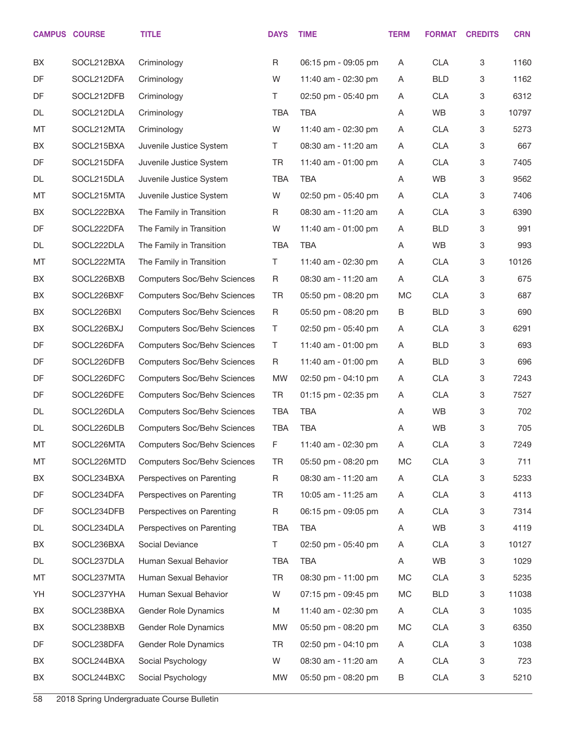|    | <b>CAMPUS COURSE</b> | <b>TITLE</b>                       | <b>DAYS</b> | <b>TIME</b>         | <b>TERM</b> | <b>FORMAT</b> | <b>CREDITS</b> | <b>CRN</b> |
|----|----------------------|------------------------------------|-------------|---------------------|-------------|---------------|----------------|------------|
| BX | SOCL212BXA           | Criminology                        | R           | 06:15 pm - 09:05 pm | A           | <b>CLA</b>    | 3              | 1160       |
| DF | SOCL212DFA           | Criminology                        | W           | 11:40 am - 02:30 pm | A           | <b>BLD</b>    | 3              | 1162       |
| DF | SOCL212DFB           | Criminology                        | Τ           | 02:50 pm - 05:40 pm | A           | <b>CLA</b>    | 3              | 6312       |
| DL | SOCL212DLA           | Criminology                        | <b>TBA</b>  | <b>TBA</b>          | Α           | WB            | 3              | 10797      |
| MT | SOCL212MTA           | Criminology                        | W           | 11:40 am - 02:30 pm | A           | <b>CLA</b>    | 3              | 5273       |
| BX | SOCL215BXA           | Juvenile Justice System            | Τ           | 08:30 am - 11:20 am | A           | <b>CLA</b>    | 3              | 667        |
| DF | SOCL215DFA           | Juvenile Justice System            | TR          | 11:40 am - 01:00 pm | Α           | <b>CLA</b>    | 3              | 7405       |
| DL | SOCL215DLA           | Juvenile Justice System            | <b>TBA</b>  | <b>TBA</b>          | A           | WB            | 3              | 9562       |
| MT | SOCL215MTA           | Juvenile Justice System            | W           | 02:50 pm - 05:40 pm | A           | <b>CLA</b>    | 3              | 7406       |
| BX | SOCL222BXA           | The Family in Transition           | R           | 08:30 am - 11:20 am | A           | <b>CLA</b>    | 3              | 6390       |
| DF | SOCL222DFA           | The Family in Transition           | W           | 11:40 am - 01:00 pm | Α           | <b>BLD</b>    | 3              | 991        |
| DL | SOCL222DLA           | The Family in Transition           | <b>TBA</b>  | <b>TBA</b>          | Α           | WB            | 3              | 993        |
| MT | SOCL222MTA           | The Family in Transition           | $\top$      | 11:40 am - 02:30 pm | A           | <b>CLA</b>    | 3              | 10126      |
| BX | SOCL226BXB           | <b>Computers Soc/Behv Sciences</b> | R           | 08:30 am - 11:20 am | A           | <b>CLA</b>    | 3              | 675        |
| BX | SOCL226BXF           | <b>Computers Soc/Behv Sciences</b> | TR          | 05:50 pm - 08:20 pm | <b>MC</b>   | <b>CLA</b>    | 3              | 687        |
| BX | SOCL226BXI           | <b>Computers Soc/Behv Sciences</b> | R           | 05:50 pm - 08:20 pm | B           | <b>BLD</b>    | 3              | 690        |
| BX | SOCL226BXJ           | <b>Computers Soc/Behv Sciences</b> | T           | 02:50 pm - 05:40 pm | Α           | <b>CLA</b>    | 3              | 6291       |
| DF | SOCL226DFA           | <b>Computers Soc/Behv Sciences</b> | T           | 11:40 am - 01:00 pm | A           | <b>BLD</b>    | 3              | 693        |
| DF | SOCL226DFB           | <b>Computers Soc/Behv Sciences</b> | R           | 11:40 am - 01:00 pm | Α           | <b>BLD</b>    | 3              | 696        |
| DF | SOCL226DFC           | <b>Computers Soc/Behv Sciences</b> | MW          | 02:50 pm - 04:10 pm | A           | <b>CLA</b>    | 3              | 7243       |
| DF | SOCL226DFE           | <b>Computers Soc/Behv Sciences</b> | TR          | 01:15 pm - 02:35 pm | Α           | <b>CLA</b>    | 3              | 7527       |
| DL | SOCL226DLA           | Computers Soc/Behv Sciences        | TBA         | <b>TBA</b>          | A           | WB            | 3              | 702        |
| DL | SOCL226DLB           | <b>Computers Soc/Behv Sciences</b> | <b>TBA</b>  | <b>TBA</b>          | A           | WB            | 3              | 705        |
| МT | SOCL226MTA           | <b>Computers Soc/Behv Sciences</b> | F           | 11:40 am - 02:30 pm | A           | <b>CLA</b>    | 3              | 7249       |
| MT | SOCL226MTD           | <b>Computers Soc/Behv Sciences</b> | TR          | 05:50 pm - 08:20 pm | MC          | <b>CLA</b>    | 3              | 711        |
| BX | SOCL234BXA           | Perspectives on Parenting          | R           | 08:30 am - 11:20 am | A           | <b>CLA</b>    | 3              | 5233       |
| DF | SOCL234DFA           | Perspectives on Parenting          | TR          | 10:05 am - 11:25 am | A           | <b>CLA</b>    | $\mathbf 3$    | 4113       |
| DF | SOCL234DFB           | Perspectives on Parenting          | R           | 06:15 pm - 09:05 pm | A           | <b>CLA</b>    | 3              | 7314       |
| DL | SOCL234DLA           | Perspectives on Parenting          | <b>TBA</b>  | <b>TBA</b>          | Α           | WB            | $\mathbf 3$    | 4119       |
| BX | SOCL236BXA           | Social Deviance                    | T.          | 02:50 pm - 05:40 pm | A           | <b>CLA</b>    | 3              | 10127      |
| DL | SOCL237DLA           | Human Sexual Behavior              | <b>TBA</b>  | <b>TBA</b>          | Α           | WB            | $\mathbf 3$    | 1029       |
| MT | SOCL237MTA           | Human Sexual Behavior              | <b>TR</b>   | 08:30 pm - 11:00 pm | МC          | <b>CLA</b>    | 3              | 5235       |
| YH | SOCL237YHA           | Human Sexual Behavior              | W           | 07:15 pm - 09:45 pm | МC          | <b>BLD</b>    | $\mathbf 3$    | 11038      |
| BX | SOCL238BXA           | Gender Role Dynamics               | M           | 11:40 am - 02:30 pm | A           | <b>CLA</b>    | 3              | 1035       |
| BX | SOCL238BXB           | Gender Role Dynamics               | MW          | 05:50 pm - 08:20 pm | МC          | <b>CLA</b>    | $\mathbf 3$    | 6350       |
| DF | SOCL238DFA           | Gender Role Dynamics               | TR          | 02:50 pm - 04:10 pm | A           | <b>CLA</b>    | 3              | 1038       |
| BX | SOCL244BXA           | Social Psychology                  | W           | 08:30 am - 11:20 am | A           | <b>CLA</b>    | $\mathbf 3$    | 723        |
| BX | SOCL244BXC           | Social Psychology                  | MW          | 05:50 pm - 08:20 pm | B           | <b>CLA</b>    | $\mathbf 3$    | 5210       |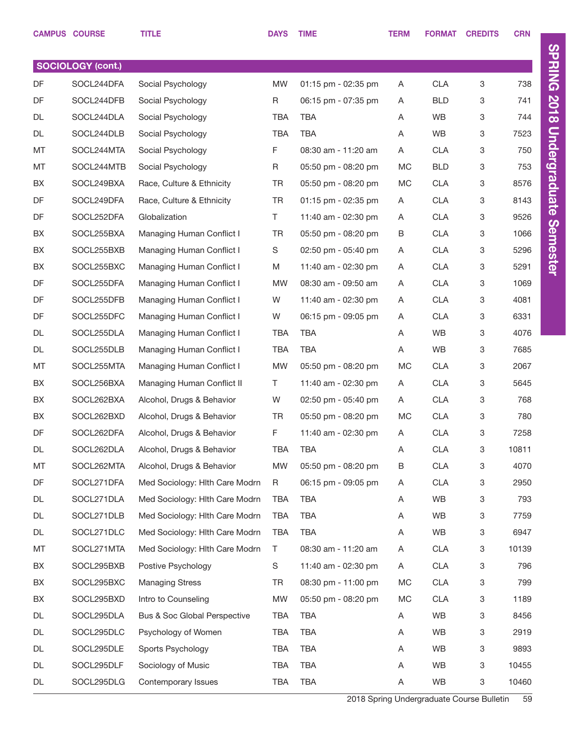|           | <b>CAMPUS COURSE</b>     | <b>TITLE</b>                   | <b>DAYS</b> | <b>TIME</b>         | <b>TERM</b> | <b>FORMAT</b> | <b>CREDITS</b> | <b>CRN</b> |  |  |
|-----------|--------------------------|--------------------------------|-------------|---------------------|-------------|---------------|----------------|------------|--|--|
|           |                          |                                |             |                     |             |               |                |            |  |  |
|           | <b>SOCIOLOGY (cont.)</b> |                                |             |                     |             |               |                |            |  |  |
| DF        | SOCL244DFA               | Social Psychology              | <b>MW</b>   | 01:15 pm - 02:35 pm | A           | <b>CLA</b>    | 3              | 738        |  |  |
| DF        | SOCL244DFB               | Social Psychology              | R           | 06:15 pm - 07:35 pm | A           | <b>BLD</b>    | 3              | 741        |  |  |
| DL        | SOCL244DLA               | Social Psychology              | <b>TBA</b>  | <b>TBA</b>          | Α           | WB            | 3              | 744        |  |  |
| DL        | SOCL244DLB               | Social Psychology              | <b>TBA</b>  | <b>TBA</b>          | Α           | WB            | 3              | 7523       |  |  |
| MT        | SOCL244MTA               | Social Psychology              | F           | 08:30 am - 11:20 am | Α           | <b>CLA</b>    | 3              | 750        |  |  |
| MT        | SOCL244MTB               | Social Psychology              | R           | 05:50 pm - 08:20 pm | МC          | <b>BLD</b>    | 3              | 753        |  |  |
| BX        | SOCL249BXA               | Race, Culture & Ethnicity      | <b>TR</b>   | 05:50 pm - 08:20 pm | МC          | <b>CLA</b>    | 3              | 8576       |  |  |
| DF        | SOCL249DFA               | Race, Culture & Ethnicity      | TR          | 01:15 pm - 02:35 pm | A           | <b>CLA</b>    | 3              | 8143       |  |  |
| DF        | SOCL252DFA               | Globalization                  | T.          | 11:40 am - 02:30 pm | A           | <b>CLA</b>    | 3              | 9526       |  |  |
| BX        | SOCL255BXA               | Managing Human Conflict I      | <b>TR</b>   | 05:50 pm - 08:20 pm | В           | <b>CLA</b>    | 3              | 1066       |  |  |
| BX        | SOCL255BXB               | Managing Human Conflict I      | S           | 02:50 pm - 05:40 pm | A           | <b>CLA</b>    | 3              | 5296       |  |  |
| BX        | SOCL255BXC               | Managing Human Conflict I      | M           | 11:40 am - 02:30 pm | A           | <b>CLA</b>    | 3              | 5291       |  |  |
| DF        | SOCL255DFA               | Managing Human Conflict I      | <b>MW</b>   | 08:30 am - 09:50 am | A           | <b>CLA</b>    | 3              | 1069       |  |  |
| DF        | SOCL255DFB               | Managing Human Conflict I      | W           | 11:40 am - 02:30 pm | A           | <b>CLA</b>    | 3              | 4081       |  |  |
| DF        | SOCL255DFC               | Managing Human Conflict I      | W           | 06:15 pm - 09:05 pm | A           | <b>CLA</b>    | 3              | 6331       |  |  |
| DL        | SOCL255DLA               | Managing Human Conflict I      | <b>TBA</b>  | <b>TBA</b>          | Α           | WB            | 3              | 4076       |  |  |
| DL        | SOCL255DLB               | Managing Human Conflict I      | <b>TBA</b>  | <b>TBA</b>          | A           | WB            | 3              | 7685       |  |  |
| MT        | SOCL255MTA               | Managing Human Conflict I      | <b>MW</b>   | 05:50 pm - 08:20 pm | <b>MC</b>   | <b>CLA</b>    | 3              | 2067       |  |  |
| BX        | SOCL256BXA               | Managing Human Conflict II     | T.          | 11:40 am - 02:30 pm | Α           | <b>CLA</b>    | 3              | 5645       |  |  |
| BX        | SOCL262BXA               | Alcohol, Drugs & Behavior      | W           | 02:50 pm - 05:40 pm | A           | <b>CLA</b>    | 3              | 768        |  |  |
| BX        | SOCL262BXD               | Alcohol, Drugs & Behavior      | <b>TR</b>   | 05:50 pm - 08:20 pm | МC          | <b>CLA</b>    | 3              | 780        |  |  |
| DF        | SOCL262DFA               | Alcohol, Drugs & Behavior      | F           | 11:40 am - 02:30 pm | Α           | <b>CLA</b>    | 3              | 7258       |  |  |
| <b>DL</b> | SOCL262DLA               | Alcohol, Drugs & Behavior      | <b>TBA</b>  | <b>TBA</b>          | Α           | <b>CLA</b>    | 3              | 10811      |  |  |
| MT        | SOCL262MTA               | Alcohol, Drugs & Behavior      | <b>MW</b>   | 05:50 pm - 08:20 pm | В           | <b>CLA</b>    | 3              | 4070       |  |  |
| DF        | SOCL271DFA               | Med Sociology: Hlth Care Modrn | R           | 06:15 pm - 09:05 pm | A           | <b>CLA</b>    | 3              | 2950       |  |  |
| DL        | SOCL271DLA               | Med Sociology: Hlth Care Modrn | TBA         | <b>TBA</b>          | Α           | WB            | 3              | 793        |  |  |
| DL        | SOCL271DLB               | Med Sociology: Hlth Care Modrn | <b>TBA</b>  | <b>TBA</b>          | Α           | WB            | 3              | 7759       |  |  |
| DL        | SOCL271DLC               | Med Sociology: Hlth Care Modrn | <b>TBA</b>  | <b>TBA</b>          | Α           | WB            | 3              | 6947       |  |  |
| MT        | SOCL271MTA               | Med Sociology: Hlth Care Modrn | T.          | 08:30 am - 11:20 am | A           | <b>CLA</b>    | 3              | 10139      |  |  |
| BX        | SOCL295BXB               | Postive Psychology             | S           | 11:40 am - 02:30 pm | A           | <b>CLA</b>    | 3              | 796        |  |  |
| BX        | SOCL295BXC               | <b>Managing Stress</b>         | TR          | 08:30 pm - 11:00 pm | МC          | <b>CLA</b>    | 3              | 799        |  |  |
| BX        | SOCL295BXD               | Intro to Counseling            | <b>MW</b>   | 05:50 pm - 08:20 pm | МC          | <b>CLA</b>    | 3              | 1189       |  |  |
| DL        | SOCL295DLA               | Bus & Soc Global Perspective   | TBA         | <b>TBA</b>          | Α           | WB            | 3              | 8456       |  |  |
| DL        | SOCL295DLC               | Psychology of Women            | TBA         | <b>TBA</b>          | Α           | WB            | 3              | 2919       |  |  |
| DL        | SOCL295DLE               | Sports Psychology              | TBA         | <b>TBA</b>          | Α           | WB            | 3              | 9893       |  |  |
| DL        | SOCL295DLF               | Sociology of Music             | TBA         | <b>TBA</b>          | Α           | WB            | 3              | 10455      |  |  |
| DL        | SOCL295DLG               | Contemporary Issues            | TBA         | TBA                 | A           | WB            | 3              | 10460      |  |  |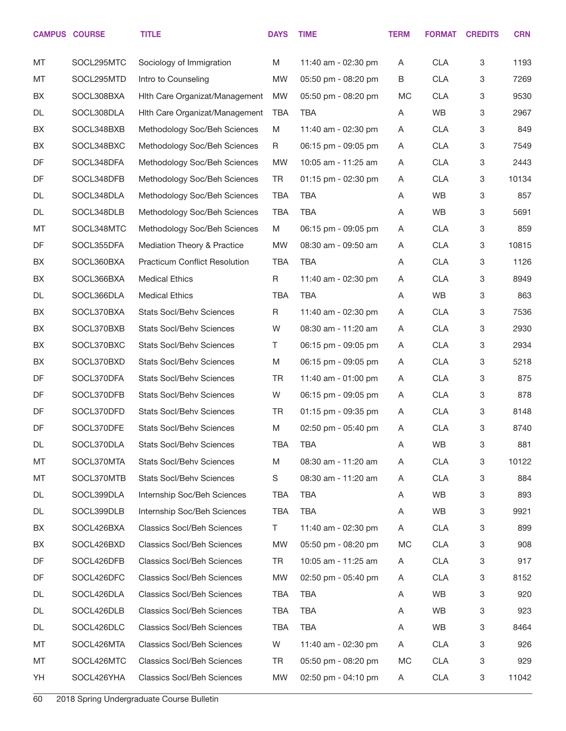|    | <b>CAMPUS COURSE</b> | <b>TITLE</b>                         | <b>DAYS</b> | <b>TIME</b>         | <b>TERM</b> | <b>FORMAT</b> | <b>CREDITS</b> | <b>CRN</b> |
|----|----------------------|--------------------------------------|-------------|---------------------|-------------|---------------|----------------|------------|
| MT | SOCL295MTC           | Sociology of Immigration             | M           | 11:40 am - 02:30 pm | A           | <b>CLA</b>    | 3              | 1193       |
| MT | SOCL295MTD           | Intro to Counseling                  | MW          | 05:50 pm - 08:20 pm | B           | <b>CLA</b>    | 3              | 7269       |
| BX | SOCL308BXA           | Hith Care Organizat/Management       | MW          | 05:50 pm - 08:20 pm | MC          | <b>CLA</b>    | 3              | 9530       |
| DL | SOCL308DLA           | Hith Care Organizat/Management       | <b>TBA</b>  | <b>TBA</b>          | Α           | WB            | 3              | 2967       |
| BX | SOCL348BXB           | Methodology Soc/Beh Sciences         | M           | 11:40 am - 02:30 pm | Α           | <b>CLA</b>    | 3              | 849        |
| BX | SOCL348BXC           | Methodology Soc/Beh Sciences         | R           | 06:15 pm - 09:05 pm | Α           | <b>CLA</b>    | 3              | 7549       |
| DF | SOCL348DFA           | Methodology Soc/Beh Sciences         | <b>MW</b>   | 10:05 am - 11:25 am | Α           | <b>CLA</b>    | 3              | 2443       |
| DF | SOCL348DFB           | Methodology Soc/Beh Sciences         | TR          | 01:15 pm - 02:30 pm | A           | <b>CLA</b>    | 3              | 10134      |
| DL | SOCL348DLA           | Methodology Soc/Beh Sciences         | <b>TBA</b>  | <b>TBA</b>          | Α           | WB            | 3              | 857        |
| DL | SOCL348DLB           | Methodology Soc/Beh Sciences         | <b>TBA</b>  | <b>TBA</b>          | Α           | WB            | 3              | 5691       |
| MT | SOCL348MTC           | Methodology Soc/Beh Sciences         | M           | 06:15 pm - 09:05 pm | Α           | <b>CLA</b>    | 3              | 859        |
| DF | SOCL355DFA           | Mediation Theory & Practice          | <b>MW</b>   | 08:30 am - 09:50 am | A           | <b>CLA</b>    | 3              | 10815      |
| BX | SOCL360BXA           | <b>Practicum Conflict Resolution</b> | <b>TBA</b>  | <b>TBA</b>          | Α           | <b>CLA</b>    | 3              | 1126       |
| BX | SOCL366BXA           | <b>Medical Ethics</b>                | R           | 11:40 am - 02:30 pm | Α           | <b>CLA</b>    | 3              | 8949       |
| DL | SOCL366DLA           | <b>Medical Ethics</b>                | <b>TBA</b>  | <b>TBA</b>          | Α           | WB            | 3              | 863        |
| BX | SOCL370BXA           | <b>Stats Socl/Behv Sciences</b>      | R           | 11:40 am - 02:30 pm | Α           | <b>CLA</b>    | 3              | 7536       |
| BX | SOCL370BXB           | <b>Stats Socl/Behv Sciences</b>      | W           | 08:30 am - 11:20 am | Α           | <b>CLA</b>    | 3              | 2930       |
| BX | SOCL370BXC           | <b>Stats Socl/Behv Sciences</b>      | Τ           | 06:15 pm - 09:05 pm | Α           | <b>CLA</b>    | 3              | 2934       |
| BX | SOCL370BXD           | <b>Stats Socl/Behv Sciences</b>      | M           | 06:15 pm - 09:05 pm | Α           | <b>CLA</b>    | 3              | 5218       |
| DF | SOCL370DFA           | <b>Stats Socl/Behv Sciences</b>      | <b>TR</b>   | 11:40 am - 01:00 pm | A           | <b>CLA</b>    | 3              | 875        |
| DF | SOCL370DFB           | <b>Stats Socl/Behv Sciences</b>      | W           | 06:15 pm - 09:05 pm | Α           | <b>CLA</b>    | 3              | 878        |
| DF | SOCL370DFD           | <b>Stats Socl/Behv Sciences</b>      | <b>TR</b>   | 01:15 pm - 09:35 pm | A           | <b>CLA</b>    | 3              | 8148       |
| DF | SOCL370DFE           | <b>Stats Socl/Behv Sciences</b>      | M           | 02:50 pm - 05:40 pm | Α           | <b>CLA</b>    | 3              | 8740       |
| DL | SOCL370DLA           | Stats Socl/Behv Sciences             | TBA         | TBA                 | A           | WB            | 3              | 881        |
| MT | SOCL370MTA           | <b>Stats Socl/Behv Sciences</b>      | M           | 08:30 am - 11:20 am | Α           | <b>CLA</b>    | 3              | 10122      |
| MT | SOCL370MTB           | <b>Stats Socl/Behv Sciences</b>      | S           | 08:30 am - 11:20 am | Α           | <b>CLA</b>    | 3              | 884        |
| DL | SOCL399DLA           | Internship Soc/Beh Sciences          | TBA         | TBA                 | A           | <b>WB</b>     | 3              | 893        |
| DL | SOCL399DLB           | Internship Soc/Beh Sciences          | <b>TBA</b>  | TBA                 | Α           | WB            | 3              | 9921       |
| BX | SOCL426BXA           | <b>Classics Socl/Beh Sciences</b>    | T.          | 11:40 am - 02:30 pm | A           | <b>CLA</b>    | 3              | 899        |
| BX | SOCL426BXD           | <b>Classics Socl/Beh Sciences</b>    | <b>MW</b>   | 05:50 pm - 08:20 pm | МC          | <b>CLA</b>    | 3              | 908        |
| DF | SOCL426DFB           | <b>Classics Socl/Beh Sciences</b>    | TR          | 10:05 am - 11:25 am | A           | <b>CLA</b>    | 3              | 917        |
| DF | SOCL426DFC           | <b>Classics Socl/Beh Sciences</b>    | MW          | 02:50 pm - 05:40 pm | A           | <b>CLA</b>    | 3              | 8152       |
| DL | SOCL426DLA           | <b>Classics Socl/Beh Sciences</b>    | TBA         | <b>TBA</b>          | A           | <b>WB</b>     | 3              | 920        |
| DL | SOCL426DLB           | <b>Classics Socl/Beh Sciences</b>    | TBA         | <b>TBA</b>          | Α           | <b>WB</b>     | 3              | 923        |
| DL | SOCL426DLC           | <b>Classics Socl/Beh Sciences</b>    | TBA         | <b>TBA</b>          | Α           | WB            | 3              | 8464       |
| МT | SOCL426MTA           | <b>Classics Socl/Beh Sciences</b>    | W           | 11:40 am - 02:30 pm | Α           | <b>CLA</b>    | 3              | 926        |
| МT | SOCL426MTC           | <b>Classics Socl/Beh Sciences</b>    | TR          | 05:50 pm - 08:20 pm | МC          | <b>CLA</b>    | 3              | 929        |
| YH | SOCL426YHA           | <b>Classics Socl/Beh Sciences</b>    | MW          | 02:50 pm - 04:10 pm | A           | <b>CLA</b>    | 3              | 11042      |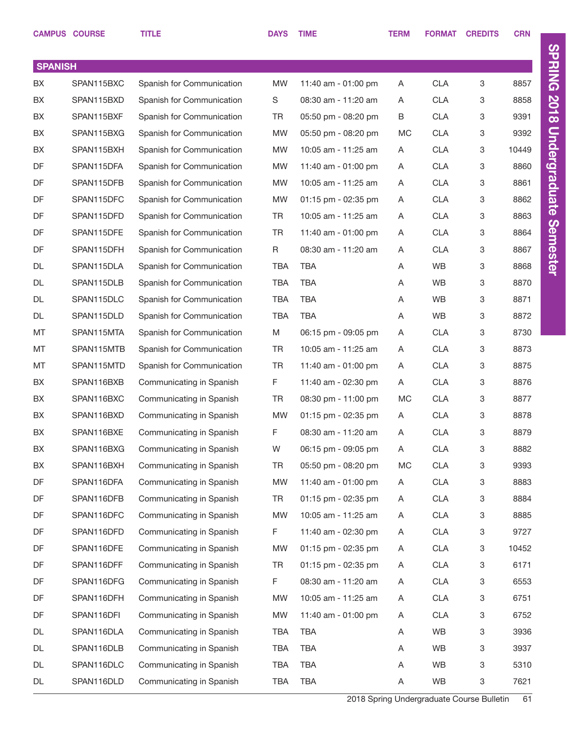|                | <b>CAMPUS COURSE</b> | <b>TITLE</b>              | <b>DAYS</b> | <b>TIME</b>         | <b>TERM</b> | <b>FORMAT</b> | <b>CREDITS</b> | <b>CRN</b> |
|----------------|----------------------|---------------------------|-------------|---------------------|-------------|---------------|----------------|------------|
|                |                      |                           |             |                     |             |               |                |            |
| <b>SPANISH</b> |                      |                           |             |                     |             |               |                |            |
| BX             | SPAN115BXC           | Spanish for Communication | <b>MW</b>   | 11:40 am - 01:00 pm | Α           | <b>CLA</b>    | 3              | 8857       |
| BX             | SPAN115BXD           | Spanish for Communication | S           | 08:30 am - 11:20 am | A           | <b>CLA</b>    | 3              | 8858       |
| BX             | SPAN115BXF           | Spanish for Communication | <b>TR</b>   | 05:50 pm - 08:20 pm | B           | <b>CLA</b>    | 3              | 9391       |
| BX             | SPAN115BXG           | Spanish for Communication | <b>MW</b>   | 05:50 pm - 08:20 pm | MC          | <b>CLA</b>    | 3              | 9392       |
| BX             | SPAN115BXH           | Spanish for Communication | <b>MW</b>   | 10:05 am - 11:25 am | Α           | <b>CLA</b>    | 3              | 10449      |
| DF             | SPAN115DFA           | Spanish for Communication | <b>MW</b>   | 11:40 am - 01:00 pm | A           | <b>CLA</b>    | 3              | 8860       |
| DF             | SPAN115DFB           | Spanish for Communication | <b>MW</b>   | 10:05 am - 11:25 am | Α           | <b>CLA</b>    | 3              | 8861       |
| DF             | SPAN115DFC           | Spanish for Communication | <b>MW</b>   | 01:15 pm - 02:35 pm | A           | <b>CLA</b>    | 3              | 8862       |
| DF             | SPAN115DFD           | Spanish for Communication | <b>TR</b>   | 10:05 am - 11:25 am | Α           | <b>CLA</b>    | 3              | 8863       |
| DF             | SPAN115DFE           | Spanish for Communication | <b>TR</b>   | 11:40 am - 01:00 pm | A           | <b>CLA</b>    | 3              | 8864       |
| DF             | SPAN115DFH           | Spanish for Communication | R           | 08:30 am - 11:20 am | Α           | <b>CLA</b>    | 3              | 8867       |
| <b>DL</b>      | SPAN115DLA           | Spanish for Communication | <b>TBA</b>  | <b>TBA</b>          | Α           | <b>WB</b>     | 3              | 8868       |
| <b>DL</b>      | SPAN115DLB           | Spanish for Communication | <b>TBA</b>  | <b>TBA</b>          | Α           | WB            | 3              | 8870       |
| <b>DL</b>      | SPAN115DLC           | Spanish for Communication | <b>TBA</b>  | <b>TBA</b>          | Α           | <b>WB</b>     | 3              | 8871       |
| <b>DL</b>      | SPAN115DLD           | Spanish for Communication | <b>TBA</b>  | <b>TBA</b>          | Α           | <b>WB</b>     | 3              | 8872       |
| MT             | SPAN115MTA           | Spanish for Communication | M           | 06:15 pm - 09:05 pm | Α           | <b>CLA</b>    | 3              | 8730       |
| MT             | SPAN115MTB           | Spanish for Communication | <b>TR</b>   | 10:05 am - 11:25 am | Α           | <b>CLA</b>    | 3              | 8873       |
| MT             | SPAN115MTD           | Spanish for Communication | <b>TR</b>   | 11:40 am - 01:00 pm | Α           | <b>CLA</b>    | 3              | 8875       |
| BX             | SPAN116BXB           | Communicating in Spanish  | F.          | 11:40 am - 02:30 pm | A           | <b>CLA</b>    | 3              | 8876       |
| BX             | SPAN116BXC           | Communicating in Spanish  | <b>TR</b>   | 08:30 pm - 11:00 pm | MC          | <b>CLA</b>    | 3              | 8877       |
| BX             | SPAN116BXD           | Communicating in Spanish  | <b>MW</b>   | 01:15 pm - 02:35 pm | Α           | <b>CLA</b>    | 3              | 8878       |
| BX             | SPAN116BXE           | Communicating in Spanish  | F           | 08:30 am - 11:20 am | A           | <b>CLA</b>    | 3              | 8879       |
| BX             | SPAN116BXG           | Communicating in Spanish  | W           | 06:15 pm - 09:05 pm | A           | <b>CLA</b>    | 3              | 8882       |
| BX             | SPAN116BXH           | Communicating in Spanish  | <b>TR</b>   | 05:50 pm - 08:20 pm | MC          | <b>CLA</b>    | 3              | 9393       |
| DF             | SPAN116DFA           | Communicating in Spanish  | MW          | 11:40 am - 01:00 pm | A           | CLA           | 3              | 8883       |
| DF             | SPAN116DFB           | Communicating in Spanish  | TR          | 01:15 pm - 02:35 pm | A           | <b>CLA</b>    | 3              | 8884       |
| DF             | SPAN116DFC           | Communicating in Spanish  | MW          | 10:05 am - 11:25 am | A           | <b>CLA</b>    | 3              | 8885       |
| DF             | SPAN116DFD           | Communicating in Spanish  | F.          | 11:40 am - 02:30 pm | A           | <b>CLA</b>    | 3              | 9727       |
| DF             | SPAN116DFE           | Communicating in Spanish  | MW          | 01:15 pm - 02:35 pm | A           | <b>CLA</b>    | 3              | 10452      |
| DF             | SPAN116DFF           | Communicating in Spanish  | <b>TR</b>   | 01:15 pm - 02:35 pm | A           | <b>CLA</b>    | 3              | 6171       |
| DF             | SPAN116DFG           | Communicating in Spanish  | F           | 08:30 am - 11:20 am | A           | CLA           | 3              | 6553       |
| DF             | SPAN116DFH           | Communicating in Spanish  | MW          | 10:05 am - 11:25 am | A           | <b>CLA</b>    | 3              | 6751       |
| DF             | SPAN116DFI           | Communicating in Spanish  | MW          | 11:40 am - 01:00 pm | A           | <b>CLA</b>    | 3              | 6752       |
| DL             | SPAN116DLA           | Communicating in Spanish  | <b>TBA</b>  | <b>TBA</b>          | Α           | <b>WB</b>     | 3              | 3936       |
| DL             | SPAN116DLB           | Communicating in Spanish  | TBA         | <b>TBA</b>          | Α           | <b>WB</b>     | 3              | 3937       |
| DL             | SPAN116DLC           | Communicating in Spanish  | <b>TBA</b>  | <b>TBA</b>          | Α           | <b>WB</b>     | 3              | 5310       |
| DL             | SPAN116DLD           | Communicating in Spanish  | <b>TBA</b>  | <b>TBA</b>          | A           | WB            | $\mathbf 3$    | 7621       |

2018 Spring Undergraduate Course Bulletin 61

SPRING 2018 Undergraduate Semester

SPRING 2018 Undergraduate Semester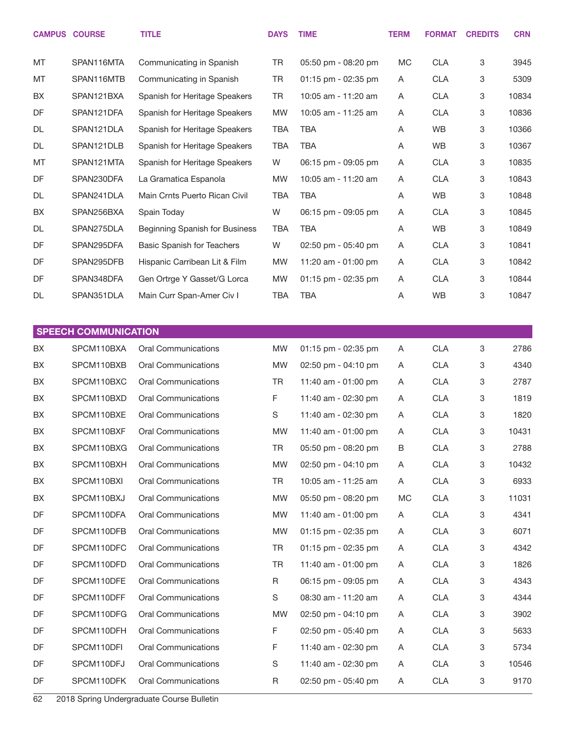|           | <b>CAMPUS COURSE</b> | <b>TITLE</b>                      | <b>DAYS</b> | <b>TIME</b>             | <b>TERM</b> | <b>FORMAT</b> | <b>CREDITS</b>            | <b>CRN</b> |
|-----------|----------------------|-----------------------------------|-------------|-------------------------|-------------|---------------|---------------------------|------------|
| MT        | SPAN116MTA           | Communicating in Spanish          | <b>TR</b>   | 05:50 pm - 08:20 pm     | MC          | <b>CLA</b>    | 3                         | 3945       |
| МT        | SPAN116MTB           | Communicating in Spanish          | TR          | $01:15$ pm - 02:35 pm   | Α           | <b>CLA</b>    | 3                         | 5309       |
| <b>BX</b> | SPAN121BXA           | Spanish for Heritage Speakers     | <b>TR</b>   | 10:05 am - 11:20 am     | A           | <b>CLA</b>    | 3                         | 10834      |
| DF        | SPAN121DFA           | Spanish for Heritage Speakers     | <b>MW</b>   | 10:05 am - 11:25 am     | A           | <b>CLA</b>    | 3                         | 10836      |
| DL        | SPAN121DLA           | Spanish for Heritage Speakers     | TBA         | TBA                     | Α           | <b>WB</b>     | 3                         | 10366      |
| DL        | SPAN121DLB           | Spanish for Heritage Speakers     | TBA         | TBA                     | A           | <b>WB</b>     | 3                         | 10367      |
| MT        | SPAN121MTA           | Spanish for Heritage Speakers     | W           | 06:15 pm - 09:05 pm     | A           | <b>CLA</b>    | 3                         | 10835      |
| DF        | SPAN230DFA           | La Gramatica Espanola             | <b>MW</b>   | 10:05 am - 11:20 am     | A           | <b>CLA</b>    | 3                         | 10843      |
| DL        | SPAN241DLA           | Main Crnts Puerto Rican Civil     | <b>TBA</b>  | TBA                     | Α           | WB            | 3                         | 10848      |
| BX        | SPAN256BXA           | Spain Today                       | W           | 06:15 pm - 09:05 pm     | Α           | <b>CLA</b>    | 3                         | 10845      |
| DL        | SPAN275DLA           | Beginning Spanish for Business    | <b>TBA</b>  | TBA                     | A           | WB            | $\ensuremath{\mathsf{3}}$ | 10849      |
| DF        | SPAN295DFA           | <b>Basic Spanish for Teachers</b> | W           | $02:50$ pm - $05:40$ pm | A           | <b>CLA</b>    | 3                         | 10841      |
| <b>DF</b> | SPAN295DFB           | Hispanic Carribean Lit & Film     | <b>MW</b>   | 11:20 am - 01:00 pm     | A           | <b>CLA</b>    | 3                         | 10842      |
| DF        | SPAN348DFA           | Gen Ortrge Y Gasset/G Lorca       | <b>MW</b>   | $01:15$ pm - 02:35 pm   | Α           | <b>CLA</b>    | 3                         | 10844      |
| DL        | SPAN351DLA           | Main Curr Span-Amer Civ I         | <b>TBA</b>  | TBA                     | A           | <b>WB</b>     | 3                         | 10847      |
|           |                      |                                   |             |                         |             |               |                           |            |

|    | <b>SPEECH COMMUNICATION</b> |                            |             |                     |    |            |   |       |
|----|-----------------------------|----------------------------|-------------|---------------------|----|------------|---|-------|
| BX | SPCM110BXA                  | <b>Oral Communications</b> | <b>MW</b>   | 01:15 pm - 02:35 pm | A  | <b>CLA</b> | 3 | 2786  |
| BX | SPCM110BXB                  | <b>Oral Communications</b> | <b>MW</b>   | 02:50 pm - 04:10 pm | Α  | <b>CLA</b> | 3 | 4340  |
| BX | SPCM110BXC                  | <b>Oral Communications</b> | <b>TR</b>   | 11:40 am - 01:00 pm | A  | <b>CLA</b> | 3 | 2787  |
| BX | SPCM110BXD                  | <b>Oral Communications</b> | F           | 11:40 am - 02:30 pm | Α  | <b>CLA</b> | 3 | 1819  |
| BX | SPCM110BXE                  | <b>Oral Communications</b> | $\mathbf S$ | 11:40 am - 02:30 pm | A  | <b>CLA</b> | 3 | 1820  |
| BX | SPCM110BXF                  | <b>Oral Communications</b> | <b>MW</b>   | 11:40 am - 01:00 pm | A  | <b>CLA</b> | 3 | 10431 |
| BX | SPCM110BXG                  | <b>Oral Communications</b> | <b>TR</b>   | 05:50 pm - 08:20 pm | B  | <b>CLA</b> | 3 | 2788  |
| BX | SPCM110BXH                  | <b>Oral Communications</b> | <b>MW</b>   | 02:50 pm - 04:10 pm | A  | <b>CLA</b> | 3 | 10432 |
| BX | SPCM110BXI                  | <b>Oral Communications</b> | <b>TR</b>   | 10:05 am - 11:25 am | A  | <b>CLA</b> | 3 | 6933  |
| BX | SPCM110BXJ                  | <b>Oral Communications</b> | <b>MW</b>   | 05:50 pm - 08:20 pm | MC | <b>CLA</b> | 3 | 11031 |
| DF | SPCM110DFA                  | <b>Oral Communications</b> | <b>MW</b>   | 11:40 am - 01:00 pm | Α  | <b>CLA</b> | 3 | 4341  |
| DF | SPCM110DFB                  | <b>Oral Communications</b> | <b>MW</b>   | 01:15 pm - 02:35 pm | A  | <b>CLA</b> | 3 | 6071  |
| DF | SPCM110DFC                  | <b>Oral Communications</b> | <b>TR</b>   | 01:15 pm - 02:35 pm | A  | <b>CLA</b> | 3 | 4342  |
| DF | SPCM110DFD                  | <b>Oral Communications</b> | <b>TR</b>   | 11:40 am - 01:00 pm | A  | <b>CLA</b> | 3 | 1826  |
| DF | SPCM110DFE                  | <b>Oral Communications</b> | R           | 06:15 pm - 09:05 pm | A  | <b>CLA</b> | 3 | 4343  |
| DF | SPCM110DFF                  | <b>Oral Communications</b> | $\mathbf S$ | 08:30 am - 11:20 am | Α  | <b>CLA</b> | 3 | 4344  |
| DF | SPCM110DFG                  | <b>Oral Communications</b> | <b>MW</b>   | 02:50 pm - 04:10 pm | A  | <b>CLA</b> | 3 | 3902  |
| DF | SPCM110DFH                  | <b>Oral Communications</b> | F           | 02:50 pm - 05:40 pm | Α  | <b>CLA</b> | 3 | 5633  |
| DF | SPCM110DFI                  | <b>Oral Communications</b> | F           | 11:40 am - 02:30 pm | A  | <b>CLA</b> | 3 | 5734  |
| DF | SPCM110DFJ                  | <b>Oral Communications</b> | S           | 11:40 am - 02:30 pm | A  | <b>CLA</b> | 3 | 10546 |
| DF | SPCM110DFK                  | <b>Oral Communications</b> | R           | 02:50 pm - 05:40 pm | A  | <b>CLA</b> | 3 | 9170  |
|    |                             |                            |             |                     |    |            |   |       |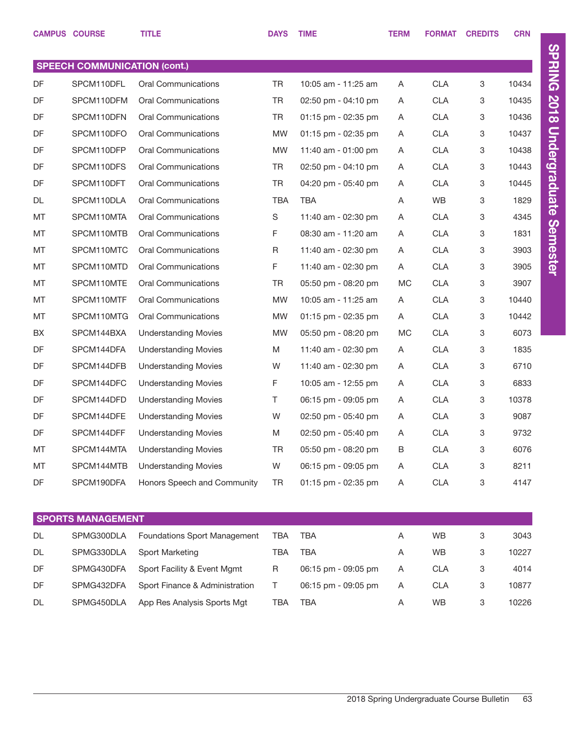|    | <b>CAMPUS COURSE</b>                | <b>TITLE</b>                   | <b>DAYS</b> | <b>TIME</b>         | <b>TERM</b> | <b>FORMAT</b> | <b>CREDITS</b>            | <b>CRN</b> |
|----|-------------------------------------|--------------------------------|-------------|---------------------|-------------|---------------|---------------------------|------------|
|    | <b>SPEECH COMMUNICATION (cont.)</b> |                                |             |                     |             |               |                           |            |
| DF | SPCM110DFL                          | <b>Oral Communications</b>     | TR          | 10:05 am - 11:25 am | A           | <b>CLA</b>    | 3                         | 10434      |
| DF | SPCM110DFM                          | <b>Oral Communications</b>     | <b>TR</b>   | 02:50 pm - 04:10 pm | A           | <b>CLA</b>    | 3                         | 10435      |
| DF | SPCM110DFN                          | <b>Oral Communications</b>     | TR          | 01:15 pm - 02:35 pm | A           | <b>CLA</b>    | 3                         | 10436      |
| DF | SPCM110DFO                          | <b>Oral Communications</b>     | <b>MW</b>   | 01:15 pm - 02:35 pm | A           | <b>CLA</b>    | 3                         | 10437      |
| DF | SPCM110DFP                          | <b>Oral Communications</b>     | <b>MW</b>   | 11:40 am - 01:00 pm | A           | <b>CLA</b>    | 3                         | 10438      |
| DF | SPCM110DFS                          | Oral Communications            | TR          | 02:50 pm - 04:10 pm | A           | <b>CLA</b>    | 3                         | 10443      |
| DF | SPCM110DFT                          | <b>Oral Communications</b>     | TR          | 04:20 pm - 05:40 pm | A           | <b>CLA</b>    | 3                         | 10445      |
| DL | SPCM110DLA                          | <b>Oral Communications</b>     | <b>TBA</b>  | <b>TBA</b>          | Α           | WB            | $\ensuremath{\mathsf{3}}$ | 1829       |
| MT | SPCM110MTA                          | <b>Oral Communications</b>     | S           | 11:40 am - 02:30 pm | A           | <b>CLA</b>    | 3                         | 4345       |
| MT | SPCM110MTB                          | Oral Communications            | F           | 08:30 am - 11:20 am | A           | <b>CLA</b>    | $\ensuremath{\mathsf{3}}$ | 1831       |
| MT | SPCM110MTC                          | Oral Communications            | R           | 11:40 am - 02:30 pm | A           | <b>CLA</b>    | 3                         | 3903       |
| MT | SPCM110MTD                          | Oral Communications            | F           | 11:40 am - 02:30 pm | A           | <b>CLA</b>    | $\ensuremath{\mathsf{3}}$ | 3905       |
| MT | SPCM110MTE                          | <b>Oral Communications</b>     | TR          | 05:50 pm - 08:20 pm | MC          | <b>CLA</b>    | 3                         | 3907       |
| MT | SPCM110MTF                          | Oral Communications            | <b>MW</b>   | 10:05 am - 11:25 am | A           | <b>CLA</b>    | 3                         | 10440      |
| MT | SPCM110MTG                          | Oral Communications            | <b>MW</b>   | 01:15 pm - 02:35 pm | A           | <b>CLA</b>    | 3                         | 10442      |
| BX | SPCM144BXA                          | <b>Understanding Movies</b>    | MW.         | 05:50 pm - 08:20 pm | МC          | <b>CLA</b>    | $\ensuremath{\mathsf{3}}$ | 6073       |
| DF | SPCM144DFA                          | <b>Understanding Movies</b>    | M           | 11:40 am - 02:30 pm | A           | <b>CLA</b>    | 3                         | 1835       |
| DF | SPCM144DFB                          | <b>Understanding Movies</b>    | W           | 11:40 am - 02:30 pm | A           | <b>CLA</b>    | $\ensuremath{\mathsf{3}}$ | 6710       |
| DF | SPCM144DFC                          | <b>Understanding Movies</b>    | F           | 10:05 am - 12:55 pm | A           | <b>CLA</b>    | 3                         | 6833       |
| DF | SPCM144DFD                          | <b>Understanding Movies</b>    | T           | 06:15 pm - 09:05 pm | A           | <b>CLA</b>    | 3                         | 10378      |
| DF | SPCM144DFE                          | <b>Understanding Movies</b>    | W           | 02:50 pm - 05:40 pm | A           | <b>CLA</b>    | 3                         | 9087       |
| DF | SPCM144DFF                          | <b>Understanding Movies</b>    | M           | 02:50 pm - 05:40 pm | A           | <b>CLA</b>    | 3                         | 9732       |
| MT | SPCM144MTA                          | <b>Understanding Movies</b>    | <b>TR</b>   | 05:50 pm - 08:20 pm | B           | <b>CLA</b>    | $\ensuremath{\mathsf{3}}$ | 6076       |
| МT | SPCM144MTB                          | <b>Understanding Movies</b>    | W           | 06:15 pm - 09:05 pm | A           | <b>CLA</b>    | 3                         | 8211       |
| DF | SPCM190DFA                          | Honors Speech and Community    | TR          | 01:15 pm - 02:35 pm | Α           | <b>CLA</b>    | 3                         | 4147       |
|    |                                     |                                |             |                     |             |               |                           |            |
|    | <b>SPORTS MANAGEMENT</b>            |                                |             |                     |             |               |                           |            |
| DL | SPMG300DLA                          | Foundations Sport Management   | <b>TBA</b>  | <b>TBA</b>          | Α           | WB            | 3                         | 3043       |
| DL | SPMG330DLA                          | Sport Marketing                | TBA         | TBA                 | Α           | WB            | 3                         | 10227      |
| DF | SPMG430DFA                          | Sport Facility & Event Mgmt    | R           | 06:15 pm - 09:05 pm | Α           | <b>CLA</b>    | 3                         | 4014       |
| DF | SPMG432DFA                          | Sport Finance & Administration | Τ           | 06:15 pm - 09:05 pm | A           | <b>CLA</b>    | 3                         | 10877      |
| DL | SPMG450DLA                          | App Res Analysis Sports Mgt    | <b>TBA</b>  | <b>TBA</b>          | A           | WB            | 3                         | 10226      |